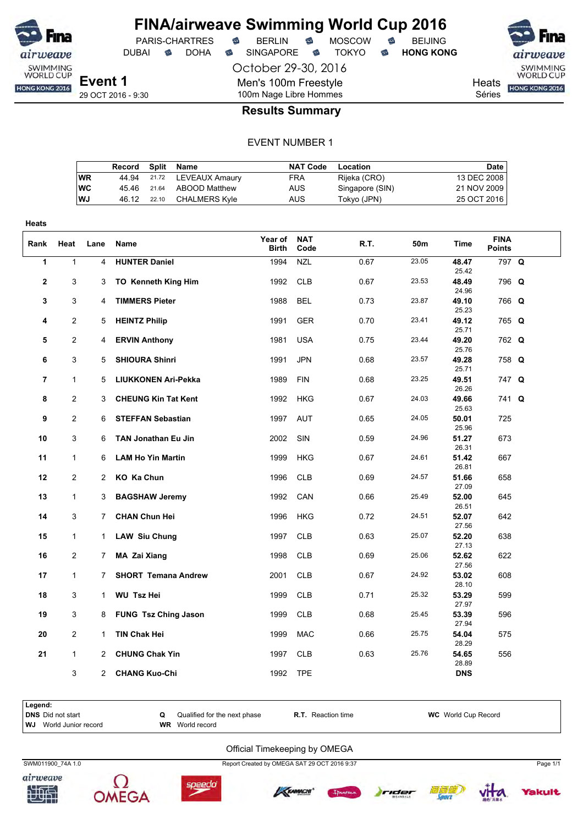

DUBAI **S** DOHA S SINGAPORE S TOKYO S HONG KONG

October 29-30, 2016

Men's 100m Freestyle 100m Nage Libre Hommes

SWIMMING<br>WORLD CUP Heats **HONG KONG 2016** 

Séries

#### **Results Summary**

#### EVENT NUMBER 1

|           | Record | Split | Name                 | <b>NAT Code</b> | Location        | Date        |
|-----------|--------|-------|----------------------|-----------------|-----------------|-------------|
| <b>WR</b> | 44.94  |       | 21.72 LEVEAUX Amaury | FRA             | Rijeka (CRO)    | 13 DEC 2008 |
| <b>WC</b> | 45.46  | 21.64 | ABOOD Matthew        | AUS             | Singapore (SIN) | 21 NOV 2009 |
| WJ        | 46.12  | 22.10 | CHALMERS Kyle        | AUS             | Tokyo (JPN)     | 25 OCT 2016 |

| <b>Heats</b>   |                |                |                             |                  |                    |      |       |                |                              |  |
|----------------|----------------|----------------|-----------------------------|------------------|--------------------|------|-------|----------------|------------------------------|--|
| Rank           | Heat           | Lane           | Name                        | Year of<br>Birth | <b>NAT</b><br>Code | R.T. | 50m   | Time           | <b>FINA</b><br><b>Points</b> |  |
| $\mathbf{1}$   | $\mathbf{1}$   | $\overline{4}$ | <b>HUNTER Daniel</b>        | 1994             | <b>NZL</b>         | 0.67 | 23.05 | 48.47<br>25.42 | 797 Q                        |  |
| $\mathbf{2}$   | 3              | 3              | <b>TO Kenneth King Him</b>  | 1992             | CLB                | 0.67 | 23.53 | 48.49<br>24.96 | 796 Q                        |  |
| 3              | 3              | 4              | <b>TIMMERS Pieter</b>       | 1988             | <b>BEL</b>         | 0.73 | 23.87 | 49.10<br>25.23 | 766 Q                        |  |
| 4              | $\overline{2}$ | 5              | <b>HEINTZ Philip</b>        | 1991             | <b>GER</b>         | 0.70 | 23.41 | 49.12<br>25.71 | 765 Q                        |  |
| 5              | $\overline{c}$ | 4              | <b>ERVIN Anthony</b>        | 1981             | <b>USA</b>         | 0.75 | 23.44 | 49.20<br>25.76 | 762 Q                        |  |
| 6              | 3              | 5              | <b>SHIOURA Shinri</b>       | 1991             | <b>JPN</b>         | 0.68 | 23.57 | 49.28<br>25.71 | 758 Q                        |  |
| $\overline{7}$ | $\mathbf{1}$   | 5              | <b>LIUKKONEN Ari-Pekka</b>  | 1989             | <b>FIN</b>         | 0.68 | 23.25 | 49.51<br>26.26 | 747 Q                        |  |
| 8              | $\overline{2}$ | 3              | <b>CHEUNG Kin Tat Kent</b>  | 1992             | <b>HKG</b>         | 0.67 | 24.03 | 49.66<br>25.63 | 741 Q                        |  |
| 9              | $\overline{2}$ | 6              | <b>STEFFAN Sebastian</b>    | 1997             | <b>AUT</b>         | 0.65 | 24.05 | 50.01<br>25.96 | 725                          |  |
| 10             | 3              | 6              | <b>TAN Jonathan Eu Jin</b>  | 2002             | SIN                | 0.59 | 24.96 | 51.27<br>26.31 | 673                          |  |
| 11             | $\mathbf{1}$   | 6              | <b>LAM Ho Yin Martin</b>    | 1999             | HKG                | 0.67 | 24.61 | 51.42<br>26.81 | 667                          |  |
| 12             | $\overline{2}$ | 2              | KO Ka Chun                  | 1996             | <b>CLB</b>         | 0.69 | 24.57 | 51.66<br>27.09 | 658                          |  |
| 13             | $\mathbf{1}$   | 3              | <b>BAGSHAW Jeremy</b>       | 1992             | CAN                | 0.66 | 25.49 | 52.00<br>26.51 | 645                          |  |
| 14             | 3              | 7              | <b>CHAN Chun Hei</b>        | 1996             | <b>HKG</b>         | 0.72 | 24.51 | 52.07<br>27.56 | 642                          |  |
| 15             | $\mathbf{1}$   | $\mathbf 1$    | <b>LAW Siu Chung</b>        | 1997             | <b>CLB</b>         | 0.63 | 25.07 | 52.20<br>27.13 | 638                          |  |
| 16             | $\overline{c}$ | 7              | MA Zai Xiang                | 1998             | <b>CLB</b>         | 0.69 | 25.06 | 52.62<br>27.56 | 622                          |  |
| 17             | $\mathbf{1}$   | 7              | <b>SHORT Temana Andrew</b>  | 2001             | <b>CLB</b>         | 0.67 | 24.92 | 53.02<br>28.10 | 608                          |  |
| 18             | 3              | 1              | <b>WU Tsz Hei</b>           | 1999             | <b>CLB</b>         | 0.71 | 25.32 | 53.29<br>27.97 | 599                          |  |
| 19             | 3              | 8              | <b>FUNG Tsz Ching Jason</b> | 1999             | <b>CLB</b>         | 0.68 | 25.45 | 53.39<br>27.94 | 596                          |  |
| 20             | $\overline{2}$ | 1              | TIN Chak Hei                | 1999             | <b>MAC</b>         | 0.66 | 25.75 | 54.04<br>28.29 | 575                          |  |
| 21             | $\mathbf{1}$   | 2              | <b>CHUNG Chak Yin</b>       | 1997             | <b>CLB</b>         | 0.63 | 25.76 | 54.65<br>28.89 | 556                          |  |
|                | 3              | $\mathbf{2}$   | <b>CHANG Kuo-Chi</b>        | 1992             | <b>TPE</b>         |      |       | <b>DNS</b>     |                              |  |

| Legend: |                               |                              |                           |                            |
|---------|-------------------------------|------------------------------|---------------------------|----------------------------|
|         | DNS Did not start             | Qualified for the next phase | <b>R.T.</b> Reaction time | <b>WC</b> World Cup Record |
|         | <b>WJ</b> World Junior record | <b>WR</b> World record       |                           |                            |
|         |                               |                              |                           |                            |

#### Official Timekeeping by OMEGA







SWM011900\_74A 1.0 Page 1/1







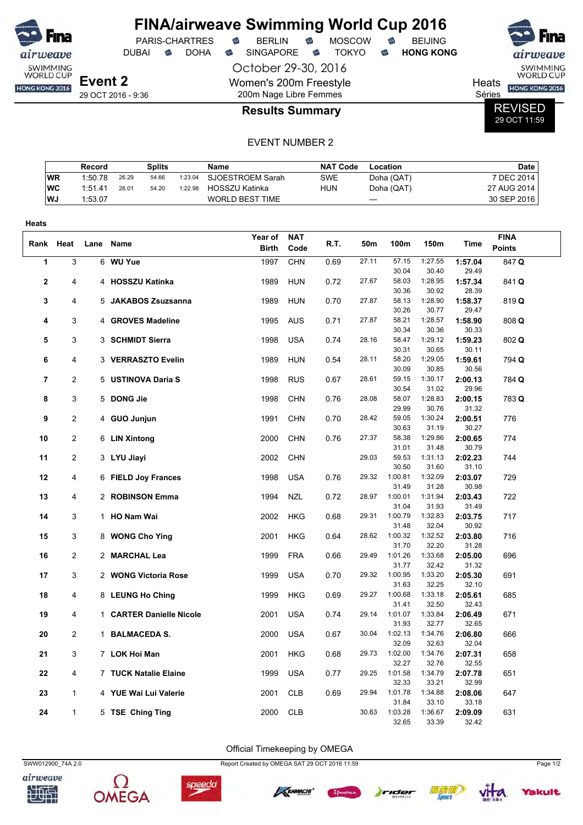| <b>Fina</b>                  |                    |              |   | <b>PARIS-CHARTRES</b> | € | <b>FINA/airweave Swimming World Cup 2016</b><br><b>BERLIN</b> | € | <b>MOSCOW</b> | $\widehat{\mathbb{C}}$ | <b>BEIJING</b>   |        | <b>Fina</b>                         |
|------------------------------|--------------------|--------------|---|-----------------------|---|---------------------------------------------------------------|---|---------------|------------------------|------------------|--------|-------------------------------------|
| airweave                     |                    | <b>DUBAI</b> | ⇔ | <b>DOHA</b>           | ⇔ | <b>SINGAPORE</b>                                              | ⇔ | <b>TOKYO</b>  | ☜                      | <b>HONG KONG</b> |        | airweave                            |
| SWIMMING<br><b>WORLD CUP</b> |                    |              |   |                       |   | October 29-30, 2016                                           |   |               |                        |                  |        | <b>SWIMMING</b><br><b>WORLD CUP</b> |
| HONG KONG 2016               | Event 2            |              |   |                       |   | Women's 200m Freestyle                                        |   |               |                        |                  | Heats  | <b>HONG KONG 2016</b>               |
|                              | 29 OCT 2016 - 9:36 |              |   |                       |   | 200m Nage Libre Femmes                                        |   |               |                        |                  | Séries |                                     |
|                              |                    |              |   |                       |   | <b>Results Summary</b>                                        |   |               |                        |                  |        | <b>REVISED</b><br>29 OCT 11:59      |

#### EVENT NUMBER 2

|            | Record  |       | <b>Splits</b> |         | Name                   | <b>NAT Code</b> | Location   | <b>Date</b> |
|------------|---------|-------|---------------|---------|------------------------|-----------------|------------|-------------|
| <b>WR</b>  | 1:50.78 | 26.29 | 54.66         | 1:23.04 | SJOESTROEM Sarah       | SWE             | Doha (QAT) | 7 DEC 2014  |
| <b>IWC</b> | 1:51.41 | 26.01 | 54.20         | 1:22.98 | HOSSZU Katinka         | <b>HUN</b>      | Doha (QAT) | 27 AUG 2014 |
| l WJ       | 1:53.07 |       |               |         | <b>WORLD BEST TIME</b> |                 | ---        | 30 SEP 2016 |

| Heats          |                |      |                          |              |            |      |       |                  |                  |                  |               |
|----------------|----------------|------|--------------------------|--------------|------------|------|-------|------------------|------------------|------------------|---------------|
| Rank           | Heat           | Lane | Name                     | Year of      | <b>NAT</b> | R.T. | 50m   | 100m             | 150m             | Time             | <b>FINA</b>   |
|                |                |      |                          | <b>Birth</b> | Code       |      |       |                  |                  |                  | <b>Points</b> |
| 1              | 3              |      | 6 WU Yue                 | 1997         | <b>CHN</b> | 0.69 | 27.11 | 57.15            | 1:27.55          | 1:57.04          | 847 Q         |
|                |                |      |                          |              |            |      |       | 30.04            | 30.40            | 29.49            |               |
| 2              | 4              |      | 4 HOSSZU Katinka         | 1989         | <b>HUN</b> | 0.72 | 27.67 | 58.03            | 1:28.95          | 1:57.34          | 841 Q         |
|                |                |      |                          |              |            |      |       | 30.36            | 30.92            | 28.39            |               |
| 3              | 4              |      | 5 JAKABOS Zsuzsanna      | 1989         | <b>HUN</b> | 0.70 | 27.87 | 58.13            | 1:28.90          | 1:58.37          | 819Q          |
| 4              | 3              |      | 4 GROVES Madeline        | 1995         | <b>AUS</b> | 0.71 | 27.87 | 30.26<br>58.21   | 30.77<br>1:28.57 | 29.47<br>1:58.90 | 808 Q         |
|                |                |      |                          |              |            |      |       | 30.34            | 30.36            | 30.33            |               |
| 5              | 3              |      | 3 SCHMIDT Sierra         | 1998         | <b>USA</b> | 0.74 | 28.16 | 58.47            | 1:29.12          | 1:59.23          | 802 Q         |
|                |                |      |                          |              |            |      |       | 30.31            | 30.65            | 30.11            |               |
| 6              | 4              |      | 3 VERRASZTO Evelin       | 1989         | <b>HUN</b> | 0.54 | 28.11 | 58.20            | 1:29.05          | 1:59.61          | 794 Q         |
|                |                |      |                          |              |            |      |       | 30.09            | 30.85            | 30.56            |               |
| $\overline{7}$ | 2              |      | 5 USTINOVA Daria S       | 1998         | <b>RUS</b> | 0.67 | 28.61 | 59.15            | 1:30.17          | 2:00.13          | 784 Q         |
|                |                |      |                          |              |            |      |       | 30.54            | 31.02            | 29.96            |               |
| 8              | 3              |      | 5 DONG Jie               | 1998         | <b>CHN</b> | 0.76 | 28.08 | 58.07            | 1:28.83          | 2:00.15          | 783 Q         |
|                |                |      |                          |              |            |      |       | 29.99            | 30.76            | 31.32            |               |
| 9              | $\overline{c}$ |      | 4 GUO Junjun             | 1991         | <b>CHN</b> | 0.70 | 28.42 | 59.05<br>30.63   | 1:30.24<br>31.19 | 2:00.51<br>30.27 | 776           |
| 10             | $\overline{2}$ |      | 6 LIN Xintong            | 2000         | <b>CHN</b> | 0.76 | 27.37 | 58.38            | 1:29.86          | 2:00.65          | 774           |
|                |                |      |                          |              |            |      |       | 31.01            | 31.48            | 30.79            |               |
| 11             | 2              |      | 3 LYU Jiayi              | 2002         | <b>CHN</b> |      | 29.03 | 59.53            | 1:31.13          | 2:02.23          | 744           |
|                |                |      |                          |              |            |      |       | 30.50            | 31.60            | 31.10            |               |
| 12             | 4              |      | 6 FIELD Joy Frances      | 1998         | <b>USA</b> | 0.76 | 29.32 | 1:00.81          | 1:32.09          | 2:03.07          | 729           |
|                |                |      |                          |              |            |      |       | 31.49            | 31.28            | 30.98            |               |
| 13             | 4              |      | 2 ROBINSON Emma          | 1994         | <b>NZL</b> | 0.72 | 28.97 | 1:00.01          | 1:31.94          | 2:03.43          | 722           |
|                |                |      |                          |              |            |      |       | 31.04            | 31.93            | 31.49            |               |
| 14             | 3              |      | 1 HO Nam Wai             | 2002         | HKG        | 0.68 | 29.31 | 1:00.79<br>31.48 | 1:32.83<br>32.04 | 2:03.75<br>30.92 | 717           |
| 15             | 3              |      | 8 WONG Cho Ying          | 2001         | <b>HKG</b> | 0.64 | 28.62 | 1:00.32          | 1:32.52          | 2:03.80          | 716           |
|                |                |      |                          |              |            |      |       | 31.70            | 32.20            | 31.28            |               |
| 16             | 2              |      | 2 MARCHAL Lea            | 1999         | <b>FRA</b> | 0.66 | 29.49 | 1:01.26          | 1:33.68          | 2:05.00          | 696           |
|                |                |      |                          |              |            |      |       | 31.77            | 32.42            | 31.32            |               |
| 17             | 3              |      | 2 WONG Victoria Rose     | 1999         | <b>USA</b> | 0.70 | 29.32 | 1:00.95          | 1:33.20          | 2:05.30          | 691           |
|                |                |      |                          |              |            |      |       | 31.63            | 32.25            | 32.10            |               |
| 18             | 4              |      | 8 LEUNG Ho Ching         | 1999         | <b>HKG</b> | 0.69 | 29.27 | 1:00.68          | 1:33.18          | 2:05.61          | 685           |
|                |                |      |                          |              |            |      |       | 31.41            | 32.50            | 32.43            |               |
| 19             | 4              |      | 1 CARTER Danielle Nicole | 2001         | <b>USA</b> | 0.74 | 29.14 | 1:01.07<br>31.93 | 1:33.84<br>32.77 | 2:06.49<br>32.65 | 671           |
| 20             | 2              |      | 1 BALMACEDA S.           | 2000         | <b>USA</b> | 0.67 | 30.04 | 1:02.13          | 1:34.76          | 2:06.80          | 666           |
|                |                |      |                          |              |            |      |       | 32.09            | 32.63            | 32.04            |               |
| 21             | 3              |      | 7 LOK Hoi Man            | 2001         | <b>HKG</b> | 0.68 | 29.73 | 1:02.00          | 1:34.76          | 2:07.31          | 658           |
|                |                |      |                          |              |            |      |       | 32.27            | 32.76            | 32.55            |               |
| 22             | 4              |      | 7 TUCK Natalie Elaine    | 1999         | <b>USA</b> | 0.77 | 29.25 | 1:01.58          | 1:34.79          | 2:07.78          | 651           |
|                |                |      |                          |              |            |      |       | 32.33            | 33.21            | 32.99            |               |
| 23             | 1              |      | 4 YUE Wai Lui Valerie    | 2001         | <b>CLB</b> | 0.69 | 29.94 | 1:01.78          | 1:34.88          | 2:08.06          | 647           |
|                |                |      |                          |              |            |      |       | 31.84            | 33.10            | 33.18            |               |
| 24             | 1              |      | 5 TSE Ching Ting         | 2000         | <b>CLB</b> |      | 30.63 | 1:03.28          | 1:36.67          | 2:09.09          | 631           |
|                |                |      |                          |              |            |      |       | 32.65            | 33.39            | 32.42            |               |

Official Timekeeping by OMEGA













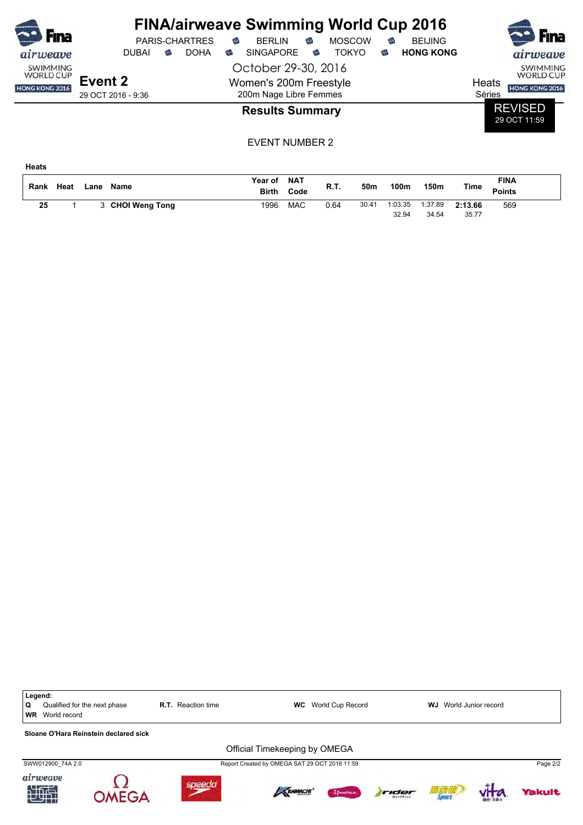| <b>Fina</b>                  | <b>PARIS-CHARTRES</b>                                 | <b>FINA/airweave Swimming World Cup 2016</b><br><b>MOSCOW</b><br><b>BERLIN</b><br>€<br>€ | <b>BEIJING</b><br>€   | <b>Fina</b>                         |
|------------------------------|-------------------------------------------------------|------------------------------------------------------------------------------------------|-----------------------|-------------------------------------|
| airweave                     | <b>DOHA</b><br><b>DUBAI</b><br>$\widehat{\mathbb{C}}$ | <b>SINGAPORE</b><br>TOKYO<br>€<br>€                                                      | <b>HONG KONG</b><br>☜ | airweave                            |
| SWIMMING<br><b>WORLD CUP</b> |                                                       | October 29-30, 2016                                                                      |                       | <b>SWIMMING</b><br><b>WORLD CUP</b> |
| HONG KONG 2016               | Event 2<br>29 OCT 2016 - 9:36                         | Women's 200m Freestyle<br>200m Nage Libre Femmes                                         |                       | Heats<br>HONG KONG 2016<br>Séries   |
|                              |                                                       | <b>Results Summary</b>                                                                   |                       | <b>REVISED</b><br>29 OCT 11:59      |

EVENT NUMBER 2

**Heats**

| Rank | Heat | Lane | Name                  | <b>Year of</b><br><b>Birth</b> | <b>NAT</b><br>Code | R.T. | 50m   | 100m             | 150m             | Time             | <b>FINA</b><br><b>Points</b> |  |
|------|------|------|-----------------------|--------------------------------|--------------------|------|-------|------------------|------------------|------------------|------------------------------|--|
| 25   |      |      | <b>CHOI Weng Tong</b> | 1996                           | <b>MAC</b>         | 0.64 | 30.41 | 1:03.35<br>32.94 | 1:37.89<br>34.54 | 2:13.66<br>35.77 | 569                          |  |

Legend:<br>Q Qua Qualified for the next phase **R.T.** Reaction time **WC** World Cup Record **WJ** World Junior record **WR** World record **Sloane O'Hara Reinstein declared sick** Official Timekeeping by OMEGA SWW012900\_74A 2.0 Page 2/2 airweave Ω speedo Yakult OMEGA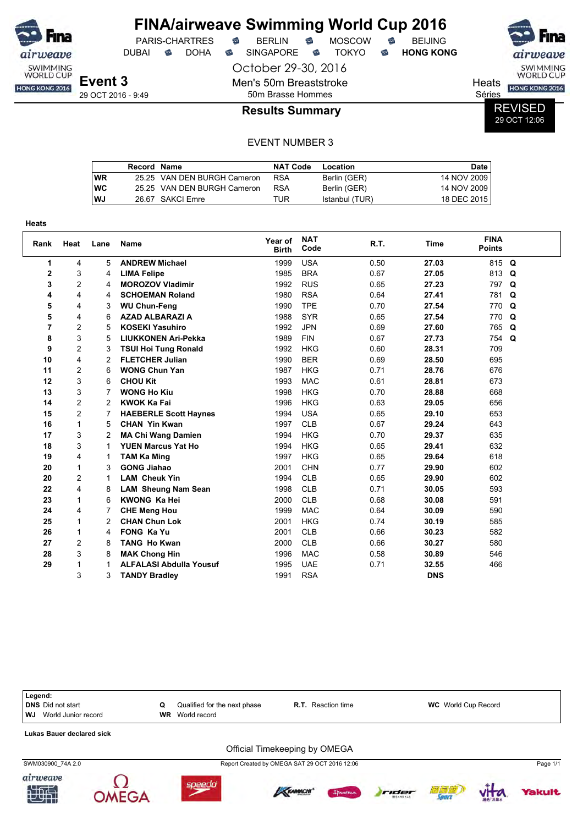|                                     |                    |    |                       |   | <b>FINA/airweave Swimming World Cup 2016</b> |   |               |   |                  |        |                                |
|-------------------------------------|--------------------|----|-----------------------|---|----------------------------------------------|---|---------------|---|------------------|--------|--------------------------------|
| <b>Fina</b>                         |                    |    | <b>PARIS-CHARTRES</b> | € | <b>BERLIN</b>                                | € | <b>MOSCOW</b> |   | <b>BEIJING</b>   |        | <b>Fina</b>                    |
| airweave                            | <b>DUBAI</b>       | ಹ• | <b>DOHA</b>           | ⇔ | <b>SINGAPORE</b>                             | ⇔ | TOKYO.        | ಹ | <b>HONG KONG</b> |        | airweave                       |
| <b>SWIMMING</b><br><b>WORLD CUP</b> | Event 3            |    |                       |   | October 29-30, 2016                          |   |               |   |                  |        | SWIMMING<br><b>WORLD CUP</b>   |
| <b>HONG KONG 2016</b>               |                    |    |                       |   | Men's 50m Breaststroke                       |   |               |   |                  | Heats  | HONG KONG 2016                 |
|                                     | 29 OCT 2016 - 9:49 |    |                       |   | 50m Brasse Hommes                            |   |               |   |                  | Séries |                                |
|                                     |                    |    |                       |   | <b>Results Summary</b>                       |   |               |   |                  |        | <b>REVISED</b><br>$-0.0711000$ |

**ED** 29 OCT 12:06

|           | Record Name |                             | <b>NAT Code</b> | Location       | Date i      |
|-----------|-------------|-----------------------------|-----------------|----------------|-------------|
| <b>WR</b> |             | 25.25 VAN DEN BURGH Cameron | <b>RSA</b>      | Berlin (GER)   | 14 NOV 2009 |
| <b>WC</b> |             | 25.25 VAN DEN BURGH Cameron | <b>RSA</b>      | Berlin (GER)   | 14 NOV 2009 |
| WJ        |             | 26.67 SAKCI Emre            | TUR             | Istanbul (TUR) | 18 DEC 2015 |

| Heats          |                |                |                                |                         |                    |      |             |                              |             |
|----------------|----------------|----------------|--------------------------------|-------------------------|--------------------|------|-------------|------------------------------|-------------|
| Rank           | Heat           | Lane           | Name                           | Year of<br><b>Birth</b> | <b>NAT</b><br>Code | R.T. | <b>Time</b> | <b>FINA</b><br><b>Points</b> |             |
| 1              | 4              | 5              | <b>ANDREW Michael</b>          | 1999                    | <b>USA</b>         | 0.50 | 27.03       | 815 Q                        |             |
| $\mathbf{2}$   | 3              | 4              | <b>LIMA Felipe</b>             | 1985                    | <b>BRA</b>         | 0.67 | 27.05       | 813                          | Q           |
| 3              | $\overline{c}$ | 4              | <b>MOROZOV Vladimir</b>        | 1992                    | <b>RUS</b>         | 0.65 | 27.23       | 797                          | $\mathbf Q$ |
| 4              | 4              | 4              | <b>SCHOEMAN Roland</b>         | 1980                    | <b>RSA</b>         | 0.64 | 27.41       | 781                          | Q           |
| 5              | 4              | 3              | <b>WU Chun-Feng</b>            | 1990                    | <b>TPE</b>         | 0.70 | 27.54       | 770                          | $\mathbf Q$ |
| 5              | 4              | 6              | <b>AZAD ALBARAZI A</b>         | 1988                    | <b>SYR</b>         | 0.65 | 27.54       | 770                          | $\mathbf Q$ |
| $\overline{7}$ | $\overline{c}$ | 5              | <b>KOSEKI Yasuhiro</b>         | 1992                    | <b>JPN</b>         | 0.69 | 27.60       | 765                          | Q           |
| 8              | 3              | 5              | <b>LIUKKONEN Ari-Pekka</b>     | 1989                    | <b>FIN</b>         | 0.67 | 27.73       | 754                          | $\mathbf Q$ |
| 9              | $\overline{2}$ | 3              | <b>TSUI Hoi Tung Ronald</b>    | 1992                    | <b>HKG</b>         | 0.60 | 28.31       | 709                          |             |
| 10             | 4              | 2              | <b>FLETCHER Julian</b>         | 1990                    | <b>BER</b>         | 0.69 | 28.50       | 695                          |             |
| 11             | $\overline{c}$ | 6              | <b>WONG Chun Yan</b>           | 1987                    | <b>HKG</b>         | 0.71 | 28.76       | 676                          |             |
| 12             | 3              | 6              | <b>CHOU Kit</b>                | 1993                    | <b>MAC</b>         | 0.61 | 28.81       | 673                          |             |
| 13             | 3              | 7              | <b>WONG Ho Kiu</b>             | 1998                    | <b>HKG</b>         | 0.70 | 28.88       | 668                          |             |
| 14             | $\overline{2}$ | $\overline{2}$ | <b>KWOK Ka Fai</b>             | 1996                    | <b>HKG</b>         | 0.63 | 29.05       | 656                          |             |
| 15             | $\overline{c}$ | 7              | <b>HAEBERLE Scott Haynes</b>   | 1994                    | <b>USA</b>         | 0.65 | 29.10       | 653                          |             |
| 16             | $\mathbf{1}$   | 5              | <b>CHAN Yin Kwan</b>           | 1997                    | <b>CLB</b>         | 0.67 | 29.24       | 643                          |             |
| 17             | 3              | 2              | <b>MA Chi Wang Damien</b>      | 1994                    | <b>HKG</b>         | 0.70 | 29.37       | 635                          |             |
| 18             | 3              | 1              | <b>YUEN Marcus Yat Ho</b>      | 1994                    | <b>HKG</b>         | 0.65 | 29.41       | 632                          |             |
| 19             | 4              | 1              | <b>TAM Ka Ming</b>             | 1997                    | <b>HKG</b>         | 0.65 | 29.64       | 618                          |             |
| 20             | 1              | 3              | <b>GONG Jiahao</b>             | 2001                    | <b>CHN</b>         | 0.77 | 29.90       | 602                          |             |
| 20             | $\overline{c}$ | 1              | <b>LAM Cheuk Yin</b>           | 1994                    | <b>CLB</b>         | 0.65 | 29.90       | 602                          |             |
| 22             | 4              | 8              | <b>LAM Sheung Nam Sean</b>     | 1998                    | <b>CLB</b>         | 0.71 | 30.05       | 593                          |             |
| 23             | 1              | 6              | <b>KWONG Ka Hei</b>            | 2000                    | <b>CLB</b>         | 0.68 | 30.08       | 591                          |             |
| 24             | 4              | 7              | <b>CHE Meng Hou</b>            | 1999                    | <b>MAC</b>         | 0.64 | 30.09       | 590                          |             |
| 25             | 1              | $\overline{2}$ | <b>CHAN Chun Lok</b>           | 2001                    | <b>HKG</b>         | 0.74 | 30.19       | 585                          |             |
| 26             | $\mathbf{1}$   | 4              | <b>FONG Ka Yu</b>              | 2001                    | <b>CLB</b>         | 0.66 | 30.23       | 582                          |             |
| 27             | $\overline{c}$ | 8              | <b>TANG Ho Kwan</b>            | 2000                    | <b>CLB</b>         | 0.66 | 30.27       | 580                          |             |
| 28             | 3              | 8              | <b>MAK Chong Hin</b>           | 1996                    | <b>MAC</b>         | 0.58 | 30.89       | 546                          |             |
| 29             | 1              | 1              | <b>ALFALASI Abdulla Yousuf</b> | 1995                    | <b>UAE</b>         | 0.71 | 32.55       | 466                          |             |
|                | 3              | 3              | <b>TANDY Bradley</b>           | 1991                    | <b>RSA</b>         |      | <b>DNS</b>  |                              |             |

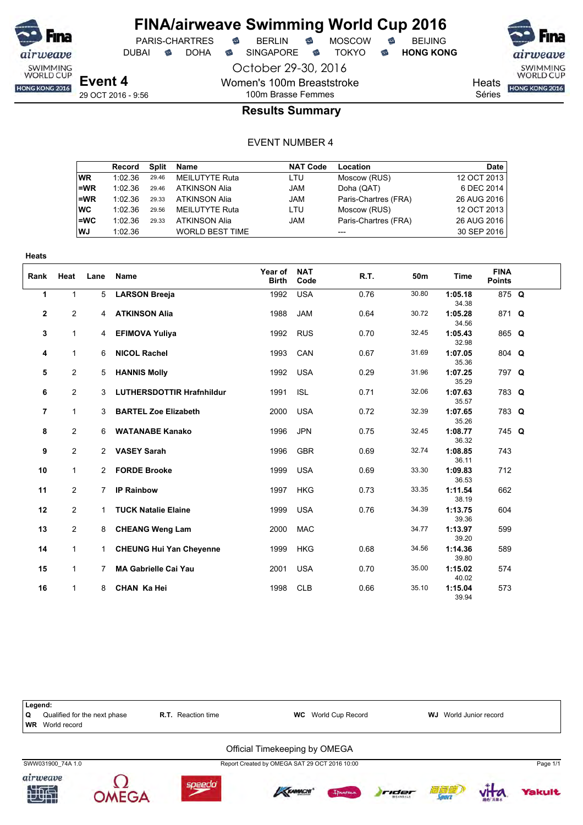

DUBAI **S** DOHA S SINGAPORE S TOKYO S HONG KONG

SWIMMING<br>WORLD CUP HONG KONG 2016

**Heats** 

Séries

# 100m Brasse Femmes **Results Summary**

October 29-30, 2016

Women's 100m Breaststroke

#### EVENT NUMBER 4

|           | Record  | Split | Name                   | <b>NAT Code</b> | Location             | Date        |
|-----------|---------|-------|------------------------|-----------------|----------------------|-------------|
| WR.       | 1:02.36 | 29.46 | <b>MEILUTYTE Ruta</b>  | LTU             | Moscow (RUS)         | 12 OCT 2013 |
| l=WR      | 1:02.36 | 29.46 | <b>ATKINSON Alia</b>   | <b>JAM</b>      | Doha (QAT)           | 6 DEC 2014  |
| =WR       | 1:02.36 | 29.33 | <b>ATKINSON Alia</b>   | <b>JAM</b>      | Paris-Chartres (FRA) | 26 AUG 2016 |
| ∣wc       | 1:02.36 | 29.56 | MEILUTYTE Ruta         | LTU             | Moscow (RUS)         | 12 OCT 2013 |
| l=WC      | 1:02.36 | 29.33 | <b>ATKINSON Alia</b>   | JAM             | Paris-Chartres (FRA) | 26 AUG 2016 |
| <b>WJ</b> | 1:02.36 |       | <b>WORLD BEST TIME</b> |                 | $---$                | 30 SEP 2016 |

| <b>Heats</b>   |                |                |                                  |                         |                    |      |                 |                  |                              |  |
|----------------|----------------|----------------|----------------------------------|-------------------------|--------------------|------|-----------------|------------------|------------------------------|--|
| Rank           | Heat           | Lane           | Name                             | Year of<br><b>Birth</b> | <b>NAT</b><br>Code | R.T. | 50 <sub>m</sub> | <b>Time</b>      | <b>FINA</b><br><b>Points</b> |  |
| 1              | $\mathbf{1}$   | 5              | <b>LARSON Breeja</b>             | 1992                    | <b>USA</b>         | 0.76 | 30.80           | 1:05.18<br>34.38 | 875 Q                        |  |
| $\mathbf{2}$   | 2              | $\overline{4}$ | <b>ATKINSON Alia</b>             | 1988                    | <b>JAM</b>         | 0.64 | 30.72           | 1:05.28<br>34.56 | 871 Q                        |  |
| 3              | $\mathbf{1}$   | 4              | <b>EFIMOVA Yuliya</b>            | 1992                    | <b>RUS</b>         | 0.70 | 32.45           | 1:05.43<br>32.98 | 865 Q                        |  |
| 4              | $\mathbf{1}$   | 6              | <b>NICOL Rachel</b>              | 1993                    | CAN                | 0.67 | 31.69           | 1:07.05<br>35.36 | 804 Q                        |  |
| 5              | $\overline{c}$ | 5              | <b>HANNIS Molly</b>              | 1992                    | <b>USA</b>         | 0.29 | 31.96           | 1:07.25<br>35.29 | 797 Q                        |  |
| 6              | 2              | 3              | <b>LUTHERSDOTTIR Hrafnhildur</b> | 1991                    | <b>ISL</b>         | 0.71 | 32.06           | 1:07.63<br>35.57 | 783 Q                        |  |
| $\overline{7}$ | $\mathbf{1}$   | 3              | <b>BARTEL Zoe Elizabeth</b>      | 2000                    | <b>USA</b>         | 0.72 | 32.39           | 1:07.65<br>35.26 | 783 Q                        |  |
| 8              | $\overline{2}$ | 6              | <b>WATANABE Kanako</b>           | 1996                    | <b>JPN</b>         | 0.75 | 32.45           | 1:08.77<br>36.32 | 745 Q                        |  |
| 9              | $\overline{2}$ | 2              | <b>VASEY Sarah</b>               | 1996                    | <b>GBR</b>         | 0.69 | 32.74           | 1:08.85<br>36.11 | 743                          |  |
| 10             | 1              | $\overline{2}$ | <b>FORDE Brooke</b>              | 1999                    | <b>USA</b>         | 0.69 | 33.30           | 1:09.83<br>36.53 | 712                          |  |
| 11             | $\overline{2}$ | 7              | <b>IP Rainbow</b>                | 1997                    | <b>HKG</b>         | 0.73 | 33.35           | 1:11.54<br>38.19 | 662                          |  |
| 12             | $\overline{2}$ | $\mathbf{1}$   | <b>TUCK Natalie Elaine</b>       | 1999                    | <b>USA</b>         | 0.76 | 34.39           | 1:13.75<br>39.36 | 604                          |  |
| 13             | $\overline{2}$ | 8              | <b>CHEANG Weng Lam</b>           | 2000                    | <b>MAC</b>         |      | 34.77           | 1:13.97<br>39.20 | 599                          |  |
| 14             | 1              | $\mathbf{1}$   | <b>CHEUNG Hui Yan Cheyenne</b>   | 1999                    | <b>HKG</b>         | 0.68 | 34.56           | 1:14.36<br>39.80 | 589                          |  |
| 15             | 1              | 7              | <b>MA Gabrielle Cai Yau</b>      | 2001                    | <b>USA</b>         | 0.70 | 35.00           | 1:15.02<br>40.02 | 574                          |  |
| 16             | $\mathbf{1}$   | 8              | <b>CHAN Ka Hei</b>               | 1998                    | <b>CLB</b>         | 0.66 | 35.10           | 1:15.04<br>39.94 | 573                          |  |



**OMEGA** 



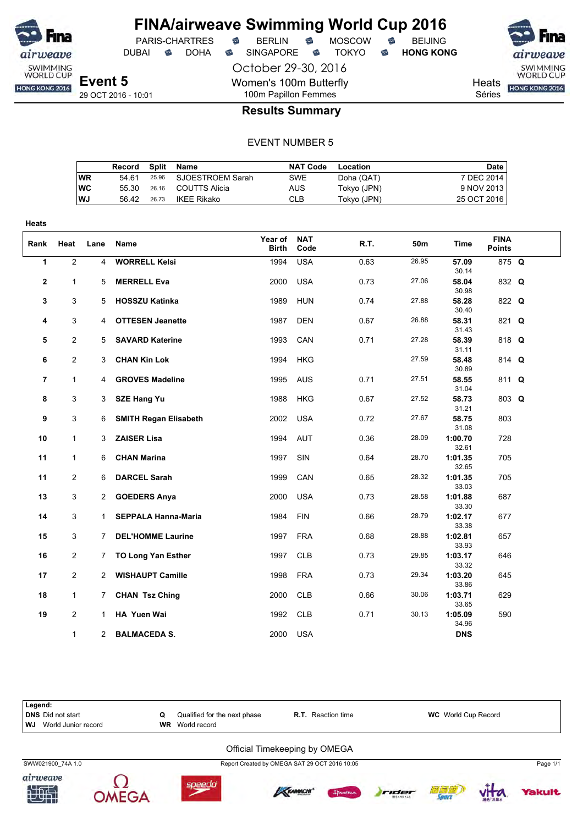

DUBAI **S** DOHA S SINGAPORE S TOKYO S HONG KONG

PARIS-CHARTRES **S** BERLIN S MOSCOW S

October 29-30, 2016

Women's 100m Butterfly

airweave SWIMMING<br>WORLD CUP Heats **HONG KONG 2016** 

**Yakult** 

vita.

Séries

# 100m Papillon Femmes **Results Summary**

#### EVENT NUMBER 5

|    | Record Split Name |       |                        | <b>NAT Code</b> | Location    | Date        |
|----|-------------------|-------|------------------------|-----------------|-------------|-------------|
| WR | 54 61             |       | 25.96 SJOESTROEM Sarah | <b>SWE</b>      | Doha (QAT)  | 7 DEC 2014  |
| WC | 55.30             |       | 26.16 COUTTS Alicia    | AUS             | Tokyo (JPN) | 9 NOV 2013  |
| WJ | 56.42             | 26.73 | IKFF Rikako            | CLB             | Tokyo (JPN) | 25 OCT 2016 |

| <b>Heats</b>   |                |                |                              |                         |                    |      |       |                  |                              |  |
|----------------|----------------|----------------|------------------------------|-------------------------|--------------------|------|-------|------------------|------------------------------|--|
| Rank           | Heat           | Lane           | Name                         | Year of<br><b>Birth</b> | <b>NAT</b><br>Code | R.T. | 50m   | Time             | <b>FINA</b><br><b>Points</b> |  |
| 1              | $\overline{2}$ | 4              | <b>WORRELL Kelsi</b>         | 1994                    | <b>USA</b>         | 0.63 | 26.95 | 57.09<br>30.14   | 875 Q                        |  |
| $\mathbf 2$    | $\mathbf{1}$   | 5              | <b>MERRELL Eva</b>           | 2000                    | <b>USA</b>         | 0.73 | 27.06 | 58.04<br>30.98   | 832 Q                        |  |
| 3              | 3              | 5              | <b>HOSSZU Katinka</b>        | 1989                    | <b>HUN</b>         | 0.74 | 27.88 | 58.28<br>30.40   | 822 Q                        |  |
| 4              | 3              | 4              | <b>OTTESEN Jeanette</b>      | 1987                    | <b>DEN</b>         | 0.67 | 26.88 | 58.31<br>31.43   | 821 Q                        |  |
| 5              | $\overline{2}$ | 5              | <b>SAVARD Katerine</b>       | 1993                    | CAN                | 0.71 | 27.28 | 58.39<br>31.11   | 818 Q                        |  |
| 6              | $\mathbf{2}$   | 3              | <b>CHAN Kin Lok</b>          | 1994                    | <b>HKG</b>         |      | 27.59 | 58.48<br>30.89   | 814 Q                        |  |
| $\overline{7}$ | $\mathbf{1}$   | 4              | <b>GROVES Madeline</b>       | 1995                    | <b>AUS</b>         | 0.71 | 27.51 | 58.55<br>31.04   | 811 Q                        |  |
| 8              | 3              | 3              | <b>SZE Hang Yu</b>           | 1988                    | <b>HKG</b>         | 0.67 | 27.52 | 58.73<br>31.21   | 803 Q                        |  |
| 9              | 3              | 6              | <b>SMITH Regan Elisabeth</b> | 2002                    | <b>USA</b>         | 0.72 | 27.67 | 58.75<br>31.08   | 803                          |  |
| 10             | $\mathbf{1}$   | 3              | <b>ZAISER Lisa</b>           | 1994                    | <b>AUT</b>         | 0.36 | 28.09 | 1:00.70<br>32.61 | 728                          |  |
| 11             | 1              | 6              | <b>CHAN Marina</b>           | 1997                    | SIN                | 0.64 | 28.70 | 1:01.35<br>32.65 | 705                          |  |
| 11             | $\mathbf{2}$   | 6              | <b>DARCEL Sarah</b>          | 1999                    | CAN                | 0.65 | 28.32 | 1:01.35<br>33.03 | 705                          |  |
| 13             | 3              | 2              | <b>GOEDERS Anya</b>          | 2000                    | <b>USA</b>         | 0.73 | 28.58 | 1:01.88<br>33.30 | 687                          |  |
| 14             | 3              | $\mathbf 1$    | <b>SEPPALA Hanna-Maria</b>   | 1984                    | <b>FIN</b>         | 0.66 | 28.79 | 1:02.17<br>33.38 | 677                          |  |
| 15             | 3              | 7.             | <b>DEL'HOMME Laurine</b>     | 1997                    | <b>FRA</b>         | 0.68 | 28.88 | 1:02.81<br>33.93 | 657                          |  |
| 16             | $\mathbf{2}$   | 7              | <b>TO Long Yan Esther</b>    | 1997                    | <b>CLB</b>         | 0.73 | 29.85 | 1:03.17<br>33.32 | 646                          |  |
| 17             | $\mathbf{2}$   | $\mathbf{2}$   | <b>WISHAUPT Camille</b>      | 1998                    | <b>FRA</b>         | 0.73 | 29.34 | 1:03.20<br>33.86 | 645                          |  |
| 18             | $\mathbf{1}$   | 7              | <b>CHAN Tsz Ching</b>        | 2000                    | <b>CLB</b>         | 0.66 | 30.06 | 1:03.71<br>33.65 | 629                          |  |
| 19             | $\mathbf{2}$   | 1.             | HA Yuen Wai                  | 1992                    | <b>CLB</b>         | 0.71 | 30.13 | 1:05.09<br>34.96 | 590                          |  |
|                | $\mathbf{1}$   | $\overline{2}$ | <b>BALMACEDA S.</b>          | 2000                    | <b>USA</b>         |      |       | <b>DNS</b>       |                              |  |

| Legend:                               |    |                              |                                               |                            |          |
|---------------------------------------|----|------------------------------|-----------------------------------------------|----------------------------|----------|
| <b>DNS</b> Did not start              | Q  | Qualified for the next phase | <b>R.T.</b> Reaction time                     | <b>WC</b> World Cup Record |          |
| World Junior record<br>WJ             | WR | World record                 |                                               |                            |          |
|                                       |    |                              | Official Timekeeping by OMEGA                 |                            |          |
| SWW021900 74A 1.0                     |    |                              | Report Created by OMEGA SAT 29 OCT 2016 10:05 |                            | Page 1/1 |
| $minomno$<br>$\overline{\phantom{a}}$ |    |                              |                                               |                            |          |

**KRAMACHI** 

Ipaneur

rider





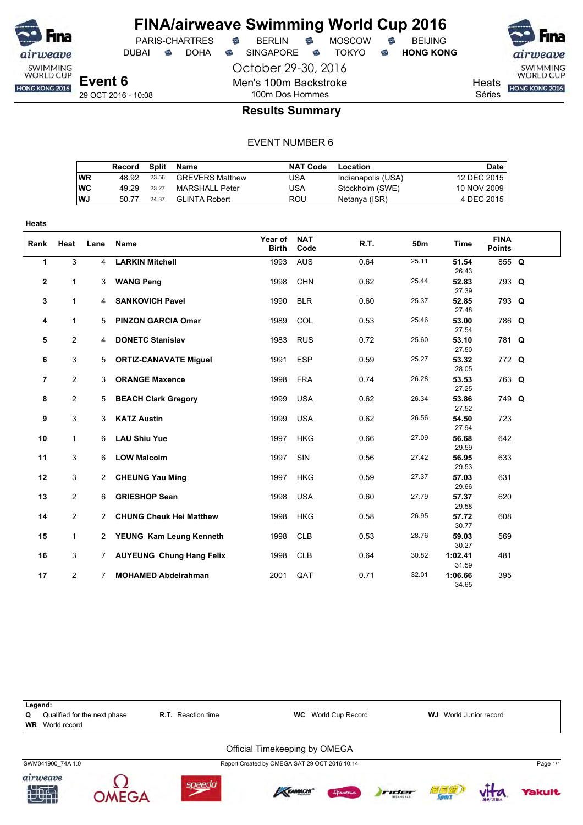

**Heats**

## **FINA/airweave Swimming World Cup 2016** PARIS-CHARTRES **B** BERLIN **B** MOSCOW **B** BEIJING

October 29-30, 2016

Men's 100m Backstroke

DUBAI **S** DOHA S SINGAPORE S TOKYO S HONG KONG

SWIMMING<br>WORLD CUP HONG KONG 2016

**Heats** 

Séries

## 100m Dos Hommes **Results Summary**

|           | Record | Split | Name                   | <b>NAT Code</b> | Location           | Date        |
|-----------|--------|-------|------------------------|-----------------|--------------------|-------------|
| WR        | 48.92  | 23.56 | <b>GREVERS Matthew</b> | USA             | Indianapolis (USA) | 12 DEC 2015 |
| <b>WC</b> | 49.29  | 23.27 | MARSHALL Peter         | USA             | Stockholm (SWE)    | 10 NOV 2009 |
| <b>WJ</b> | 50.77  | 24.37 | GI INTA Robert         | ROU             | Netanya (ISR)      | 4 DEC 2015  |

| Rank         | Heat           | Lane | <b>Name</b>                | Year of<br><b>Birth</b> | <b>NAT</b><br>Code | R.T. | 50m   | <b>Time</b>      | <b>FINA</b><br><b>Points</b> |  |
|--------------|----------------|------|----------------------------|-------------------------|--------------------|------|-------|------------------|------------------------------|--|
| 1            | 3              | 4    | <b>LARKIN Mitchell</b>     | 1993                    | <b>AUS</b>         | 0.64 | 25.11 | 51.54<br>26.43   | 855 Q                        |  |
| $\mathbf{2}$ | $\mathbf{1}$   | 3    | <b>WANG Peng</b>           | 1998                    | <b>CHN</b>         | 0.62 | 25.44 | 52.83<br>27.39   | 793 Q                        |  |
| 3            | $\mathbf{1}$   | 4    | <b>SANKOVICH Pavel</b>     | 1990                    | <b>BLR</b>         | 0.60 | 25.37 | 52.85<br>27.48   | 793 Q                        |  |
| 4            | $\mathbf{1}$   | 5    | <b>PINZON GARCIA Omar</b>  | 1989                    | COL                | 0.53 | 25.46 | 53.00<br>27.54   | 786 Q                        |  |
| 5            | 2              | 4    | <b>DONETC Stanislav</b>    | 1983                    | <b>RUS</b>         | 0.72 | 25.60 | 53.10<br>27.50   | 781 Q                        |  |
| 6            | 3              |      | 5 ORTIZ-CANAVATE Miguel    | 1991                    | <b>ESP</b>         | 0.59 | 25.27 | 53.32<br>28.05   | 772 Q                        |  |
| 7            | $\mathbf{2}$   | 3    | <b>ORANGE Maxence</b>      | 1998                    | <b>FRA</b>         | 0.74 | 26.28 | 53.53<br>27.25   | 763 Q                        |  |
| 8            | $\overline{2}$ |      | 5 BEACH Clark Gregory      | 1999                    | USA                | 0.62 | 26.34 | 53.86<br>27.52   | 749 Q                        |  |
| 9            | 3              | 3    | <b>KATZ Austin</b>         | 1999                    | <b>USA</b>         | 0.62 | 26.56 | 54.50<br>27.94   | 723                          |  |
| 10           | $\mathbf{1}$   | 6    | <b>LAU Shiu Yue</b>        | 1997                    | <b>HKG</b>         | 0.66 | 27.09 | 56.68<br>29.59   | 642                          |  |
| 11           | 3              | 6    | <b>LOW Malcolm</b>         | 1997                    | SIN                | 0.56 | 27.42 | 56.95<br>29.53   | 633                          |  |
| 12           | 3              |      | 2 CHEUNG Yau Ming          | 1997                    | <b>HKG</b>         | 0.59 | 27.37 | 57.03<br>29.66   | 631                          |  |
| 13           | $\overline{2}$ | 6    | <b>GRIESHOP Sean</b>       | 1998                    | <b>USA</b>         | 0.60 | 27.79 | 57.37<br>29.58   | 620                          |  |
| 14           | $\overline{2}$ |      | 2 CHUNG Cheuk Hei Matthew  | 1998                    | <b>HKG</b>         | 0.58 | 26.95 | 57.72<br>30.77   | 608                          |  |
| 15           | $\mathbf{1}$   |      | 2 YEUNG Kam Leung Kenneth  | 1998                    | <b>CLB</b>         | 0.53 | 28.76 | 59.03<br>30.27   | 569                          |  |
| 16           | 3              |      | 7 AUYEUNG Chung Hang Felix | 1998                    | <b>CLB</b>         | 0.64 | 30.82 | 1:02.41<br>31.59 | 481                          |  |
| 17           | $\mathbf{2}$   | 7    | <b>MOHAMED Abdelrahman</b> | 2001                    | QAT                | 0.71 | 32.01 | 1:06.66<br>34.65 | 395                          |  |

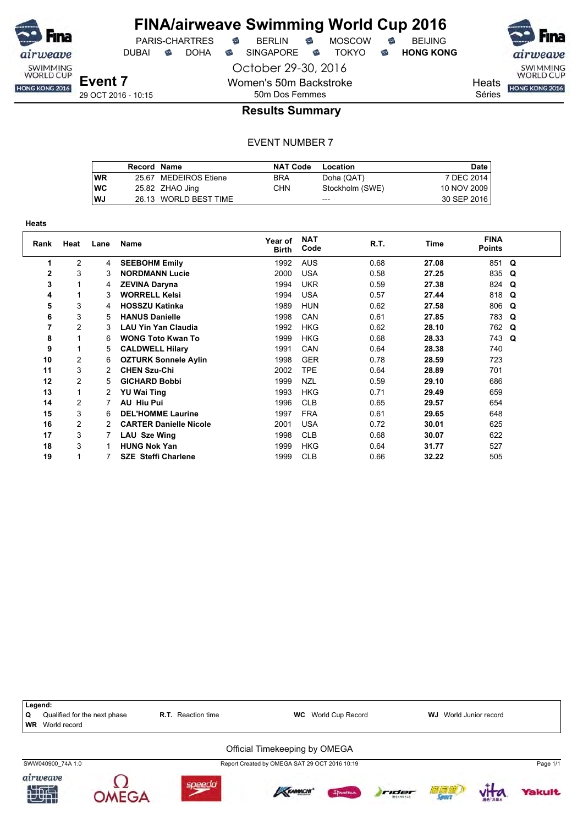

DUBAI **S** DOHA S SINGAPORE S TOKYO S HONG KONG

SWIMMING<br>WORLD CUP

**Heats** HONG KONG 2016

Séries

#### **Results Summary**

October 29-30, 2016

Women's 50m Backstroke 50m Dos Femmes

|    | Record Name |                       | <b>NAT Code</b> | Location        | Date I      |
|----|-------------|-----------------------|-----------------|-----------------|-------------|
| WR |             | 25.67 MEDEIROS Etiene | <b>BRA</b>      | Doha (QAT)      | 7 DEC 2014  |
| WC |             | 25.82 ZHAO Jing       | CHN             | Stockholm (SWE) | 10 NOV 2009 |
| WJ |             | 26.13 WORLD BEST TIME |                 | $- - -$         | 30 SEP 2016 |

| Heats        |                |      |                               |                         |                    |      |       |                              |   |  |  |  |  |  |
|--------------|----------------|------|-------------------------------|-------------------------|--------------------|------|-------|------------------------------|---|--|--|--|--|--|
| Rank         | Heat           | Lane | Name                          | Year of<br><b>Birth</b> | <b>NAT</b><br>Code | R.T. | Time  | <b>FINA</b><br><b>Points</b> |   |  |  |  |  |  |
| 1            | $\overline{2}$ | 4    | <b>SEEBOHM Emily</b>          | 1992                    | <b>AUS</b>         | 0.68 | 27.08 | 851 Q                        |   |  |  |  |  |  |
| $\mathbf{2}$ | 3              | 3    | <b>NORDMANN Lucie</b>         | 2000                    | <b>USA</b>         | 0.58 | 27.25 | 835 Q                        |   |  |  |  |  |  |
| 3            |                | 4    | <b>ZEVINA Daryna</b>          | 1994                    | <b>UKR</b>         | 0.59 | 27.38 | 824 Q                        |   |  |  |  |  |  |
| 4            |                | 3    | <b>WORRELL Kelsi</b>          | 1994                    | <b>USA</b>         | 0.57 | 27.44 | 818 Q                        |   |  |  |  |  |  |
| 5            | 3              | 4    | <b>HOSSZU Katinka</b>         | 1989                    | <b>HUN</b>         | 0.62 | 27.58 | 806 Q                        |   |  |  |  |  |  |
| 6            | 3              | 5    | <b>HANUS Danielle</b>         | 1998                    | CAN                | 0.61 | 27.85 | 783                          | Q |  |  |  |  |  |
| 7            | $\overline{2}$ | 3    | <b>LAU Yin Yan Claudia</b>    | 1992                    | <b>HKG</b>         | 0.62 | 28.10 | 762 Q                        |   |  |  |  |  |  |
| 8            |                | 6    | <b>WONG Toto Kwan To</b>      | 1999                    | <b>HKG</b>         | 0.68 | 28.33 | 743 Q                        |   |  |  |  |  |  |
| 9            |                | 5    | <b>CALDWELL Hilary</b>        | 1991                    | CAN                | 0.64 | 28.38 | 740                          |   |  |  |  |  |  |
| 10           | 2              | 6    | <b>OZTURK Sonnele Aylin</b>   | 1998                    | <b>GER</b>         | 0.78 | 28.59 | 723                          |   |  |  |  |  |  |
| 11           | 3              | 2    | <b>CHEN Szu-Chi</b>           | 2002                    | <b>TPE</b>         | 0.64 | 28.89 | 701                          |   |  |  |  |  |  |
| 12           | $\overline{c}$ | 5    | <b>GICHARD Bobbi</b>          | 1999                    | <b>NZL</b>         | 0.59 | 29.10 | 686                          |   |  |  |  |  |  |
| 13           |                | 2    | <b>YU Wai Ting</b>            | 1993                    | <b>HKG</b>         | 0.71 | 29.49 | 659                          |   |  |  |  |  |  |
| 14           | $\overline{c}$ |      | <b>AU Hiu Pui</b>             | 1996                    | <b>CLB</b>         | 0.65 | 29.57 | 654                          |   |  |  |  |  |  |
| 15           | 3              | 6    | <b>DEL'HOMME Laurine</b>      | 1997                    | <b>FRA</b>         | 0.61 | 29.65 | 648                          |   |  |  |  |  |  |
| 16           | $\overline{2}$ | 2    | <b>CARTER Danielle Nicole</b> | 2001                    | <b>USA</b>         | 0.72 | 30.01 | 625                          |   |  |  |  |  |  |
| 17           | 3              |      | LAU Sze Wing                  | 1998                    | <b>CLB</b>         | 0.68 | 30.07 | 622                          |   |  |  |  |  |  |
| 18           | 3              |      | <b>HUNG Nok Yan</b>           | 1999                    | <b>HKG</b>         | 0.64 | 31.77 | 527                          |   |  |  |  |  |  |
| 19           |                |      | <b>SZE Steffi Charlene</b>    | 1999                    | <b>CLB</b>         | 0.66 | 32.22 | 505                          |   |  |  |  |  |  |

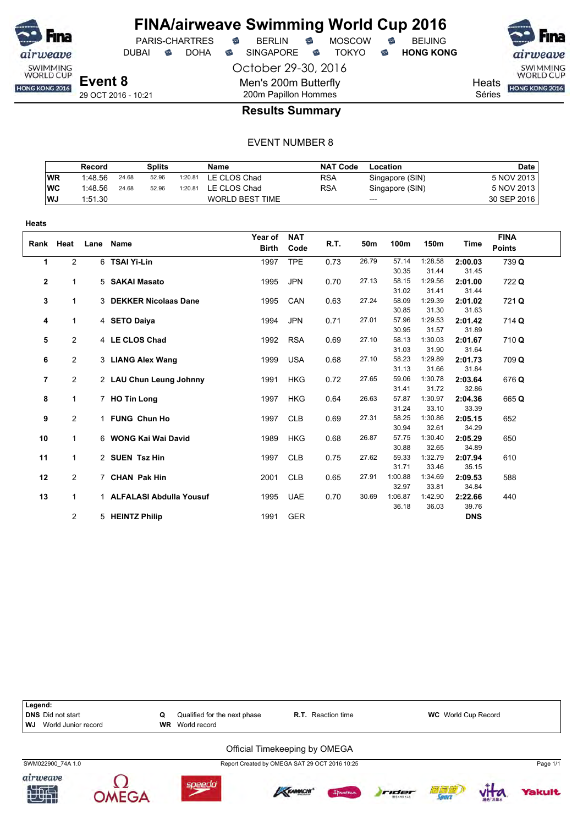

DUBAI **S** DOHA S SINGAPORE S TOKYO S HONG KONG

October 29-30, 2016 Men's 200m Butterfly

PARIS-CHARTRES **B** BERLIN **B** MOSCOW **B** BEIJING

SWIMMING<br>WORLD CUP HONG KONG 2016

**Heats** Séries

29 OCT 2016 - 10:21

**OMEGA** 

# 200m Papillon Hommes **Results Summary**

#### EVENT NUMBER 8

|            | Record  |       | Splits |         | Name                   | <b>NAT Code</b> | Location        | <b>Date</b> |
|------------|---------|-------|--------|---------|------------------------|-----------------|-----------------|-------------|
| <b>WR</b>  | 1:48.56 | 24.68 | 52.96  | 1:20.81 | LE CLOS Chad           | <b>RSA</b>      | Singapore (SIN) | 5 NOV 2013  |
| <b>IWC</b> | 1:48.56 | 24.68 | 52.96  | 1:20.81 | LE CLOS Chad           | <b>RSA</b>      | Singapore (SIN) | 5 NOV 2013  |
| <b>WJ</b>  | 1:51.30 |       |        |         | <b>WORLD BEST TIME</b> |                 | $---$           | 30 SEP 2016 |

| <b>Heats</b>   |                |      |                           |                         |                    |      |       |         |         |            |                              |
|----------------|----------------|------|---------------------------|-------------------------|--------------------|------|-------|---------|---------|------------|------------------------------|
| Rank           | Heat           | Lane | <b>Name</b>               | Year of<br><b>Birth</b> | <b>NAT</b><br>Code | R.T. | 50m   | 100m    | 150m    | Time       | <b>FINA</b><br><b>Points</b> |
| $\mathbf{1}$   | 2              |      | 6 TSAI Yi-Lin             | 1997                    | <b>TPE</b>         | 0.73 | 26.79 | 57.14   | 1:28.58 | 2:00.03    | 739 Q                        |
|                |                |      |                           |                         |                    |      |       | 30.35   | 31.44   | 31.45      |                              |
| $\mathbf{2}$   | 1              |      | 5 SAKAI Masato            | 1995                    | <b>JPN</b>         | 0.70 | 27.13 | 58.15   | 1:29.56 | 2:01.00    | 722 Q                        |
|                |                |      |                           |                         |                    |      |       | 31.02   | 31.41   | 31.44      |                              |
| 3              | 1              |      | 3 DEKKER Nicolaas Dane    | 1995                    | CAN                | 0.63 | 27.24 | 58.09   | 1:29.39 | 2:01.02    | 721 Q                        |
|                |                |      |                           |                         |                    |      |       | 30.85   | 31.30   | 31.63      |                              |
| 4              | 1              |      | 4 SETO Daiya              | 1994                    | <b>JPN</b>         | 0.71 | 27.01 | 57.96   | 1:29.53 | 2:01.42    | 714 Q                        |
|                |                |      |                           |                         |                    |      |       | 30.95   | 31.57   | 31.89      |                              |
| 5              | 2              |      | 4 LE CLOS Chad            | 1992                    | <b>RSA</b>         | 0.69 | 27.10 | 58.13   | 1:30.03 | 2:01.67    | 710Q                         |
|                |                |      |                           |                         |                    |      |       | 31.03   | 31.90   | 31.64      |                              |
| 6              | $\overline{2}$ |      | 3 LIANG Alex Wang         | 1999                    | <b>USA</b>         | 0.68 | 27.10 | 58.23   | 1:29.89 | 2:01.73    | 709 Q                        |
|                |                |      |                           |                         |                    |      |       | 31.13   | 31.66   | 31.84      |                              |
| $\overline{7}$ | $\overline{2}$ |      | 2 LAU Chun Leung Johnny   | 1991                    | <b>HKG</b>         | 0.72 | 27.65 | 59.06   | 1:30.78 | 2:03.64    | 676 Q                        |
|                |                |      |                           |                         |                    |      |       | 31.41   | 31.72   | 32.86      |                              |
| 8              | $\overline{1}$ |      | 7 HO Tin Long             | 1997                    | <b>HKG</b>         | 0.64 | 26.63 | 57.87   | 1:30.97 | 2:04.36    | 665 Q                        |
|                |                |      |                           |                         |                    |      |       | 31.24   | 33.10   | 33.39      |                              |
| 9              | $\overline{2}$ |      | 1 FUNG Chun Ho            | 1997                    | <b>CLB</b>         | 0.69 | 27.31 | 58.25   | 1:30.86 | 2:05.15    | 652                          |
|                |                |      |                           |                         |                    |      |       | 30.94   | 32.61   | 34.29      |                              |
| 10             | 1              |      | 6 WONG Kai Wai David      | 1989                    | <b>HKG</b>         | 0.68 | 26.87 | 57.75   | 1:30.40 | 2:05.29    | 650                          |
|                |                |      |                           |                         |                    |      |       | 30.88   | 32.65   | 34.89      |                              |
| 11             | 1              |      | 2 SUEN Tsz Hin            | 1997                    | <b>CLB</b>         | 0.75 | 27.62 | 59.33   | 1:32.79 | 2:07.94    | 610                          |
|                |                |      |                           |                         |                    |      |       | 31.71   | 33.46   | 35.15      |                              |
| 12             | $\overline{2}$ |      | 7 CHAN Pak Hin            | 2001                    | <b>CLB</b>         | 0.65 | 27.91 | 1:00.88 | 1:34.69 | 2:09.53    | 588                          |
|                |                |      |                           |                         |                    |      |       | 32.97   | 33.81   | 34.84      |                              |
| 13             | $\mathbf{1}$   |      | 1 ALFALASI Abdulla Yousuf | 1995                    | <b>UAE</b>         | 0.70 | 30.69 | 1:06.87 | 1:42.90 | 2:22.66    | 440                          |
|                |                |      |                           |                         |                    |      |       | 36.18   | 36.03   | 39.76      |                              |
|                | 2              |      | 5 HEINTZ Philip           | 1991                    | <b>GER</b>         |      |       |         |         | <b>DNS</b> |                              |



*<u>fakult</u>*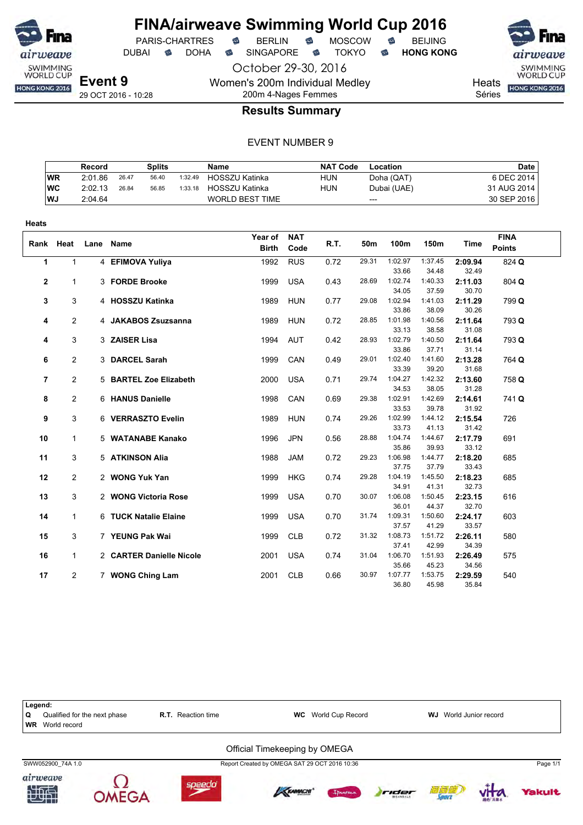

**Heats**

# **FINA/airweave Swimming World Cup 2016**

PARIS-CHARTRES **B** BERLIN **B** MOSCOW **B** BEIJING

DUBAI **S** DOHA S SINGAPORE S TOKYO S HONG KONG

October 29-30, 2016 Women's 200m Individual Medley 200m 4-Nages Femmes

29 OCT 2016 - 10:28

**Heats** HONG KONG 2016

SWIMMING<br>WORLD CUP

Séries

#### **Results Summary**

|           | Record  |       | Splits |         | Name                   | <b>NAT Code</b> | Location    | <b>Date</b> |
|-----------|---------|-------|--------|---------|------------------------|-----------------|-------------|-------------|
| WR        | 2:01.86 | 26.47 | 56.40  | 1:32.49 | <b>HOSSZU Katinka</b>  | <b>HUN</b>      | Doha (QAT)  | 6 DEC 2014  |
| WC        | 2:02.13 | 26.84 | 56.85  | 1:33.18 | <b>HOSSZU Katinka</b>  | <b>HUN</b>      | Dubai (UAE) | 31 AUG 2014 |
| <b>WJ</b> | 2:04.64 |       |        |         | <b>WORLD BEST TIME</b> |                 | $---$       | 30 SEP 2016 |

|    |                |                          | Year of      | <b>NAT</b> |      |       |                  |                  |                  | <b>FINA</b>   |
|----|----------------|--------------------------|--------------|------------|------|-------|------------------|------------------|------------------|---------------|
|    | Rank Heat      | Lane Name                | <b>Birth</b> | Code       | R.T. | 50m   | 100m             | 150m             | Time             | <b>Points</b> |
| 1  | $\mathbf{1}$   | 4 EFIMOVA Yuliya         | 1992         | <b>RUS</b> | 0.72 | 29.31 | 1:02.97          | 1:37.45          | 2:09.94          | 824 Q         |
|    |                |                          |              |            |      |       | 33.66            | 34.48            | 32.49            |               |
| 2  | 1              | 3 FORDE Brooke           | 1999         | <b>USA</b> | 0.43 | 28.69 | 1:02.74          | 1:40.33          | 2:11.03          | 804 Q         |
|    |                |                          |              |            |      |       | 34.05            | 37.59            | 30.70            |               |
| 3  | 3              | 4 HOSSZU Katinka         | 1989         | <b>HUN</b> | 0.77 | 29.08 | 1:02.94          | 1:41.03          | 2:11.29          | 799 Q         |
|    |                |                          |              |            |      |       | 33.86            | 38.09            | 30.26            |               |
| 4  | $\overline{2}$ | 4 JAKABOS Zsuzsanna      | 1989         | <b>HUN</b> | 0.72 | 28.85 | 1:01.98          | 1:40.56          | 2:11.64          | 793 Q         |
|    |                |                          |              |            |      |       | 33.13            | 38.58            | 31.08            |               |
| 4  | 3              | 3 ZAISER Lisa            | 1994         | <b>AUT</b> | 0.42 | 28.93 | 1:02.79          | 1:40.50          | 2:11.64          | 793 Q         |
|    |                |                          |              |            |      | 29.01 | 33.86<br>1:02.40 | 37.71<br>1:41.60 | 31.14            |               |
| 6  | $\overline{2}$ | 3 DARCEL Sarah           | 1999         | CAN        | 0.49 |       | 33.39            | 39.20            | 2:13.28<br>31.68 | 764 Q         |
| 7  | $\overline{2}$ | 5 BARTEL Zoe Elizabeth   | 2000         | <b>USA</b> | 0.71 | 29.74 | 1:04.27          | 1:42.32          | 2:13.60          | 758 Q         |
|    |                |                          |              |            |      |       | 34.53            | 38.05            | 31.28            |               |
| 8  | 2              | 6 HANUS Danielle         | 1998         | CAN        | 0.69 | 29.38 | 1:02.91          | 1:42.69          | 2:14.61          | 741 Q         |
|    |                |                          |              |            |      |       | 33.53            | 39.78            | 31.92            |               |
| 9  | 3              | 6 VERRASZTO Evelin       | 1989         | <b>HUN</b> | 0.74 | 29.26 | 1:02.99          | 1:44.12          | 2:15.54          | 726           |
|    |                |                          |              |            |      |       | 33.73            | 41.13            | 31.42            |               |
| 10 | $\mathbf{1}$   | 5 WATANABE Kanako        | 1996         | <b>JPN</b> | 0.56 | 28.88 | 1:04.74          | 1:44.67          | 2:17.79          | 691           |
|    |                |                          |              |            |      |       | 35.86            | 39.93            | 33.12            |               |
| 11 | 3              | 5 ATKINSON Alia          | 1988         | <b>JAM</b> | 0.72 | 29.23 | 1:06.98          | 1:44.77          | 2:18.20          | 685           |
|    |                |                          |              |            |      |       | 37.75            | 37.79            | 33.43            |               |
| 12 | 2              | 2 WONG Yuk Yan           | 1999         | <b>HKG</b> | 0.74 | 29.28 | 1:04.19          | 1:45.50          | 2:18.23          | 685           |
|    |                |                          |              |            |      |       | 34.91            | 41.31            | 32.73            |               |
| 13 | 3              | 2 WONG Victoria Rose     | 1999         | <b>USA</b> | 0.70 | 30.07 | 1:06.08          | 1:50.45          | 2:23.15          | 616           |
|    |                |                          |              |            |      |       | 36.01            | 44.37            | 32.70            |               |
| 14 | $\mathbf{1}$   | 6 TUCK Natalie Elaine    | 1999         | <b>USA</b> | 0.70 | 31.74 | 1:09.31          | 1:50.60          | 2:24.17          | 603           |
| 15 |                |                          |              |            |      | 31.32 | 37.57<br>1:08.73 | 41.29<br>1:51.72 | 33.57            | 580           |
|    | 3              | 7 YEUNG Pak Wai          | 1999         | <b>CLB</b> | 0.72 |       | 37.41            | 42.99            | 2:26.11<br>34.39 |               |
| 16 | $\mathbf{1}$   | 2 CARTER Danielle Nicole | 2001         | <b>USA</b> | 0.74 | 31.04 | 1:06.70          | 1:51.93          | 2:26.49          | 575           |
|    |                |                          |              |            |      |       | 35.66            | 45.23            | 34.56            |               |
| 17 | $\mathbf{2}$   | 7 WONG Ching Lam         | 2001         | <b>CLB</b> | 0.66 | 30.97 | 1:07.77          | 1:53.75          | 2:29.59          | 540           |
|    |                |                          |              |            |      |       | 36.80            | 45.98            | 35.84            |               |

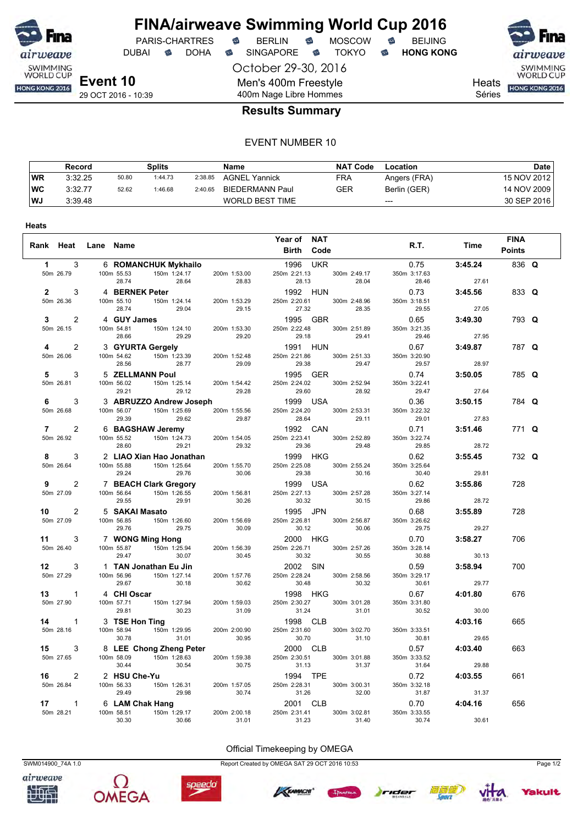

**Heats**

## **FINA/airweave Swimming World Cup 2016** PARIS-CHARTRES **B** BERLIN **B** MOSCOW **B** BEIJING

DUBAI **S** DOHA S SINGAPORE S TOKYO S HONG KONG

October 29-30, 2016 Men's 400m Freestyle 400m Nage Libre Hommes

airweave SWIMMING<br>WORLD CUP

Heats **HONG KONG 2016** 

Séries

#### **Results Summary**

#### EVENT NUMBER 10

|           | Record  |       | Splits  |         | Name                   | <b>NAT Code</b> | Location     | Date        |
|-----------|---------|-------|---------|---------|------------------------|-----------------|--------------|-------------|
| <b>WR</b> | 3:32.25 | 50.80 | 1:44.73 | 2:38.85 | <b>AGNEL Yannick</b>   | FRA             | Angers (FRA) | 15 NOV 2012 |
| <b>WC</b> | 3:32.77 | 52.62 | 1:46.68 | 2:40.65 | BIEDERMANN Paul        | GER             | Berlin (GER) | 14 NOV 2009 |
| WJ        | 3:39.48 |       |         |         | <b>WORLD BEST TIME</b> |                 | $---$        | 30 SEP 2016 |

|                  | Rank Heat Lane Name |                     |                                                                                                                                                        |                                    | Year of NAT<br><b>Birth Code</b>         |                                    | R.T.                  | Time    | <b>FINA</b><br><b>Points</b> |  |
|------------------|---------------------|---------------------|--------------------------------------------------------------------------------------------------------------------------------------------------------|------------------------------------|------------------------------------------|------------------------------------|-----------------------|---------|------------------------------|--|
| $\mathbf{1}$     | 3                   |                     | 6 ROMANCHUK Mykhailo                                                                                                                                   |                                    | 1996 UKR                                 |                                    | 0.75                  | 3:45.24 | 836 Q                        |  |
|                  | 50m 26.79           | 100m 55.53<br>28.74 | 150m 1:24.17 200m 1:53.00<br>28.64 28.83                                                                                                               |                                    | 250m 2:21.13<br>28.13                    | 300m 2:49.17<br>28.04              | 350m 3:17.63<br>28.46 | 27.61   |                              |  |
| $\overline{2}$   | 3                   |                     |                                                                                                                                                        |                                    | 1992 HUN                                 |                                    | 0.73                  | 3:45.56 | 833 Q                        |  |
|                  | 50m 26.36           | 100m 55.10          | 4 <b>BERNEK Peter</b><br>100m 55.10 150m 1:24.14 200m 1:53.29<br>28.74 29.04 29.15                                                                     |                                    | 27.32                                    | 250m 2:20.61 300m 2:48.96<br>28.35 | 350m 3:18.51<br>29.55 | 27.05   |                              |  |
| $\mathbf{3}$     | $\overline{2}$      | 4 GUY James         |                                                                                                                                                        |                                    | 1995 GBR                                 |                                    | 0.65                  | 3:49.30 | 793 Q                        |  |
|                  | 50m 26.15           | 100m 54.81<br>28.66 | 29.15<br><b>150m</b> 1:24.10 200m 1:53.30<br>29.29 10.01                                                                                               |                                    | 29.18                                    | 250m 2:22.48 300m 2:51.89<br>29.41 | 350m 3:21.35<br>29.46 | 27.95   |                              |  |
| 4                | $\overline{2}$      |                     |                                                                                                                                                        |                                    | 1991 HUN                                 |                                    | 0.67                  | 3:49.87 | 787 Q                        |  |
|                  | 50m 26.06           | 100m 54.62          | 3 <b>GYURTA Gergely</b><br>100m 54.62 150m 1:23.39 200m 1:52.48<br>28.56 28.77 29.09<br>5 <b>ZELLMANN Poul</b><br>100m 56.02 150m 1:25.14 200m 1:54.42 |                                    | 250m 2:21.86                             | 300m 2:51.33<br>29.47              | 350m 3:20.90<br>29.57 | 28.97   |                              |  |
| 5                | 3                   |                     |                                                                                                                                                        |                                    | 29.38<br>1995     GER                    |                                    | 0.74                  | 3:50.05 | 785 Q                        |  |
|                  | 50m 26.81           | 100m 56.02          |                                                                                                                                                        |                                    | 250m 2:24.02                             | 300m 2:52.94                       | 350m 3:22.41          |         |                              |  |
|                  |                     | 29.21               | 29.12                                                                                                                                                  |                                    | 29.28 29.60<br><b>eph 29.28</b> 1999 USA | 28.92                              | 29.47                 | 27.64   |                              |  |
| 6                | 3                   |                     | 29.21 29.14<br>3 <b>ABRUZZO Andrew Joseph</b><br>200m 1:55.56                                                                                          |                                    |                                          |                                    | 0.36                  | 3:50.15 | 784 Q                        |  |
|                  | 50m 26.68           | 29.39               | 100m 56.07 150m 1:25.69<br>29.62                                                                                                                       | 29.87                              | 250m 2:24.20<br>28.64                    | 300m 2:53.31<br>29.11              | 350m 3:22.32<br>29.01 | 27.83   |                              |  |
| $\overline{7}$   | $\overline{2}$      |                     |                                                                                                                                                        |                                    | 1992 CAN                                 |                                    | 0.71                  | 3:51.46 | 771 Q                        |  |
|                  | 50m 26.92           | 100m 55.52<br>28.60 | 6 <b>BAGSHAW Jeremy</b><br>100m 55.52 150m 1:24.73 200r<br>29.21                                                                                       | 200m 1:54.05<br>29.32              | 250m 2:23.41                             | 300m 2:52.89                       | 350m 3:22.74          | 28.72   |                              |  |
| 8                | 3                   |                     | 2 LIAO Xian Hao Jonathan                                                                                                                               |                                    | 29.36<br>1999 HKG                        | 29.48                              | 29.85<br>0.62         | 3:55.45 | 732 Q                        |  |
|                  | 50m 26.64           | 100m 55.88          | 150m 1:25.64                                                                                                                                           | 200m 1:55.70                       | 250m 2:25.08                             | 300m 2:55.24                       | 350m 3:25.64          |         |                              |  |
|                  |                     | 29.24               | 29.76                                                                                                                                                  | 30.06                              | 29.38                                    | 30.16                              | 30.40                 | 29.81   |                              |  |
| 9                | $\overline{2}$      |                     | 7 BEACH Clark Gregory                                                                                                                                  |                                    | 1999 USA                                 |                                    | 0.62                  | 3:55.86 | 728                          |  |
|                  | 50m 27.09           | 29.55               | 100m 56.64 150m 1:26.55<br>29.91                                                                                                                       | 200m 1:56.81<br>30.26              | 250m 2:27.13<br>30.32                    | 300m 2:57.28<br>30.15              | 350m 3:27.14<br>29.86 | 28.72   |                              |  |
| 10 —             | $\overline{2}$      |                     | 5 <b>SAKAI Masato</b><br>100m 56.85 150m 1:26.60 200r                                                                                                  |                                    | 1995 JPN                                 |                                    | 0.68                  | 3:55.89 | 728                          |  |
|                  | 50m 27.09           | 29.76               | 29.75                                                                                                                                                  | 200m 1:56.69<br>30.09<br>$\sim$ um | 250m 2:26.81<br>30.12                    | 300m 2:56.87<br>30.06              | 350m 3:26.62<br>29.75 | 29.27   |                              |  |
| 11               | 3                   |                     | 7 WONG Ming Hong                                                                                                                                       |                                    | 2000 HKG                                 |                                    | 0.70                  | 3:58.27 | 706                          |  |
|                  | 50m 26.40           |                     | 100m 55.87 150m 1:25.94                                                                                                                                | 200m 1:56.39                       | 250m 2:26.71                             | 300m 2:57.26                       | 350m 3:28.14          |         |                              |  |
|                  |                     | 29.47               | 30.07                                                                                                                                                  | 30.45                              | 30.32<br>2002 SIN                        | 30.55                              | 30.88                 | 30.13   |                              |  |
| 12 <sup>12</sup> | 3                   |                     | 1 TAN Jonathan Eu Jin                                                                                                                                  |                                    |                                          |                                    | 0.59                  | 3:58.94 | 700                          |  |
|                  | 50m 27.29           | 100m 56.96<br>29.67 | 150m 1:27.14<br>30.18                                                                                                                                  | 200m 1:57.76<br>30.62              | 250m 2:28.24<br>30.48                    | 300m 2:58.56<br>30.32              | 350m 3:29.17<br>30.61 | 29.77   |                              |  |
| 13               | $\overline{1}$      | 4 CHI Oscar         |                                                                                                                                                        |                                    | 1998 HKG                                 |                                    | 0.67                  | 4:01.80 | 676                          |  |
|                  | 50m 27.90           | 100m 57.71          |                                                                                                                                                        | 200m 1:59.03                       | 250m 2:30.27                             | 300m 3:01.28                       | 350m 3:31.80          |         |                              |  |
|                  |                     | 29.81               |                                                                                                                                                        | 31.09                              | 31.24                                    | 31.01                              | 30.52                 | 30.00   |                              |  |
| 14               | $\overline{1}$      | 3 TSE Hon Ting      | on Ting<br>$150m$ 1:29.95                                                                                                                              |                                    | 1998 CLB                                 | 300m 3:02.70                       |                       | 4:03.16 | 665                          |  |
|                  | 50m 28.16           | 100m 58.94<br>30.78 | 31.01                                                                                                                                                  | 200m 2:00.90<br>30.95              | 250m 2:31.60<br>30.70                    | 31.10                              | 350m 3:33.51<br>30.81 | 29.65   |                              |  |
| 15               | 3                   |                     | 8 LEE Chong Zheng Peter                                                                                                                                |                                    | 2000 CLB                                 |                                    | 0.57                  | 4:03.40 | 663                          |  |
|                  | 50m 27.65           |                     | 100m 58.09 150m 1:28.63                                                                                                                                | 200m 1:59.38                       | 250m 2:30.51                             | 300m 3:01.88                       | 350m 3:33.52          |         |                              |  |
|                  |                     | 30.44               | 30.54                                                                                                                                                  | 30.75                              | 31.13                                    | 31.37                              | 31.64                 | 29.88   |                              |  |
| 16               | $\overline{2}$      | 2 HSU Che-Yu        |                                                                                                                                                        |                                    | 1994 TPE                                 |                                    | 0.72                  | 4:03.55 | 661                          |  |
|                  | 50m 26.84           | 100m 56.33<br>29.49 | $150m$ 1:26.31 200m 1:57.05<br>29.98 30.74                                                                                                             |                                    | 250m 2:28.31                             | 300m 3:00.31<br>32.00              | 350m 3:32.18<br>31.87 | 31.37   |                              |  |
| 17               | $\mathbf{1}$        |                     |                                                                                                                                                        |                                    | 31.26<br>2001 CLB                        |                                    | 0.70                  | 4:04.16 | 656                          |  |
|                  | 50m 28.21           | 6 LAM Chak Hang     | 100m 58.51 150m 1:29.17                                                                                                                                | 200m 2:00.18                       | 250m 2:31.41                             | 300m 3:02.81                       | 350m 3:33.55          |         |                              |  |
|                  |                     | 30.30               | 30.66                                                                                                                                                  | 31.01                              | 31.23                                    | 31.40                              | 30.74                 | 30.61   |                              |  |





speedo

Official Timekeeping by OMEGA

SWM014900\_74A 1.0 Report Created by OMEGA SAT 29 OCT 2016 10:53 Page 1/2







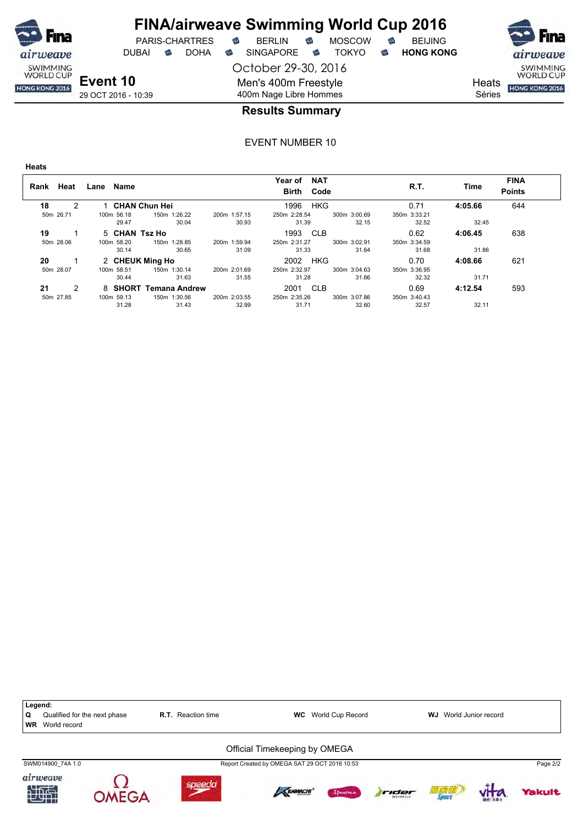

DUBAI **S** DOHA S SINGAPORE S TOKYO S HONG KONG

October 29-30, 2016 Men's 400m Freestyle

PARIS-CHARTRES **B** BERLIN **B** MOSCOW **B** BEIJING

SWIMMING<br>WORLD CUP HONG KONG 2016

**Heats** Séries

400m Nage Libre Hommes

#### **Results Summary**

EVENT NUMBER 10

**Heats**

| Heat<br>Rank | Name<br>Lane    |                       |              | <b>NAT</b><br>Year of<br>Code<br>Birth |              | R.T.         | Time    | <b>FINA</b><br><b>Points</b> |
|--------------|-----------------|-----------------------|--------------|----------------------------------------|--------------|--------------|---------|------------------------------|
| 18<br>2      |                 | <b>CHAN Chun Hei</b>  |              | <b>HKG</b><br>1996                     |              | 0.71         | 4:05.66 | 644                          |
| 50m 26.71    | 100m 56.18      | 150m 1:26.22          | 200m 1:57.15 | 250m 2:28.54                           | 300m 3:00.69 | 350m 3:33.21 |         |                              |
|              | 29.47           | 30.04                 | 30.93        | 31.39                                  | 32.15        | 32.52        | 32.45   |                              |
| 19           | 5 CHAN Tsz Ho   |                       |              | 1993 CLB                               |              | 0.62         | 4:06.45 | 638                          |
| 50m 28.06    | 100m 58.20      | 150m 1:28.85          | 200m 1:59.94 | 250m 2:31.27                           | 300m 3:02.91 | 350m 3:34.59 |         |                              |
|              | 30.14           | 30.65                 | 31.09        | 31.33                                  | 31.64        | 31.68        | 31.86   |                              |
| 20           | 2 CHEUK Ming Ho |                       |              | <b>HKG</b><br>2002                     |              | 0.70         | 4:08.66 | 621                          |
| 50m 28.07    | 100m 58.51      | 150m 1:30.14          | 200m 2:01.69 | 250m 2:32.97                           | 300m 3:04.63 | 350m 3:36.95 |         |                              |
|              | 30.44           | 31.63                 | 31.55        | 31.28                                  | 31.66        | 32.32        | 31.71   |                              |
| 21<br>2      |                 | 8 SHORT Temana Andrew |              | 2001 CLB                               |              | 0.69         | 4:12.54 | 593                          |
| 50m 27.85    | 100m 59.13      | 150m 1:30.56          | 200m 2:03.55 | 250m 2:35.26                           | 300m 3:07.86 | 350m 3:40.43 |         |                              |
|              | 31.28           | 31.43                 | 32.99        | 31.71                                  | 32.60        | 32.57        | 32.11   |                              |

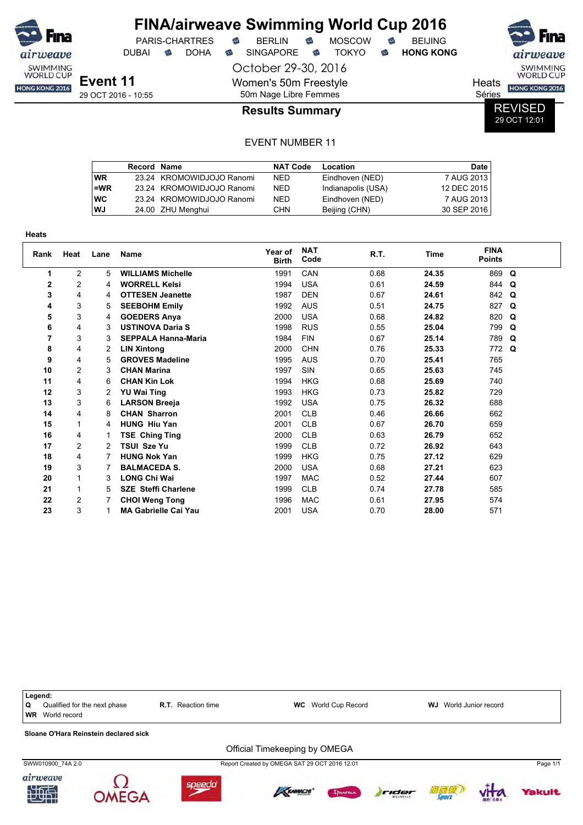| <b>SO</b> Fina                      |                     |   |                       |   | <b>FINA/airweave Swimming World Cup 2016</b> |   |               |   |                  |        |                                     |
|-------------------------------------|---------------------|---|-----------------------|---|----------------------------------------------|---|---------------|---|------------------|--------|-------------------------------------|
|                                     |                     |   | <b>PARIS-CHARTRES</b> | € | <b>BERLIN</b>                                | € | <b>MOSCOW</b> | € | <b>BEIJING</b>   |        | <b>Fina</b>                         |
| airweave                            | DUBAI               | ⇔ | <b>DOHA</b>           | ⇔ | <b>SINGAPORE</b>                             | ⇔ | TOKYO.        | € | <b>HONG KONG</b> |        | airweave                            |
| <b>SWIMMING</b><br><b>WORLD CUP</b> |                     |   |                       |   | October 29-30, 2016                          |   |               |   |                  |        | <b>SWIMMING</b><br><b>WORLD CUP</b> |
| HONG KONG 2016                      | Event 11            |   |                       |   | Women's 50m Freestyle                        |   |               |   |                  | Heats  | HONG KONG 2016                      |
|                                     | 29 OCT 2016 - 10:55 |   |                       |   | 50m Nage Libre Femmes                        |   |               |   |                  | Séries |                                     |
|                                     |                     |   |                       |   | <b>Results Summary</b>                       |   |               |   |                  |        | <b>REVISED</b>                      |

29 OCT 12:01

|            | <b>Record Name</b> |                           | <b>NAT Code</b> | Location           | <b>Date</b> |
|------------|--------------------|---------------------------|-----------------|--------------------|-------------|
| l WR       |                    | 23.24 KROMOWIDJOJO Ranomi | NED.            | Eindhoven (NED)    | 7 AUG 2013  |
| l=WR       |                    | 23.24 KROMOWIDJOJO Ranomi | <b>NED</b>      | Indianapolis (USA) | 12 DEC 2015 |
| <b>IWC</b> |                    | 23.24 KROMOWIDJOJO Ranomi | <b>NED</b>      | Eindhoven (NED)    | 7 AUG 2013  |
| l WJ       |                    | 24.00 ZHU Menghui         | <b>CHN</b>      | Beijing (CHN)      | 30 SEP 2016 |

| <b>Heats</b> |      |      |                             |                         |                    |      |             |                              |             |
|--------------|------|------|-----------------------------|-------------------------|--------------------|------|-------------|------------------------------|-------------|
| Rank         | Heat | Lane | Name                        | Year of<br><b>Birth</b> | <b>NAT</b><br>Code | R.T. | <b>Time</b> | <b>FINA</b><br><b>Points</b> |             |
| 1            | 2    | 5    | <b>WILLIAMS Michelle</b>    | 1991                    | CAN                | 0.68 | 24.35       | 869                          | Q           |
| 2            | 2    | 4    | <b>WORRELL Kelsi</b>        | 1994                    | <b>USA</b>         | 0.61 | 24.59       | 844                          | Q           |
| 3            | 4    | 4    | <b>OTTESEN Jeanette</b>     | 1987                    | <b>DEN</b>         | 0.67 | 24.61       | 842                          | Q           |
| 4            | 3    | 5    | <b>SEEBOHM Emily</b>        | 1992                    | <b>AUS</b>         | 0.51 | 24.75       | 827                          | Q           |
| 5            | 3    | 4    | <b>GOEDERS Anya</b>         | 2000                    | <b>USA</b>         | 0.68 | 24.82       | 820                          | Q           |
| 6            | 4    | 3    | <b>USTINOVA Daria S</b>     | 1998                    | <b>RUS</b>         | 0.55 | 25.04       | 799                          | Q           |
| 7            | 3    | 3    | <b>SEPPALA Hanna-Maria</b>  | 1984                    | <b>FIN</b>         | 0.67 | 25.14       | 789                          | Q           |
| 8            | 4    | 2    | <b>LIN Xintong</b>          | 2000                    | <b>CHN</b>         | 0.76 | 25.33       | 772                          | $\mathbf Q$ |
| 9            | 4    | 5    | <b>GROVES Madeline</b>      | 1995                    | <b>AUS</b>         | 0.70 | 25.41       | 765                          |             |
| 10           | 2    | 3    | <b>CHAN Marina</b>          | 1997                    | SIN                | 0.65 | 25.63       | 745                          |             |
| 11           | 4    | 6    | <b>CHAN Kin Lok</b>         | 1994                    | <b>HKG</b>         | 0.68 | 25.69       | 740                          |             |
| 12           | 3    | 2    | YU Wai Ting                 | 1993                    | <b>HKG</b>         | 0.73 | 25.82       | 729                          |             |
| 13           | 3    | 6    | <b>LARSON Breeja</b>        | 1992                    | <b>USA</b>         | 0.75 | 26.32       | 688                          |             |
| 14           | 4    | 8    | <b>CHAN Sharron</b>         | 2001                    | <b>CLB</b>         | 0.46 | 26.66       | 662                          |             |
| 15           | 1    | 4    | <b>HUNG Hiu Yan</b>         | 2001                    | <b>CLB</b>         | 0.67 | 26.70       | 659                          |             |
| 16           | 4    | 1    | <b>TSE Ching Ting</b>       | 2000                    | <b>CLB</b>         | 0.63 | 26.79       | 652                          |             |
| 17           | 2    | 2    | <b>TSUI Sze Yu</b>          | 1999                    | <b>CLB</b>         | 0.72 | 26.92       | 643                          |             |
| 18           | 4    | 7    | <b>HUNG Nok Yan</b>         | 1999                    | <b>HKG</b>         | 0.75 | 27.12       | 629                          |             |
| 19           | 3    | 7    | <b>BALMACEDA S.</b>         | 2000                    | <b>USA</b>         | 0.68 | 27.21       | 623                          |             |
| 20           | 1    | 3    | <b>LONG Chi Wai</b>         | 1997                    | <b>MAC</b>         | 0.52 | 27.44       | 607                          |             |
| 21           | 1    | 5    | <b>SZE Steffi Charlene</b>  | 1999                    | <b>CLB</b>         | 0.74 | 27.78       | 585                          |             |
| 22           | 2    | 7    | <b>CHOI Weng Tong</b>       | 1996                    | <b>MAC</b>         | 0.61 | 27.95       | 574                          |             |
| 23           | 3    | 1    | <b>MA Gabrielle Cai Yau</b> | 2001                    | <b>USA</b>         | 0.70 | 28.00       | 571                          |             |

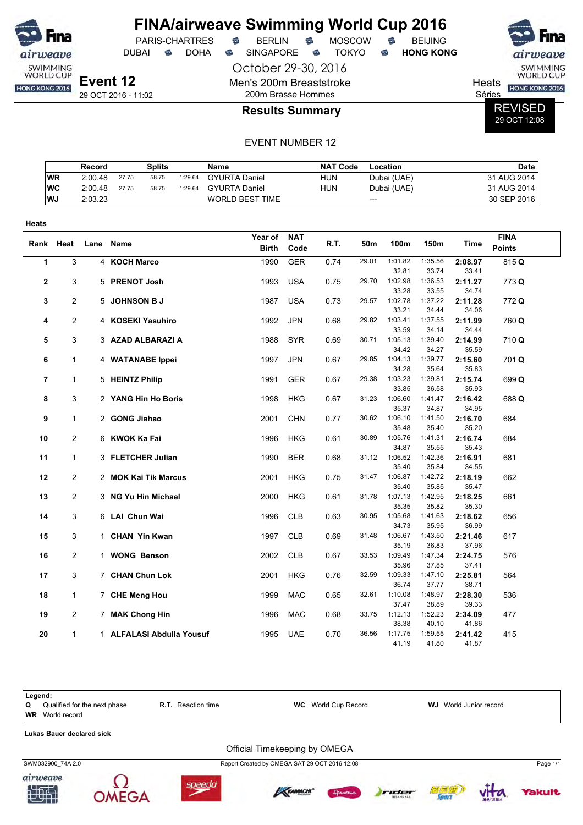



Séries REVISED

29 OCT 12:08

#### EVENT NUMBER 12

|           | Record  |       | Splits |         | <b>Name</b>            | <b>NAT Code</b> | Location    | <b>Date</b> |
|-----------|---------|-------|--------|---------|------------------------|-----------------|-------------|-------------|
| <b>WR</b> | 2:00.48 | 27.75 | 58.75  | 1:29.64 | GYURTA Daniel          | HUN             | Dubai (UAE) | 31 AUG 2014 |
| WC        | 2:00.48 | 27.75 | 58.75  | 1:29.64 | <b>GYURTA Daniel</b>   | HUN             | Dubai (UAE) | 31 AUG 2014 |
| <b>WJ</b> | 2:03.23 |       |        |         | <b>WORLD BEST TIME</b> |                 | $---$       | 30 SEP 2016 |

| Heats        |                |      |                           |                         |                    |      |       |                  |                  |                  |                              |
|--------------|----------------|------|---------------------------|-------------------------|--------------------|------|-------|------------------|------------------|------------------|------------------------------|
| Rank         | Heat           | Lane | Name                      | Year of<br><b>Birth</b> | <b>NAT</b><br>Code | R.T. | 50m   | 100m             | 150m             | Time             | <b>FINA</b><br><b>Points</b> |
| 1            | 3              |      | 4 KOCH Marco              | 1990                    | <b>GER</b>         | 0.74 | 29.01 | 1:01.82          | 1:35.56          | 2:08.97          | 815 Q                        |
|              |                |      |                           |                         |                    |      |       | 32.81            | 33.74            | 33.41            |                              |
| $\mathbf{2}$ | 3              |      | 5 PRENOT Josh             | 1993                    | <b>USA</b>         | 0.75 | 29.70 | 1:02.98<br>33.28 | 1:36.53<br>33.55 | 2:11.27<br>34.74 | 773 Q                        |
| 3            | 2              |      | 5 JOHNSON B J             | 1987                    | <b>USA</b>         | 0.73 | 29.57 | 1:02.78          | 1:37.22          | 2:11.28          | 772 Q                        |
|              |                |      |                           |                         |                    |      |       | 33.21            | 34.44            | 34.06            |                              |
| 4            | 2              |      | 4 KOSEKI Yasuhiro         | 1992                    | <b>JPN</b>         | 0.68 | 29.82 | 1:03.41          | 1:37.55          | 2:11.99          | 760 Q                        |
|              |                |      |                           |                         |                    |      |       | 33.59            | 34.14            | 34.44            |                              |
| 5            | 3              |      | 3 AZAD ALBARAZI A         | 1988                    | <b>SYR</b>         | 0.69 | 30.71 | 1:05.13          | 1:39.40          | 2:14.99          | 710Q                         |
|              |                |      |                           |                         |                    |      |       | 34.42            | 34.27            | 35.59            |                              |
| 6            | 1              |      | 4 WATANABE Ippei          | 1997                    | <b>JPN</b>         | 0.67 | 29.85 | 1:04.13          | 1:39.77          | 2:15.60          | 701Q                         |
|              |                |      |                           |                         |                    |      |       | 34.28            | 35.64            | 35.83            |                              |
| 7            | $\mathbf{1}$   |      | 5 HEINTZ Philip           | 1991                    | <b>GER</b>         | 0.67 | 29.38 | 1:03.23          | 1:39.81          | 2:15.74          | 699 Q                        |
|              |                |      |                           |                         |                    |      |       | 33.85            | 36.58            | 35.93            |                              |
| 8            | 3              |      | 2 YANG Hin Ho Boris       | 1998                    | <b>HKG</b>         | 0.67 | 31.23 | 1:06.60          | 1:41.47          | 2:16.42          | 688 Q                        |
|              |                |      |                           |                         |                    |      |       | 35.37            | 34.87            | 34.95            |                              |
| 9            | $\mathbf{1}$   |      | 2 GONG Jiahao             | 2001                    | <b>CHN</b>         | 0.77 | 30.62 | 1:06.10          | 1:41.50          | 2:16.70          | 684                          |
|              |                |      |                           |                         |                    |      |       | 35.48            | 35.40            | 35.20            |                              |
| 10           | 2              |      | 6 KWOK Ka Fai             | 1996                    | <b>HKG</b>         | 0.61 | 30.89 | 1:05.76          | 1:41.31          | 2:16.74          | 684                          |
|              |                |      |                           |                         |                    |      |       | 34.87            | 35.55            | 35.43            |                              |
| 11           | $\mathbf{1}$   |      | 3 FLETCHER Julian         | 1990                    | <b>BER</b>         | 0.68 | 31.12 | 1:06.52          | 1:42.36          | 2:16.91          | 681                          |
|              |                |      |                           |                         |                    |      |       | 35.40            | 35.84            | 34.55            |                              |
| 12           | $\overline{c}$ |      | 2 MOK Kai Tik Marcus      | 2001                    | <b>HKG</b>         | 0.75 | 31.47 | 1:06.87          | 1:42.72          | 2:18.19          | 662                          |
|              |                |      |                           |                         |                    |      |       | 35.40            | 35.85            | 35.47            |                              |
| 13           | $\overline{c}$ |      | 3 NG Yu Hin Michael       | 2000                    | <b>HKG</b>         | 0.61 | 31.78 | 1:07.13          | 1:42.95          | 2:18.25          | 661                          |
|              |                |      |                           |                         |                    |      |       | 35.35            | 35.82            | 35.30            |                              |
| 14           | 3              |      | 6 LAI Chun Wai            | 1996                    | <b>CLB</b>         | 0.63 | 30.95 | 1:05.68          | 1:41.63          | 2:18.62          | 656                          |
|              |                |      |                           |                         |                    |      |       | 34.73            | 35.95            | 36.99            |                              |
| 15           | 3              |      | 1 CHAN Yin Kwan           | 1997                    | <b>CLB</b>         | 0.69 | 31.48 | 1:06.67          | 1:43.50          | 2:21.46          | 617                          |
|              |                |      |                           |                         |                    |      |       | 35.19            | 36.83            | 37.96            |                              |
| 16           | $\overline{c}$ |      | 1 WONG Benson             | 2002                    | <b>CLB</b>         | 0.67 | 33.53 | 1:09.49<br>35.96 | 1:47.34<br>37.85 | 2:24.75<br>37.41 | 576                          |
| 17           | 3              |      | 7 CHAN Chun Lok           | 2001                    | <b>HKG</b>         | 0.76 | 32.59 | 1:09.33          | 1:47.10          | 2:25.81          | 564                          |
|              |                |      |                           |                         |                    |      |       | 36.74            | 37.77            | 38.71            |                              |
| 18           | $\mathbf{1}$   |      | 7 CHE Meng Hou            | 1999                    | <b>MAC</b>         | 0.65 | 32.61 | 1:10.08          | 1:48.97          | 2:28.30          | 536                          |
|              |                |      |                           |                         |                    |      |       | 37.47            | 38.89            | 39.33            |                              |
| 19           | 2              |      | 7 MAK Chong Hin           | 1996                    | <b>MAC</b>         | 0.68 | 33.75 | 1:12.13          | 1:52.23          | 2:34.09          | 477                          |
|              |                |      |                           |                         |                    |      |       | 38.38            | 40.10            | 41.86            |                              |
| 20           | 1              |      | 1 ALFALASI Abdulla Yousuf | 1995                    | <b>UAE</b>         | 0.70 | 36.56 | 1:17.75          | 1:59.55          | 2:41.42          | 415                          |
|              |                |      |                           |                         |                    |      |       | 41.19            | 41.80            | 41.87            |                              |

Legend:<br>Q Qu **Q** Qualified for the next phase **R.T.** Reaction time **WC** World Cup Record **WJ** World Junior record **WR** World record **Lukas Bauer declared sick** Official Timekeeping by OMEGA SWM032900\_74A 2.0 Report Created by OMEGA SAT 29 OCT 2016 12:08 Page 1/1airweave













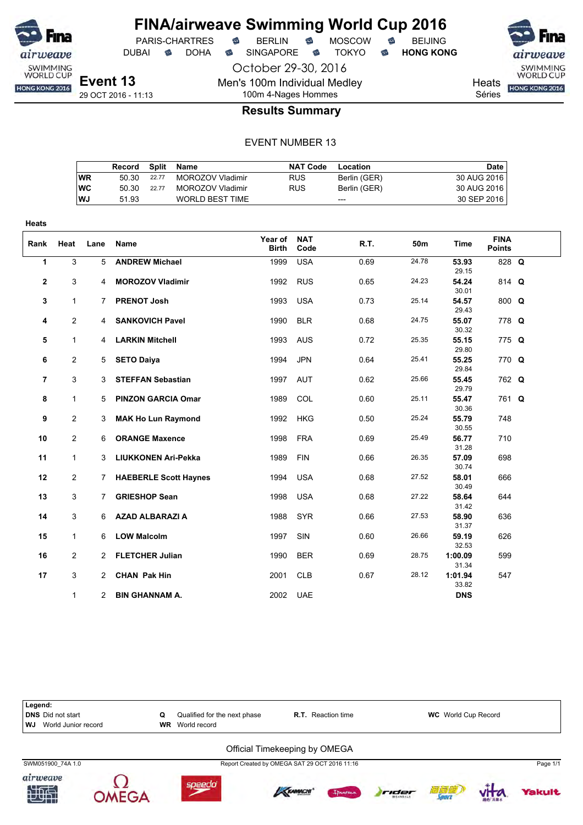

October 29-30, 2016

Men's 100m Individual Medley

DUBAI **S** DOHA S SINGAPORE S TOKYO S HONG KONG

SWIMMING<br>WORLD CUP

**Heats** HONG KONG 2016

Séries

100m 4-Nages Hommes **Results Summary**

|           | Record |       | Split Name             | NAT Code   | Location     | Date        |
|-----------|--------|-------|------------------------|------------|--------------|-------------|
| WR        | 50.30  | 22.77 | MOROZOV Vladimir       | <b>RUS</b> | Berlin (GER) | 30 AUG 2016 |
| <b>WC</b> | 50.30  | 22.77 | MOROZOV Vladimir       | <b>RUS</b> | Berlin (GER) | 30 AUG 2016 |
| <b>WJ</b> | 51.93  |       | <b>WORLD BEST TIME</b> |            | ---          | 30 SEP 2016 |

| <b>Heats</b> |                |                |                              |                         |                    |      |                 |                  |                              |  |
|--------------|----------------|----------------|------------------------------|-------------------------|--------------------|------|-----------------|------------------|------------------------------|--|
| Rank         | Heat           | Lane           | <b>Name</b>                  | Year of<br><b>Birth</b> | <b>NAT</b><br>Code | R.T. | 50 <sub>m</sub> | <b>Time</b>      | <b>FINA</b><br><b>Points</b> |  |
| 1            | 3              | 5              | <b>ANDREW Michael</b>        | 1999                    | <b>USA</b>         | 0.69 | 24.78           | 53.93<br>29.15   | 828 Q                        |  |
| $\mathbf{2}$ | 3              | 4              | <b>MOROZOV Vladimir</b>      | 1992                    | <b>RUS</b>         | 0.65 | 24.23           | 54.24<br>30.01   | 814 Q                        |  |
| 3            | $\mathbf{1}$   | $\mathbf{7}$   | <b>PRENOT Josh</b>           | 1993                    | <b>USA</b>         | 0.73 | 25.14           | 54.57<br>29.43   | 800 Q                        |  |
| 4            | 2              | 4              | <b>SANKOVICH Pavel</b>       | 1990                    | <b>BLR</b>         | 0.68 | 24.75           | 55.07<br>30.32   | 778 Q                        |  |
| 5            | $\mathbf{1}$   | 4              | <b>LARKIN Mitchell</b>       | 1993                    | <b>AUS</b>         | 0.72 | 25.35           | 55.15<br>29.80   | 775 Q                        |  |
| 6            | $\overline{2}$ | 5              | <b>SETO Daiya</b>            | 1994                    | <b>JPN</b>         | 0.64 | 25.41           | 55.25<br>29.84   | 770 Q                        |  |
| 7            | 3              | 3              | <b>STEFFAN Sebastian</b>     | 1997                    | <b>AUT</b>         | 0.62 | 25.66           | 55.45<br>29.79   | 762 Q                        |  |
| 8            | $\mathbf{1}$   | 5              | <b>PINZON GARCIA Omar</b>    | 1989                    | COL                | 0.60 | 25.11           | 55.47<br>30.36   | 761 Q                        |  |
| 9            | $\overline{2}$ | 3              | <b>MAK Ho Lun Raymond</b>    | 1992                    | <b>HKG</b>         | 0.50 | 25.24           | 55.79<br>30.55   | 748                          |  |
| 10           | 2              | 6              | <b>ORANGE Maxence</b>        | 1998                    | <b>FRA</b>         | 0.69 | 25.49           | 56.77<br>31.28   | 710                          |  |
| 11           | $\mathbf{1}$   | 3              | <b>LIUKKONEN Ari-Pekka</b>   | 1989                    | <b>FIN</b>         | 0.66 | 26.35           | 57.09<br>30.74   | 698                          |  |
| 12           | $\overline{2}$ | 7              | <b>HAEBERLE Scott Haynes</b> | 1994                    | <b>USA</b>         | 0.68 | 27.52           | 58.01<br>30.49   | 666                          |  |
| 13           | 3              | 7              | <b>GRIESHOP Sean</b>         | 1998                    | <b>USA</b>         | 0.68 | 27.22           | 58.64<br>31.42   | 644                          |  |
| 14           | 3              | 6              | <b>AZAD ALBARAZI A</b>       | 1988                    | <b>SYR</b>         | 0.66 | 27.53           | 58.90<br>31.37   | 636                          |  |
| 15           | $\mathbf{1}$   | 6              | <b>LOW Malcolm</b>           | 1997                    | SIN                | 0.60 | 26.66           | 59.19<br>32.53   | 626                          |  |
| 16           | $\overline{2}$ | 2              | <b>FLETCHER Julian</b>       | 1990                    | <b>BER</b>         | 0.69 | 28.75           | 1:00.09<br>31.34 | 599                          |  |
| 17           | 3              | $\overline{2}$ | <b>CHAN Pak Hin</b>          | 2001                    | <b>CLB</b>         | 0.67 | 28.12           | 1:01.94<br>33.82 | 547                          |  |
|              | 1              | $\mathbf{2}$   | <b>BIN GHANNAM A.</b>        | 2002                    | <b>UAE</b>         |      |                 | <b>DNS</b>       |                              |  |

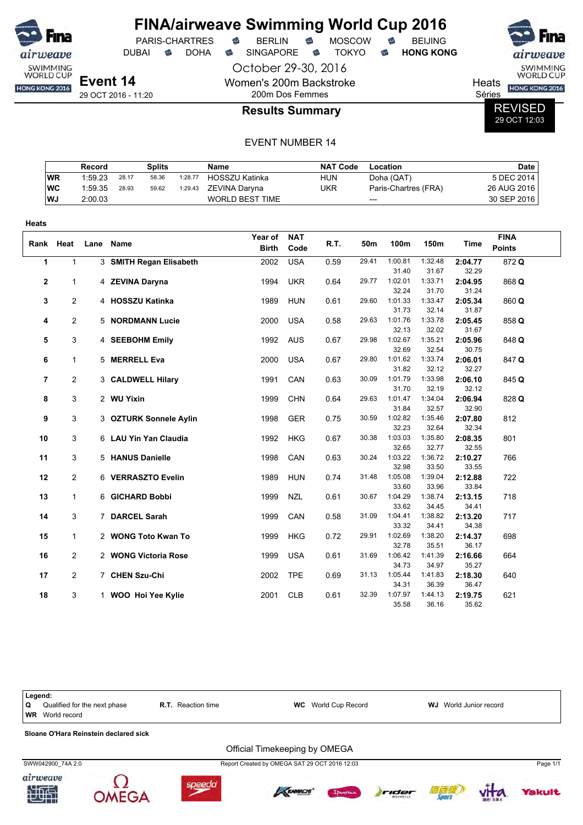

DUBAI **S** DOHA SINGAPORE S TOKYO S **HONG KONG** 

PARIS-CHARTRES **B** BERLIN **B** MOSCOW **B** BEIJING

October 29-30, 2016 Women's 200m Backstroke 200m Dos Femmes



Heats **HONG KONG 2016** 

Séries

REVISED 29 OCT 12:03

#### **Results Summary**

|           | Record  |       | Splits |         | Name                   | <b>NAT Code</b> | Location             | Date l      |
|-----------|---------|-------|--------|---------|------------------------|-----------------|----------------------|-------------|
| WR        | 1:59.23 | 28.17 | 58.36  | 1:28.77 | <b>HOSSZU Katinka</b>  | <b>HUN</b>      | Doha (QAT)           | 5 DEC 2014  |
| WC        | 1:59.35 | 28.93 | 59.62  | 1:29.43 | ZEVINA Daryna          | UKR             | Paris-Chartres (FRA) | 26 AUG 2016 |
| <b>WJ</b> | 2:00.03 |       |        |         | <b>WORLD BEST TIME</b> |                 | $---$                | 30 SEP 2016 |

| <b>Heats</b>   |                |      |                         |                         |                    |      |       |                  |                  |                  |                              |
|----------------|----------------|------|-------------------------|-------------------------|--------------------|------|-------|------------------|------------------|------------------|------------------------------|
|                | Rank Heat      | Lane | <b>Name</b>             | Year of<br><b>Birth</b> | <b>NAT</b><br>Code | R.T. | 50m   | 100m             | 150m             | <b>Time</b>      | <b>FINA</b><br><b>Points</b> |
| $\mathbf 1$    | $\mathbf{1}$   |      | 3 SMITH Regan Elisabeth | 2002                    | <b>USA</b>         | 0.59 | 29.41 | 1:00.81<br>31.40 | 1:32.48<br>31.67 | 2:04.77<br>32.29 | 872Q                         |
| $\mathbf{2}$   | $\mathbf{1}$   |      | 4 ZEVINA Daryna         | 1994                    | <b>UKR</b>         | 0.64 | 29.77 | 1:02.01<br>32.24 | 1:33.71<br>31.70 | 2:04.95<br>31.24 | 868 Q                        |
| 3              | $\overline{2}$ |      | 4 HOSSZU Katinka        | 1989                    | <b>HUN</b>         | 0.61 | 29.60 | 1:01.33<br>31.73 | 1:33.47<br>32.14 | 2:05.34<br>31.87 | 860 Q                        |
| 4              | $\overline{2}$ |      | 5 NORDMANN Lucie        | 2000                    | <b>USA</b>         | 0.58 | 29.63 | 1:01.76<br>32.13 | 1:33.78<br>32.02 | 2:05.45<br>31.67 | 858 Q                        |
| 5              | 3              |      | 4 SEEBOHM Emily         | 1992                    | <b>AUS</b>         | 0.67 | 29.98 | 1:02.67<br>32.69 | 1:35.21<br>32.54 | 2:05.96<br>30.75 | 848 Q                        |
| 6              | $\mathbf{1}$   |      | 5 MERRELL Eva           | 2000                    | <b>USA</b>         | 0.67 | 29.80 | 1:01.62<br>31.82 | 1:33.74<br>32.12 | 2:06.01<br>32.27 | 847 Q                        |
| $\overline{7}$ | $\overline{2}$ |      | 3 CALDWELL Hilary       | 1991                    | CAN                | 0.63 | 30.09 | 1:01.79<br>31.70 | 1:33.98<br>32.19 | 2:06.10<br>32.12 | 845 Q                        |
| 8              | 3              |      | 2 WU Yixin              | 1999                    | <b>CHN</b>         | 0.64 | 29.63 | 1:01.47<br>31.84 | 1:34.04<br>32.57 | 2:06.94<br>32.90 | 828 Q                        |
| 9              | 3              |      | 3 OZTURK Sonnele Aylin  | 1998                    | <b>GER</b>         | 0.75 | 30.59 | 1:02.82<br>32.23 | 1:35.46<br>32.64 | 2:07.80<br>32.34 | 812                          |
| 10             | 3              |      | 6 LAU Yin Yan Claudia   | 1992                    | <b>HKG</b>         | 0.67 | 30.38 | 1:03.03<br>32.65 | 1:35.80<br>32.77 | 2:08.35<br>32.55 | 801                          |
| 11             | 3              |      | 5 HANUS Danielle        | 1998                    | CAN                | 0.63 | 30.24 | 1:03.22<br>32.98 | 1:36.72<br>33.50 | 2:10.27<br>33.55 | 766                          |
| 12             | $\overline{2}$ |      | 6 VERRASZTO Evelin      | 1989                    | <b>HUN</b>         | 0.74 | 31.48 | 1:05.08<br>33.60 | 1:39.04<br>33.96 | 2:12.88<br>33.84 | 722                          |
| 13             | $\mathbf 1$    |      | 6 GICHARD Bobbi         | 1999                    | <b>NZL</b>         | 0.61 | 30.67 | 1:04.29<br>33.62 | 1:38.74<br>34.45 | 2:13.15<br>34.41 | 718                          |
| 14             | 3              |      | 7 DARCEL Sarah          | 1999                    | CAN                | 0.58 | 31.09 | 1:04.41<br>33.32 | 1:38.82<br>34.41 | 2:13.20<br>34.38 | 717                          |
| 15             | $\mathbf 1$    |      | 2 WONG Toto Kwan To     | 1999                    | <b>HKG</b>         | 0.72 | 29.91 | 1:02.69<br>32.78 | 1:38.20<br>35.51 | 2:14.37<br>36.17 | 698                          |
| 16             | $\overline{2}$ |      | 2 WONG Victoria Rose    | 1999                    | <b>USA</b>         | 0.61 | 31.69 | 1:06.42<br>34.73 | 1:41.39<br>34.97 | 2:16.66<br>35.27 | 664                          |
| 17             | $\overline{2}$ |      | 7 CHEN Szu-Chi          | 2002                    | <b>TPE</b>         | 0.69 | 31.13 | 1:05.44<br>34.31 | 1:41.83<br>36.39 | 2:18.30<br>36.47 | 640                          |
| 18             | 3              |      | 1 WOO Hoi Yee Kylie     | 2001                    | <b>CLB</b>         | 0.61 | 32.39 | 1:07.97<br>35.58 | 1:44.13<br>36.16 | 2:19.75<br>35.62 | 621                          |

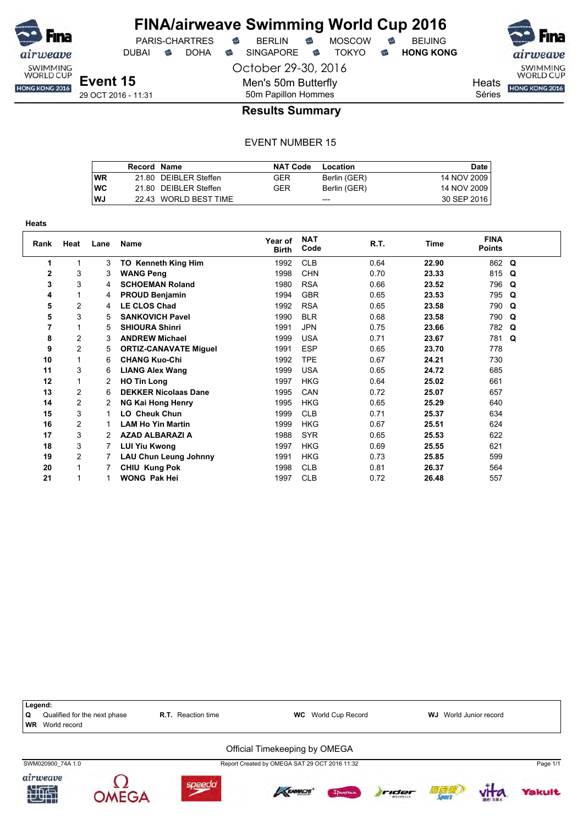

DUBAI **S** DOHA S SINGAPORE S TOKYO S HONG KONG

Séries

SWIMMING<br>WORLD CUP **Heats** HONG KONG 2016

**Event 15** 29 OCT 2016 - 11:31 October 29-30, 2016 Men's 50m Butterfly 50m Papillon Hommes

## **Results Summary**

|           | Record Name |                       | <b>NAT Code</b> | Location     | Date <b>b</b> |
|-----------|-------------|-----------------------|-----------------|--------------|---------------|
| <b>WR</b> |             | 21.80 DEIBLER Steffen | GER             | Berlin (GER) | 14 NOV 2009   |
| <b>WC</b> |             | 21.80 DEIBLER Steffen | GER             | Berlin (GER) | 14 NOV 2009   |
| WJ        |             | 22.43 WORLD BEST TIME |                 | ---          | 30 SEP 2016   |

| <b>Heats</b> |                |      |                              |                         |                    |      |       |                              |   |
|--------------|----------------|------|------------------------------|-------------------------|--------------------|------|-------|------------------------------|---|
| Rank         | Heat           | Lane | <b>Name</b>                  | Year of<br><b>Birth</b> | <b>NAT</b><br>Code | R.T. | Time  | <b>FINA</b><br><b>Points</b> |   |
| 1            | 1              | 3    | <b>TO Kenneth King Him</b>   | 1992                    | <b>CLB</b>         | 0.64 | 22.90 | 862 Q                        |   |
| 2            | 3              | 3    | <b>WANG Peng</b>             | 1998                    | <b>CHN</b>         | 0.70 | 23.33 | 815 Q                        |   |
| 3            | 3              | 4    | <b>SCHOEMAN Roland</b>       | 1980                    | <b>RSA</b>         | 0.66 | 23.52 | 796                          | Q |
| 4            | 1              | 4    | <b>PROUD Benjamin</b>        | 1994                    | <b>GBR</b>         | 0.65 | 23.53 | 795 Q                        |   |
| 5            | 2              | 4    | <b>LE CLOS Chad</b>          | 1992                    | <b>RSA</b>         | 0.65 | 23.58 | 790                          | Q |
| 5            | 3              | 5    | <b>SANKOVICH Pavel</b>       | 1990                    | <b>BLR</b>         | 0.68 | 23.58 | 790                          | Q |
| 7            |                | 5    | <b>SHIOURA Shinri</b>        | 1991                    | <b>JPN</b>         | 0.75 | 23.66 | 782 Q                        |   |
| 8            | $\overline{c}$ | 3    | <b>ANDREW Michael</b>        | 1999                    | <b>USA</b>         | 0.71 | 23.67 | 781 Q                        |   |
| 9            | $\overline{c}$ | 5    | <b>ORTIZ-CANAVATE Miguel</b> | 1991                    | <b>ESP</b>         | 0.65 | 23.70 | 778                          |   |
| 10           | 1              | 6    | <b>CHANG Kuo-Chi</b>         | 1992                    | <b>TPE</b>         | 0.67 | 24.21 | 730                          |   |
| 11           | 3              | 6    | <b>LIANG Alex Wang</b>       | 1999                    | <b>USA</b>         | 0.65 | 24.72 | 685                          |   |
| 12           | 1              | 2    | <b>HO Tin Long</b>           | 1997                    | <b>HKG</b>         | 0.64 | 25.02 | 661                          |   |
| 13           | $\overline{2}$ | 6    | <b>DEKKER Nicolaas Dane</b>  | 1995                    | CAN                | 0.72 | 25.07 | 657                          |   |
| 14           | $\overline{2}$ | 2    | <b>NG Kai Hong Henry</b>     | 1995                    | <b>HKG</b>         | 0.65 | 25.29 | 640                          |   |
| 15           | 3              |      | <b>LO Cheuk Chun</b>         | 1999                    | <b>CLB</b>         | 0.71 | 25.37 | 634                          |   |
| 16           | $\overline{c}$ |      | <b>LAM Ho Yin Martin</b>     | 1999                    | <b>HKG</b>         | 0.67 | 25.51 | 624                          |   |
| 17           | 3              | 2    | <b>AZAD ALBARAZI A</b>       | 1988                    | <b>SYR</b>         | 0.65 | 25.53 | 622                          |   |
| 18           | 3              |      | <b>LUI Yiu Kwong</b>         | 1997                    | <b>HKG</b>         | 0.69 | 25.55 | 621                          |   |
| 19           | $\overline{c}$ | 7    | <b>LAU Chun Leung Johnny</b> | 1991                    | <b>HKG</b>         | 0.73 | 25.85 | 599                          |   |
| 20           |                |      | CHIU Kung Pok                | 1998                    | <b>CLB</b>         | 0.81 | 26.37 | 564                          |   |
| 21           |                |      | <b>WONG Pak Hei</b>          | 1997                    | <b>CLB</b>         | 0.72 | 26.48 | 557                          |   |

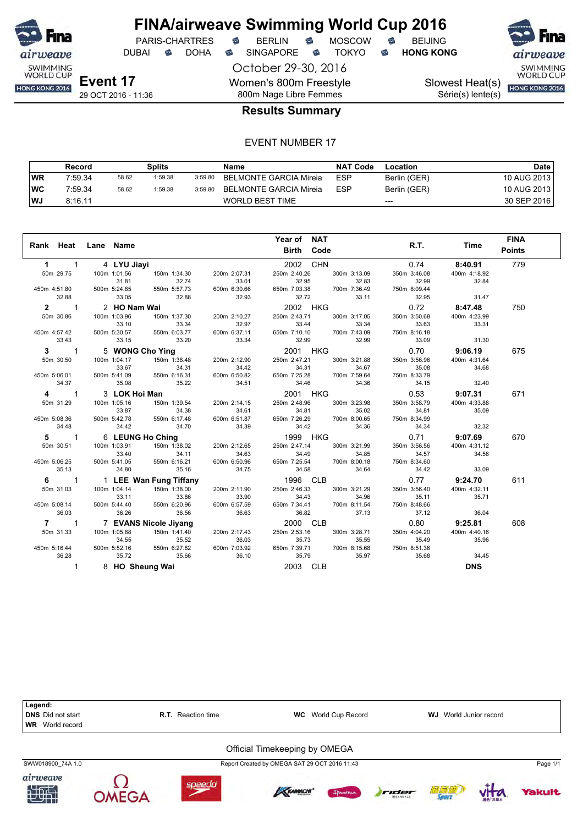

DUBAI **S** DOHA S SINGAPORE S TOKYO S HONG KONG

October 29-30, 2016 Women's 800m Freestyle 800m Nage Libre Femmes

PARIS-CHARTRES **B** BERLIN **B** MOSCOW **B** BEIJING

Série(s) lente(s)

SWIMMING<br>WORLD CUP Slowest Heat(s) **HONG KONG 2016** 

## **Results Summary**

|      | Record  |       | Splits  |         | Name                   | <b>NAT Code</b> | Location     | Date        |
|------|---------|-------|---------|---------|------------------------|-----------------|--------------|-------------|
| WR   | 7:59.34 | 58.62 | 1:59.38 | 3:59.80 | BELMONTE GARCIA Mireia | <b>ESP</b>      | Berlin (GER) | 10 AUG 2013 |
| ∣WC  | 7:59.34 | 58.62 | 1:59.38 | 3:59.80 | BELMONTE GARCIA Mireia | <b>ESP</b>      | Berlin (GER) | 10 AUG 2013 |
| l WJ | 8:16.11 |       |         |         | <b>WORLD BEST TIME</b> |                 | $---$        | 30 SEP 2016 |

|                     |                            |                 |                        |              | Year of NAT               |                       |              |              | <b>FINA</b>   |
|---------------------|----------------------------|-----------------|------------------------|--------------|---------------------------|-----------------------|--------------|--------------|---------------|
| Rank Heat Lane Name |                            |                 |                        |              | <b>Birth Code</b>         |                       | R.T.         | Time         | <b>Points</b> |
| $1 \quad 1$         |                            | 4 LYU Jiayi     |                        |              | 2002 CHN                  |                       | 0.74         | 8:40.91      | 779           |
| 50m 29.75           |                            | 100m 1:01.56    | 150m 1:34.30           | 200m 2:07.31 | 250m 2:40.26              | 300m 3:13.09          | 350m 3:46.08 | 400m 4:18.92 |               |
|                     |                            | 31.81           | 32.74                  | 33.01        | 32.95                     | 32.83                 | 32.99        | 32.84        |               |
| 450m 4:51.80        |                            | 500m 5:24.85    | 550m 5:57.73           | 600m 6:30.66 | 650m 7:03.38              | 700m 7:36.49          | 750m 8:09.44 |              |               |
|                     | 32.88                      | 33.05           | 32.88                  | 32.93        | 32.72                     | 33.11                 | 32.95        | 31.47        |               |
| $2^{\sim}$          | $\overline{1}$             | 2 HO Nam Wai    |                        |              | 2002 HKG                  |                       | 0.72         | 8:47.48      | 750           |
| 50m 30.86           |                            | 100m 1:03.96    | 150m 1:37.30           | 200m 2:10.27 | 250m 2:43.71              | 300m 3:17.05          | 350m 3:50.68 | 400m 4:23.99 |               |
|                     |                            | 33.10           | 33.34                  | 32.97        | 33.44                     |                       | 33.63        | 33.31        |               |
| 450m 4:57.42        |                            | 500m 5:30.57    | 550m 6:03.77           | 600m 6:37.11 | 650m 7:10.10              |                       | 750m 8:16.18 |              |               |
|                     | 33.43                      | 33.15           | 33.20                  | 33.34        | 32.99                     | 700m 7:43.09<br>32.99 | 33.09        | 31.30        |               |
| $3 \quad 1$         |                            | 5 WONG Cho Ying |                        |              | 2001 HKG                  |                       | 0.70         | 9:06.19      | 675           |
| 50m 30.50           |                            | 100m 1:04.17    | 150m 1:38.48           | 200m 2:12.90 | 250m 2:47.21              | 300m 3:21.88          | 350m 3:56.96 | 400m 4:31.64 |               |
|                     |                            | 33.67           | 34.31                  | 34.42        | 34.31                     | 34.67                 | 35.08        | 34.68        |               |
| 450m 5:06.01        |                            | 500m 5:41.09    | 550m 6:16.31           | 600m 6:50.82 | 650m 7:25.28              | 700m 7:59.64          | 750m 8:33.79 |              |               |
|                     | 34.37                      | 35.08           | 35.22                  | 34.51        | 34.46                     | 34.36                 | 34.15        | 32.40        |               |
| 4 1                 |                            | 3 LOK Hoi Man   |                        |              | 2001 HKG                  |                       | 0.53         | 9:07.31      | 671           |
| 50m 31.29           |                            | 100m 1:05.16    | 150m 1:39.54           | 200m 2:14.15 | 250m 2:48.96              | 300m 3:23.98          | 350m 3:58.79 | 400m 4:33.88 |               |
|                     |                            | 33.87           | 34.38                  | 34.61        | 34.81                     | 35.02                 | 34.81        | 35.09        |               |
| 450m 5:08.36        |                            | 500m 5:42.78    | 550m 6:17.48           | 600m 6:51.87 | 650m 7:26.29              | 700m 8:00.65          | 750m 8:34.99 |              |               |
|                     | 34.48                      | 34.42           | 34.70                  | 34.39        | 34.42                     | 34.36                 | 34.34        | 32.32        |               |
| 5                   | $\overline{\phantom{1}}$ 1 |                 | 6 LEUNG Ho Ching       |              | 1999 HKG                  |                       | 0.71         | 9:07.69      | 670           |
| 50m 30.51           |                            | 100m 1:03.91    | 150m 1:38.02           | 200m 2:12.65 | 250m 2:47.14              | 300m 3:21.99          | 350m 3:56.56 | 400m 4:31.12 |               |
|                     |                            | 33.40           | 34.11                  | 34.63        | 34.49                     | 34.85                 | 34.57        | 34.56        |               |
| 450m 5:06.25        |                            | 500m 5:41.05    | 550m 6:16.21           | 600m 6:50.96 | 650m 7:25.54              | 700m 8:00.18          | 750m 8:34.60 |              |               |
|                     | 35.13                      | 34.80           | 35.16                  | 34.75        | 34.58                     | 34.64                 | 34.42        | 33.09        |               |
| $6 \t1$             |                            |                 | 1 LEE Wan Fung Tiffany |              | 1996 CLB                  |                       | 0.77         | 9:24.70      | 611           |
| 50m 31.03           |                            | 100m 1:04.14    | 150m 1:38.00           | 200m 2:11.90 | 250m 2:46.33              | 300m 3:21.29          | 350m 3:56.40 | 400m 4:32.11 |               |
|                     |                            | 33.11           | 33.86                  | 33.90        | 34.43                     | 34.96                 | 35.11        | 35.71        |               |
| 450m 5:08.14        |                            | 500m 5:44.40    | 550m 6:20.96           | 600m 6:57.59 | 650m 7:34.41              | 700m 8:11.54          | 750m 8:48.66 |              |               |
|                     | 36.03                      | 36.26           | 36.56                  | 36.63        | 36.82                     | 37.13                 | 37.12        | 36.04        |               |
| $7 \quad 1$         |                            |                 | 7 EVANS Nicole Jiyang  |              | 2000 CLB                  |                       | 0.80         | 9:25.81      | 608           |
| 50m 31.33           |                            | 100m 1:05.88    | 150m 1:41.40           | 200m 2:17.43 | 250m 2:53.16              | 300m 3:28.71          | 350m 4:04.20 | 400m 4:40.16 |               |
|                     |                            | 34.55           | 35.52                  | 36.03        | 35.73                     | 35.55                 | 35.49        | 35.96        |               |
| 450m 5:16.44        |                            | 500m 5:52.16    | 550m 6:27.82           | 600m 7:03.92 | 650m 7:39.71 700m 8:15.68 |                       | 750m 8:51.36 |              |               |
|                     | 36.28                      | 35.72           | 35.66                  | 36.10        | 35.79                     | 35.97                 | 35.68        | 34.45        |               |
|                     | $\mathbf{1}$               | 8 HO Sheung Wai |                        |              | 2003 CLB                  |                       |              | <b>DNS</b>   |               |

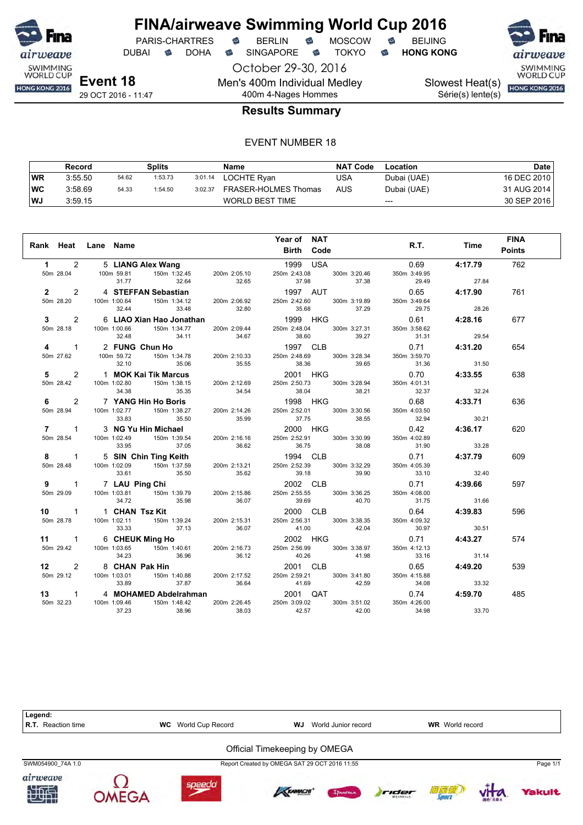

DUBAI **S** DOHA S SINGAPORE S TOKYO S HONG KONG

October 29-30, 2016 Men's 400m Individual Medley 400m 4-Nages Hommes

SWIMMING<br>WORLD CUP

Slowest Heat(s)

Série(s) lente(s)

HONG KONG 2016

#### **Results Summary**

#### EVENT NUMBER 18

|           | Record  |       | Splits  |         | Name                   | <b>NAT Code</b> | Location    | Date        |
|-----------|---------|-------|---------|---------|------------------------|-----------------|-------------|-------------|
| <b>WR</b> | 3:55.50 | 54.62 | 1:53.73 | 3:01.14 | LOCHTE Ryan            | USA             | Dubai (UAE) | 16 DEC 2010 |
| ∣WC       | 3:58.69 | 54.33 | 1:54.50 | 3:02.37 | FRASER-HOLMES Thomas   | AUS             | Dubai (UAE) | 31 AUG 2014 |
| <b>WJ</b> | 3:59.15 |       |         |         | <b>WORLD BEST TIME</b> |                 | $---$       | 30 SEP 2016 |

|                                                                                                                                                                                                                                                                                    |                | Year of NAT                 |                         |       | <b>FINA</b> |
|------------------------------------------------------------------------------------------------------------------------------------------------------------------------------------------------------------------------------------------------------------------------------------|----------------|-----------------------------|-------------------------|-------|-------------|
| Rank Heat Lane Name                                                                                                                                                                                                                                                                |                | <b>Example 1 Birth Code</b> | <b>R.T.</b> Time Points |       |             |
|                                                                                                                                                                                                                                                                                    |                |                             |                         |       | 762         |
| 1 2 5 <b>LIANG Alex Wang</b><br>50m 28.04 100m 59.81 150m 1:32.45 200m 2:05.10 250m 2:43.08 300m 3:20.46 350m 3:49.95<br>2 2 4 <b>STEFFAN Sebastian</b><br>50m 28.20 100m 1:00.64 150m 1:34.12 200m 2:06.92 250m 2:42.60 300m 3:19.89 350m 3:4                                     |                |                             |                         |       |             |
|                                                                                                                                                                                                                                                                                    |                |                             |                         |       | 761         |
|                                                                                                                                                                                                                                                                                    |                |                             |                         |       |             |
|                                                                                                                                                                                                                                                                                    |                |                             |                         |       | 677         |
| 3 2 6 LAD Xian Hao Jonathan<br>3 2 6 LAD Month Strip 200m 22044 2256.16 1000 HKG<br>4 1 2 FUNG Chun Ho <sup>5</sup><br>4 1 2 FUNG Chun Ho <sup>5</sup><br>4 1 2 FUNG Chun Ho <sup>5</sup><br>4 1 2 FUNG Chun Ho <sup>5</sup><br>5 200m 2348 250m 2486 300m 325.34 350m 53.527<br>5 |                |                             |                         |       |             |
|                                                                                                                                                                                                                                                                                    |                |                             |                         |       | 654         |
|                                                                                                                                                                                                                                                                                    |                |                             |                         |       |             |
|                                                                                                                                                                                                                                                                                    |                |                             |                         |       |             |
|                                                                                                                                                                                                                                                                                    |                |                             |                         |       | 638         |
|                                                                                                                                                                                                                                                                                    |                |                             |                         |       |             |
|                                                                                                                                                                                                                                                                                    |                |                             |                         |       |             |
|                                                                                                                                                                                                                                                                                    |                |                             |                         |       | 636         |
|                                                                                                                                                                                                                                                                                    |                |                             |                         |       |             |
|                                                                                                                                                                                                                                                                                    |                |                             |                         |       |             |
|                                                                                                                                                                                                                                                                                    |                |                             |                         |       | 620         |
|                                                                                                                                                                                                                                                                                    |                |                             |                         |       |             |
|                                                                                                                                                                                                                                                                                    |                |                             |                         |       |             |
|                                                                                                                                                                                                                                                                                    |                |                             |                         |       | 609         |
|                                                                                                                                                                                                                                                                                    |                |                             |                         |       |             |
|                                                                                                                                                                                                                                                                                    |                |                             |                         |       |             |
|                                                                                                                                                                                                                                                                                    |                |                             |                         |       | 597         |
|                                                                                                                                                                                                                                                                                    |                |                             |                         |       |             |
|                                                                                                                                                                                                                                                                                    |                |                             |                         |       | 596         |
|                                                                                                                                                                                                                                                                                    |                |                             |                         |       |             |
|                                                                                                                                                                                                                                                                                    |                |                             |                         |       |             |
|                                                                                                                                                                                                                                                                                    |                |                             |                         |       | 574         |
|                                                                                                                                                                                                                                                                                    |                |                             |                         |       |             |
|                                                                                                                                                                                                                                                                                    |                |                             |                         |       |             |
| 12 2 8 CHAN Pak Hin<br>$30.50$<br>$30.50$<br>$30.50$<br>$30.50$<br>$30.50$<br>$30.50$<br>$30.50$<br>$30.50$<br>$30.50$<br>$30.50$<br>$30.50$<br>$30.50$<br>$30.50$<br>$30.50$<br>$30.50$<br>$30.50$<br>$30.50$<br>$30.50$<br>$30.50$<br>$30.50$<br>$30.50$<br>$30.50$<br>$3$       |                |                             |                         |       | 539         |
|                                                                                                                                                                                                                                                                                    |                |                             |                         |       |             |
|                                                                                                                                                                                                                                                                                    |                |                             |                         |       |             |
|                                                                                                                                                                                                                                                                                    |                |                             |                         |       | 485         |
|                                                                                                                                                                                                                                                                                    |                |                             |                         |       |             |
| 37.23                                                                                                                                                                                                                                                                              | 38.96<br>38.03 | 42.57 42.00                 | 34.98                   | 33.70 |             |

Legend:<br>R.T. Reaction time **R.T.** WC World Cup Record **WJ** World Junior record **WR** World record Official Timekeeping by OMEGA SWM054900\_74A 1.0 Report Created by OMEGA SAT 29 OCT 2016 11:55 Page 1/1airweave















akult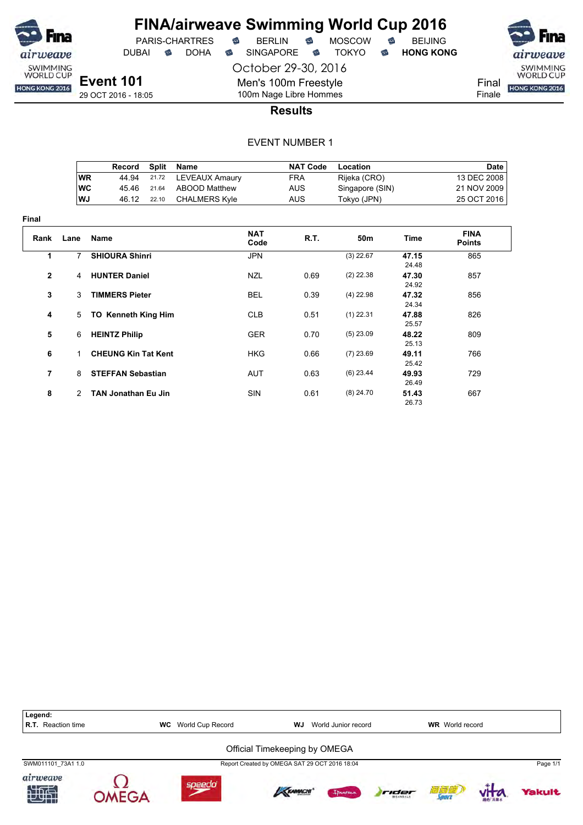

DUBAI **S** DOHA S SINGAPORE S TOKYO S HONG KONG

PARIS-CHARTRES **S** BERLIN S MOSCOW S

October 29-30, 2016

Finale

29 OCT 2016 - 18:05

# 100m Nage Libre Hommes **Results**

Men's 100m Freestyle

|           | Record | Split | Name                 | <b>NAT Code</b> | Location        | Date        |
|-----------|--------|-------|----------------------|-----------------|-----------------|-------------|
| <b>WR</b> | 44.94  |       | 21.72 LEVEAUX Amaury | FRA             | Rijeka (CRO)    | 13 DEC 2008 |
| WC        | 45.46  | 21.64 | ABOOD Matthew        | AUS             | Singapore (SIN) | 21 NOV 2009 |
| ∣WJ       | 46.12  | 22.10 | CHALMERS Kvle        | AUS             | Tokyo (JPN)     | 25 OCT 2016 |

| Final          |                |                            |                    |      |             |                |                              |
|----------------|----------------|----------------------------|--------------------|------|-------------|----------------|------------------------------|
| Rank           | Lane           | Name                       | <b>NAT</b><br>Code | R.T. | 50m         | Time           | <b>FINA</b><br><b>Points</b> |
| 1              | 7              | <b>SHIOURA Shinri</b>      | <b>JPN</b>         |      | $(3)$ 22.67 | 47.15<br>24.48 | 865                          |
| $\overline{2}$ | $\overline{4}$ | <b>HUNTER Daniel</b>       | <b>NZL</b>         | 0.69 | $(2)$ 22.38 | 47.30<br>24.92 | 857                          |
| 3              | 3              | <b>TIMMERS Pieter</b>      | <b>BEL</b>         | 0.39 | $(4)$ 22.98 | 47.32<br>24.34 | 856                          |
| 4              | 5              | <b>TO Kenneth King Him</b> | <b>CLB</b>         | 0.51 | $(1)$ 22.31 | 47.88<br>25.57 | 826                          |
| 5              | 6              | <b>HEINTZ Philip</b>       | <b>GER</b>         | 0.70 | $(5)$ 23.09 | 48.22<br>25.13 | 809                          |
| 6              | 1              | <b>CHEUNG Kin Tat Kent</b> | <b>HKG</b>         | 0.66 | $(7)$ 23.69 | 49.11<br>25.42 | 766                          |
| $\overline{7}$ | 8              | <b>STEFFAN Sebastian</b>   | AUT                | 0.63 | $(6)$ 23.44 | 49.93<br>26.49 | 729                          |
| 8              | $\mathcal{P}$  | <b>TAN Jonathan Eu Jin</b> | SIN                | 0.61 | $(8)$ 24.70 | 51.43<br>26.73 | 667                          |

| Legend:<br><b>R.T.</b> Reaction time | World Cup Record<br>WC | WJ.                                           | World Junior record |                          | <b>WR</b> World record |          |
|--------------------------------------|------------------------|-----------------------------------------------|---------------------|--------------------------|------------------------|----------|
|                                      |                        | Official Timekeeping by OMEGA                 |                     |                          |                        |          |
| SWM011101 73A1 1.0                   |                        | Report Created by OMEGA SAT 29 OCT 2016 18:04 |                     |                          |                        | Page 1/1 |
| airweave<br>知也                       | soeedd                 | KRAMACHI                                      | Innema              | rider<br><b>BEANDALE</b> | 清复修<br>Sourc           | Yakult   |

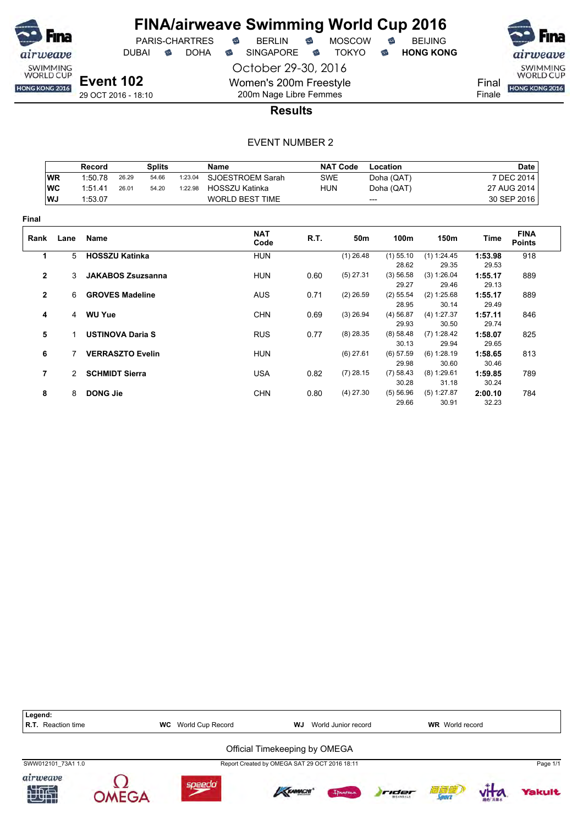

# **FINA/airweave Swimming World Cup 2016**<br>PARIS-CHARTRES **& BERLIN & MOSCOW & BEIJING**  $PARIS-CHARTRES$  **BERLIN B** MOSCOW **B**

October 29-30, 2016

DUBAI **S** DOHA S SINGAPORE S TOKYO S HONG KONG

SWIMMING<br>WORLD CUP Final HONG KONG 2016

airweave

Finale

29 OCT 2016 - 18:10

200m Nage Libre Femmes **Results**

Women's 200m Freestyle

|              |           | Record                   |       | <b>Splits</b> |         | <b>Name</b>            |            | <b>NAT Code</b> | Location             |                      |                  | Date                         |
|--------------|-----------|--------------------------|-------|---------------|---------|------------------------|------------|-----------------|----------------------|----------------------|------------------|------------------------------|
|              | <b>WR</b> | 1:50.78                  | 26.29 | 54.66         | 1:23.04 | SJOESTROEM Sarah       | <b>SWE</b> |                 | Doha (QAT)           |                      |                  | 7 DEC 2014                   |
|              | <b>WC</b> | 1:51.41                  | 26.01 | 54.20         | 1:22.98 | <b>HOSSZU Katinka</b>  | <b>HUN</b> |                 | Doha (QAT)           |                      |                  | 27 AUG 2014                  |
|              | WJ        | 1:53.07                  |       |               |         | <b>WORLD BEST TIME</b> |            |                 | ---                  |                      |                  | 30 SEP 2016                  |
| Final        |           |                          |       |               |         |                        |            |                 |                      |                      |                  |                              |
| Rank         | Lane      | <b>Name</b>              |       |               |         | <b>NAT</b><br>Code     | R.T.       | 50m             | 100m                 | 150m                 | Time             | <b>FINA</b><br><b>Points</b> |
| 1            | 5         | <b>HOSSZU Katinka</b>    |       |               |         | <b>HUN</b>             |            | $(1)$ 26.48     | $(1)$ 55.10          | (1) 1:24.45          | 1:53.98          | 918                          |
|              |           |                          |       |               |         |                        |            |                 | 28.62                | 29.35                | 29.53            |                              |
| $\mathbf{2}$ | 3         | <b>JAKABOS Zsuzsanna</b> |       |               |         | <b>HUN</b>             | 0.60       | $(5)$ 27.31     | (3) 56.58<br>29.27   | (3) 1:26.04<br>29.46 | 1:55.17<br>29.13 | 889                          |
| $\mathbf{2}$ | 6         | <b>GROVES Madeline</b>   |       |               |         | <b>AUS</b>             | 0.71       | $(2)$ 26.59     | $(2)$ 55.54<br>28.95 | (2) 1:25.68<br>30.14 | 1:55.17<br>29.49 | 889                          |
| 4            |           | 4 WU Yue                 |       |               |         | <b>CHN</b>             | 0.69       | $(3)$ 26.94     | $(4)$ 56.87<br>29.93 | (4) 1:27.37<br>30.50 | 1:57.11<br>29.74 | 846                          |
| 5            |           | <b>USTINOVA Daria S</b>  |       |               |         | <b>RUS</b>             | 0.77       | $(8)$ 28.35     | (8) 58.48<br>30.13   | (7) 1:28.42<br>29.94 | 1:58.07<br>29.65 | 825                          |
| 6            |           | <b>VERRASZTO Evelin</b>  |       |               |         | <b>HUN</b>             |            | $(6)$ 27.61     | $(6)$ 57.59<br>29.98 | (6) 1:28.19<br>30.60 | 1:58.65<br>30.46 | 813                          |
| 7            |           | 2 SCHMIDT Sierra         |       |               |         | <b>USA</b>             | 0.82       | $(7)$ 28.15     | (7) 58.43<br>30.28   | (8) 1:29.61<br>31.18 | 1:59.85<br>30.24 | 789                          |
| 8            | 8         | <b>DONG Jie</b>          |       |               |         | <b>CHN</b>             | 0.80       | $(4)$ 27.30     | (5) 56.96<br>29.66   | (5) 1:27.87<br>30.91 | 2:00.10<br>32.23 | 784                          |

| Legend:<br>R.T.<br>Reaction time | World Cup Record<br><b>WC</b> | WJ                                            | World Junior record |       | <b>WR</b> World record |        |          |
|----------------------------------|-------------------------------|-----------------------------------------------|---------------------|-------|------------------------|--------|----------|
|                                  |                               | Official Timekeeping by OMEGA                 |                     |       |                        |        |          |
| SWW012101 73A1 1.0               |                               | Report Created by OMEGA SAT 29 OCT 2016 18:11 |                     |       |                        |        | Page 1/1 |
| airweave<br>地面                   | soeedo                        | <b>KRAMACHI</b>                               | Innema              | rider | 闭复缝<br><b>Louin</b>    | 消化 高量点 | Yakult   |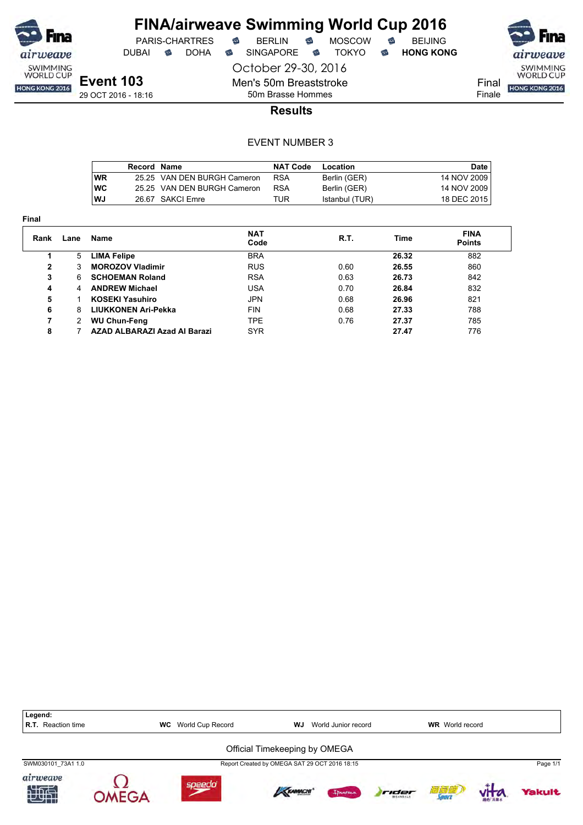

# **FINA/airweave Swimming World Cup 2016**<br>PARIS-CHARTRES **& BERLIN & MOSCOW & BEIJING**  $PARIS-CHARTRES$  **BERLIN B** MOSCOW **B**

DUBAI **S** DOHA S SINGAPORE S TOKYO S HONG KONG

airweave SWIMMING<br>WORLD CUP Final HONG KONG 2016 Finale

**Event 103** 29 OCT 2016 - 18:16 October 29-30, 2016 Men's 50m Breaststroke

50m Brasse Hommes

### **Results**

|           | Record Name |                             | <b>NAT Code</b> | Location       | Date        |
|-----------|-------------|-----------------------------|-----------------|----------------|-------------|
| WR        |             | 25.25 VAN DEN BURGH Cameron | <b>RSA</b>      | Berlin (GER)   | 14 NOV 2009 |
| <b>WC</b> |             | 25.25 VAN DEN BURGH Cameron | <b>RSA</b>      | Berlin (GER)   | 14 NOV 2009 |
| <b>WJ</b> |             | 26.67 SAKCI Emre            | TUR             | Istanbul (TUR) | 18 DEC 2015 |

| . .<br>× |
|----------|

| Rank | Lane | Name                         | <b>NAT</b><br>Code | R.T. | <b>Time</b> | <b>FINA</b><br><b>Points</b> |  |
|------|------|------------------------------|--------------------|------|-------------|------------------------------|--|
|      | 5    | <b>LIMA Felipe</b>           | <b>BRA</b>         |      | 26.32       | 882                          |  |
| 2    | 3    | <b>MOROZOV Vladimir</b>      | <b>RUS</b>         | 0.60 | 26.55       | 860                          |  |
| 3    | 6    | <b>SCHOEMAN Roland</b>       | <b>RSA</b>         | 0.63 | 26.73       | 842                          |  |
| 4    | 4    | <b>ANDREW Michael</b>        | USA                | 0.70 | 26.84       | 832                          |  |
| 5    |      | <b>KOSEKI Yasuhiro</b>       | <b>JPN</b>         | 0.68 | 26.96       | 821                          |  |
| 6    | 8    | LIUKKONEN Ari-Pekka          | <b>FIN</b>         | 0.68 | 27.33       | 788                          |  |
|      | 2    | <b>WU Chun-Feng</b>          | <b>TPE</b>         | 0.76 | 27.37       | 785                          |  |
| 8    |      | AZAD ALBARAZI Azad Al Barazi | <b>SYR</b>         |      | 27.47       | 776                          |  |
|      |      |                              |                    |      |             |                              |  |

| Legend:<br><b>R.T.</b> Reaction time |             | <b>WC</b> World Cup Record | WJ.                                           | World Junior record |       | <b>WR</b> World record |          |
|--------------------------------------|-------------|----------------------------|-----------------------------------------------|---------------------|-------|------------------------|----------|
|                                      |             |                            | Official Timekeeping by OMEGA                 |                     |       |                        |          |
| SWM030101 73A1 1.0                   |             |                            | Report Created by OMEGA SAT 29 OCT 2016 18:15 |                     |       |                        | Page 1/1 |
| airweave<br>知道                       | $MFG\Delta$ | speedo                     | <b>KRAMACHI</b>                               | Innema              | rider | 酒窗道                    | Yakult   |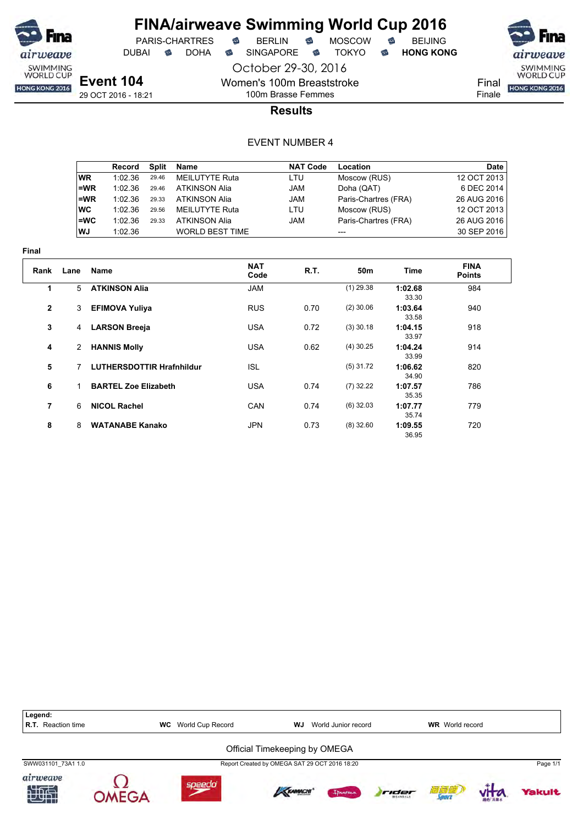

October 29-30, 2016

Women's 100m Breaststroke 100m Brasse Femmes

PARIS-CHARTRES **B** BERLIN **B** MOSCOW **B** BEIJING

DUBAI **S** DOHA S SINGAPORE S TOKYO S HONG KONG

SWIMMING<br>WORLD CUP HONG KONG 2016

Final Finale

**Results**

|       | Record  | Split | Name                   | <b>NAT Code</b> | Location             | Date        |
|-------|---------|-------|------------------------|-----------------|----------------------|-------------|
| WR.   | 1:02.36 | 29.46 | MEILUTYTE Ruta         | LTU             | Moscow (RUS)         | 12 OCT 2013 |
| $=WR$ | 1:02.36 | 29.46 | ATKINSON Alia          | <b>JAM</b>      | Doha (QAT)           | 6 DEC 2014  |
| l=WR  | 1:02.36 | 29.33 | ATKINSON Alia          | <b>JAM</b>      | Paris-Chartres (FRA) | 26 AUG 2016 |
| ∣wc   | 1:02.36 | 29.56 | MEILUTYTE Ruta         | LTU             | Moscow (RUS)         | 12 OCT 2013 |
| l=WC  | 1:02.36 | 29.33 | ATKINSON Alia          | <b>JAM</b>      | Paris-Chartres (FRA) | 26 AUG 2016 |
| l WJ  | 1:02.36 |       | <b>WORLD BEST TIME</b> |                 |                      | 30 SEP 2016 |

| шаг            |      |                             |                    |      |             |                  |                              |  |
|----------------|------|-----------------------------|--------------------|------|-------------|------------------|------------------------------|--|
| Rank           | Lane | Name                        | <b>NAT</b><br>Code | R.T. | 50m         | Time             | <b>FINA</b><br><b>Points</b> |  |
|                | 5    | <b>ATKINSON Alia</b>        | <b>JAM</b>         |      | $(1)$ 29.38 | 1:02.68<br>33.30 | 984                          |  |
| $\overline{2}$ | 3    | <b>EFIMOVA Yuliya</b>       | <b>RUS</b>         | 0.70 | $(2)$ 30.06 | 1:03.64<br>33.58 | 940                          |  |
| 3              | 4    | <b>LARSON Breeja</b>        | <b>USA</b>         | 0.72 | $(3)$ 30.18 | 1:04.15<br>33.97 | 918                          |  |
| 4              | 2    | <b>HANNIS Molly</b>         | <b>USA</b>         | 0.62 | $(4)$ 30.25 | 1:04.24<br>33.99 | 914                          |  |
| 5              | 7    | LUTHERSDOTTIR Hrafnhildur   | <b>ISL</b>         |      | $(5)$ 31.72 | 1:06.62<br>34.90 | 820                          |  |
| 6              | 1    | <b>BARTEL Zoe Elizabeth</b> | <b>USA</b>         | 0.74 | $(7)$ 32.22 | 1:07.57<br>35.35 | 786                          |  |
| $\overline{7}$ | 6    | <b>NICOL Rachel</b>         | CAN                | 0.74 | $(6)$ 32.03 | 1:07.77<br>35.74 | 779                          |  |
| 8              | 8    | <b>WATANABE Kanako</b>      | <b>JPN</b>         | 0.73 | $(8)$ 32.60 | 1:09.55<br>36.95 | 720                          |  |

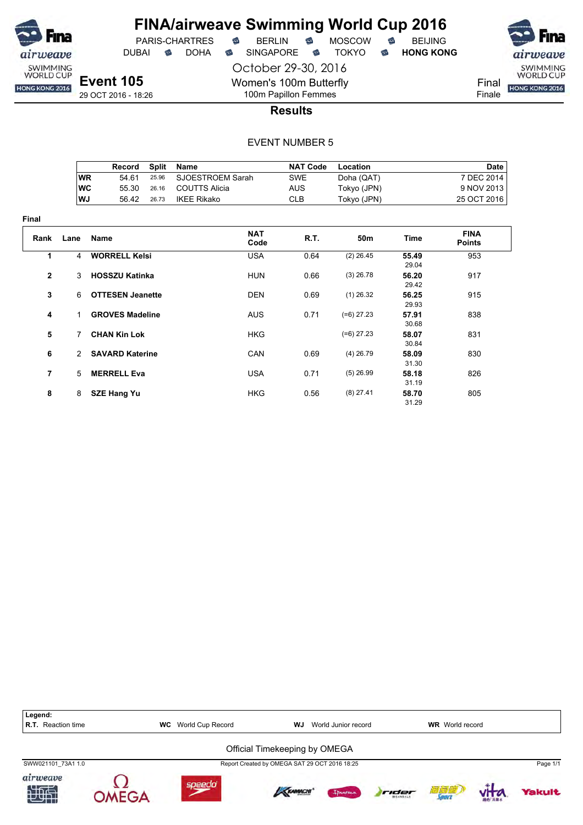

DUBAI **S** DOHA S SINGAPORE S TOKYO S HONG KONG

SWIMMING<br>WORLD CUP

Final HONG KONG 2016 Finale

29 OCT 2016 - 18:26

100m Papillon Femmes **Results**

October 29-30, 2016

Women's 100m Butterfly

|            | Record | Split | Name             | <b>NAT Code</b> | Location    | Date        |
|------------|--------|-------|------------------|-----------------|-------------|-------------|
| ∣WR        | 54 61  | 25.96 | SJOESTROEM Sarah | SWE             | Doha (QAT)  | 7 DEC 2014  |
| <b>IWC</b> | 55.30  | 26.16 | COUTTS Alicia    | AUS             | Tokyo (JPN) | 9 NOV 2013  |
| WJ         | 56.42  | 26.73 | IKEE Rikako      | CLB             | Tokyo (JPN) | 25 OCT 2016 |

| Final          |               |                         |                    |      |                 |                |                              |
|----------------|---------------|-------------------------|--------------------|------|-----------------|----------------|------------------------------|
| Rank           | Lane          | Name                    | <b>NAT</b><br>Code | R.T. | 50 <sub>m</sub> | Time           | <b>FINA</b><br><b>Points</b> |
| 1              | 4             | <b>WORRELL Kelsi</b>    | <b>USA</b>         | 0.64 | $(2)$ 26.45     | 55.49<br>29.04 | 953                          |
| $\overline{2}$ | 3             | <b>HOSSZU Katinka</b>   | <b>HUN</b>         | 0.66 | $(3)$ 26.78     | 56.20<br>29.42 | 917                          |
| 3              | 6             | <b>OTTESEN Jeanette</b> | <b>DEN</b>         | 0.69 | $(1)$ 26.32     | 56.25<br>29.93 | 915                          |
| 4              | $\mathbf 1$   | <b>GROVES Madeline</b>  | <b>AUS</b>         | 0.71 | $(=6)$ 27.23    | 57.91<br>30.68 | 838                          |
| 5              | 7             | <b>CHAN Kin Lok</b>     | <b>HKG</b>         |      | $(=6)$ 27.23    | 58.07<br>30.84 | 831                          |
| 6              | $\mathcal{P}$ | <b>SAVARD Katerine</b>  | CAN                | 0.69 | $(4)$ 26.79     | 58.09<br>31.30 | 830                          |
| $\overline{7}$ | 5             | <b>MERRELL Eva</b>      | <b>USA</b>         | 0.71 | $(5)$ 26.99     | 58.18<br>31.19 | 826                          |
| 8              | 8             | <b>SZE Hang Yu</b>      | <b>HKG</b>         | 0.56 | $(8)$ 27.41     | 58.70<br>31.29 | 805                          |

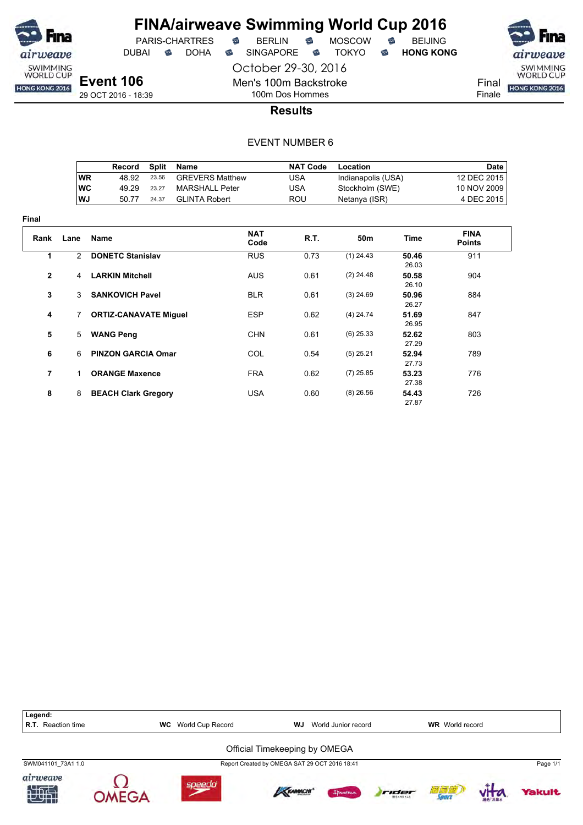

October 29-30, 2016 DUBAI **S** DOHA S SINGAPORE S TOKYO S HONG KONG

PARIS-CHARTRES **B** BERLIN **B** MOSCOW **B** BEIJING



Final Finale

29 OCT 2016 - 18:39

# 100m Dos Hommes **Results**

Men's 100m Backstroke

|            | Record | Split | Name                   | <b>NAT Code</b> | Location           | Date        |
|------------|--------|-------|------------------------|-----------------|--------------------|-------------|
| ∣WR        | 48.92  | 23.56 | <b>GREVERS Matthew</b> | USA             | Indianapolis (USA) | 12 DEC 2015 |
| <b>IWC</b> | 49.29  | 23.27 | MARSHALL Peter         | USA             | Stockholm (SWE)    | 10 NOV 2009 |
| WJ         | 50.77  | 24.37 | GLINTA Robert          | ROU             | Netanya (ISR)      | 4 DEC 2015  |

| Final          |               |                              |                    |             |                 |                |                              |
|----------------|---------------|------------------------------|--------------------|-------------|-----------------|----------------|------------------------------|
| Rank           | Lane          | <b>Name</b>                  | <b>NAT</b><br>Code | <b>R.T.</b> | 50 <sub>m</sub> | Time           | <b>FINA</b><br><b>Points</b> |
| 1              | $\mathcal{P}$ | <b>DONETC Stanislav</b>      | <b>RUS</b>         | 0.73        | $(1)$ 24.43     | 50.46<br>26.03 | 911                          |
| $\overline{2}$ | 4             | <b>LARKIN Mitchell</b>       | <b>AUS</b>         | 0.61        | $(2)$ 24.48     | 50.58<br>26.10 | 904                          |
| 3              | 3             | <b>SANKOVICH Pavel</b>       | <b>BLR</b>         | 0.61        | $(3)$ 24.69     | 50.96<br>26.27 | 884                          |
| 4              | $7^{\circ}$   | <b>ORTIZ-CANAVATE Miguel</b> | <b>ESP</b>         | 0.62        | $(4)$ 24.74     | 51.69<br>26.95 | 847                          |
| 5              | 5             | <b>WANG Peng</b>             | <b>CHN</b>         | 0.61        | $(6)$ 25.33     | 52.62<br>27.29 | 803                          |
| 6              | 6             | <b>PINZON GARCIA Omar</b>    | <b>COL</b>         | 0.54        | $(5)$ 25.21     | 52.94<br>27.73 | 789                          |
| 7              | $\mathbf{1}$  | <b>ORANGE Maxence</b>        | <b>FRA</b>         | 0.62        | $(7)$ 25.85     | 53.23<br>27.38 | 776                          |
| 8              | 8             | <b>BEACH Clark Gregory</b>   | <b>USA</b>         | 0.60        | $(8)$ 26.56     | 54.43<br>2787  | 726                          |

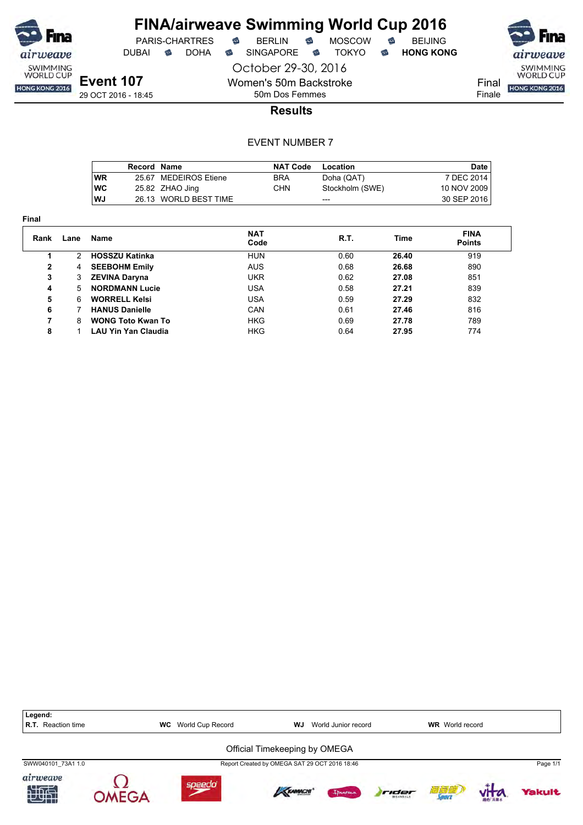

DUBAI **S** DOHA S SINGAPORE S TOKYO S HONG KONG

October 29-30, 2016 Women's 50m Backstroke

**Event 107** 29 OCT 2016 - 18:45 Final Finale

50m Dos Femmes **Results**

|            | <b>Record Name</b> |                       | <b>NAT Code</b> | Location        | Date        |
|------------|--------------------|-----------------------|-----------------|-----------------|-------------|
| <b>WR</b>  |                    | 25.67 MEDEIROS Etiene | <b>BRA</b>      | Doha (QAT)      | 7 DEC 2014  |
| <b>IWC</b> |                    | 25.82 ZHAO Jing       | CHN.            | Stockholm (SWE) | 10 NOV 2009 |
| lWJ        |                    | 26.13 WORLD BEST TIME |                 | ---             | 30 SEP 2016 |

| <b>Final</b> |      |                            |                    |      |       |                              |  |
|--------------|------|----------------------------|--------------------|------|-------|------------------------------|--|
| Rank         | Lane | Name                       | <b>NAT</b><br>Code | R.T. | Time  | <b>FINA</b><br><b>Points</b> |  |
|              | 2    | <b>HOSSZU Katinka</b>      | <b>HUN</b>         | 0.60 | 26.40 | 919                          |  |
| $\mathbf{2}$ | 4    | <b>SEEBOHM Emily</b>       | <b>AUS</b>         | 0.68 | 26.68 | 890                          |  |
| 3            | 3    | <b>ZEVINA Daryna</b>       | <b>UKR</b>         | 0.62 | 27.08 | 851                          |  |
| 4            | 5    | <b>NORDMANN Lucie</b>      | <b>USA</b>         | 0.58 | 27.21 | 839                          |  |
| 5            | 6    | <b>WORRELL Kelsi</b>       | <b>USA</b>         | 0.59 | 27.29 | 832                          |  |
| 6            |      | <b>HANUS Danielle</b>      | CAN                | 0.61 | 27.46 | 816                          |  |
| 7            | 8    | <b>WONG Toto Kwan To</b>   | <b>HKG</b>         | 0.69 | 27.78 | 789                          |  |
| 8            |      | <b>LAU Yin Yan Claudia</b> | <b>HKG</b>         | 0.64 | 27.95 | 774                          |  |



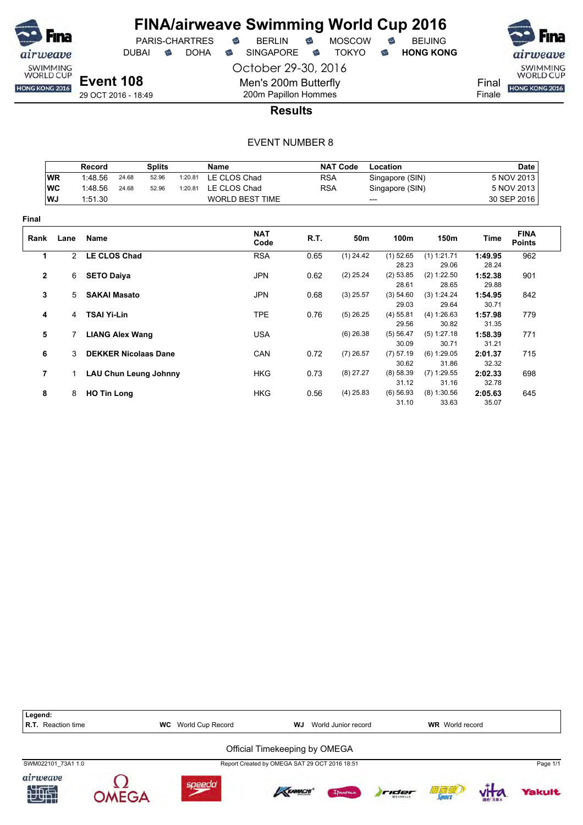

PARIS-CHARTRES DUBAI **S** DOHA S SINGAPORE S TOKYO S HONG KONG

airweave SWIMMING<br>WORLD CUP Final HONG KONG 2016

Finale

29 OCT 2016 - 18:49

200m Papillon Hommes **Results**

October 29-30, 2016

Men's 200m Butterfly

|              |              | Record<br><b>Splits</b> |                        |                              |         | Name                   |            | <b>NAT Code</b> | Location           |                      |                  | <b>Date</b>                  |
|--------------|--------------|-------------------------|------------------------|------------------------------|---------|------------------------|------------|-----------------|--------------------|----------------------|------------------|------------------------------|
|              | <b>WR</b>    | 1:48.56                 | 24.68                  | 52.96                        | 1:20.81 | LE CLOS Chad           | <b>RSA</b> |                 | Singapore (SIN)    |                      |                  | 5 NOV 2013                   |
|              | <b>WC</b>    | 1:48.56                 | 24.68                  | 52.96                        | 1:20.81 | LE CLOS Chad           | <b>RSA</b> |                 | Singapore (SIN)    | 5 NOV 2013           |                  |                              |
|              | WJ           | 1:51.30                 |                        |                              |         | <b>WORLD BEST TIME</b> |            | ---             |                    |                      |                  | 30 SEP 2016                  |
| Final        |              |                         |                        |                              |         |                        |            |                 |                    |                      |                  |                              |
| Rank         | Lane         | Name                    |                        |                              |         | <b>NAT</b><br>Code     | R.T.       | 50 <sub>m</sub> | 100m               | 150m                 | Time             | <b>FINA</b><br><b>Points</b> |
| 1            | $\mathbf{2}$ | <b>LE CLOS Chad</b>     |                        |                              |         | <b>RSA</b>             | 0.65       | $(1)$ 24.42     | $(1)$ 52.65        | $(1)$ 1:21.71        | 1:49.95          | 962                          |
|              |              |                         |                        |                              |         |                        |            |                 | 28.23              | 29.06                | 28.24            |                              |
| $\mathbf{2}$ | 6            | <b>SETO Daiya</b>       |                        |                              |         | <b>JPN</b>             | 0.62       | $(2)$ 25.24     | (2) 53.85<br>28.61 | (2) 1:22.50<br>28.65 | 1:52.38<br>29.88 | 901                          |
| 3            | 5            |                         | <b>SAKAI Masato</b>    |                              |         | <b>JPN</b>             | 0.68       | $(3)$ 25.57     | (3) 54.60          | (3) 1:24.24          | 1:54.95          | 842                          |
|              |              |                         |                        |                              |         |                        |            |                 | 29.03              | 29.64                | 30.71            |                              |
| 4            | 4            | <b>TSAI Yi-Lin</b>      |                        |                              |         | <b>TPE</b>             | 0.76       | $(5)$ 26.25     | $(4)$ 55.81        | (4) 1:26.63          | 1:57.98          | 779                          |
|              |              |                         |                        |                              |         |                        |            |                 | 29.56              | 30.82                | 31.35            |                              |
| 5            |              |                         | <b>LIANG Alex Wang</b> |                              |         | <b>USA</b>             |            | $(6)$ 26.38     | (5) 56.47          | (5) 1:27.18          | 1:58.39          | 771                          |
|              |              |                         |                        |                              |         |                        |            |                 | 30.09              | 30.71                | 31.21            |                              |
| 6            | 3            |                         |                        | <b>DEKKER Nicolaas Dane</b>  |         | CAN                    | 0.72       | $(7)$ 26.57     | (7) 57.19          | $(6)$ 1:29.05        | 2:01.37          | 715                          |
|              |              |                         |                        |                              |         |                        |            |                 | 30.62              | 31.86                | 32.32            |                              |
| 7            |              |                         |                        | <b>LAU Chun Leung Johnny</b> |         | <b>HKG</b>             | 0.73       | $(8)$ 27.27     | (8) 58.39          | $(7)$ 1:29.55        | 2:02.33          | 698                          |
|              |              |                         |                        |                              |         |                        |            |                 | 31.12              | 31.16                | 32.78            |                              |
| 8            | 8            | <b>HO Tin Long</b>      |                        |                              |         | <b>HKG</b>             | 0.56       | $(4)$ 25.83     | $(6)$ 56.93        | $(8)$ 1:30.56        | 2:05.63          | 645                          |
|              |              |                         |                        |                              |         |                        |            |                 | 31.10              | 33.63                | 35.07            |                              |

| Legend:<br><b>R.T.</b> Reaction time | WC | World Cup Record | WJ                                            | World Junior record |       | <b>WR</b> World record |        |               |
|--------------------------------------|----|------------------|-----------------------------------------------|---------------------|-------|------------------------|--------|---------------|
|                                      |    |                  | Official Timekeeping by OMEGA                 |                     |       |                        |        |               |
| SWM022101 73A1 1.0                   |    |                  | Report Created by OMEGA SAT 29 OCT 2016 18:51 |                     |       |                        |        | Page 1/1      |
| airweave                             |    | speedd           | KRAMACHI                                      | Ipanemo             | rider | 荷藏植<br>Sourr           | 初代 再出水 | <b>Yakult</b> |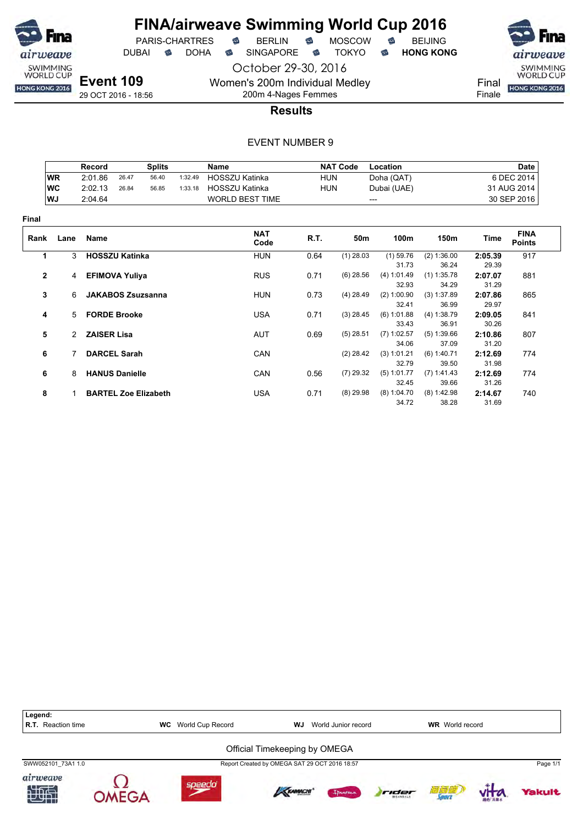

# **FINA/airweave Swimming World Cup 2016**<br>PARIS-CHARTRES **& BERLIN & MOSCOW & BEIJING** PARIS-CHARTRES

DUBAI **S** DOHA S SINGAPORE S TOKYO S HONG KONG

**Event 109**

29 OCT 2016 - 18:56

Final **HONG KONG 2016** 

airweave

SWIMMING<br>WORLD CUP

Finale

200m 4-Nages Femmes **Results**

October 29-30, 2016

Women's 200m Individual Medley

|              |               | Record                |                          | <b>Splits</b>               |         | Name                   |            | <b>NAT Code</b> | Location                      |                               |                           | <b>Date</b>                  |
|--------------|---------------|-----------------------|--------------------------|-----------------------------|---------|------------------------|------------|-----------------|-------------------------------|-------------------------------|---------------------------|------------------------------|
|              | <b>WR</b>     | 2:01.86               | 26.47                    | 56.40                       | 1:32.49 | <b>HOSSZU Katinka</b>  | <b>HUN</b> |                 | Doha (QAT)                    |                               |                           | 6 DEC 2014                   |
|              | WC            | 2:02.13               | 26.84                    | 56.85                       | 1:33.18 | HOSSZU Katinka         | <b>HUN</b> |                 | Dubai (UAE)                   |                               |                           | 31 AUG 2014                  |
|              | WJ            | 2:04.64               |                          |                             |         | <b>WORLD BEST TIME</b> |            |                 | ---                           |                               |                           | 30 SEP 2016                  |
| Final        |               |                       |                          |                             |         |                        |            |                 |                               |                               |                           |                              |
| Rank         | Lane          | Name                  |                          |                             |         | <b>NAT</b><br>Code     | R.T.       | 50m             | 100m                          | 150m                          | Time                      | <b>FINA</b><br><b>Points</b> |
| 1            | 3             | <b>HOSSZU Katinka</b> |                          |                             |         | <b>HUN</b>             | 0.64       | $(1)$ 28.03     | $(1)$ 59.76                   | (2) 1:36.00                   | 2:05.39                   | 917                          |
|              |               |                       |                          |                             |         |                        |            |                 | 31.73                         | 36.24                         | 29.39                     |                              |
| $\mathbf{2}$ | 4             | <b>EFIMOVA Yuliya</b> |                          |                             |         | <b>RUS</b>             | 0.71       | $(6)$ 28.56     | (4) 1:01.49<br>32.93          | $(1)$ 1:35.78<br>34.29        | 2:07.07<br>31.29          | 881                          |
| 3            | 6             |                       | <b>JAKABOS Zsuzsanna</b> |                             |         | <b>HUN</b>             | 0.73       | $(4)$ 28.49     | (2) 1:00.90<br>32.41          | (3) 1:37.89<br>36.99          | 2:07.86<br>29.97          | 865                          |
| 4            | 5             | <b>FORDE Brooke</b>   |                          |                             |         | <b>USA</b>             | 0.71       | $(3)$ 28.45     | (6) 1:01.88                   | (4) 1:38.79                   | 2:09.05                   | 841                          |
| 5            | $\mathcal{P}$ | <b>ZAISER Lisa</b>    |                          |                             |         | <b>AUT</b>             | 0.69       | $(5)$ 28.51     | 33.43<br>$(7)$ 1:02.57        | 36.91<br>(5) 1:39.66          | 30.26<br>2:10.86          | 807                          |
| 6            |               |                       | <b>DARCEL Sarah</b>      |                             |         | CAN                    |            | $(2)$ 28.42     | 34.06<br>(3) 1:01.21<br>32.79 | 37.09<br>(6) 1:40.71<br>39.50 | 31.20<br>2:12.69<br>31.98 | 774                          |
| 6            | 8             |                       | <b>HANUS Danielle</b>    |                             |         | CAN                    | 0.56       | $(7)$ 29.32     | (5) 1:01.77<br>32.45          | (7) 1:41.43<br>39.66          | 2:12.69<br>31.26          | 774                          |
| 8            |               |                       |                          | <b>BARTEL Zoe Elizabeth</b> |         | <b>USA</b>             | 0.71       | $(8)$ 29.98     | (8) 1:04.70<br>34.72          | $(8)$ 1:42.98<br>38.28        | 2:14.67<br>31.69          | 740                          |

| Legend:<br>R.T. Reaction time | World Cup Record<br><b>WC</b> | WJ                                            | World Junior record |       | <b>WR</b> World record |               |          |
|-------------------------------|-------------------------------|-----------------------------------------------|---------------------|-------|------------------------|---------------|----------|
|                               |                               | Official Timekeeping by OMEGA                 |                     |       |                        |               |          |
| SWW052101 73A1 1.0            |                               | Report Created by OMEGA SAT 29 OCT 2016 18:57 |                     |       |                        |               | Page 1/1 |
| airweave<br>加快                | soeed                         | KRAMACHI                                      | Innema              | rider | 滴滴瘾                    | <b>相位 高葉水</b> | Yakult   |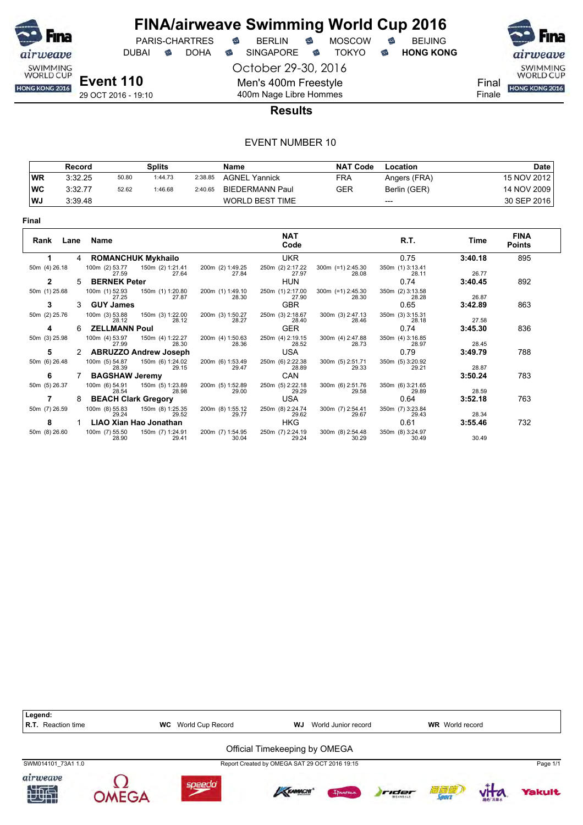

DUBAI **S** DOHA S SINGAPORE S TOKYO S HONG KONG

October 29-30, 2016 Men's 400m Freestyle 400m Nage Libre Hommes

PARIS-CHARTRES **B** BERLIN **B** MOSCOW **B** BEIJING

SWIMMING<br>WORLD CUP HONG KONG 2016

Final Finale

29 OCT 2016 - 19:10

#### **Results**

|           | Record  |       | Splits  |         | Name                   | <b>NAT Code</b> | Location     | <b>Date</b> |
|-----------|---------|-------|---------|---------|------------------------|-----------------|--------------|-------------|
| WR        | 3:32.25 | 50.80 | 1:44.73 | 2:38.85 | <b>AGNEL Yannick</b>   | FRA             | Angers (FRA) | 15 NOV 2012 |
| <b>WC</b> | 3:32.77 | 52.62 | 1:46.68 | 2:40.65 | BIEDERMANN Paul        | GER             | Berlin (GER) | 14 NOV 2009 |
| WJ        | 3:39.48 |       |         |         | <b>WORLD BEST TIME</b> |                 | $---$        | 30 SEP 2016 |

| Rank<br>Lane  |    | Name                          |                           |                           | <b>NAT</b><br>Code        |                              | R.T.                      | Time    | <b>FINA</b><br><b>Points</b> |
|---------------|----|-------------------------------|---------------------------|---------------------------|---------------------------|------------------------------|---------------------------|---------|------------------------------|
|               | 4  | <b>ROMANCHUK Mykhailo</b>     |                           |                           | <b>UKR</b>                |                              | 0.75                      | 3:40.18 | 895                          |
| 50m (4) 26.18 |    | 100m (2) 53.77<br>27.59       | 150m (2) 1:21.41<br>27.64 | 200m (2) 1:49.25<br>27.84 | 250m (2) 2:17.22<br>27.97 | 300m (=1) 2:45.30<br>28.08   | 350m (1) 3:13.41<br>28.11 | 26.77   |                              |
| 2             | 5. | <b>BERNEK Peter</b>           |                           |                           | <b>HUN</b>                |                              | 0.74                      | 3:40.45 | 892                          |
| 50m (1) 25.68 |    | 100m (1) 52.93<br>27.25       | 150m (1) 1:20.80<br>27.87 | 200m (1) 1:49.10<br>28.30 | 250m (1) 2:17.00<br>27.90 | $300m$ (=1) 2:45.30<br>28.30 | 350m (2) 3:13.58<br>28.28 | 26.87   |                              |
| 3             | 3  | <b>GUY James</b>              |                           |                           | <b>GBR</b>                |                              | 0.65                      | 3:42.89 | 863                          |
| 50m (2) 25.76 |    | 100m (3) 53.88<br>28.12       | 150m (3) 1:22.00<br>28.12 | 200m (3) 1:50.27<br>28.27 | 250m (3) 2:18.67<br>28.40 | 300m (3) 2:47.13<br>28.46    | 350m (3) 3:15.31<br>28.18 | 27.58   |                              |
| 4             | 6  | <b>ZELLMANN Poul</b>          |                           |                           | <b>GER</b>                |                              | 0.74                      | 3:45.30 | 836                          |
| 50m (3) 25.98 |    | 100m (4) 53.97<br>27.99       | 150m (4) 1:22.27<br>28.30 | 200m (4) 1:50.63<br>28.36 | 250m (4) 2:19.15<br>28.52 | 300m (4) 2:47.88<br>28.73    | 350m (4) 3:16.85<br>28.97 | 28.45   |                              |
| 5             |    | <b>ABRUZZO Andrew Joseph</b>  |                           |                           | USA                       |                              | 0.79                      | 3:49.79 | 788                          |
| 50m (6) 26.48 |    | 100m (5) 54.87<br>28.39       | 150m (6) 1:24.02<br>29.15 | 200m (6) 1:53.49<br>29.47 | 250m (6) 2:22.38<br>28.89 | 300m (5) 2:51.71<br>29.33    | 350m (5) 3:20.92<br>29.21 | 28.87   |                              |
| 6             |    | <b>BAGSHAW Jeremy</b>         |                           |                           | CAN                       |                              |                           | 3:50.24 | 783                          |
| 50m (5) 26.37 |    | 100m (6) 54.91<br>28.54       | 150m (5) 1:23.89<br>28.98 | 200m (5) 1:52.89<br>29.00 | 250m (5) 2:22.18<br>29.29 | 300m (6) 2:51.76<br>29.58    | 350m (6) 3:21.65<br>29.89 | 28.59   |                              |
|               | 8  | <b>BEACH Clark Gregory</b>    |                           |                           | <b>USA</b>                |                              | 0.64                      | 3:52.18 | 763                          |
| 50m (7) 26.59 |    | 100m (8) 55.83<br>29.24       | 150m (8) 1:25.35<br>29.52 | 200m (8) 1:55.12<br>29.77 | 250m (8) 2:24.74<br>29.62 | 300m (7) 2:54.41<br>29.67    | 350m (7) 3:23.84<br>29.43 | 28.34   |                              |
| 8             |    | <b>LIAO Xian Hao Jonathan</b> |                           |                           | <b>HKG</b>                |                              | 0.61                      | 3:55.46 | 732                          |
| 50m (8) 26.60 |    | 100m (7) 55.50<br>28.90       | 150m (7) 1:24.91<br>29.41 | 200m (7) 1:54.95<br>30.04 | 250m (7) 2:24.19<br>29.24 | 300m (8) 2:54.48<br>30.29    | 350m (8) 3:24.97<br>30.49 | 30.49   |                              |

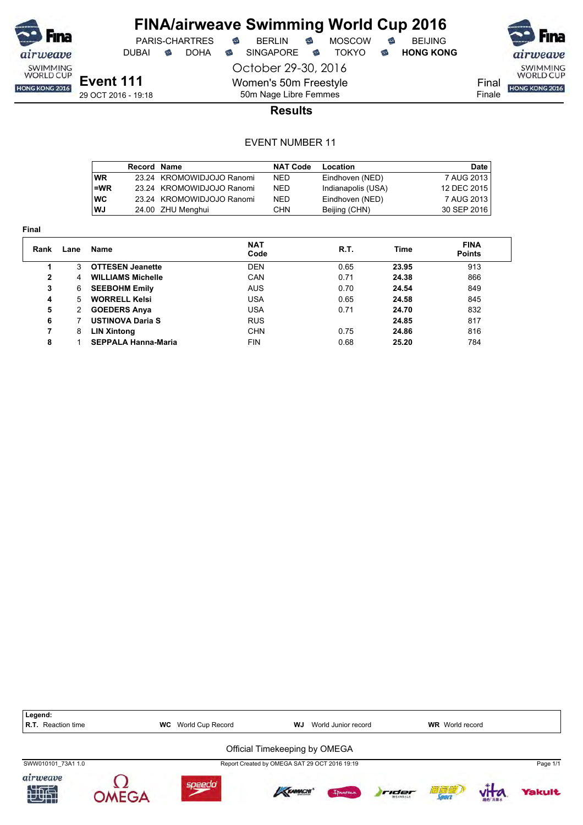

DUBAI **S** DOHA S SINGAPORE S TOKYO S HONG KONG

PARIS-CHARTRES **B** BERLIN **B** MOSCOW **B** BEIJING

October 29-30, 2016



**Event 111** 29 OCT 2016 - 19:18

50m Nage Libre Femmes **Results**

Women's 50m Freestyle

|            | <b>Record Name</b> |                           | <b>NAT Code</b> | Location           | Date I      |
|------------|--------------------|---------------------------|-----------------|--------------------|-------------|
| <b>WR</b>  |                    | 23.24 KROMOWIDJOJO Ranomi | NED.            | Eindhoven (NED)    | 7 AUG 2013  |
| l=WR       |                    | 23.24 KROMOWIDJOJO Ranomi | <b>NED</b>      | Indianapolis (USA) | 12 DEC 2015 |
| <b>IWC</b> |                    | 23.24 KROMOWIDJOJO Ranomi | <b>NED</b>      | Eindhoven (NED)    | 7 AUG 2013  |
| WJ         |                    | 24.00 ZHU Menghui         | <b>CHN</b>      | Beijing (CHN)      | 30 SEP 2016 |

| Final        |      |                            |                    |      |       |                              |
|--------------|------|----------------------------|--------------------|------|-------|------------------------------|
| Rank         | Lane | Name                       | <b>NAT</b><br>Code | R.T. | Time  | <b>FINA</b><br><b>Points</b> |
|              | 3    | <b>OTTESEN Jeanette</b>    | <b>DEN</b>         | 0.65 | 23.95 | 913                          |
| $\mathbf{2}$ | 4    | <b>WILLIAMS Michelle</b>   | <b>CAN</b>         | 0.71 | 24.38 | 866                          |
| 3            | 6    | <b>SEEBOHM Emily</b>       | <b>AUS</b>         | 0.70 | 24.54 | 849                          |
| 4            | 5    | <b>WORRELL Kelsi</b>       | USA                | 0.65 | 24.58 | 845                          |
| 5            | 2    | <b>GOEDERS Anya</b>        | USA                | 0.71 | 24.70 | 832                          |
| 6            |      | <b>USTINOVA Daria S</b>    | <b>RUS</b>         |      | 24.85 | 817                          |
| 7            | 8    | <b>LIN Xintong</b>         | <b>CHN</b>         | 0.75 | 24.86 | 816                          |
| 8            |      | <b>SEPPALA Hanna-Maria</b> | <b>FIN</b>         | 0.68 | 25.20 | 784                          |

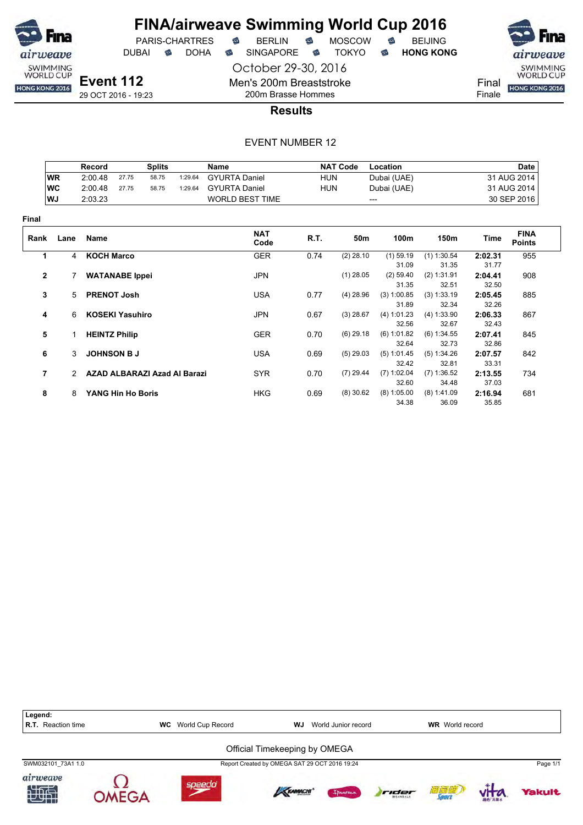

DUBAI **S** DOHA SINGAPORE S TOKYO S HONG KONG

October 29-30, 2016

SWIMMING<br>WORLD CUP Final

HONG KONG 2016 Finale

29 OCT 2016 - 19:23

200m Brasse Hommes **Results**

Men's 200m Breaststroke

|              |               | Record               |                        | <b>Splits</b>                |         | <b>Name</b>            |            | <b>NAT Code</b> | Location             |                      |                  | <b>Date</b>                  |
|--------------|---------------|----------------------|------------------------|------------------------------|---------|------------------------|------------|-----------------|----------------------|----------------------|------------------|------------------------------|
|              | <b>WR</b>     | 2:00.48              | 27.75                  | 58.75                        | 1:29.64 | <b>GYURTA Daniel</b>   | <b>HUN</b> |                 | Dubai (UAE)          |                      |                  | 31 AUG 2014                  |
|              | <b>WC</b>     | 2:00.48              | 27.75                  | 58.75                        | 1:29.64 | <b>GYURTA Daniel</b>   | <b>HUN</b> |                 | Dubai (UAE)          |                      |                  | 31 AUG 2014                  |
|              | WJ            | 2:03.23              |                        |                              |         | <b>WORLD BEST TIME</b> |            | ---             |                      |                      |                  | 30 SEP 2016                  |
| Final        |               |                      |                        |                              |         |                        |            |                 |                      |                      |                  |                              |
| Rank         | Lane          | Name                 |                        |                              |         | <b>NAT</b><br>Code     | R.T.       | 50m             | 100m                 | 150m                 | Time             | <b>FINA</b><br><b>Points</b> |
| 1            | 4             | <b>KOCH Marco</b>    |                        |                              |         | <b>GER</b>             | 0.74       | $(2)$ 28.10     | $(1)$ 59.19          | $(1)$ 1:30.54        | 2:02.31          | 955                          |
|              |               |                      |                        |                              |         |                        |            |                 | 31.09                | 31.35                | 31.77            |                              |
| $\mathbf{2}$ |               |                      | <b>WATANABE Ippei</b>  |                              |         | <b>JPN</b>             |            | $(1)$ 28.05     | $(2)$ 59.40<br>31.35 | (2) 1:31.91<br>32.51 | 2:04.41<br>32.50 | 908                          |
| 3            | 5.            | <b>PRENOT Josh</b>   |                        |                              |         | <b>USA</b>             | 0.77       | $(4)$ 28.96     | (3) 1:00.85          | (3) 1:33.19          | 2:05.45          | 885                          |
|              |               |                      |                        |                              |         |                        |            |                 | 31.89                | 32.34                | 32.26            |                              |
| 4            | 6             |                      | <b>KOSEKI Yasuhiro</b> |                              |         | <b>JPN</b>             | 0.67       | $(3)$ 28.67     | (4) 1:01.23          | (4) 1:33.90          | 2:06.33          | 867                          |
|              |               |                      |                        |                              |         |                        |            |                 | 32.56                | 32.67                | 32.43            |                              |
| 5            | 1.            | <b>HEINTZ Philip</b> |                        |                              |         | <b>GER</b>             | 0.70       | $(6)$ 29.18     | (6) 1:01.82          | (6) 1:34.55          | 2:07.41          | 845                          |
|              |               |                      |                        |                              |         |                        |            |                 | 32.64                | 32.73                | 32.86            |                              |
| 6            | 3             |                      | <b>JOHNSON B J</b>     |                              |         | <b>USA</b>             | 0.69       | $(5)$ 29.03     | (5) 1:01.45          | (5) 1:34.26          | 2:07.57          | 842                          |
|              |               |                      |                        |                              |         |                        |            |                 | 32.42                | 32.81                | 33.31            |                              |
| 7            | $\mathcal{P}$ |                      |                        | AZAD ALBARAZI Azad Al Barazi |         | <b>SYR</b>             | 0.70       | $(7)$ 29.44     | $(7)$ 1:02.04        | (7) 1:36.52          | 2:13.55          | 734                          |
|              |               |                      |                        |                              |         |                        |            |                 | 32.60                | 34.48                | 37.03            |                              |
| 8            | 8             |                      | YANG Hin Ho Boris      |                              |         | <b>HKG</b>             | 0.69       | $(8)$ 30.62     | $(8)$ 1:05.00        | $(8)$ 1:41.09        | 2:16.94          | 681                          |
|              |               |                      |                        |                              |         |                        |            |                 | 34.38                | 36.09                | 35.85            |                              |

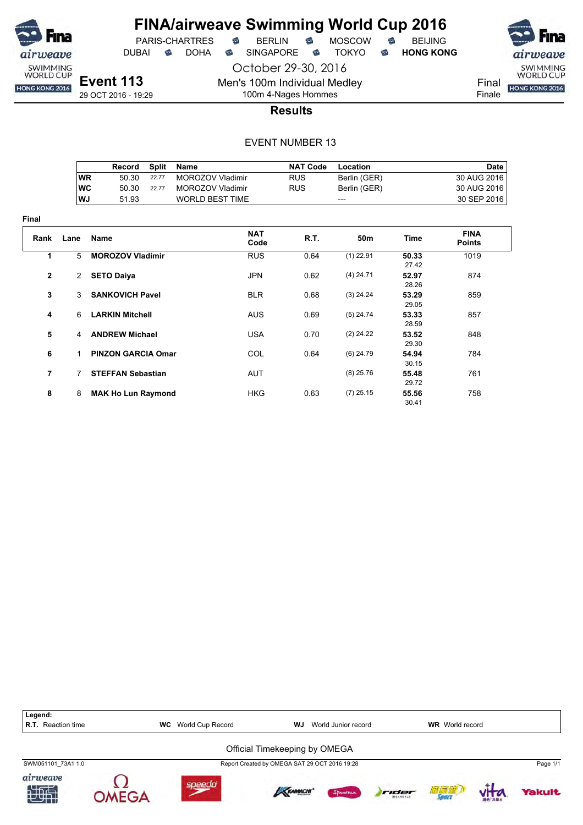

**Final**

# **FINA/airweave Swimming World Cup 2016**

PARIS-CHARTRES **B** BERLIN **B** MOSCOW **B** BEIJING DUBAI **S** DOHA S SINGAPORE S TOKYO S HONG KONG

October 29-30, 2016



Men's 100m Individual Medley 100m 4-Nages Hommes



**Results**

|                |                | Record                    | <b>Split</b> | Name                   | <b>NAT Code</b> | Location     |                | <b>Date</b>                  |
|----------------|----------------|---------------------------|--------------|------------------------|-----------------|--------------|----------------|------------------------------|
|                | <b>WR</b>      | 50.30                     | 22.77        | MOROZOV Vladimir       | <b>RUS</b>      | Berlin (GER) |                | 30 AUG 2016                  |
|                | <b>WC</b>      | 50.30                     | 22.77        | MOROZOV Vladimir       | <b>RUS</b>      | Berlin (GER) |                | 30 AUG 2016                  |
|                | WJ             | 51.93                     |              | <b>WORLD BEST TIME</b> |                 | ---          |                | 30 SEP 2016                  |
| ıal            |                |                           |              |                        |                 |              |                |                              |
| Rank           | Lane           | <b>Name</b>               |              | <b>NAT</b><br>Code     | R.T.            | 50m          | Time           | <b>FINA</b><br><b>Points</b> |
| 1              | 5              | <b>MOROZOV Vladimir</b>   |              | <b>RUS</b>             | 0.64            | $(1)$ 22.91  | 50.33<br>27.42 | 1019                         |
| 2              | $\overline{2}$ | <b>SETO Daiya</b>         |              | <b>JPN</b>             | 0.62            | $(4)$ 24.71  | 52.97<br>28.26 | 874                          |
| 3              | 3              | <b>SANKOVICH Pavel</b>    |              | <b>BLR</b>             | 0.68            | $(3)$ 24.24  | 53.29<br>29.05 | 859                          |
| 4              | 6              | <b>LARKIN Mitchell</b>    |              | <b>AUS</b>             | 0.69            | $(5)$ 24.74  | 53.33<br>28.59 | 857                          |
| 5              | 4              | <b>ANDREW Michael</b>     |              | <b>USA</b>             | 0.70            | $(2)$ 24.22  | 53.52<br>29.30 | 848                          |
| 6              | 1              | <b>PINZON GARCIA Omar</b> |              | COL                    | 0.64            | $(6)$ 24.79  | 54.94<br>30.15 | 784                          |
| $\overline{7}$ | 7              | <b>STEFFAN Sebastian</b>  |              | AUT                    |                 | $(8)$ 25.76  | 55.48<br>29.72 | 761                          |
| 8              | 8              | <b>MAK Ho Lun Raymond</b> |              | <b>HKG</b>             | 0.63            | $(7)$ 25.15  | 55.56<br>30.41 | 758                          |

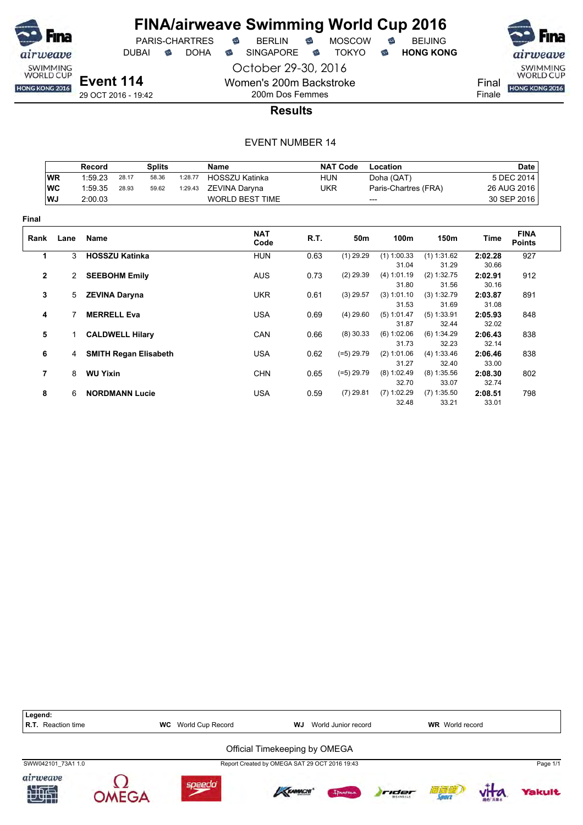

PARIS-CHARTRES DUBAI **S** DOHA S SINGAPORE S TOKYO S HONG KONG

October 29-30, 2016 Women's 200m Backstroke

200m Dos Femmes



Finale

**Results**

|                |             | Record          |                        | <b>Splits</b>                |         | Name                   |      | <b>NAT Code</b>                    | Location             |                      |                  | <b>Date</b>                  |
|----------------|-------------|-----------------|------------------------|------------------------------|---------|------------------------|------|------------------------------------|----------------------|----------------------|------------------|------------------------------|
|                | <b>WR</b>   | 1:59.23         | 28.17                  | 58.36                        | 1:28.77 | HOSSZU Katinka         |      | <b>HUN</b>                         | Doha (QAT)           |                      |                  | 5 DEC 2014                   |
|                | WC          | 1:59.35         | 28.93                  | 59.62                        | 1:29.43 | ZEVINA Daryna          |      | <b>UKR</b><br>Paris-Chartres (FRA) |                      |                      | 26 AUG 2016      |                              |
|                | WJ          | 2:00.03         |                        |                              |         | <b>WORLD BEST TIME</b> |      | ---                                |                      |                      |                  | 30 SEP 2016                  |
| Final          |             |                 |                        |                              |         |                        |      |                                    |                      |                      |                  |                              |
| Rank           | Lane        | Name            |                        |                              |         | <b>NAT</b><br>Code     | R.T. | 50m                                | 100m                 | 150m                 | Time             | <b>FINA</b><br><b>Points</b> |
| 1              | 3           |                 | <b>HOSSZU Katinka</b>  |                              |         | <b>HUN</b>             | 0.63 | $(1)$ 29.29                        | $(1)$ 1:00.33        | $(1)$ 1:31.62        | 2:02.28          | 927                          |
|                |             |                 |                        |                              |         |                        |      |                                    | 31.04                | 31.29                | 30.66            |                              |
| $\mathbf{2}$   | 2           |                 | <b>SEEBOHM Emily</b>   |                              |         | <b>AUS</b>             | 0.73 | $(2)$ 29.39                        | (4) 1:01.19<br>31.80 | (2) 1:32.75<br>31.56 | 2:02.91<br>30.16 | 912                          |
| 3              | $5^{\circ}$ |                 | <b>ZEVINA Daryna</b>   |                              |         | <b>UKR</b>             | 0.61 | $(3)$ 29.57                        | (3) 1:01.10          | (3) 1:32.79          | 2:03.87          | 891                          |
|                |             |                 |                        |                              |         |                        |      |                                    | 31.53                | 31.69                | 31.08            |                              |
| 4              |             |                 | <b>MERRELL Eva</b>     |                              |         | <b>USA</b>             | 0.69 | $(4)$ 29.60                        | (5) 1:01.47          | $(5)$ 1:33.91        | 2:05.93          | 848                          |
|                |             |                 |                        |                              |         |                        |      |                                    | 31.87                | 32.44                | 32.02            |                              |
| 5              | 1           |                 | <b>CALDWELL Hilary</b> |                              |         | CAN                    | 0.66 | $(8)$ 30.33                        | (6) 1:02.06          | (6) 1:34.29          | 2:06.43          | 838                          |
|                |             |                 |                        |                              |         |                        |      |                                    | 31.73                | 32.23                | 32.14            |                              |
| 6              | 4           |                 |                        | <b>SMITH Regan Elisabeth</b> |         | <b>USA</b>             | 0.62 | $(=5)$ 29.79                       | (2) 1:01.06          | (4) 1:33.46          | 2:06.46          | 838                          |
|                |             |                 |                        |                              |         |                        |      |                                    | 31.27                | 32.40                | 33.00            |                              |
| $\overline{7}$ | 8           | <b>WU Yixin</b> |                        |                              |         | <b>CHN</b>             | 0.65 | $(=5)$ 29.79                       | (8) 1:02.49          | $(8)$ 1:35.56        | 2:08.30          | 802                          |
|                |             |                 |                        |                              |         |                        |      |                                    | 32.70                | 33.07                | 32.74            |                              |
| 8              | 6           |                 | <b>NORDMANN Lucie</b>  |                              |         | <b>USA</b>             | 0.59 | $(7)$ 29.81                        | $(7)$ 1:02.29        | $(7)$ 1:35.50        | 2:08.51          | 798                          |
|                |             |                 |                        |                              |         |                        |      |                                    | 32.48                | 33.21                | 33.01            |                              |

| Legend:<br><b>R.T.</b> Reaction time | World Cup Record<br>WJ<br><b>WC</b><br><b>WR</b> World record<br>World Junior record |                                               |        |                          |                     |               |          |
|--------------------------------------|--------------------------------------------------------------------------------------|-----------------------------------------------|--------|--------------------------|---------------------|---------------|----------|
|                                      |                                                                                      | Official Timekeeping by OMEGA                 |        |                          |                     |               |          |
| SWW042101 73A1 1.0                   |                                                                                      | Report Created by OMEGA SAT 29 OCT 2016 19:43 |        |                          |                     |               | Page 1/1 |
| airweave<br>加快                       | soeed                                                                                | KRAMACHI'                                     | Innema | rider<br><b>WEANDALE</b> | 词复胞<br><b>JOUTT</b> | <b>相位 高葉水</b> | Yakult   |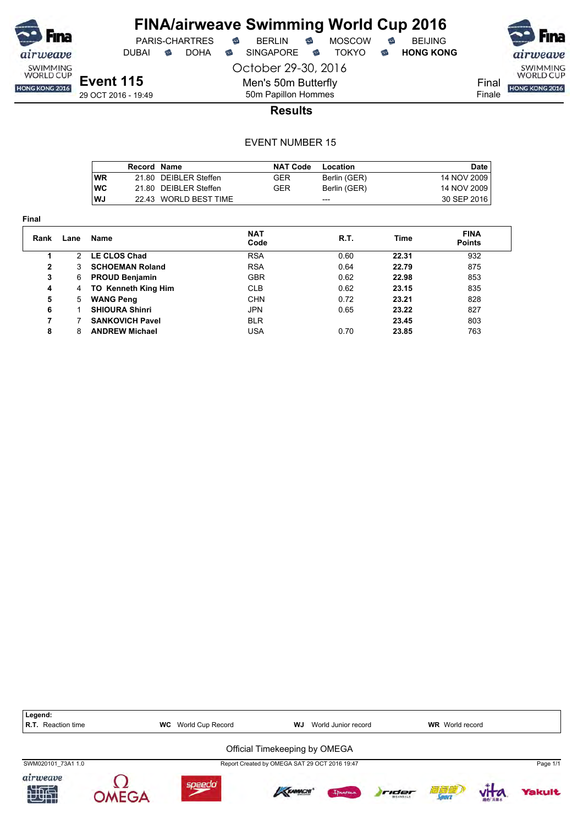

**Final**

## **FINA/airweave Swimming World Cup 2016** PARIS-CHARTRES **B** BERLIN **B** MOSCOW **B** BEIJING

DUBAI **S** DOHA S SINGAPORE S TOKYO S HONG KONG

SWIMMING<br>WORLD CUP HONG KONG 2016

Final Finale

**Event 115** 29 OCT 2016 - 19:49 October 29-30, 2016 Men's 50m Butterfly 50m Papillon Hommes

**Results**

|            | Record Name |                       | <b>NAT Code</b> | Location     | Date        |
|------------|-------------|-----------------------|-----------------|--------------|-------------|
| <b>WR</b>  |             | 21.80 DEIBLER Steffen | GER             | Berlin (GER) | 14 NOV 2009 |
| <b>IWC</b> |             | 21.80 DEIBLER Steffen | GER             | Berlin (GER) | 14 NOV 2009 |
| WJ         |             | 22.43 WORLD BEST TIME |                 | ---          | 30 SEP 2016 |

| Rank | Lane          | <b>Name</b>                | <b>NAT</b><br>Code | R.T. | Time  | <b>FINA</b><br><b>Points</b> |
|------|---------------|----------------------------|--------------------|------|-------|------------------------------|
|      | $\mathcal{P}$ | LE CLOS Chad               | <b>RSA</b>         | 0.60 | 22.31 | 932                          |
| 2    | 3             | <b>SCHOEMAN Roland</b>     | <b>RSA</b>         | 0.64 | 22.79 | 875                          |
| 3    | 6             | <b>PROUD Benjamin</b>      | <b>GBR</b>         | 0.62 | 22.98 | 853                          |
| 4    | 4             | <b>TO Kenneth King Him</b> | <b>CLB</b>         | 0.62 | 23.15 | 835                          |
| 5    | 5             | <b>WANG Peng</b>           | <b>CHN</b>         | 0.72 | 23.21 | 828                          |
| 6    |               | <b>SHIOURA Shinri</b>      | <b>JPN</b>         | 0.65 | 23.22 | 827                          |
| 7    |               | <b>SANKOVICH Pavel</b>     | <b>BLR</b>         |      | 23.45 | 803                          |
| 8    | 8             | <b>ANDREW Michael</b>      | <b>USA</b>         | 0.70 | 23.85 | 763                          |

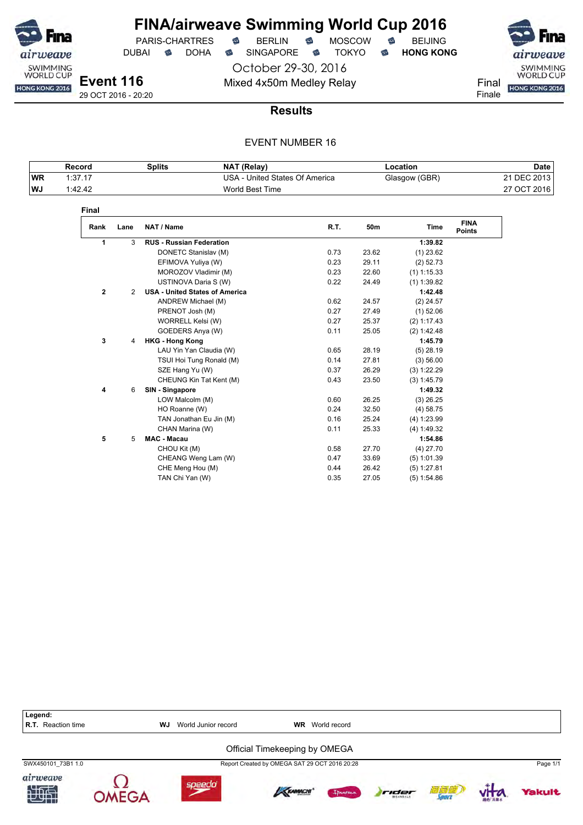

# **FINA/airweave Swimming World Cup 2016**<br>PARIS-CHARTRES **& BERLIN & MOSCOW & BEIJING**  $PARIS-CHARTRES$  **BERLIN B** MOSCOW **B**

DUBAI **S** DOHA S SINGAPORE S TOKYO S HONG KONG

October 29-30, 2016 Mixed 4x50m Medley Relay Final Final Final

airweave SWIMMING<br>WORLD CUP Finale

29 OCT 2016 - 20:20

#### **Results**

|           | Record  | Splits | NAT (Relay)                    | Location      | Date        |
|-----------|---------|--------|--------------------------------|---------------|-------------|
| <b>WR</b> | 1:37.17 |        | USA - United States Of America | Glasgow (GBR) | 21 DEC 2013 |
| WJ        | 1:42.42 |        | World Best Time                |               | 27 OCT 2016 |

| <b>Final</b>   |                |                                       |      |       |               |                              |
|----------------|----------------|---------------------------------------|------|-------|---------------|------------------------------|
| Rank           | Lane           | NAT / Name                            | R.T. | 50m   | <b>Time</b>   | <b>FINA</b><br><b>Points</b> |
| 1              | 3              | <b>RUS - Russian Federation</b>       |      |       | 1:39.82       |                              |
|                |                | DONETC Stanislav (M)                  | 0.73 | 23.62 | $(1)$ 23.62   |                              |
|                |                | EFIMOVA Yuliya (W)                    | 0.23 | 29.11 | (2) 52.73     |                              |
|                |                | MOROZOV Vladimir (M)                  | 0.23 | 22.60 | $(1)$ 1:15.33 |                              |
|                |                | USTINOVA Daria S (W)                  | 0.22 | 24.49 | $(1)$ 1:39.82 |                              |
| $\overline{2}$ | $\overline{2}$ | <b>USA - United States of America</b> |      |       | 1:42.48       |                              |
|                |                | ANDREW Michael (M)                    | 0.62 | 24.57 | $(2)$ 24.57   |                              |
|                |                | PRENOT Josh (M)                       | 0.27 | 27.49 | $(1)$ 52.06   |                              |
|                |                | WORRELL Kelsi (W)                     | 0.27 | 25.37 | (2) 1:17.43   |                              |
|                |                | GOEDERS Anya (W)                      | 0.11 | 25.05 | (2) 1:42.48   |                              |
| 3              | 4              | <b>HKG - Hong Kong</b>                |      |       | 1:45.79       |                              |
|                |                | LAU Yin Yan Claudia (W)               | 0.65 | 28.19 | $(5)$ 28.19   |                              |
|                |                | TSUI Hoi Tung Ronald (M)              | 0.14 | 27.81 | (3) 56.00     |                              |
|                |                | SZE Hang Yu (W)                       | 0.37 | 26.29 | (3) 1:22.29   |                              |
|                |                | CHEUNG Kin Tat Kent (M)               | 0.43 | 23.50 | (3) 1:45.79   |                              |
| 4              | 6              | SIN - Singapore                       |      |       | 1:49.32       |                              |
|                |                | LOW Malcolm (M)                       | 0.60 | 26.25 | $(3)$ 26.25   |                              |
|                |                | HO Roanne (W)                         | 0.24 | 32.50 | (4) 58.75     |                              |
|                |                | TAN Jonathan Eu Jin (M)               | 0.16 | 25.24 | (4) 1:23.99   |                              |
|                |                | CHAN Marina (W)                       | 0.11 | 25.33 | (4) 1:49.32   |                              |
| 5              | 5              | <b>MAC - Macau</b>                    |      |       | 1:54.86       |                              |
|                |                | CHOU Kit (M)                          | 0.58 | 27.70 | $(4)$ 27.70   |                              |
|                |                | CHEANG Weng Lam (W)                   | 0.47 | 33.69 | $(5)$ 1:01.39 |                              |
|                |                | CHE Meng Hou (M)                      | 0.44 | 26.42 | (5) 1:27.81   |                              |
|                |                | TAN Chi Yan (W)                       | 0.35 | 27.05 | (5) 1:54.86   |                              |

| Legend:<br><b>R.T.</b> Reaction time | WJ. | World Junior record | <b>WR</b>                                     | World record |       |               |               |          |
|--------------------------------------|-----|---------------------|-----------------------------------------------|--------------|-------|---------------|---------------|----------|
|                                      |     |                     | Official Timekeeping by OMEGA                 |              |       |               |               |          |
| SWX450101 73B1 1.0                   |     |                     | Report Created by OMEGA SAT 29 OCT 2016 20:28 |              |       |               |               | Page 1/1 |
| airweave<br>地面                       |     | speedo              | KRAMACHI                                      | Ipanema      | rider | 滴定槽<br>Source | <b>图的 温泉水</b> | Yakult   |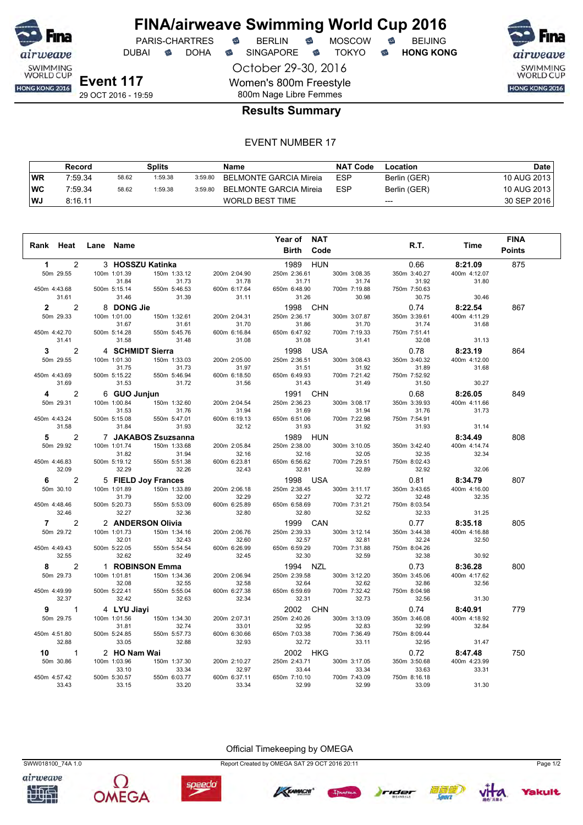

DUBAI **S** DOHA S SINGAPORE S TOKYO S HONG KONG

October 29-30, 2016 Women's 800m Freestyle 800m Nage Libre Femmes



#### **Results Summary**

#### EVENT NUMBER 17

|           | Record  |       | Splits  |         | Name                   | <b>NAT Code</b> | Location     | Date l      |
|-----------|---------|-------|---------|---------|------------------------|-----------------|--------------|-------------|
| <b>WR</b> | 7:59.34 | 58.62 | 1:59.38 | 3:59.80 | BELMONTE GARCIA Mireia | <b>ESP</b>      | Berlin (GER) | 10 AUG 2013 |
| ∣WC       | 7:59.34 | 58.62 | 1:59.38 | 3:59.80 | BELMONTE GARCIA Mireia | <b>ESP</b>      | Berlin (GER) | 10 AUG 2013 |
| <b>WJ</b> | 8:16.11 |       |         |         | WORLD BEST TIME        |                 | $---$        | 30 SEP 2016 |

|                |                |                  |                     |              | Year of      | <b>NAT</b>   |              |              | <b>FINA</b>   |
|----------------|----------------|------------------|---------------------|--------------|--------------|--------------|--------------|--------------|---------------|
| Rank Heat      |                | Lane Name        |                     |              | <b>Birth</b> | Code         | R.T.         | Time         | <b>Points</b> |
| 1              | $\overline{2}$ |                  | 3 HOSSZU Katinka    |              | 1989         | <b>HUN</b>   | 0.66         | 8:21.09      | 875           |
| 50m 29.55      |                | 100m 1:01.39     | 150m 1:33.12        | 200m 2:04.90 | 250m 2:36.61 | 300m 3:08.35 | 350m 3:40.27 | 400m 4:12.07 |               |
|                |                | 31.84            | 31.73               | 31.78        | 31.71        | 31.74        | 31.92        | 31.80        |               |
| 450m 4:43.68   |                | 500m 5:15.14     | 550m 5:46.53        | 600m 6:17.64 | 650m 6:48.90 | 700m 7:19.88 | 750m 7:50.63 |              |               |
|                | 31.61          | 31.46            | 31.39               | 31.11        | 31.26        | 30.98        | 30.75        | 30.46        |               |
| $\overline{2}$ | $\overline{2}$ | 8 DONG Jie       |                     |              | 1998 CHN     |              | 0.74         | 8:22.54      | 867           |
| 50m 29.33      |                | 100m 1:01.00     | 150m 1:32.61        | 200m 2:04.31 | 250m 2:36.17 | 300m 3:07.87 | 350m 3:39.61 | 400m 4:11.29 |               |
|                |                | 31.67            | 31.61               | 31.70        | 31.86        | 31.70        | 31.74        | 31.68        |               |
| 450m 4:42.70   |                | 500m 5:14.28     | 550m 5:45.76        | 600m 6:16.84 | 650m 6:47.92 | 700m 7:19.33 | 750m 7:51.41 |              |               |
|                | 31.41          | 31.58            | 31.48               | 31.08        | 31.08        | 31.41        | 32.08        | 31.13        |               |
| 3              | 2              | 4 SCHMIDT Sierra |                     |              | 1998 USA     |              | 0.78         | 8:23.19      | 864           |
| 50m 29.55      |                | 100m 1:01.30     | 150m 1:33.03        | 200m 2:05.00 | 250m 2:36.51 | 300m 3:08.43 | 350m 3:40.32 | 400m 4:12.00 |               |
|                |                | 31.75            | 31.73               | 31.97        | 31.51        | 31.92        | 31.89        | 31.68        |               |
| 450m 4:43.69   |                | 500m 5:15.22     | 550m 5:46.94        | 600m 6:18.50 | 650m 6:49.93 | 700m 7:21.42 | 750m 7:52.92 |              |               |
|                | 31.69          | 31.53            | 31.72               | 31.56        | 31.43        | 31.49        | 31.50        | 30.27        |               |
| 4              | 2              | 6 GUO Junjun     |                     |              | 1991 CHN     |              | 0.68         | 8:26.05      | 849           |
| 50m 29.31      |                | 100m 1:00.84     | 150m 1:32.60        | 200m 2:04.54 | 250m 2:36.23 | 300m 3:08.17 | 350m 3:39.93 | 400m 4:11.66 |               |
|                |                | 31.53            | 31.76               | 31.94        | 31.69        | 31.94        | 31.76        | 31.73        |               |
| 450m 4:43.24   |                | 500m 5:15.08     | 550m 5:47.01        | 600m 6:19.13 | 650m 6:51.06 | 700m 7:22.98 | 750m 7:54.91 |              |               |
|                | 31.58          | 31.84            | 31.93               | 32.12        | 31.93        | 31.92        | 31.93        | 31.14        |               |
| 5              | $\overline{c}$ |                  | 7 JAKABOS Zsuzsanna |              | 1989 HUN     |              |              | 8:34.49      | 808           |
| 50m 29.92      |                | 100m 1:01.74     | 150m 1:33.68        | 200m 2:05.84 | 250m 2:38.00 | 300m 3:10.05 | 350m 3:42.40 | 400m 4:14.74 |               |
|                |                | 31.82            | 31.94               | 32.16        | 32.16        | 32.05        | 32.35        | 32.34        |               |
| 450m 4:46.83   |                | 500m 5:19.12     | 550m 5:51.38        | 600m 6:23.81 | 650m 6:56.62 | 700m 7:29.51 | 750m 8:02.43 |              |               |
|                | 32.09          | 32.29            | 32.26               | 32.43        | 32.81        | 32.89        | 32.92        | 32.06        |               |
| 6              | $\overline{2}$ |                  | 5 FIELD Joy Frances |              | 1998 USA     |              | 0.81         | 8:34.79      | 807           |
| 50m 30.10      |                | 100m 1:01.89     | 150m 1:33.89        | 200m 2:06.18 | 250m 2:38.45 | 300m 3:11.17 | 350m 3:43.65 | 400m 4:16.00 |               |
|                |                | 31.79            | 32.00               | 32.29        | 32.27        | 32.72        | 32.48        | 32.35        |               |
| 450m 4:48.46   |                | 500m 5:20.73     | 550m 5:53.09        | 600m 6:25.89 | 650m 6:58.69 | 700m 7:31.21 | 750m 8:03.54 |              |               |
|                | 32.46          | 32.27            | 32.36               | 32.80        | 32.80        | 32.52        | 32.33        | 31.25        |               |
| 7              | $\overline{2}$ |                  | 2 ANDERSON Olivia   |              | 1999 CAN     |              | 0.77         | 8:35.18      | 805           |
| 50m 29.72      |                | 100m 1:01.73     | 150m 1:34.16        | 200m 2:06.76 | 250m 2:39.33 | 300m 3:12.14 | 350m 3:44.38 | 400m 4:16.88 |               |
|                |                | 32.01            | 32.43               | 32.60        | 32.57        | 32.81        | 32.24        | 32.50        |               |
| 450m 4:49.43   |                | 500m 5:22.05     | 550m 5:54.54        | 600m 6:26.99 | 650m 6:59.29 | 700m 7:31.88 | 750m 8:04.26 |              |               |
|                | 32.55          | 32.62            | 32.49               | 32.45        | 32.30        | 32.59        | 32.38        | 30.92        |               |
| 8              | $\overline{c}$ |                  | 1 ROBINSON Emma     |              | 1994 NZL     |              | 0.73         | 8:36.28      | 800           |
| 50m 29.73      |                | 100m 1:01.81     | 150m 1:34.36        | 200m 2:06.94 | 250m 2:39.58 | 300m 3:12.20 | 350m 3:45.06 | 400m 4:17.62 |               |
|                |                | 32.08            | 32.55               | 32.58        | 32.64        | 32.62        | 32.86        | 32.56        |               |
| 450m 4:49.99   |                | 500m 5:22.41     | 550m 5:55.04        | 600m 6:27.38 | 650m 6:59.69 | 700m 7:32.42 | 750m 8:04.98 |              |               |
|                | 32.37          | 32.42            | 32.63               | 32.34        | 32.31        | 32.73        | 32.56        | 31.30        |               |
| 9              | 1              | 4 LYU Jiayi      |                     |              | 2002 CHN     |              | 0.74         | 8:40.91      | 779           |
| 50m 29.75      |                | 100m 1:01.56     | 150m 1:34.30        | 200m 2:07.31 | 250m 2:40.26 | 300m 3:13.09 | 350m 3:46.08 | 400m 4:18.92 |               |
|                |                | 31.81            | 32.74               | 33.01        | 32.95        | 32.83        | 32.99        | 32.84        |               |
| 450m 4:51.80   |                | 500m 5:24.85     | 550m 5:57.73        | 600m 6:30.66 | 650m 7:03.38 | 700m 7:36.49 | 750m 8:09.44 |              |               |
|                | 32.88          | 33.05            | 32.88               | 32.93        | 32.72        | 33.11        | 32.95        | 31.47        |               |
| 10             | 1              | 2 HO Nam Wai     |                     |              | 2002 HKG     |              | 0.72         | 8:47.48      | 750           |
| 50m 30.86      |                | 100m 1:03.96     | 150m 1:37.30        | 200m 2:10.27 | 250m 2:43.71 | 300m 3:17.05 | 350m 3:50.68 | 400m 4:23.99 |               |
|                |                | 33.10            | 33.34               | 32.97        | 33.44        | 33.34        | 33.63        | 33.31        |               |
| 450m 4:57.42   |                | 500m 5:30.57     | 550m 6:03.77        | 600m 6:37.11 | 650m 7:10.10 | 700m 7:43.09 | 750m 8:16.18 |              |               |
|                | 33.43          | 33.15            | 33.20               | 33.34        | 32.99        | 32.99        | 33.09        | 31.30        |               |

airweave

Official Timekeeping by OMEGA



speedo

SWW018100\_74A 1.0 Report Created by OMEGA SAT 29 OCT 2016 20:11 Page 1/2







Yakult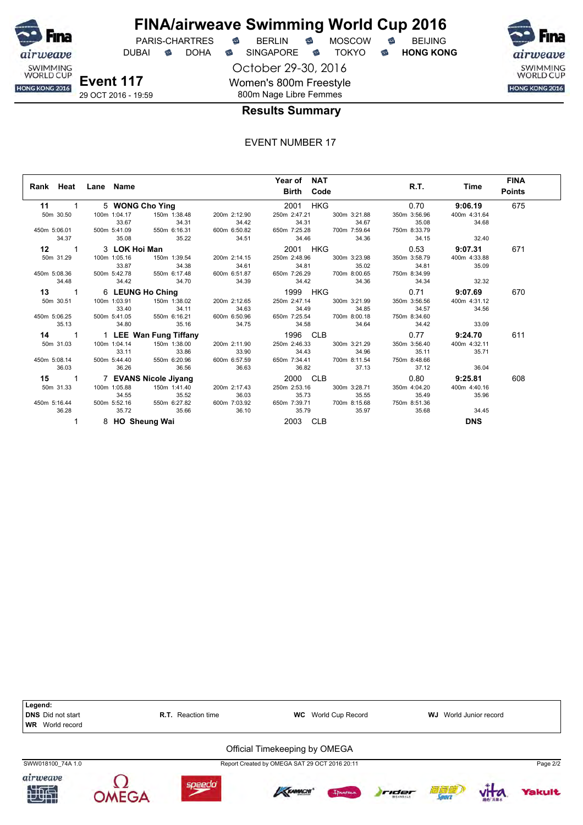

DUBAI **S** DOHA S SINGAPORE S TOKYO S HONG KONG

October 29-30, 2016 Women's 800m Freestyle 800m Nage Libre Femmes



**Results Summary**

|               | Rank Heat Lane Name                    |                                                                                            |                       | Year of NAT                                                 |             |              | R.T. Time      | <b>FINA</b>   |
|---------------|----------------------------------------|--------------------------------------------------------------------------------------------|-----------------------|-------------------------------------------------------------|-------------|--------------|----------------|---------------|
|               |                                        |                                                                                            |                       | <b>Birth Code</b>                                           |             |              |                | <b>Points</b> |
| $11 \quad 1$  |                                        | 5 WONG Cho Ying                                                                            |                       | 2001 HKG                                                    |             | 0.70         | 9:06.19        | 675           |
| 50m 30.50     | 100m 1:04.17                           | 150m 1:38.48 200m 2:12.90                                                                  |                       | 250m 2:47.21 300m 3:21.88                                   |             | 350m 3:56.96 | 400m 4:31.64   |               |
|               | 33.67                                  | 34.31                                                                                      | 34.42                 |                                                             | 34.31 34.67 | 35.08        | 34.68          |               |
|               |                                        | 450m 5:06.01 500m 5:41.09 550m 6:16.31 600m 6:50.82                                        |                       | 650m 7:25.28 700m 7:59.64                                   |             | 750m 8:33.79 |                |               |
| 34.37         |                                        | 35.08 35.22                                                                                | 34.51                 | 34.46 34.36                                                 |             | 34.15        | 32.40          |               |
| $12 \qquad 1$ | 3 LOK Hoi Man                          |                                                                                            |                       |                                                             |             |              |                | 671           |
| 50m 31.29     |                                        |                                                                                            |                       | 250m 2:48.96 300m 3:23.98                                   |             | 350m 3:58.79 | 400m 4:33.88   |               |
|               | 33.87                                  | 34.38                                                                                      | 34.61                 | 34.81                                                       | 35.02       | 34.81        | 35.09          |               |
|               |                                        | 450m 5:08.36 500m 5:42.78 550m 6:17.48 600m 6:51.87 650m 7:26.29 700m 8:00.65 750m 8:34.99 |                       |                                                             |             |              |                |               |
| 34.48         | 34.42                                  | 34.70                                                                                      | 34.39                 | 34.42                                                       | 34.36       | 34.34        | 32.32          |               |
|               |                                        | 13 1 6 LEUNG Ho Ching 1999 HKG 0.71 9:07.69                                                |                       |                                                             |             |              |                | 670           |
| 50m 30.51     | 100m 1:03.91                           | 150m 1:38.02   200m 2:12.65   250m 2:47.14   300m 3:21.99                                  |                       |                                                             |             | 350m 3:56.56 | 400m 4:31.12   |               |
|               |                                        | 34.63 34.63 34.63 34.63 34.63 350m 5:06.25 500m 5:41.05 550m 6:16.21 600m 6:50.96          |                       | 34.49 34.85 34.67<br>650m 7:25.54 700m 8:00.18 750m 8:34.60 |             |              | 34.56          |               |
|               |                                        |                                                                                            |                       |                                                             |             |              |                |               |
| 35.13         | 34.80                                  | 35.16 34.75                                                                                |                       | 34.58 34.64 34.42                                           |             |              | 33.09          |               |
| $14 \qquad 1$ |                                        | 1 LEE Wan Fung Tiffany 1996 CLB 1996 CLB 277 9:24.70                                       |                       |                                                             |             |              |                | 611           |
| 50m 31.03     |                                        |                                                                                            |                       | 250m 2:46.33 300m 3:21.29                                   |             | 350m 3:56.40 | 400m 4:32.11   |               |
|               |                                        |                                                                                            |                       |                                                             |             |              | 35.71          |               |
|               |                                        | 33.11 33.86<br>33.90 450m 5:08.14 500m 5:44.40 550m 6:20.96 600m 6:57.59                   |                       | 34.43 34.96 35.11<br>650m 7:34.41 700m 8:11.54 750m 8:48.66 |             |              |                |               |
| 36.03         | 36.26 36.56                            |                                                                                            | 36.63                 | 36.82 37.13                                                 |             | 37.12        | 36.04          |               |
|               |                                        | 15 1 7 EVANS Nicole Jiyang                                                                 |                       | 2000 CLB                                                    |             |              | $0.80$ 9:25.81 | 608           |
| 50m 31.33     | 100m 1:05.88                           | 150m 1:41.40 200m 2:17.43                                                                  |                       | 250m 2:53.16 300m 3:28.71                                   |             | 350m 4:04.20 | 400m 4:40.16   |               |
|               | 34.55                                  | 35.52                                                                                      | 36.03<br>600m 7:03.92 |                                                             |             |              | 35.96          |               |
|               | 450m 5:16.44 500m 5:52.16 550m 6:27.82 |                                                                                            |                       |                                                             |             |              |                |               |
| 36.28         | 35.72                                  | 35.66                                                                                      | 36.10                 | 35.79                                                       | 35.97       | 35.68        | 34.45          |               |
|               | 8 HO Sheung Wai                        |                                                                                            |                       | 2003 CLB                                                    |             |              | <b>DNS</b>     |               |

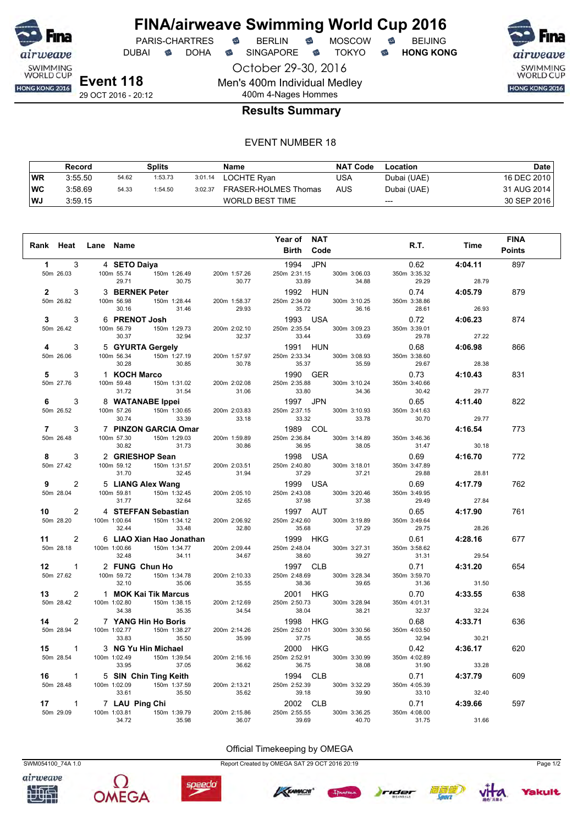

October 29-30, 2016 DUBAI **S** DOHA S SINGAPORE S TOKYO S HONG KONG



29 OCT 2016 - 20:12

### 400m 4-Nages Hommes **Results Summary**

Men's 400m Individual Medley

#### EVENT NUMBER 18

|           | Record  |       | Splits  |         | Name                   | <b>NAT Code</b> | Location    | Date        |
|-----------|---------|-------|---------|---------|------------------------|-----------------|-------------|-------------|
| WR        | 3:55.50 | 54.62 | 1:53.73 | 3:01.14 | LOCHTE Ryan            | USA             | Dubai (UAE) | 16 DEC 2010 |
| <b>WC</b> | 3:58.69 | 54.33 | 1:54.50 | 3:02.37 | FRASER-HOLMES Thomas   | AUS             | Dubai (UAE) | 31 AUG 2014 |
| WJ        | 3:59.15 |       |         |         | <b>WORLD BEST TIME</b> |                 | $---$       | 30 SEP 2016 |

| Rank Heat Lane Name |                                                                                                                                                                                                                                                             |              | Year of NAT<br><b>Birth Code</b>                                                                          |              | R.T. Time                               | <b>FINA</b><br><b>Points</b> |
|---------------------|-------------------------------------------------------------------------------------------------------------------------------------------------------------------------------------------------------------------------------------------------------------|--------------|-----------------------------------------------------------------------------------------------------------|--------------|-----------------------------------------|------------------------------|
|                     |                                                                                                                                                                                                                                                             |              |                                                                                                           |              |                                         | 897                          |
|                     | 1 3 4 SETO Daiya<br>50m 26.03 100m 55.74 150m 1:26.49 200m 1:57.26<br>29.71 30.75 30.77<br>2 3 3 BERNEK Peter<br>50m 26.82 100m 56.98 150m 1:28.44 200m 1:58.37<br>30.16 31.46 29.93                                                                        |              | $\begin{array}{c c}\n1994 & JPN \\ 250m & 2:31.15 \\ & 33.89\n\end{array}$ 300m 3:06.03<br>34.88<br>33.89 | 29.29        | $0.62$ 4:04.11<br>350m 3:35.32<br>28.79 |                              |
|                     |                                                                                                                                                                                                                                                             |              | $1992$ HUN<br>1992 HUN 0.74 4:05.79<br>250m 2:34.09 300m 3:10.25 350m 3:38.86                             |              |                                         | 879                          |
|                     |                                                                                                                                                                                                                                                             |              |                                                                                                           |              |                                         |                              |
|                     |                                                                                                                                                                                                                                                             |              |                                                                                                           |              |                                         |                              |
|                     |                                                                                                                                                                                                                                                             |              |                                                                                                           |              |                                         | 874                          |
|                     | 9 (100 169 (100 169 (100 172 19 (1912 1920 189 188 (1912 1920 188 (1921 1922 1930 1844 200 159 (1912 1925 186 186 200 169 186 200 169 186 200 169 186 200 186 200 186 200 186 200 186 200 186 200 186 200 186 200 186 200 1                                 |              |                                                                                                           |              |                                         |                              |
|                     |                                                                                                                                                                                                                                                             |              |                                                                                                           |              |                                         | 866                          |
|                     |                                                                                                                                                                                                                                                             |              |                                                                                                           |              |                                         |                              |
|                     |                                                                                                                                                                                                                                                             |              |                                                                                                           |              |                                         |                              |
|                     |                                                                                                                                                                                                                                                             |              |                                                                                                           |              |                                         | 831                          |
|                     |                                                                                                                                                                                                                                                             |              |                                                                                                           |              |                                         |                              |
|                     |                                                                                                                                                                                                                                                             |              |                                                                                                           |              |                                         |                              |
|                     |                                                                                                                                                                                                                                                             |              |                                                                                                           |              |                                         | 822                          |
|                     |                                                                                                                                                                                                                                                             |              |                                                                                                           |              |                                         |                              |
|                     |                                                                                                                                                                                                                                                             |              |                                                                                                           |              |                                         | 773                          |
|                     |                                                                                                                                                                                                                                                             |              |                                                                                                           |              |                                         |                              |
|                     |                                                                                                                                                                                                                                                             |              |                                                                                                           |              |                                         |                              |
|                     |                                                                                                                                                                                                                                                             |              |                                                                                                           |              |                                         | 772                          |
|                     |                                                                                                                                                                                                                                                             |              |                                                                                                           |              |                                         |                              |
|                     |                                                                                                                                                                                                                                                             |              |                                                                                                           |              |                                         | 762                          |
|                     |                                                                                                                                                                                                                                                             |              |                                                                                                           |              |                                         |                              |
|                     |                                                                                                                                                                                                                                                             |              |                                                                                                           |              |                                         |                              |
|                     | 90 22 100m 59.12 150m 131.57 200m 203.51 200m 203.51 200m 203.66 37.21 26.69 41.17.79<br>9 2 5 LIANG Alex Wang 199 USA 37.21 29.86 300m 31.801 24.4<br>9 2 5 LIANG Alex Wang 1997 DUSA 2000 204 205 250 250 250 250 250 250 250                             |              |                                                                                                           |              |                                         | 761                          |
|                     |                                                                                                                                                                                                                                                             |              |                                                                                                           |              |                                         |                              |
|                     |                                                                                                                                                                                                                                                             |              |                                                                                                           |              |                                         |                              |
|                     |                                                                                                                                                                                                                                                             |              |                                                                                                           |              |                                         | 677                          |
|                     |                                                                                                                                                                                                                                                             |              |                                                                                                           |              |                                         |                              |
|                     |                                                                                                                                                                                                                                                             |              |                                                                                                           |              |                                         | 654                          |
|                     |                                                                                                                                                                                                                                                             |              |                                                                                                           |              |                                         |                              |
|                     |                                                                                                                                                                                                                                                             |              |                                                                                                           |              |                                         |                              |
|                     |                                                                                                                                                                                                                                                             |              |                                                                                                           |              |                                         | 638                          |
|                     |                                                                                                                                                                                                                                                             |              |                                                                                                           |              |                                         |                              |
|                     |                                                                                                                                                                                                                                                             |              |                                                                                                           |              |                                         | 636                          |
|                     |                                                                                                                                                                                                                                                             |              |                                                                                                           |              |                                         |                              |
|                     |                                                                                                                                                                                                                                                             |              |                                                                                                           |              |                                         |                              |
|                     |                                                                                                                                                                                                                                                             |              |                                                                                                           |              | 0.42 4:36.17                            | 620                          |
|                     |                                                                                                                                                                                                                                                             |              |                                                                                                           | 350m 4:02.89 |                                         |                              |
|                     | 33.83<br><b>15</b><br>50m 28.54<br>100m 1:02.49<br>100m 1:02.49<br>15 1 3 NG Yu Hin Michael<br>100m 1:02.49<br>15 1 5 SIN Chin Ting Keith<br>50m 28.48<br>100m 1:02.09<br>16 1 5 SIN Chin Ting Keith<br>50m 28.48<br>100m 1:02.09<br>16 1 1 5 SIN Chin Ting |              |                                                                                                           | 31.90        | 33.28                                   |                              |
|                     |                                                                                                                                                                                                                                                             |              |                                                                                                           | 350m 4:05.39 | 0.71 4:37.79                            | 609                          |
|                     |                                                                                                                                                                                                                                                             |              |                                                                                                           | 33.10        | 32.40                                   |                              |
|                     | 1 7 LAU Ping Chi                                                                                                                                                                                                                                            |              |                                                                                                           |              | 0.71 4:39.66                            | 597                          |
| 50m 29.09           | $\frac{1}{100}$ LAU FING UNITED 150 1:39.79                                                                                                                                                                                                                 | 200m 2:15.86 | 250m 2:55.55<br>300m 3:36.25                                                                              | 350m 4:08.00 |                                         |                              |
|                     | 34.72<br>35.98                                                                                                                                                                                                                                              | 36.07        | 39.69<br>40.70                                                                                            | 31.75        | 31.66                                   |                              |







speedo







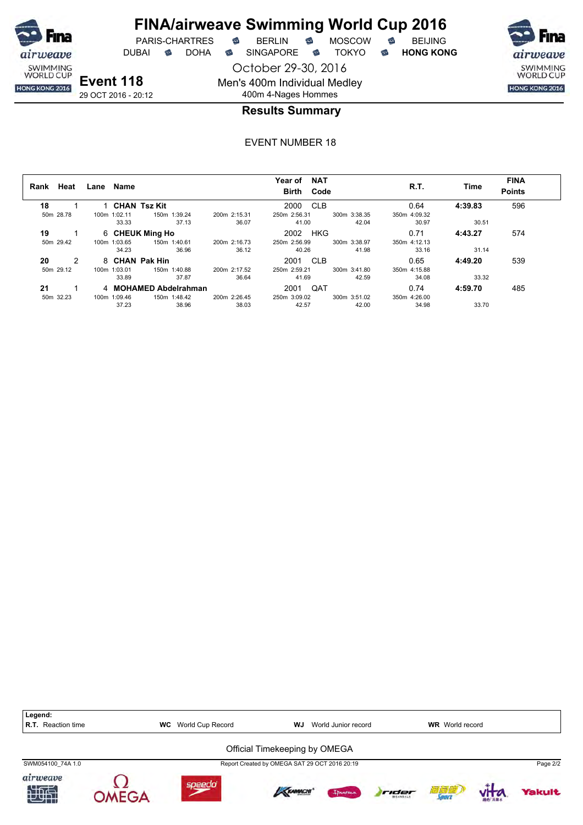

DUBAI **S** DOHA S SINGAPORE S TOKYO S HONG KONG

October 29-30, 2016 Men's 400m Individual Medley

SWIMMING<br>WORLD CUP HONG KONG 2016

**Event 118** 29 OCT 2016 - 20:12

# 400m 4-Nages Hommes **Results Summary**

| Rank | Heat          | Lane Name    |                       |              | <b>NAT</b><br>Year of<br>Birth Code |              | R.T.         | Time    | <b>FINA</b><br><b>Points</b> |
|------|---------------|--------------|-----------------------|--------------|-------------------------------------|--------------|--------------|---------|------------------------------|
| 18   |               |              | 1 CHAN Tsz Kit        |              | 2000 CLB                            |              | 0.64         | 4:39.83 | 596                          |
|      | 50m 28.78     | 100m 1:02.11 | 150m 1:39.24          | 200m 2:15.31 | 250m 2:56.31                        | 300m 3:38.35 | 350m 4:09.32 |         |                              |
|      |               | 33.33        | 37.13                 | 36.07        | 41.00                               | 42.04        | 30.97        | 30.51   |                              |
| 19   |               |              | 6 CHEUK Ming Ho       |              | HKG<br>2002                         |              | 0.71         | 4:43.27 | 574                          |
|      | 50m 29.42     | 100m 1:03.65 | 150m 1:40.61          | 200m 2:16.73 | 250m 2:56.99                        | 300m 3:38.97 | 350m 4:12.13 |         |                              |
|      |               | 34.23        | 36.96                 | 36.12        | 40.26                               | 41.98        | 33.16        | 31.14   |                              |
| 20   | $\mathcal{P}$ |              | 8 CHAN Pak Hin        |              | 2001 CLB                            |              | 0.65         | 4:49.20 | 539                          |
|      | 50m 29.12     | 100m 1:03.01 | 150m 1:40.88          | 200m 2:17.52 | 250m 2:59.21                        | 300m 3:41.80 | 350m 4:15.88 |         |                              |
|      |               | 33.89        | 37.87                 | 36.64        | 41.69                               | 42.59        | 34.08        | 33.32   |                              |
| 21   |               |              | 4 MOHAMED Abdelrahman |              | QAT<br>2001                         |              | 0.74         | 4:59.70 | 485                          |
|      | 50m 32.23     | 100m 1:09.46 | 150m 1:48.42          | 200m 2:26.45 | 250m 3:09.02                        | 300m 3:51.02 | 350m 4:26.00 |         |                              |
|      |               | 37.23        | 38.96                 | 38.03        | 42.57                               | 42.00        | 34.98        | 33.70   |                              |

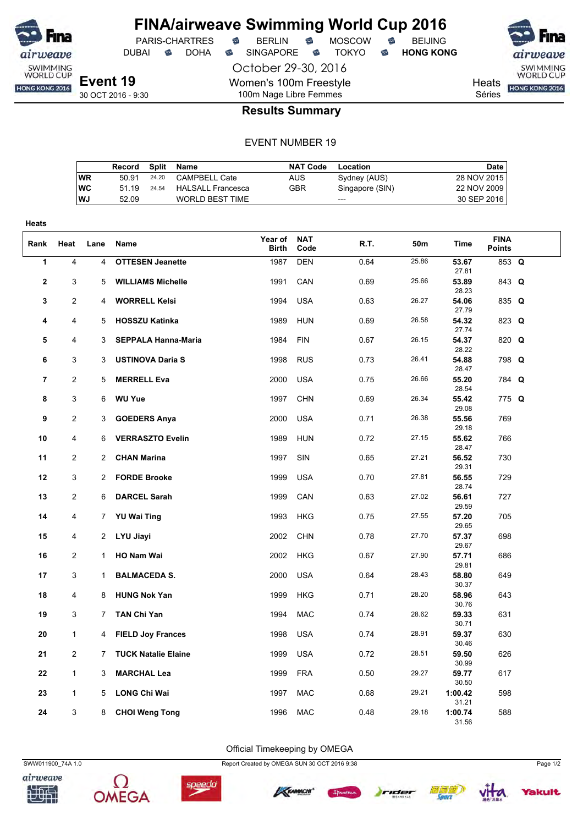

DUBAI **S** DOHA S SINGAPORE S TOKYO S HONG KONG

PARIS-CHARTRES **B** BERLIN **B** MOSCOW **B** BEIJING

October 29-30, 2016

Women's 100m Freestyle

airweave SWIMMING<br>WORLD CUP Heats **HONG KONG 2016** 

Séries

## 100m Nage Libre Femmes **Results Summary**

#### EVENT NUMBER 19

|           | Record | Split | Name                   | <b>NAT Code</b> | Location        | Date        |
|-----------|--------|-------|------------------------|-----------------|-----------------|-------------|
| WR        | 50.91  | 24.20 | CAMPBELL Cate          | AUS.            | Sydney (AUS)    | 28 NOV 2015 |
| <b>WC</b> | 51 19  | 24.54 | HALSALL Francesca      | GBR             | Singapore (SIN) | 22 NOV 2009 |
| <b>WJ</b> | 52.09  |       | <b>WORLD BEST TIME</b> |                 | $---$           | 30 SEP 2016 |
|           |        |       |                        |                 |                 |             |

| <b>Heats</b>   |                |                |                            |                  |                    |      |       |                  |                              |  |
|----------------|----------------|----------------|----------------------------|------------------|--------------------|------|-------|------------------|------------------------------|--|
| Rank           | Heat           | Lane           | Name                       | Year of<br>Birth | <b>NAT</b><br>Code | R.T. | 50m   | Time             | <b>FINA</b><br><b>Points</b> |  |
| 1              | 4              | $\overline{4}$ | <b>OTTESEN Jeanette</b>    | 1987             | <b>DEN</b>         | 0.64 | 25.86 | 53.67<br>27.81   | 853 Q                        |  |
| 2              | 3              | 5              | <b>WILLIAMS Michelle</b>   | 1991             | CAN                | 0.69 | 25.66 | 53.89<br>28.23   | 843 Q                        |  |
| 3              | 2              | 4              | <b>WORRELL Kelsi</b>       | 1994             | <b>USA</b>         | 0.63 | 26.27 | 54.06<br>27.79   | 835 Q                        |  |
| 4              | 4              | 5              | <b>HOSSZU Katinka</b>      | 1989             | <b>HUN</b>         | 0.69 | 26.58 | 54.32<br>27.74   | 823 Q                        |  |
| 5              | 4              | 3              | <b>SEPPALA Hanna-Maria</b> | 1984             | <b>FIN</b>         | 0.67 | 26.15 | 54.37<br>28.22   | 820 Q                        |  |
| 6              | 3              | 3              | <b>USTINOVA Daria S</b>    | 1998             | <b>RUS</b>         | 0.73 | 26.41 | 54.88<br>28.47   | 798 Q                        |  |
| $\overline{7}$ | 2              | 5              | <b>MERRELL Eva</b>         | 2000             | <b>USA</b>         | 0.75 | 26.66 | 55.20<br>28.54   | 784 Q                        |  |
| 8              | 3              | 6              | <b>WU Yue</b>              | 1997             | <b>CHN</b>         | 0.69 | 26.34 | 55.42<br>29.08   | 775 Q                        |  |
| 9              | 2              | 3              | <b>GOEDERS Anya</b>        | 2000             | <b>USA</b>         | 0.71 | 26.38 | 55.56<br>29.18   | 769                          |  |
| 10             | 4              | 6              | <b>VERRASZTO Evelin</b>    | 1989             | <b>HUN</b>         | 0.72 | 27.15 | 55.62<br>28.47   | 766                          |  |
| 11             | 2              | $\overline{2}$ | <b>CHAN Marina</b>         | 1997             | SIN                | 0.65 | 27.21 | 56.52<br>29.31   | 730                          |  |
| 12             | 3              | $\overline{c}$ | <b>FORDE Brooke</b>        | 1999             | <b>USA</b>         | 0.70 | 27.81 | 56.55<br>28.74   | 729                          |  |
| 13             | $\overline{2}$ | 6              | <b>DARCEL Sarah</b>        | 1999             | CAN                | 0.63 | 27.02 | 56.61<br>29.59   | 727                          |  |
| 14             | 4              | 7              | <b>YU Wai Ting</b>         | 1993             | <b>HKG</b>         | 0.75 | 27.55 | 57.20<br>29.65   | 705                          |  |
| 15             | 4              | 2              | LYU Jiayi                  | 2002             | <b>CHN</b>         | 0.78 | 27.70 | 57.37<br>29.67   | 698                          |  |
| 16             | 2              | 1              | HO Nam Wai                 | 2002             | <b>HKG</b>         | 0.67 | 27.90 | 57.71<br>29.81   | 686                          |  |
| 17             | 3              | 1              | <b>BALMACEDA S.</b>        | 2000             | <b>USA</b>         | 0.64 | 28.43 | 58.80<br>30.37   | 649                          |  |
| 18             | 4              | 8              | <b>HUNG Nok Yan</b>        | 1999             | <b>HKG</b>         | 0.71 | 28.20 | 58.96<br>30.76   | 643                          |  |
| 19             | 3              | 7              | <b>TAN Chi Yan</b>         | 1994             | <b>MAC</b>         | 0.74 | 28.62 | 59.33<br>30.71   | 631                          |  |
| 20             | $\mathbf{1}$   | 4              | <b>FIELD Joy Frances</b>   | 1998             | <b>USA</b>         | 0.74 | 28.91 | 59.37<br>30.46   | 630                          |  |
| 21             | $\overline{2}$ | 7              | <b>TUCK Natalie Elaine</b> | 1999             | <b>USA</b>         | 0.72 | 28.51 | 59.50<br>30.99   | 626                          |  |
| 22             | $\mathbf{1}$   | 3              | <b>MARCHAL Lea</b>         | 1999             | <b>FRA</b>         | 0.50 | 29.27 | 59.77<br>30.50   | 617                          |  |
| 23             | $\mathbf{1}$   | 5              | <b>LONG Chi Wai</b>        | 1997             | <b>MAC</b>         | 0.68 | 29.21 | 1:00.42<br>31.21 | 598                          |  |
| 24             | 3              | 8              | <b>CHOI Weng Tong</b>      | 1996             | <b>MAC</b>         | 0.48 | 29.18 | 1:00.74<br>31.56 | 588                          |  |

Official Timekeeping by OMEGA















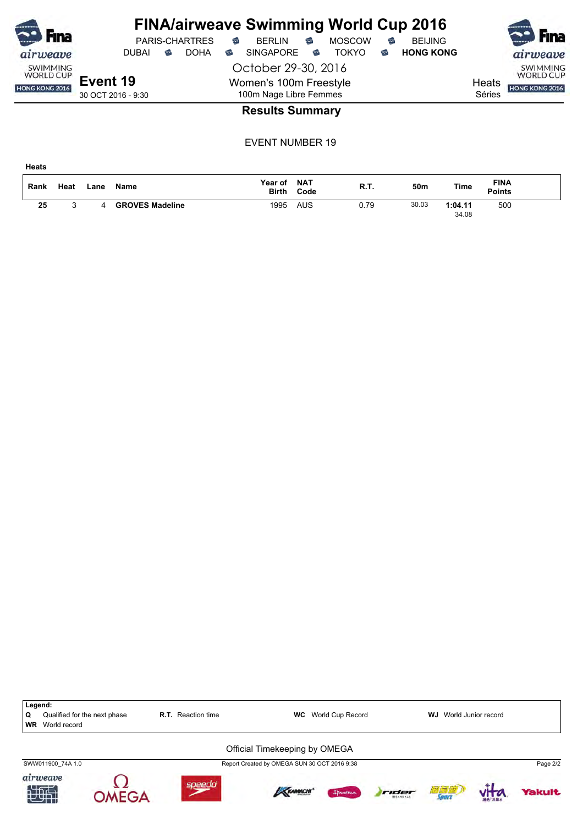|                                     |                    |                     |   |                       |               | <b>FINA/airweave Swimming World Cup 2016</b> |   |               |                                     |                  |        |                |
|-------------------------------------|--------------------|---------------------|---|-----------------------|---------------|----------------------------------------------|---|---------------|-------------------------------------|------------------|--------|----------------|
| Fina                                |                    |                     |   | <b>PARIS-CHARTRES</b> | $\Rightarrow$ | <b>BERLIN</b>                                | € | <b>MOSCOW</b> | €                                   | <b>BEIJING</b>   |        | Fina           |
| airweave                            |                    | <b>DUBAI</b>        | ⇔ | <b>DOHA</b>           | ⇔             | <b>SINGAPORE</b>                             | ⇔ | TOKYO.        | ☜                                   | <b>HONG KONG</b> |        | airweave       |
| <b>SWIMMING</b><br><b>WORLD CUP</b> |                    | October 29-30, 2016 |   |                       |               |                                              |   |               | <b>SWIMMING</b><br><b>WORLD CUP</b> |                  |        |                |
| HONG KONG 2016                      | Event 19           |                     |   |                       |               | Women's 100m Freestyle                       |   |               |                                     |                  | Heats  | HONG KONG 2016 |
|                                     | 30 OCT 2016 - 9:30 |                     |   |                       |               | 100m Nage Libre Femmes                       |   |               |                                     |                  | Séries |                |
|                                     |                    |                     |   |                       |               | <b>Paculte Summany</b>                       |   |               |                                     |                  |        |                |

### **Results Summary**

EVENT NUMBER 19

| Rank | Heat | Lane | <b>Name</b>            | Year of<br><b>Birth</b> | <b>NAT</b><br>Code | R.T. | 50m   | Time             | <b>FINA</b><br><b>Points</b> |  |
|------|------|------|------------------------|-------------------------|--------------------|------|-------|------------------|------------------------------|--|
| 25   |      |      | <b>GROVES Madeline</b> | 1995                    | AUS                | 0.79 | 30.03 | 1:04.11<br>34.08 | 500                          |  |

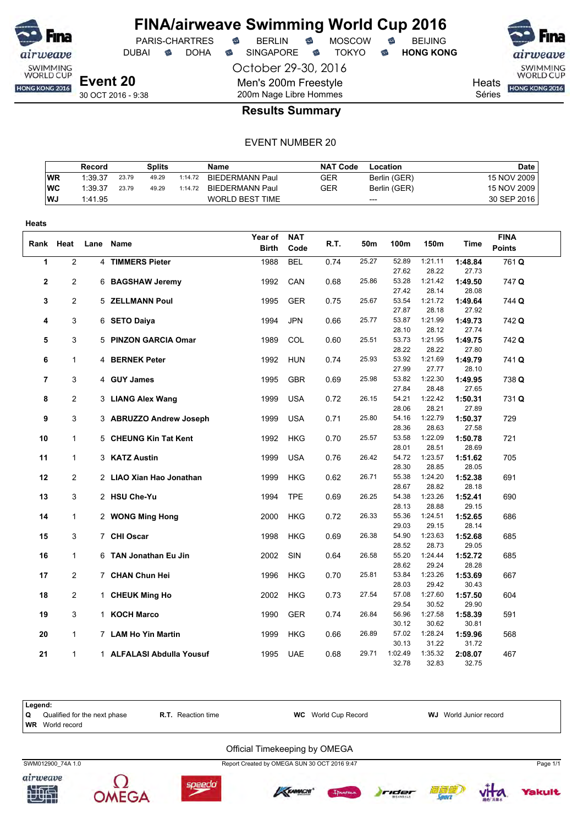

DUBAI **S** DOHA S SINGAPORE S TOKYO S HONG KONG

PARIS-CHARTRES **S** BERLIN S MOSCOW S

October 29-30, 2016

Men's 200m Freestyle

SWIMMING<br>WORLD CUP

Heats **HONG KONG 2016** 

Séries

30 OCT 2016 - 9:38

# 200m Nage Libre Hommes **Results Summary**

|           | Record  |       | Splits |         | Name                   | <b>NAT Code</b> | Location     | Date          |
|-----------|---------|-------|--------|---------|------------------------|-----------------|--------------|---------------|
| <b>WR</b> | 1:39.37 | 23.79 | 49.29  | 1:14.72 | <b>BIEDERMANN Paul</b> | GER             | Berlin (GER) | 15 NOV 2009   |
| WC        | 1:39.37 | 23.79 | 49.29  | 1:14.72 | BIEDERMANN Paul        | GER             | Berlin (GER) | 15 NOV 2009 i |
| l WJ      | 1:41.95 |       |        |         | WORLD BEST TIME        |                 | $---$        | 30 SEP 2016   |

| Heats       |                |      |                           |                         |                    |      |       |                           |                           |                           |                              |
|-------------|----------------|------|---------------------------|-------------------------|--------------------|------|-------|---------------------------|---------------------------|---------------------------|------------------------------|
| Rank        | Heat           | Lane | Name                      | Year of<br><b>Birth</b> | <b>NAT</b><br>Code | R.T. | 50m   | 100m                      | 150m                      | Time                      | <b>FINA</b><br><b>Points</b> |
| 1           | $\overline{c}$ |      | 4 TIMMERS Pieter          | 1988                    | <b>BEL</b>         | 0.74 | 25.27 | 52.89<br>27.62            | 1:21.11<br>28.22          | 1:48.84<br>27.73          | 761Q                         |
| $\mathbf 2$ | 2              |      | 6 BAGSHAW Jeremy          | 1992                    | CAN                | 0.68 | 25.86 | 53.28                     | 1:21.42                   | 1:49.50                   | 747 Q                        |
| 3           | $\overline{2}$ |      | 5 ZELLMANN Poul           | 1995                    | <b>GER</b>         | 0.75 | 25.67 | 27.42<br>53.54            | 28.14<br>1:21.72          | 28.08<br>1:49.64          | 744 Q                        |
| 4           | 3              |      | 6 SETO Daiya              | 1994                    | <b>JPN</b>         | 0.66 | 25.77 | 27.87<br>53.87            | 28.18<br>1:21.99          | 27.92<br>1:49.73          | 742 Q                        |
| 5           | 3              |      | 5 PINZON GARCIA Omar      | 1989                    | COL                | 0.60 | 25.51 | 28.10<br>53.73            | 28.12<br>1:21.95          | 27.74<br>1:49.75          | 742 Q                        |
| 6           | $\mathbf{1}$   |      | 4 BERNEK Peter            | 1992                    | <b>HUN</b>         | 0.74 | 25.93 | 28.22<br>53.92            | 28.22<br>1:21.69          | 27.80<br>1:49.79          | 741 Q                        |
| 7           | 3              |      | 4 GUY James               | 1995                    | GBR                | 0.69 | 25.98 | 27.99<br>53.82            | 27.77<br>1:22.30          | 28.10<br>1:49.95          | 738 Q                        |
| 8           | $\overline{2}$ |      | 3 LIANG Alex Wang         | 1999                    | <b>USA</b>         | 0.72 | 26.15 | 27.84<br>54.21            | 28.48<br>1:22.42          | 27.65<br>1:50.31          | 731 Q                        |
| 9           | 3              |      | 3 ABRUZZO Andrew Joseph   | 1999                    | <b>USA</b>         | 0.71 | 25.80 | 28.06<br>54.16            | 28.21<br>1:22.79          | 27.89<br>1:50.37          | 729                          |
| 10          | $\mathbf{1}$   |      | 5 CHEUNG Kin Tat Kent     | 1992                    | <b>HKG</b>         | 0.70 | 25.57 | 28.36<br>53.58            | 28.63<br>1:22.09          | 27.58<br>1:50.78          | 721                          |
| 11          | $\mathbf{1}$   |      | 3 KATZ Austin             | 1999                    | <b>USA</b>         | 0.76 | 26.42 | 28.01<br>54.72            | 28.51<br>1:23.57          | 28.69<br>1:51.62          | 705                          |
| 12          | $\overline{2}$ |      | 2 LIAO Xian Hao Jonathan  | 1999                    | <b>HKG</b>         | 0.62 | 26.71 | 28.30<br>55.38            | 28.85<br>1:24.20          | 28.05<br>1:52.38          | 691                          |
| 13          | 3              |      | 2 HSU Che-Yu              | 1994                    | <b>TPE</b>         | 0.69 | 26.25 | 28.67<br>54.38            | 28.82<br>1:23.26          | 28.18<br>1:52.41          | 690                          |
| 14          | $\mathbf{1}$   |      | 2 WONG Ming Hong          | 2000                    | <b>HKG</b>         | 0.72 | 26.33 | 28.13<br>55.36            | 28.88<br>1:24.51          | 29.15<br>1:52.65          | 686                          |
| 15          | 3              |      | 7 CHI Oscar               | 1998                    | <b>HKG</b>         | 0.69 | 26.38 | 29.03<br>54.90            | 29.15<br>1:23.63          | 28.14<br>1:52.68          | 685                          |
| 16          | $\mathbf{1}$   |      | 6 TAN Jonathan Eu Jin     | 2002                    | SIN                | 0.64 | 26.58 | 28.52<br>55.20            | 28.73<br>1:24.44          | 29.05<br>1:52.72          | 685                          |
| 17          | $\overline{2}$ |      | 7 CHAN Chun Hei           | 1996                    | <b>HKG</b>         | 0.70 | 25.81 | 28.62<br>53.84            | 29.24<br>1:23.26          | 28.28<br>1:53.69          | 667                          |
| 18          | $\overline{2}$ |      | 1 CHEUK Ming Ho           | 2002                    | <b>HKG</b>         | 0.73 | 27.54 | 28.03<br>57.08            | 29.42<br>1:27.60          | 30.43<br>1:57.50          | 604                          |
| 19          | 3              |      | 1 KOCH Marco              | 1990                    | <b>GER</b>         | 0.74 | 26.84 | 29.54<br>56.96            | 30.52<br>1:27.58          | 29.90<br>1:58.39          | 591                          |
| 20          | $\mathbf{1}$   |      | 7 LAM Ho Yin Martin       | 1999                    | HKG                | 0.66 | 26.89 | 30.12<br>57.02            | 30.62<br>1:28.24          | 30.81<br>1:59.96          | 568                          |
| 21          | $\mathbf{1}$   |      | 1 ALFALASI Abdulla Yousuf | 1995                    | <b>UAE</b>         | 0.68 | 29.71 | 30.13<br>1:02.49<br>32.78 | 31.22<br>1:35.32<br>32.83 | 31.72<br>2:08.07<br>32.75 | 467                          |

| Legend:<br><b>۱Q</b> | Qualified for the next phase<br><b>WR</b> World record | <b>R.T.</b> Reaction time     | <b>WC</b> World Cup Record | <b>WJ</b> World Junior record |
|----------------------|--------------------------------------------------------|-------------------------------|----------------------------|-------------------------------|
|                      |                                                        | Official Timekeeping by OMEGA |                            |                               |















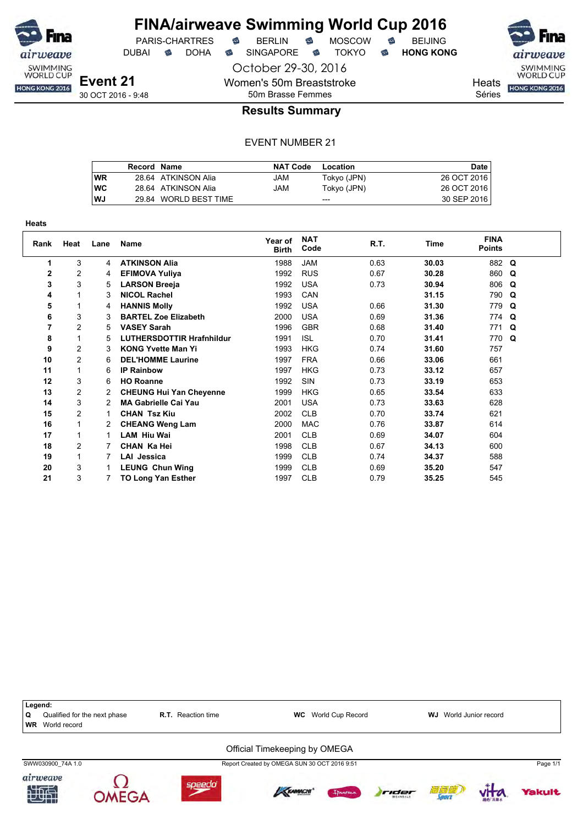

DUBAI **S** DOHA S SINGAPORE S TOKYO S HONG KONG

October 29-30, 2016

Women's 50m Breaststroke

SWIMMING<br>WORLD CUP HONG KONG 2016

**Heats** 

Séries

## 50m Brasse Femmes **Results Summary**

|    | Record Name |                       | <b>NAT Code</b> | Location    | Date        |
|----|-------------|-----------------------|-----------------|-------------|-------------|
| WR |             | 28.64 ATKINSON Alia   | JAM             | Tokyo (JPN) | 26 OCT 2016 |
| WC |             | 28.64 ATKINSON Alia   | JAM             | Tokyo (JPN) | 26 OCT 2016 |
| WJ |             | 29.84 WORLD BEST TIME |                 | $- - -$     | 30 SEP 2016 |

| <b>Heats</b> |                |      |                                  |                         |                    |      |             |                              |             |
|--------------|----------------|------|----------------------------------|-------------------------|--------------------|------|-------------|------------------------------|-------------|
| Rank         | Heat           | Lane | <b>Name</b>                      | Year of<br><b>Birth</b> | <b>NAT</b><br>Code | R.T. | <b>Time</b> | <b>FINA</b><br><b>Points</b> |             |
| 1            | 3              | 4    | <b>ATKINSON Alia</b>             | 1988                    | <b>JAM</b>         | 0.63 | 30.03       | 882 Q                        |             |
| 2            | 2              | 4    | <b>EFIMOVA Yuliya</b>            | 1992                    | <b>RUS</b>         | 0.67 | 30.28       | 860 Q                        |             |
| 3            | 3              | 5    | <b>LARSON Breeja</b>             | 1992                    | <b>USA</b>         | 0.73 | 30.94       | 806 Q                        |             |
| 4            |                | 3    | <b>NICOL Rachel</b>              | 1993                    | CAN                |      | 31.15       | 790 Q                        |             |
| 5            |                | 4    | <b>HANNIS Molly</b>              | 1992                    | <b>USA</b>         | 0.66 | 31.30       | 779                          | Q           |
| 6            | 3              | 3    | <b>BARTEL Zoe Elizabeth</b>      | 2000                    | <b>USA</b>         | 0.69 | 31.36       | 774 Q                        |             |
| 7            | $\overline{c}$ | 5    | <b>VASEY Sarah</b>               | 1996                    | <b>GBR</b>         | 0.68 | 31.40       | 771 Q                        |             |
| 8            |                | 5    | <b>LUTHERSDOTTIR Hrafnhildur</b> | 1991                    | <b>ISL</b>         | 0.70 | 31.41       | 770                          | $\mathbf Q$ |
| 9            | $\overline{c}$ | 3    | <b>KONG Yvette Man Yi</b>        | 1993                    | <b>HKG</b>         | 0.74 | 31.60       | 757                          |             |
| 10           | $\overline{c}$ | 6    | <b>DEL'HOMME Laurine</b>         | 1997                    | <b>FRA</b>         | 0.66 | 33.06       | 661                          |             |
| 11           |                | 6    | <b>IP Rainbow</b>                | 1997                    | <b>HKG</b>         | 0.73 | 33.12       | 657                          |             |
| 12           | 3              | 6    | <b>HO Roanne</b>                 | 1992                    | <b>SIN</b>         | 0.73 | 33.19       | 653                          |             |
| 13           | $\overline{c}$ |      | <b>CHEUNG Hui Yan Cheyenne</b>   | 1999                    | <b>HKG</b>         | 0.65 | 33.54       | 633                          |             |
| 14           | 3              | 2    | <b>MA Gabrielle Cai Yau</b>      | 2001                    | <b>USA</b>         | 0.73 | 33.63       | 628                          |             |
| 15           | 2              |      | <b>CHAN Tsz Kiu</b>              | 2002                    | <b>CLB</b>         | 0.70 | 33.74       | 621                          |             |
| 16           |                |      | <b>CHEANG Weng Lam</b>           | 2000                    | <b>MAC</b>         | 0.76 | 33.87       | 614                          |             |
| 17           |                | 1.   | <b>LAM Hiu Wai</b>               | 2001                    | <b>CLB</b>         | 0.69 | 34.07       | 604                          |             |
| 18           | 2              |      | CHAN Ka Hei                      | 1998                    | <b>CLB</b>         | 0.67 | 34.13       | 600                          |             |
| 19           |                | 7    | LAI Jessica                      | 1999                    | <b>CLB</b>         | 0.74 | 34.37       | 588                          |             |
| 20           | 3              |      | <b>LEUNG Chun Wing</b>           | 1999                    | <b>CLB</b>         | 0.69 | 35.20       | 547                          |             |
| 21           | 3              | 7    | TO Long Yan Esther               | 1997                    | <b>CLB</b>         | 0.79 | 35.25       | 545                          |             |

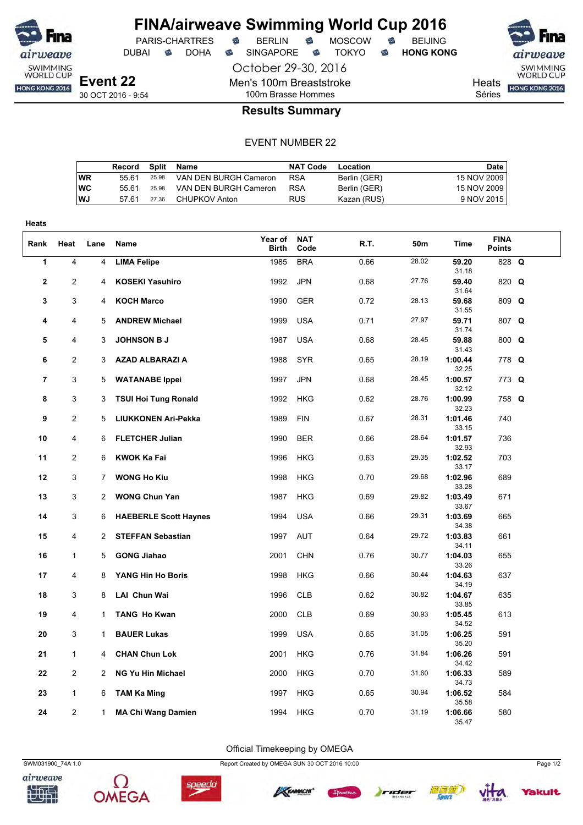

DUBAI **S** DOHA S SINGAPORE S TOKYO S HONG KONG

October 29-30, 2016

Men's 100m Breaststroke

PARIS-CHARTRES **B** BERLIN **B** MOSCOW **B** BEIJING

SWIMMING<br>WORLD CUP Heats **HONG KONG 2016** 

Séries

## 100m Brasse Hommes **Results Summary**

#### EVENT NUMBER 22

|    | Record Split Name |       |                       | NAT Code   | Location     | Date        |
|----|-------------------|-------|-----------------------|------------|--------------|-------------|
| WR | 55.61             | 25.98 | VAN DEN BURGH Cameron | <b>RSA</b> | Berlin (GER) | 15 NOV 2009 |
| WС | 55.61             | 25.98 | VAN DEN BURGH Cameron | <b>RSA</b> | Berlin (GER) | 15 NOV 2009 |
| WJ | 57.61             | 27.36 | CHUPKOV Anton         | <b>RUS</b> | Kazan (RUS)  | 9 NOV 2015  |

| <b>Heats</b>   |                |                |                              |                         |                    |      |       |                  |                              |  |
|----------------|----------------|----------------|------------------------------|-------------------------|--------------------|------|-------|------------------|------------------------------|--|
| Rank           | Heat           | Lane           | Name                         | Year of<br><b>Birth</b> | <b>NAT</b><br>Code | R.T. | 50m   | Time             | <b>FINA</b><br><b>Points</b> |  |
| 1              | $\overline{4}$ | $\overline{4}$ | <b>LIMA Felipe</b>           | 1985                    | <b>BRA</b>         | 0.66 | 28.02 | 59.20<br>31.18   | 828 Q                        |  |
| $\mathbf{2}$   | $\overline{c}$ | 4              | <b>KOSEKI Yasuhiro</b>       | 1992                    | <b>JPN</b>         | 0.68 | 27.76 | 59.40<br>31.64   | 820 Q                        |  |
| 3              | 3              | 4              | <b>KOCH Marco</b>            | 1990                    | <b>GER</b>         | 0.72 | 28.13 | 59.68<br>31.55   | 809 Q                        |  |
| 4              | 4              | 5              | <b>ANDREW Michael</b>        | 1999                    | <b>USA</b>         | 0.71 | 27.97 | 59.71<br>31.74   | 807 Q                        |  |
| 5              | 4              | 3              | <b>JOHNSON B J</b>           | 1987                    | <b>USA</b>         | 0.68 | 28.45 | 59.88<br>31.43   | $800$ Q                      |  |
| 6              | $\overline{2}$ | 3              | <b>AZAD ALBARAZI A</b>       | 1988                    | <b>SYR</b>         | 0.65 | 28.19 | 1:00.44<br>32.25 | 778 Q                        |  |
| $\overline{7}$ | 3              | 5              | <b>WATANABE Ippei</b>        | 1997                    | <b>JPN</b>         | 0.68 | 28.45 | 1:00.57<br>32.12 | 773 Q                        |  |
| 8              | 3              | 3              | <b>TSUI Hoi Tung Ronald</b>  | 1992                    | <b>HKG</b>         | 0.62 | 28.76 | 1:00.99<br>32.23 | 758 Q                        |  |
| 9              | 2              | 5              | <b>LIUKKONEN Ari-Pekka</b>   | 1989                    | <b>FIN</b>         | 0.67 | 28.31 | 1:01.46<br>33.15 | 740                          |  |
| 10             | 4              | 6              | <b>FLETCHER Julian</b>       | 1990                    | <b>BER</b>         | 0.66 | 28.64 | 1:01.57<br>32.93 | 736                          |  |
| 11             | $\overline{c}$ | 6              | <b>KWOK Ka Fai</b>           | 1996                    | <b>HKG</b>         | 0.63 | 29.35 | 1:02.52<br>33.17 | 703                          |  |
| 12             | 3              | 7              | <b>WONG Ho Kiu</b>           | 1998                    | <b>HKG</b>         | 0.70 | 29.68 | 1:02.96<br>33.28 | 689                          |  |
| 13             | 3              | $\overline{2}$ | <b>WONG Chun Yan</b>         | 1987                    | <b>HKG</b>         | 0.69 | 29.82 | 1:03.49<br>33.67 | 671                          |  |
| 14             | 3              | 6              | <b>HAEBERLE Scott Haynes</b> | 1994                    | <b>USA</b>         | 0.66 | 29.31 | 1:03.69<br>34.38 | 665                          |  |
| 15             | 4              | $\overline{2}$ | <b>STEFFAN Sebastian</b>     | 1997                    | <b>AUT</b>         | 0.64 | 29.72 | 1:03.83<br>34.11 | 661                          |  |
| 16             | $\mathbf{1}$   | 5              | <b>GONG Jiahao</b>           | 2001                    | <b>CHN</b>         | 0.76 | 30.77 | 1:04.03<br>33.26 | 655                          |  |
| 17             | 4              | 8              | YANG Hin Ho Boris            | 1998                    | <b>HKG</b>         | 0.66 | 30.44 | 1:04.63<br>34.19 | 637                          |  |
| 18             | 3              | 8              | LAI Chun Wai                 | 1996                    | <b>CLB</b>         | 0.62 | 30.82 | 1:04.67<br>33.85 | 635                          |  |
| 19             | 4              | $\mathbf{1}$   | <b>TANG Ho Kwan</b>          | 2000                    | <b>CLB</b>         | 0.69 | 30.93 | 1:05.45<br>34.52 | 613                          |  |
| 20             | 3              | $\mathbf{1}$   | <b>BAUER Lukas</b>           | 1999                    | <b>USA</b>         | 0.65 | 31.05 | 1:06.25<br>35.20 | 591                          |  |
| 21             | $\mathbf{1}$   | 4              | <b>CHAN Chun Lok</b>         | 2001                    | <b>HKG</b>         | 0.76 | 31.84 | 1:06.26<br>34.42 | 591                          |  |
| 22             | $\overline{2}$ | 2              | <b>NG Yu Hin Michael</b>     | 2000                    | HKG                | 0.70 | 31.60 | 1:06.33<br>34.73 | 589                          |  |
| 23             | $\mathbf{1}$   | 6              | <b>TAM Ka Ming</b>           | 1997                    | <b>HKG</b>         | 0.65 | 30.94 | 1:06.52<br>35.58 | 584                          |  |
| 24             | 2              | $\mathbf{1}$   | <b>MA Chi Wang Damien</b>    | 1994                    | <b>HKG</b>         | 0.70 | 31.19 | 1:06.66<br>35.47 | 580                          |  |

Official Timekeeping by OMEGA









SWM031900\_74A 1.0 Report Created by OMEGA SUN 30 OCT 2016 10:00 Page 1/2







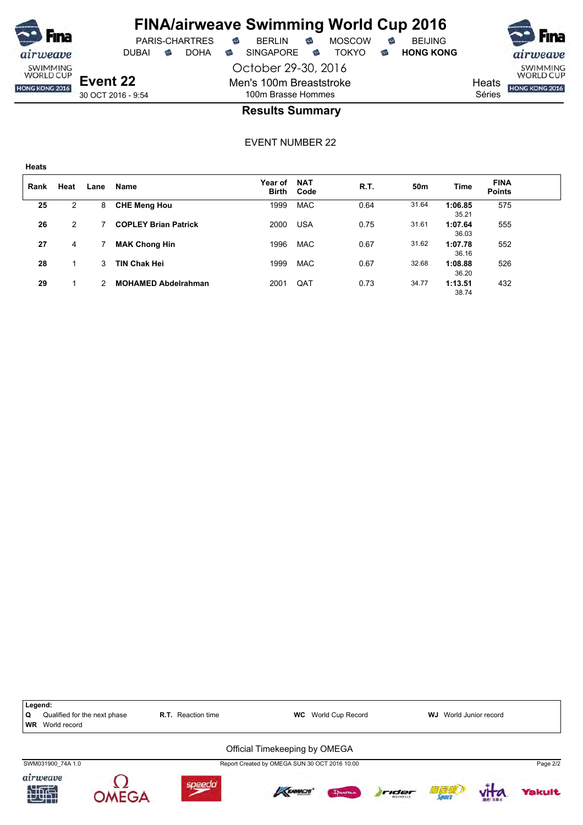

**Heats**

# **FINA/airweave Swimming World Cup 2016**

October 29-30, 2016 DUBAI **S** DOHA S SINGAPORE S TOKYO S HONG KONG

> Men's 100m Breaststroke 100m Brasse Hommes

PARIS-CHARTRES **B** BERLIN **B** MOSCOW **B** BEIJING

SWIMMING<br>WORLD CUP

**Heats** HONG KONG 2016

Séries

### **Results Summary**

| Rank | Heat | Lane | Name                        | Year of<br><b>Birth</b> | <b>NAT</b><br>Code | R.T. | 50m   | Time             | <b>FINA</b><br><b>Points</b> |  |
|------|------|------|-----------------------------|-------------------------|--------------------|------|-------|------------------|------------------------------|--|
| 25   | 2    | 8    | <b>CHE Meng Hou</b>         | 1999                    | <b>MAC</b>         | 0.64 | 31.64 | 1:06.85<br>35.21 | 575                          |  |
| 26   | 2    |      | <b>COPLEY Brian Patrick</b> | 2000                    | <b>USA</b>         | 0.75 | 31.61 | 1:07.64<br>36.03 | 555                          |  |
| 27   | 4    |      | <b>MAK Chong Hin</b>        | 1996                    | <b>MAC</b>         | 0.67 | 31.62 | 1:07.78<br>36.16 | 552                          |  |
| 28   |      | 3    | <b>TIN Chak Hei</b>         | 1999                    | <b>MAC</b>         | 0.67 | 32.68 | 1:08.88<br>36.20 | 526                          |  |
| 29   |      | 2    | <b>MOHAMED Abdelrahman</b>  | 2001                    | QAT                | 0.73 | 34.77 | 1:13.51<br>38.74 | 432                          |  |

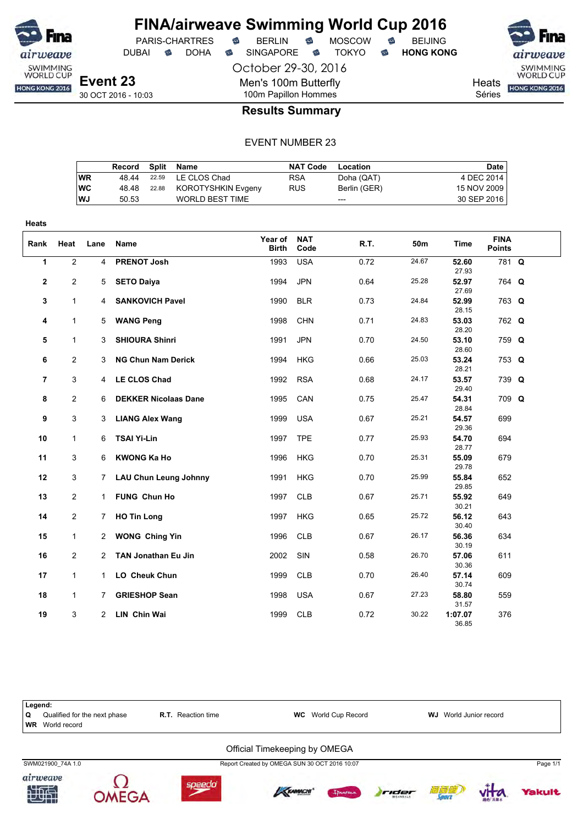

**Heats**

# **FINA/airweave Swimming World Cup 2016**

DUBAI **S** DOHA S SINGAPORE S TOKYO S HONG KONG

October 29-30, 2016

Men's 100m Butterfly

PARIS-CHARTRES **B** BERLIN **B** MOSCOW **B** BEIJING

SWIMMING<br>WORLD CUP HONG KONG 2016

**Heats** 

Séries

100m Papillon Hommes **Results Summary**

|           | Record |       | Split Name             | <b>NAT Code</b> | Location     | Date        |
|-----------|--------|-------|------------------------|-----------------|--------------|-------------|
| <b>WR</b> | 48.44  | 22.59 | LE CLOS Chad           | <b>RSA</b>      | Doha (QAT)   | 4 DEC 2014  |
| <b>WC</b> | 48.48  | 22.88 | KOROTYSHKIN Evgeny     | <b>RUS</b>      | Berlin (GER) | 15 NOV 2009 |
| WJ        | 50.53  |       | <b>WORLD BEST TIME</b> |                 | $---$        | 30 SEP 2016 |

| Rank         | Heat           | Lane           | Name                         | Year of<br><b>Birth</b> | <b>NAT</b><br>Code | R.T. | 50m   | <b>Time</b>      | <b>FINA</b><br><b>Points</b> |  |
|--------------|----------------|----------------|------------------------------|-------------------------|--------------------|------|-------|------------------|------------------------------|--|
| $\mathbf{1}$ | $\overline{2}$ | $\overline{4}$ | <b>PRENOT Josh</b>           | 1993                    | <b>USA</b>         | 0.72 | 24.67 | 52.60<br>27.93   | 781 Q                        |  |
| $\mathbf{2}$ | $\overline{2}$ | 5              | <b>SETO Daiya</b>            | 1994                    | <b>JPN</b>         | 0.64 | 25.28 | 52.97<br>27.69   | 764 Q                        |  |
| 3            | $\mathbf{1}$   | $\overline{4}$ | <b>SANKOVICH Pavel</b>       | 1990                    | <b>BLR</b>         | 0.73 | 24.84 | 52.99<br>28.15   | 763 Q                        |  |
| 4            | $\mathbf{1}$   | 5              | <b>WANG Peng</b>             | 1998                    | <b>CHN</b>         | 0.71 | 24.83 | 53.03<br>28.20   | 762 Q                        |  |
| 5            | $\mathbf{1}$   | 3              | <b>SHIOURA Shinri</b>        | 1991                    | <b>JPN</b>         | 0.70 | 24.50 | 53.10<br>28.60   | 759 Q                        |  |
| 6            | $\overline{2}$ | 3              | <b>NG Chun Nam Derick</b>    | 1994                    | <b>HKG</b>         | 0.66 | 25.03 | 53.24<br>28.21   | 753 Q                        |  |
| 7            | 3              |                | 4 LE CLOS Chad               | 1992                    | <b>RSA</b>         | 0.68 | 24.17 | 53.57<br>29.40   | 739 Q                        |  |
| 8            | $\overline{2}$ | 6              | <b>DEKKER Nicolaas Dane</b>  | 1995                    | CAN                | 0.75 | 25.47 | 54.31<br>28.84   | 709 Q                        |  |
| 9            | 3              |                | 3 LIANG Alex Wang            | 1999                    | <b>USA</b>         | 0.67 | 25.21 | 54.57<br>29.36   | 699                          |  |
| 10           | $\mathbf{1}$   | 6              | <b>TSAI Yi-Lin</b>           | 1997                    | <b>TPE</b>         | 0.77 | 25.93 | 54.70<br>28.77   | 694                          |  |
| 11           | 3              | 6              | <b>KWONG Ka Ho</b>           | 1996                    | <b>HKG</b>         | 0.70 | 25.31 | 55.09<br>29.78   | 679                          |  |
| 12           | 3              | 7              | <b>LAU Chun Leung Johnny</b> | 1991                    | <b>HKG</b>         | 0.70 | 25.99 | 55.84<br>29.85   | 652                          |  |
| 13           | $\overline{2}$ | 1              | FUNG Chun Ho                 | 1997                    | <b>CLB</b>         | 0.67 | 25.71 | 55.92<br>30.21   | 649                          |  |
| 14           | $\overline{2}$ | 7              | <b>HO Tin Long</b>           | 1997                    | <b>HKG</b>         | 0.65 | 25.72 | 56.12<br>30.40   | 643                          |  |
| 15           | $\mathbf{1}$   |                | 2 WONG Ching Yin             | 1996                    | <b>CLB</b>         | 0.67 | 26.17 | 56.36<br>30.19   | 634                          |  |
| 16           | $\overline{2}$ |                | 2 TAN Jonathan Eu Jin        | 2002                    | SIN                | 0.58 | 26.70 | 57.06<br>30.36   | 611                          |  |
| 17           | $\mathbf{1}$   | $\mathbf{1}$   | LO Cheuk Chun                | 1999                    | <b>CLB</b>         | 0.70 | 26.40 | 57.14<br>30.74   | 609                          |  |
| 18           | $\mathbf{1}$   | 7              | <b>GRIESHOP Sean</b>         | 1998                    | <b>USA</b>         | 0.67 | 27.23 | 58.80<br>31.57   | 559                          |  |
| 19           | 3              | 2              | <b>LIN Chin Wai</b>          | 1999                    | <b>CLB</b>         | 0.72 | 30.22 | 1:07.07<br>36.85 | 376                          |  |

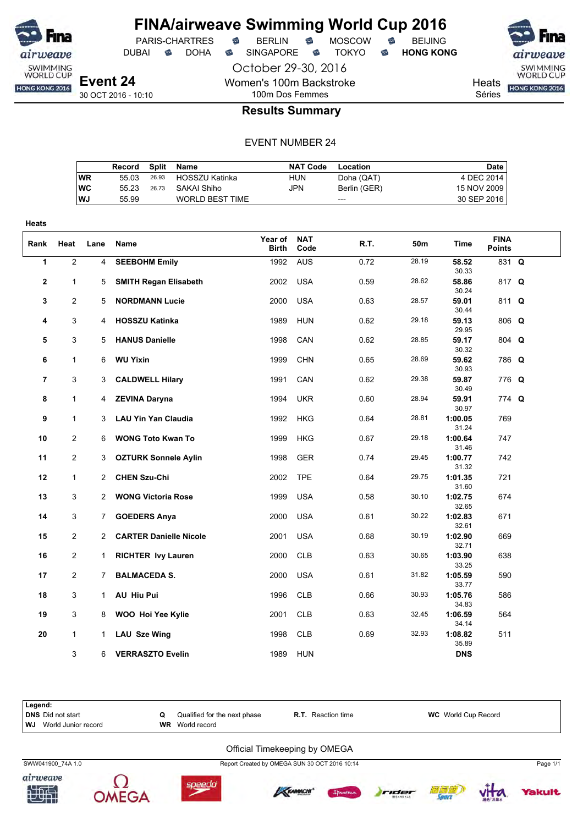

DUBAI **S** DOHA S SINGAPORE S TOKYO S HONG KONG

PARIS-CHARTRES **B** BERLIN **B** MOSCOW **B** BEIJING

October 29-30, 2016

Women's 100m Backstroke 100m Dos Femmes

SWIMMING<br>WORLD CUP

**Heats** HONG KONG 2016

Séries

**Results Summary**

|           | Record |       | Split Name             | <b>NAT Code</b> | Location     | Date        |
|-----------|--------|-------|------------------------|-----------------|--------------|-------------|
| WR        | 55 03  |       | 26.93 HOSSZU Katinka   | HUN             | Doha (QAT)   | 4 DEC 2014  |
| <b>WC</b> | 55 23  | 26.73 | SAKAI Shiho            | JPN             | Berlin (GER) | 15 NOV 2009 |
| <b>WJ</b> | 55.99  |       | <b>WORLD BEST TIME</b> |                 | $---$        | 30 SEP 2016 |
|           |        |       |                        |                 |              |             |

| Heats          |                |                |                               |                         |                    |      |       |                  |                              |  |
|----------------|----------------|----------------|-------------------------------|-------------------------|--------------------|------|-------|------------------|------------------------------|--|
| Rank           | Heat           | Lane           | Name                          | Year of<br><b>Birth</b> | <b>NAT</b><br>Code | R.T. | 50m   | Time             | <b>FINA</b><br><b>Points</b> |  |
| 1              | $\overline{2}$ | 4              | <b>SEEBOHM Emily</b>          | 1992                    | <b>AUS</b>         | 0.72 | 28.19 | 58.52<br>30.33   | 831 Q                        |  |
| 2              | 1              | 5              | <b>SMITH Regan Elisabeth</b>  | 2002                    | <b>USA</b>         | 0.59 | 28.62 | 58.86<br>30.24   | 817 Q                        |  |
| 3              | 2              | 5              | <b>NORDMANN Lucie</b>         | 2000                    | <b>USA</b>         | 0.63 | 28.57 | 59.01<br>30.44   | 811 Q                        |  |
| 4              | 3              | 4              | <b>HOSSZU Katinka</b>         | 1989                    | <b>HUN</b>         | 0.62 | 29.18 | 59.13<br>29.95   | $806$ Q                      |  |
| 5              | 3              | 5              | <b>HANUS Danielle</b>         | 1998                    | CAN                | 0.62 | 28.85 | 59.17<br>30.32   | 804 Q                        |  |
| 6              | $\mathbf{1}$   | 6              | <b>WU Yixin</b>               | 1999                    | <b>CHN</b>         | 0.65 | 28.69 | 59.62<br>30.93   | 786 Q                        |  |
| $\overline{7}$ | 3              | 3              | <b>CALDWELL Hilary</b>        | 1991                    | CAN                | 0.62 | 29.38 | 59.87<br>30.49   | 776 Q                        |  |
| 8              | $\mathbf{1}$   | 4              | <b>ZEVINA Daryna</b>          | 1994                    | <b>UKR</b>         | 0.60 | 28.94 | 59.91<br>30.97   | 774 Q                        |  |
| 9              | $\mathbf{1}$   | 3              | <b>LAU Yin Yan Claudia</b>    | 1992                    | <b>HKG</b>         | 0.64 | 28.81 | 1:00.05<br>31.24 | 769                          |  |
| 10             | $\overline{2}$ | 6              | <b>WONG Toto Kwan To</b>      | 1999                    | <b>HKG</b>         | 0.67 | 29.18 | 1:00.64<br>31.46 | 747                          |  |
| 11             | $\mathbf{2}$   | 3              | <b>OZTURK Sonnele Aylin</b>   | 1998                    | <b>GER</b>         | 0.74 | 29.45 | 1:00.77<br>31.32 | 742                          |  |
| 12             | $\mathbf{1}$   | $\overline{2}$ | <b>CHEN Szu-Chi</b>           | 2002                    | <b>TPE</b>         | 0.64 | 29.75 | 1:01.35<br>31.60 | 721                          |  |
| 13             | 3              | $\overline{2}$ | <b>WONG Victoria Rose</b>     | 1999                    | <b>USA</b>         | 0.58 | 30.10 | 1:02.75<br>32.65 | 674                          |  |
| 14             | 3              | 7.             | <b>GOEDERS Anya</b>           | 2000                    | <b>USA</b>         | 0.61 | 30.22 | 1:02.83<br>32.61 | 671                          |  |
| 15             | 2              | $\overline{2}$ | <b>CARTER Danielle Nicole</b> | 2001                    | <b>USA</b>         | 0.68 | 30.19 | 1:02.90<br>32.71 | 669                          |  |
| 16             | 2              | $\mathbf{1}$   | <b>RICHTER Ivy Lauren</b>     | 2000                    | <b>CLB</b>         | 0.63 | 30.65 | 1:03.90<br>33.25 | 638                          |  |
| 17             | $\overline{2}$ | 7              | <b>BALMACEDA S.</b>           | 2000                    | <b>USA</b>         | 0.61 | 31.82 | 1:05.59<br>33.77 | 590                          |  |
| 18             | 3              | $\mathbf{1}$   | AU Hiu Pui                    | 1996                    | <b>CLB</b>         | 0.66 | 30.93 | 1:05.76<br>34.83 | 586                          |  |
| 19             | 3              | 8              | WOO Hoi Yee Kylie             | 2001                    | <b>CLB</b>         | 0.63 | 32.45 | 1:06.59<br>34.14 | 564                          |  |
| 20             | $\mathbf{1}$   | 1              | LAU Sze Wing                  | 1998                    | <b>CLB</b>         | 0.69 | 32.93 | 1:08.82<br>35.89 | 511                          |  |
|                | 3              | 6              | <b>VERRASZTO Evelin</b>       | 1989                    | <b>HUN</b>         |      |       | <b>DNS</b>       |                              |  |













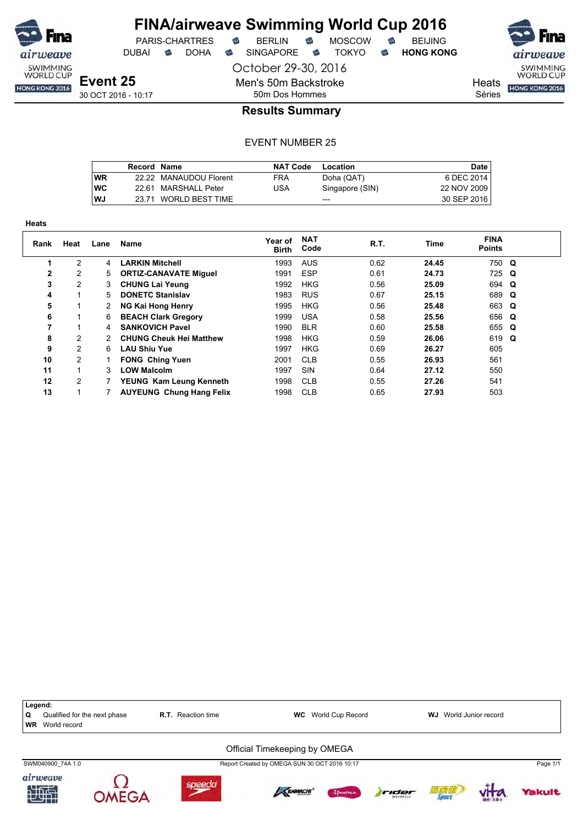

**Heats**

### **FINA/airweave Swimming World Cup 2016** PARIS-CHARTRES **B** BERLIN **B** MOSCOW **B** BEIJING

DUBAI **S** DOHA S SINGAPORE S TOKYO S HONG KONG

October 29-30, 2016

Men's 50m Backstroke 50m Dos Hommes

SWIMMING<br>WORLD CUP

**Heats** HONG KONG 2016

Séries

### **Results Summary**

|    | Record Name |                        | <b>NAT Code</b> | Location        | <b>Date</b> |
|----|-------------|------------------------|-----------------|-----------------|-------------|
| WR |             | 22.22 MANAUDOU Florent | <b>FRA</b>      | Doha (QAT)      | 6 DEC 2014  |
| wс |             | 22.61 MARSHALL Peter   | USA             | Singapore (SIN) | 22 NOV 2009 |
| WJ |             | 23.71 WORLD BEST TIME  |                 | $- - -$         | 30 SEP 2016 |

| neats        |                |      |                                 |                         |                    |      |             |                              |  |
|--------------|----------------|------|---------------------------------|-------------------------|--------------------|------|-------------|------------------------------|--|
| Rank         | Heat           | Lane | Name                            | Year of<br><b>Birth</b> | <b>NAT</b><br>Code | R.T. | <b>Time</b> | <b>FINA</b><br><b>Points</b> |  |
|              | 2              | 4    | <b>LARKIN Mitchell</b>          | 1993                    | <b>AUS</b>         | 0.62 | 24.45       | 750 Q                        |  |
| $\mathbf{2}$ | 2              | 5    | <b>ORTIZ-CANAVATE Miguel</b>    | 1991                    | <b>ESP</b>         | 0.61 | 24.73       | 725 Q                        |  |
| 3            | $\overline{2}$ | 3    | <b>CHUNG Lai Yeung</b>          | 1992                    | <b>HKG</b>         | 0.56 | 25.09       | 694 Q                        |  |
| 4            | 4              | 5    | <b>DONETC Stanislav</b>         | 1983                    | <b>RUS</b>         | 0.67 | 25.15       | 689 Q                        |  |
| 5            |                |      | <b>NG Kai Hong Henry</b>        | 1995                    | <b>HKG</b>         | 0.56 | 25.48       | 663 Q                        |  |
| 6            |                | 6    | <b>BEACH Clark Gregory</b>      | 1999                    | <b>USA</b>         | 0.58 | 25.56       | 656 Q                        |  |
| 7            |                | 4    | <b>SANKOVICH Pavel</b>          | 1990                    | <b>BLR</b>         | 0.60 | 25.58       | 655 Q                        |  |
| 8            | 2              |      | <b>CHUNG Cheuk Hei Matthew</b>  | 1998                    | <b>HKG</b>         | 0.59 | 26.06       | 619 Q                        |  |
| 9            | $\overline{2}$ | 6    | <b>LAU Shiu Yue</b>             | 1997                    | <b>HKG</b>         | 0.69 | 26.27       | 605                          |  |
| 10           | 2              |      | <b>FONG Ching Yuen</b>          | 2001                    | <b>CLB</b>         | 0.55 | 26.93       | 561                          |  |
| 11           |                | 3    | <b>LOW Malcolm</b>              | 1997                    | SIN                | 0.64 | 27.12       | 550                          |  |
| 12           | 2              |      | YEUNG Kam Leung Kenneth         | 1998                    | <b>CLB</b>         | 0.55 | 27.26       | 541                          |  |
| 13           |                |      | <b>AUYEUNG Chung Hang Felix</b> | 1998                    | <b>CLB</b>         | 0.65 | 27.93       | 503                          |  |

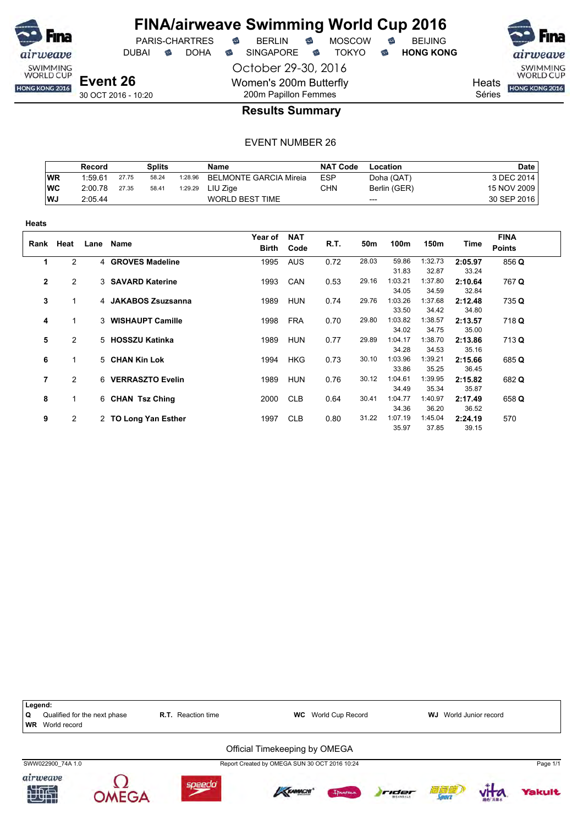

October 29-30, 2016 DUBAI **S** DOHA S SINGAPORE S TOKYO S HONG KONG

PARIS-CHARTRES **B** BERLIN **B** MOSCOW **B** BEIJING

SWIMMING<br>WORLD CUP HONG KONG 2016

**Heats** 

Séries

## 200m Papillon Femmes **Results Summary**

Women's 200m Butterfly

|           | Record  |       | <b>Splits</b> |         | <b>Name</b>                   | <b>NAT Code</b> | Location     | <b>Date</b> |
|-----------|---------|-------|---------------|---------|-------------------------------|-----------------|--------------|-------------|
| WR        | 1:59.61 | 27.75 | 58.24         | 1:28.96 | <b>BELMONTE GARCIA Mireia</b> | <b>ESP</b>      | Doha (QAT)   | 3 DEC 2014  |
| <b>WC</b> | 2:00.78 | 27.35 | 58.41         | 1:29.29 | LIU Ziae                      | CHN             | Berlin (GER) | 15 NOV 2009 |
| <b>WJ</b> | 2:05.44 |       |               |         | WORLD BEST TIME               |                 | $---$        | 30 SEP 2016 |

| Heats        |                |      |                      |                         |                    |      |       |                  |                  |                  |                              |
|--------------|----------------|------|----------------------|-------------------------|--------------------|------|-------|------------------|------------------|------------------|------------------------------|
| Rank         | Heat           | Lane | Name                 | Year of<br><b>Birth</b> | <b>NAT</b><br>Code | R.T. | 50m   | 100m             | 150m             | Time             | <b>FINA</b><br><b>Points</b> |
| 1            | $\overline{2}$ |      | 4 GROVES Madeline    | 1995                    | <b>AUS</b>         | 0.72 | 28.03 | 59.86<br>31.83   | 1:32.73<br>32.87 | 2:05.97<br>33.24 | 856 Q                        |
| $\mathbf{2}$ | $\overline{2}$ |      | 3 SAVARD Katerine    | 1993                    | CAN                | 0.53 | 29.16 | 1:03.21<br>34.05 | 1:37.80<br>34.59 | 2:10.64<br>32.84 | 767 Q                        |
| 3            | 1.             |      | 4 JAKABOS Zsuzsanna  | 1989                    | <b>HUN</b>         | 0.74 | 29.76 | 1:03.26<br>33.50 | 1:37.68<br>34.42 | 2:12.48<br>34.80 | 735 Q                        |
| 4            | 1              |      | 3 WISHAUPT Camille   | 1998                    | <b>FRA</b>         | 0.70 | 29.80 | 1:03.82<br>34.02 | 1:38.57<br>34.75 | 2:13.57<br>35.00 | 718 Q                        |
| 5            | $\overline{2}$ |      | 5 HOSSZU Katinka     | 1989                    | <b>HUN</b>         | 0.77 | 29.89 | 1:04.17<br>34.28 | 1:38.70<br>34.53 | 2:13.86<br>35.16 | 713 Q                        |
| 6            | 1              |      | 5 CHAN Kin Lok       | 1994                    | <b>HKG</b>         | 0.73 | 30.10 | 1:03.96<br>33.86 | 1:39.21<br>35.25 | 2:15.66<br>36.45 | 685 Q                        |
| 7            | 2              |      | 6 VERRASZTO Evelin   | 1989                    | <b>HUN</b>         | 0.76 | 30.12 | 1:04.61<br>34.49 | 1:39.95<br>35.34 | 2:15.82<br>35.87 | 682 Q                        |
| 8            | 1.             |      | 6 CHAN Tsz Ching     | 2000                    | <b>CLB</b>         | 0.64 | 30.41 | 1:04.77<br>34.36 | 1:40.97<br>36.20 | 2:17.49<br>36.52 | 658 Q                        |
| 9            | 2              |      | 2 TO Long Yan Esther | 1997                    | <b>CLB</b>         | 0.80 | 31.22 | 1:07.19<br>35.97 | 1:45.04<br>37.85 | 2:24.19<br>39.15 | 570                          |

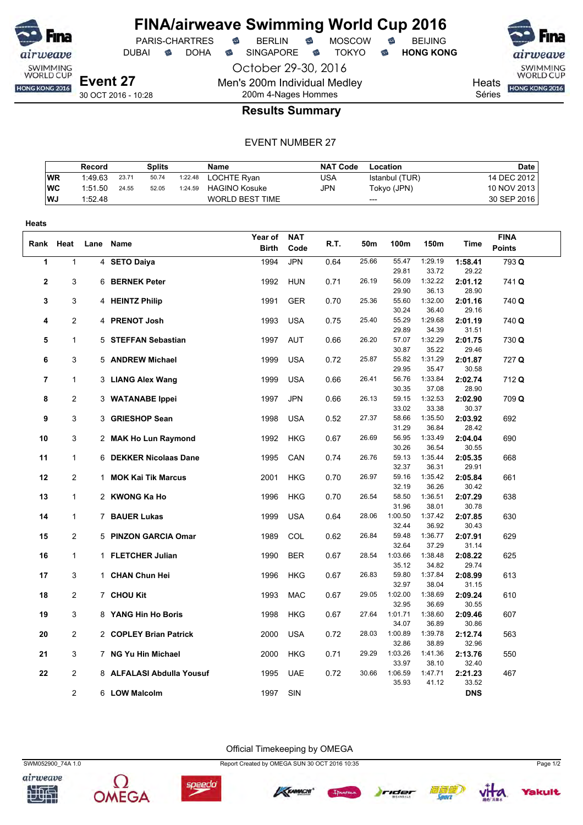

PARIS-CHARTRES **B** BERLIN **B** MOSCOW **B** BEIJING DUBAI **S** DOHA S SINGAPORE S TOKYO S HONG KONG

SWIMMING<br>WORLD CUP

Heats **HONG KONG 2016** 

Séries

200m 4-Nages Hommes

### **Results Summary**

October 29-30, 2016

Men's 200m Individual Medley

### EVENT NUMBER 27

|            | Record  |       | <b>Splits</b> |         | Name                   | <b>NAT Code</b> | Location       | Date I      |
|------------|---------|-------|---------------|---------|------------------------|-----------------|----------------|-------------|
| <b>WR</b>  | 1:49.63 | 23.71 | 50.74         | 1:22.48 | LOCHTE Rvan            | USA             | Istanbul (TUR) | 14 DEC 2012 |
| <b>IWC</b> | 1:51.50 | 24.55 | 52.05         | 1:24.59 | <b>HAGINO Kosuke</b>   | JPN             | Tokyo (JPN)    | 10 NOV 2013 |
| WJ.        | 1:52.48 |       |               |         | <b>WORLD BEST TIME</b> |                 | $---$          | 30 SEP 2016 |

| <b>Heats</b>   |                |                           |              |            |      |       |                  |                  |                  |               |
|----------------|----------------|---------------------------|--------------|------------|------|-------|------------------|------------------|------------------|---------------|
|                |                |                           | Year of      | <b>NAT</b> |      |       |                  |                  |                  | <b>FINA</b>   |
|                | Rank Heat      | Lane Name                 | <b>Birth</b> | Code       | R.T. | 50m   | 100m             | 150m             | Time             | <b>Points</b> |
| 1              | 1              | 4 SETO Daiya              | 1994         | <b>JPN</b> | 0.64 | 25.66 | 55.47            | 1:29.19          | 1:58.41          | 793 Q         |
|                |                |                           |              |            |      |       | 29.81            | 33.72            | 29.22            |               |
| 2              | 3              | 6 BERNEK Peter            | 1992         | <b>HUN</b> | 0.71 | 26.19 | 56.09            | 1:32.22          | 2:01.12          | 741 Q         |
|                |                |                           |              |            |      |       | 29.90            | 36.13            | 28.90            |               |
| 3              | 3              | 4 HEINTZ Philip           | 1991         | <b>GER</b> | 0.70 | 25.36 | 55.60            | 1:32.00          | 2:01.16          | 740 Q         |
|                |                |                           |              |            |      | 25.40 | 30.24<br>55.29   | 36.40<br>1:29.68 | 29.16            |               |
| 4              | $\overline{2}$ | 4 PRENOT Josh             | 1993         | <b>USA</b> | 0.75 |       | 29.89            | 34.39            | 2:01.19<br>31.51 | 740 Q         |
| 5              | $\mathbf{1}$   | 5 STEFFAN Sebastian       | 1997         | <b>AUT</b> | 0.66 | 26.20 | 57.07            | 1:32.29          | 2:01.75          | 730 Q         |
|                |                |                           |              |            |      |       | 30.87            | 35.22            | 29.46            |               |
| 6              | 3              | 5 ANDREW Michael          | 1999         | <b>USA</b> | 0.72 | 25.87 | 55.82            | 1:31.29          | 2:01.87          | 727 Q         |
|                |                |                           |              |            |      |       | 29.95            | 35.47            | 30.58            |               |
| $\overline{7}$ | 1              | 3 LIANG Alex Wang         | 1999         | <b>USA</b> | 0.66 | 26.41 | 56.76            | 1:33.84          | 2:02.74          | 712 Q         |
|                |                |                           |              |            |      |       | 30.35            | 37.08            | 28.90            |               |
| 8              | $\overline{2}$ | 3 WATANABE Ippei          | 1997         | <b>JPN</b> | 0.66 | 26.13 | 59.15            | 1:32.53          | 2:02.90          | 709 Q         |
|                |                |                           |              |            |      |       | 33.02            | 33.38            | 30.37            |               |
| 9              | 3              | 3 GRIESHOP Sean           | 1998         | <b>USA</b> | 0.52 | 27.37 | 58.66<br>31.29   | 1:35.50          | 2:03.92<br>28.42 | 692           |
| 10             | 3              | 2 MAK Ho Lun Raymond      | 1992         | <b>HKG</b> | 0.67 | 26.69 | 56.95            | 36.84<br>1:33.49 | 2:04.04          | 690           |
|                |                |                           |              |            |      |       | 30.26            | 36.54            | 30.55            |               |
| 11             | $\mathbf{1}$   | 6 DEKKER Nicolaas Dane    | 1995         | CAN        | 0.74 | 26.76 | 59.13            | 1:35.44          | 2:05.35          | 668           |
|                |                |                           |              |            |      |       | 32.37            | 36.31            | 29.91            |               |
| 12             | $\overline{2}$ | 1 MOK Kai Tik Marcus      | 2001         | <b>HKG</b> | 0.70 | 26.97 | 59.16            | 1:35.42          | 2:05.84          | 661           |
|                |                |                           |              |            |      |       | 32.19            | 36.26            | 30.42            |               |
| 13             | $\mathbf{1}$   | 2 KWONG Ka Ho             | 1996         | HKG        | 0.70 | 26.54 | 58.50            | 1:36.51          | 2:07.29          | 638           |
|                |                |                           |              |            |      |       | 31.96            | 38.01            | 30.78            |               |
| 14             | $\mathbf{1}$   | 7 BAUER Lukas             | 1999         | <b>USA</b> | 0.64 | 28.06 | 1:00.50          | 1:37.42          | 2:07.85          | 630           |
| 15             | 2              | 5 PINZON GARCIA Omar      | 1989         | COL        | 0.62 | 26.84 | 32.44<br>59.48   | 36.92<br>1:36.77 | 30.43<br>2:07.91 | 629           |
|                |                |                           |              |            |      |       | 32.64            | 37.29            | 31.14            |               |
| 16             | $\mathbf{1}$   | 1 FLETCHER Julian         | 1990         | <b>BER</b> | 0.67 | 28.54 | 1:03.66          | 1:38.48          | 2:08.22          | 625           |
|                |                |                           |              |            |      |       | 35.12            | 34.82            | 29.74            |               |
| 17             | 3              | 1 CHAN Chun Hei           | 1996         | <b>HKG</b> | 0.67 | 26.83 | 59.80            | 1:37.84          | 2:08.99          | 613           |
|                |                |                           |              |            |      |       | 32.97            | 38.04            | 31.15            |               |
| 18             | $\overline{c}$ | 7 CHOU Kit                | 1993         | <b>MAC</b> | 0.67 | 29.05 | 1:02.00          | 1:38.69          | 2:09.24          | 610           |
|                |                |                           |              |            |      |       | 32.95            | 36.69            | 30.55            |               |
| 19             | 3              | 8 YANG Hin Ho Boris       | 1998         | <b>HKG</b> | 0.67 | 27.64 | 1:01.71          | 1:38.60          | 2:09.46          | 607           |
|                | $\overline{c}$ |                           |              |            |      | 28.03 | 34.07<br>1:00.89 | 36.89<br>1:39.78 | 30.86            |               |
| 20             |                | 2 COPLEY Brian Patrick    | 2000         | <b>USA</b> | 0.72 |       | 32.86            | 38.89            | 2:12.74<br>32.96 | 563           |
| 21             | 3              | 7 NG Yu Hin Michael       | 2000         | <b>HKG</b> | 0.71 | 29.29 | 1:03.26          | 1:41.36          | 2:13.76          | 550           |
|                |                |                           |              |            |      |       | 33.97            | 38.10            | 32.40            |               |
| 22             | 2              | 8 ALFALASI Abdulla Yousuf | 1995         | <b>UAE</b> | 0.72 | 30.66 | 1:06.59          | 1:47.71          | 2:21.23          | 467           |
|                |                |                           |              |            |      |       | 35.93            | 41.12            | 33.52            |               |
|                | 2              | 6 LOW Malcolm             | 1997         | SIN        |      |       |                  |                  | <b>DNS</b>       |               |
|                |                |                           |              |            |      |       |                  |                  |                  |               |

Official Timekeeping by OMEGA







SWM052900\_74A 1.0 Report Created by OMEGA SUN 30 OCT 2016 10:35 Page 1/2





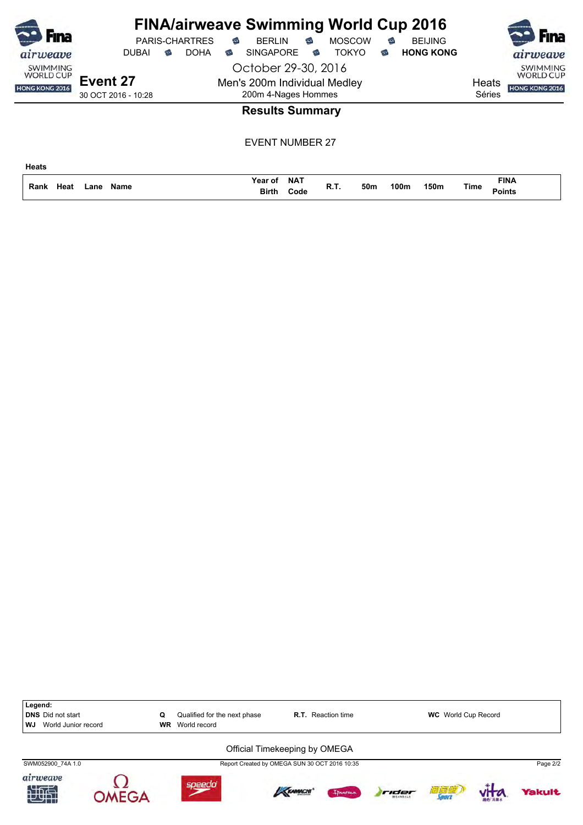| Fına<br>airweave                                      | <b>PARIS-CHARTRES</b><br><b>DOHA</b><br><b>DUBAI</b><br>ಹ | <b>FINA/airweave Swimming World Cup 2016</b><br><b>MOSCOW</b><br>€<br><b>BERLIN</b><br>$\widehat{\mathbb{C}}$<br><b>BEIJING</b><br>€<br><b>HONG KONG</b><br><b>TOKYO</b><br><b>SINGAPORE</b><br>€<br>ಹ<br>☜ | Fına<br>airweave                                                                |
|-------------------------------------------------------|-----------------------------------------------------------|-------------------------------------------------------------------------------------------------------------------------------------------------------------------------------------------------------------|---------------------------------------------------------------------------------|
| <b>SWIMMING</b><br><b>WORLD CUP</b><br>HONG KONG 2016 | Event 27<br>30 OCT 2016 - 10:28                           | October 29-30, 2016<br>Men's 200m Individual Medley<br>200m 4-Nages Hommes                                                                                                                                  | <b>SWIMMING</b><br><b>WORLD CUP</b><br>Heats<br><b>HONG KONG 2016</b><br>Séries |
|                                                       |                                                           | <b>Results Summary</b>                                                                                                                                                                                      |                                                                                 |
|                                                       |                                                           | <b>EVENT NUMBER 27</b>                                                                                                                                                                                      |                                                                                 |
| <b>Heats</b>                                          |                                                           |                                                                                                                                                                                                             |                                                                                 |

**NAT Code Birth**

**Points Heat R.T. 50m 100m 150m**

**FINA**

**Name Rank Lane Time**

**Year of**

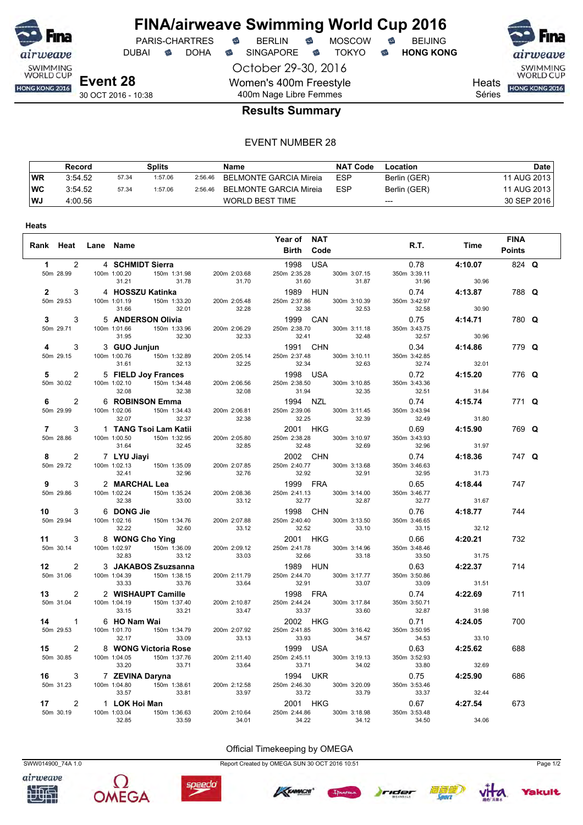

**Heats**

### **FINA/airweave Swimming World Cup 2016** PARIS-CHARTRES **B** BERLIN **B** MOSCOW **B** BEIJING

DUBAI **S** DOHA S SINGAPORE S TOKYO S HONG KONG

October 29-30, 2016 Women's 400m Freestyle 400m Nage Libre Femmes



airweave SWIMMING<br>WORLD CUP

Heats **HONG KONG 2016** 

Séries

### **Results Summary**

#### EVENT NUMBER 28

|      | Record  |       | Splits  |         | Name                   | <b>NAT Code</b> | Location     | Date        |
|------|---------|-------|---------|---------|------------------------|-----------------|--------------|-------------|
| WR   | 3:54.52 | 57.34 | 1:57.06 | 2:56.46 | BELMONTE GARCIA Mireia | <b>ESP</b>      | Berlin (GER) | 11 AUG 2013 |
| ∣wc  | 3:54.52 | 57.34 | 1:57.06 | 2:56.46 | BELMONTE GARCIA Mireia | <b>ESP</b>      | Berlin (GER) | 11 AUG 2013 |
| l WJ | 4:00.56 |       |         |         | WORLD BEST TIME        |                 | $---$        | 30 SEP 2016 |

| Rank Heat Lane Name                           |                                                                                                                                                                                                                                                                                  |                                                       | Year of NAT<br><b>Birth Code</b>                                                                                             | <b>R.T. R.T.</b>                          | <b>Time</b>               | <b>FINA</b><br><b>Points</b> |  |
|-----------------------------------------------|----------------------------------------------------------------------------------------------------------------------------------------------------------------------------------------------------------------------------------------------------------------------------------|-------------------------------------------------------|------------------------------------------------------------------------------------------------------------------------------|-------------------------------------------|---------------------------|------------------------------|--|
| 50m 28.99                                     | 1 2 4 SCHMIDT Sierra<br>31.21<br>31.78 31.70                                                                                                                                                                                                                                     |                                                       | 1998 USA<br>250m 2:35.28 300m 3:07.15<br>31.60<br>31.87                                                                      | 350m 3:39.11<br>31.96                     | $0.78$ 4:10.07<br>30.96   | 824 Q                        |  |
| 50m 29.53                                     | 2 3 4 HOSSZU Katinka<br>50m 29.53 100m 1:01.19 150m 1:33.20 200m 2:05.48<br>32.01 32.28<br>31.66                                                                                                                                                                                 |                                                       | 1989 HUN 0.74 4:13.87<br>250m 2:37.86 300m 3:10.39 350m 3:42.97<br>32.38<br>32.53                                            | 32.58                                     | 30.90                     | 788 Q                        |  |
| 50m 29.71                                     | 3 3 5 ANDERSON Olivia<br>50m 29.71 100m 1:01.66 150m 1:33.96 200m 2:06.29<br>32.30 32.33<br>31.95                                                                                                                                                                                |                                                       | 1999 CAN<br>250m 2:38.70 300m 3:11.18<br>32.41 32.48                                                                         | 350m 3:43.75<br>32.57                     | 0.75 4:14.71<br>30.96     | 780 Q                        |  |
| $\overline{4}$<br>50m 29.15                   | 3 3 GUO Junjun 1:32.89 200m 2:05.14 250m 2:37.48 300m 3:10.11 100m 1:00.76 150m 1:32.89 200m 2:05.14 250m 2:37.48 300m 3:10.11 31.61                                                                                                                                             |                                                       |                                                                                                                              | $0.34$ $4:14.86$<br>350m 3:42.85<br>32.74 | 32.01                     | 779 Q                        |  |
| $5^{\circ}$<br>50m 30.02                      | 2 5 FIELD Joy Frances<br>100m 1:02.10    150m 1:34.48<br>32.08 32.38 32.08                                                                                                                                                                                                       |                                                       | 32.34<br><b>1998 USA</b><br>200m 2:06.56 250m 2:38.50 300m 3:10.85<br>32.35                                                  | 350m 3:43.36<br>32.51                     | $0.72$ 4:15.20            | 776 Q                        |  |
| $6 \qquad \qquad$<br>$2^{\circ}$<br>50m 29.99 | 100m 1:02.06<br>150m 1:34.43<br>32.07<br>32.07<br>6 ROBINSON Emma                                                                                                                                                                                                                | 200m 2:06.81<br>32.38                                 | 31.94<br><b>1994 NZL</b><br>250m 2:39.06 300m 3:11.45<br>32.25<br>32.39                                                      | 0.74<br>350m 3:43.94<br>32.49 31.80       | $31.84$<br><b>4:15.74</b> | 771 Q                        |  |
| $7 \quad \circ$<br>$3^{\circ}$<br>50m 28.86   | 1   TANG Tsoi Lam Katii<br>100m 1:00.50 150m 1:32.95<br>31.64 32.45                                                                                                                                                                                                              | 200m 2:05.80<br>32.85                                 | 2001 HKG<br>250m 2:38.28<br>300m 3:10.97<br>32.48<br>32.69                                                                   | 0.69<br>350m 3:43.93<br>32.96             | 4:15.90<br>31.97          | 769 Q                        |  |
| 50m 29.72                                     | 8 2 7 LYU Jiayi<br>$\sqrt{2}$ <b>LYU Jiayi</b><br>100m 1:02.13 150m 1:35.09<br>32.41 32.96                                                                                                                                                                                       | 200m 2:07.85<br>32.76                                 | 2002 CHN<br>250m 2:40.77 300m 3:13.68<br>32.92<br>32.91                                                                      | 350m 3:46.63<br>32.95                     | 0.74 4:18.36<br>31.73     | 747 Q                        |  |
| 50m 29.86                                     | 9 3 2 MARCHAL Lea<br>100m 1:02.24 150m 1:35.24<br>33.00<br>32.38                                                                                                                                                                                                                 | 200m 2:08.36<br>33.12                                 | $131.73$<br>$133$<br>$250$ m 2:41.13<br>$32.77$<br>32.77<br>32.77<br>32.77                                                   | 32.77                                     | 31.67                     | 747                          |  |
| 50m 29.94                                     | 10 3 6 DONG Jie<br>100m 1:02.16  150m 1:34.76<br>32.22 32.60                                                                                                                                                                                                                     | 200m 2:07.88                                          | 1998 CHN<br>250m 2:40.40 300m 3:13.50                                                                                        | 0.76 4:18.77<br>350m 3:46.65<br>33.15     | 32.12                     | 744                          |  |
| 50m 30.14                                     | 11 3 8 WONG Cho Ying<br>100m 1:02.97 150m 1:36.09<br>32.83                                                                                                                                                                                                                       | 33.12<br>200m 2:09.12                                 | 32.52 33.10<br><b>2001 HKG</b><br>250m 2:41.78 300m 3:14.96                                                                  | 0.66<br>350m 3:48.46                      | 4:20.21<br>31.75          | 732                          |  |
| 50m 31.06                                     | 12 2 3 JAKABOS Zsuzsanna<br>100m 1:04.39   150m 1:38.15                                                                                                                                                                                                                          | $33.12$ $33.03$<br><b>S Zsuzsanna</b><br>200m 2:11.79 | 32.66      33.18<br><b>1989  HUN</b><br>1989 HUN<br>250m 2:44.70 300m 3:17.77 350m 3:50.86<br>250m 2:44.70 3300m 3:307 33.09 | $33.50$<br>$0.63$<br>350m 3:50.86         | 4:22.37<br>31.51          | 714                          |  |
|                                               | 13<br>2 2 WISHAUPT Camille<br>50m 31.04<br>100m 1:04.19<br>150m 1:37.40<br>33.321<br>33.21<br>33.47<br>33.47<br>150m 1:37.40<br>33.21<br>33.54<br>33.56<br>33.64<br>200m 2:10.87<br>33.47<br>33.54<br>33.54<br>33.54<br>33.54<br>33.54<br>33.54<br>33.54<br>33.54<br>33.54<br>33 | 200m 2:10.87                                          | 250m 2:44.24 300m 3:17.84<br>33.37<br>33.60                                                                                  | $0.74$ 4:22.69<br>350m 3:50.71<br>32.87   | 31.98                     | 711                          |  |
| 50m 29.53                                     | 6 HO Nam Wai<br>100m 1:01.70 150m 1:34.79 200m 2:07.92<br>14 1 6 HO Nam Wai<br>32.17                                                                                                                                                                                             | 33.09 33.13                                           | 2002 HKG<br>250m 2:41.85 300m 3:16.42<br>33.93<br>34.57                                                                      | $0.71$ 4:24.05<br>350m 3:50.95<br>34.53   | 33.10                     | 700                          |  |
| 50m 30.85                                     | 15 2 8 WONG Victoria Rose<br>100m 1:04.05   150m 1:37.76<br>33.20 33.71 33.64                                                                                                                                                                                                    | $\overline{20}$<br>200m 2:11.40                       | 1999 USA<br>1999 USA<br>250m 2:45.11 300m 3:19.13<br>33.71 34.02                                                             | 350m 3:52.93<br>33.80                     | 0.63 4:25.62<br>32.69     | 688                          |  |
| 16<br>50m 31.23                               | 7 ZEVINA Daryna<br>100m 1:04.80 150m 1:38.61 200m 2:12.58 250m 2:46.30 300<br>33.57 33.81                                                                                                                                                                                        | 33.97                                                 | 250m 2:46.30 300m 3:20.09<br>33.72 33.79                                                                                     | 350m 3:53.46<br>33.37                     | 0.75 4:25.90<br>32.44     | 686                          |  |
| 17<br>50m 30.19                               | 2 1 LOK Hoi Man<br>100m 1:03.04  150m 1:36.63<br>32.85<br>33.59                                                                                                                                                                                                                  | 200m 2:10.64<br>34.01                                 | 2001 HKG<br>250m 2:44.86 300m 3:18.98<br>34.22<br>34.12                                                                      | 350m 3:53.48<br>34.50                     | 0.67 4:27.54<br>34.06     | 673                          |  |





Official Timekeeping by OMEGA SWW014900\_74A 1.0 Report Created by OMEGA SUN 30 OCT 2016 10:51 Page 1/2

speedo







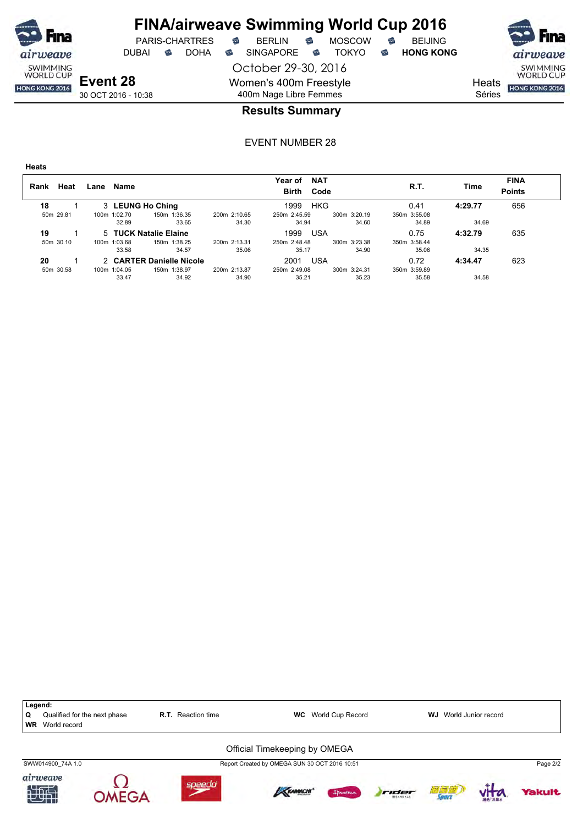

DUBAI **S** DOHA S SINGAPORE S TOKYO S HONG KONG

PARIS-CHARTRES **S** BERLIN S MOSCOW S

October 29-30, 2016 Women's 400m Freestyle



airweave SWIMMING<br>WORLD CUP

Heats **HONG KONG 2016** Séries

30 OCT 2016 - 10:38

# 400m Nage Libre Femmes **Results Summary**

| ۰.<br>×<br>۰.<br>×<br>×<br>۰,<br>e e |
|--------------------------------------|
|--------------------------------------|

| Heat<br>Rank | Name<br>Lane          |                          |              | <b>NAT</b><br>Year of<br>Birth Code |              | R.T.         | Time    | <b>FINA</b><br><b>Points</b> |
|--------------|-----------------------|--------------------------|--------------|-------------------------------------|--------------|--------------|---------|------------------------------|
| 18           | 3 LEUNG Ho Ching      |                          |              | HKG<br>1999                         |              | 0.41         | 4:29.77 | 656                          |
| 50m 29.81    | 100m 1:02.70          | 150m 1:36.35             | 200m 2:10.65 | 250m 2:45.59                        | 300m 3:20.19 | 350m 3:55.08 |         |                              |
|              | 32.89                 | 33.65                    | 34.30        | 34.94                               | 34.60        | 34.89        | 34.69   |                              |
| 19           | 5 TUCK Natalie Elaine |                          |              | 1999<br>USA                         |              | 0.75         | 4:32.79 | 635                          |
| 50m 30.10    | 100m 1:03.68          | 150m 1:38.25             | 200m 2:13.31 | 250m 2:48.48                        | 300m 3:23.38 | 350m 3:58.44 |         |                              |
|              | 33.58                 | 34.57                    | 35.06        | 35.17                               | 34.90        | 35.06        | 34.35   |                              |
| 20           |                       | 2 CARTER Danielle Nicole |              | <b>USA</b><br>2001                  |              | 0.72         | 4:34.47 | 623                          |
| 50m 30.58    | 100m 1:04.05          | 150m 1:38.97             | 200m 2:13.87 | 250m 2:49.08                        | 300m 3:24.31 | 350m 3:59.89 |         |                              |
|              | 33.47                 | 34.92                    | 34.90        | 35.21                               | 35.23        | 35.58        | 34.58   |                              |

| Legend:<br>Q<br><b>WR</b> | Qualified for the next phase<br>World record |             | <b>R.T.</b> Reaction time | <b>WC</b>                                                                      | World Cup Record |       | WJ  | World Junior record |               |
|---------------------------|----------------------------------------------|-------------|---------------------------|--------------------------------------------------------------------------------|------------------|-------|-----|---------------------|---------------|
|                           | SWW014900 74A 1.0                            |             |                           | Official Timekeeping by OMEGA<br>Report Created by OMEGA SUN 30 OCT 2016 10:51 |                  |       |     |                     | Page 2/2      |
| 和理                        | airweave                                     | $MFG\Delta$ | speedo                    | <b>KAMACHI</b>                                                                 | I Annema         | rider | 酒酒酒 |                     | <b>Yakult</b> |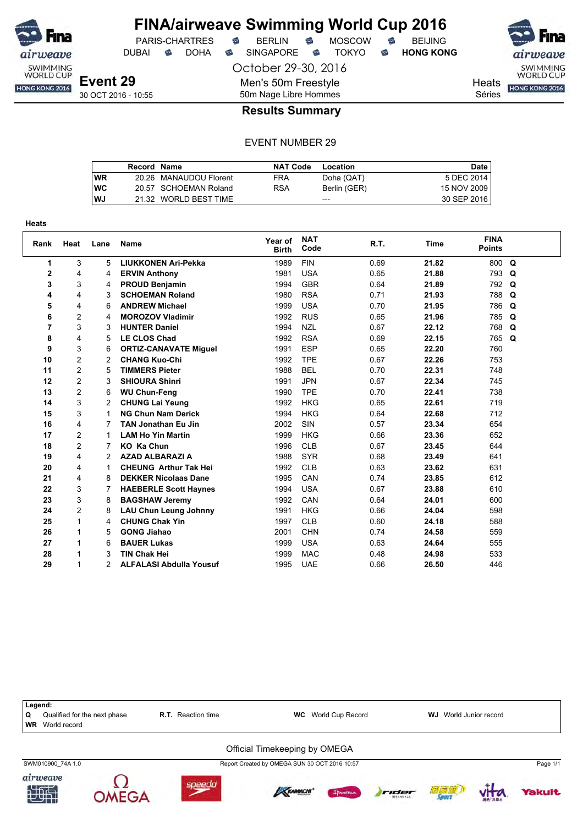

DUBAI **S** DOHA S SINGAPORE S TOKYO S HONG KONG

October 29-30, 2016

SWIMMING<br>WORLD CUP HONG KONG 2016

**Heats** Séries

30 OCT 2016 - 10:55

50m Nage Libre Hommes **Results Summary**

Men's 50m Freestyle

|           | Record Name |                        | <b>NAT Code</b> | Location     | <b>Date</b> |
|-----------|-------------|------------------------|-----------------|--------------|-------------|
| <b>WR</b> |             | 20.26 MANAUDOU Florent | FRA             | Doha (QAT)   | 5 DEC 2014  |
| <b>WC</b> |             | 20.57 SCHOEMAN Roland  | <b>RSA</b>      | Berlin (GER) | 15 NOV 2009 |
| <b>WJ</b> |             | 21.32 WORLD BEST TIME  |                 | ---          | 30 SEP 2016 |

| <b>Heats</b>   |                |      |                                |                         |                    |      |       |                              |   |
|----------------|----------------|------|--------------------------------|-------------------------|--------------------|------|-------|------------------------------|---|
| Rank           | Heat           | Lane | Name                           | Year of<br><b>Birth</b> | <b>NAT</b><br>Code | R.T. | Time  | <b>FINA</b><br><b>Points</b> |   |
| 1              | 3              | 5    | <b>LIUKKONEN Ari-Pekka</b>     | 1989                    | <b>FIN</b>         | 0.69 | 21.82 | 800                          | Q |
| 2              | 4              | 4    | <b>ERVIN Anthony</b>           | 1981                    | <b>USA</b>         | 0.65 | 21.88 | 793                          | Q |
| 3              | 3              | 4    | <b>PROUD Benjamin</b>          | 1994                    | <b>GBR</b>         | 0.64 | 21.89 | 792                          | Q |
| 4              | 4              | 3    | <b>SCHOEMAN Roland</b>         | 1980                    | <b>RSA</b>         | 0.71 | 21.93 | 788                          | Q |
| 5              | 4              | 6    | <b>ANDREW Michael</b>          | 1999                    | <b>USA</b>         | 0.70 | 21.95 | 786                          | Q |
| 6              | $\overline{c}$ | 4    | <b>MOROZOV Vladimir</b>        | 1992                    | <b>RUS</b>         | 0.65 | 21.96 | 785                          | Q |
| $\overline{7}$ | 3              | 3    | <b>HUNTER Daniel</b>           | 1994                    | <b>NZL</b>         | 0.67 | 22.12 | 768                          | Q |
| 8              | 4              | 5    | <b>LE CLOS Chad</b>            | 1992                    | <b>RSA</b>         | 0.69 | 22.15 | 765                          | Q |
| 9              | 3              | 6    | <b>ORTIZ-CANAVATE Miguel</b>   | 1991                    | <b>ESP</b>         | 0.65 | 22.20 | 760                          |   |
| 10             | $\overline{c}$ | 2    | <b>CHANG Kuo-Chi</b>           | 1992                    | <b>TPE</b>         | 0.67 | 22.26 | 753                          |   |
| 11             | $\overline{c}$ | 5    | <b>TIMMERS Pieter</b>          | 1988                    | <b>BEL</b>         | 0.70 | 22.31 | 748                          |   |
| 12             | $\overline{c}$ | 3    | <b>SHIOURA Shinri</b>          | 1991                    | <b>JPN</b>         | 0.67 | 22.34 | 745                          |   |
| 13             | $\overline{c}$ | 6    | <b>WU Chun-Feng</b>            | 1990                    | <b>TPE</b>         | 0.70 | 22.41 | 738                          |   |
| 14             | 3              | 2    | <b>CHUNG Lai Yeung</b>         | 1992                    | <b>HKG</b>         | 0.65 | 22.61 | 719                          |   |
| 15             | 3              | 1    | <b>NG Chun Nam Derick</b>      | 1994                    | <b>HKG</b>         | 0.64 | 22.68 | 712                          |   |
| 16             | 4              | 7    | <b>TAN Jonathan Eu Jin</b>     | 2002                    | SIN                | 0.57 | 23.34 | 654                          |   |
| 17             | 2              | 1    | <b>LAM Ho Yin Martin</b>       | 1999                    | <b>HKG</b>         | 0.66 | 23.36 | 652                          |   |
| 18             | 2              | 7    | <b>KO Ka Chun</b>              | 1996                    | <b>CLB</b>         | 0.67 | 23.45 | 644                          |   |
| 19             | 4              | 2    | <b>AZAD ALBARAZI A</b>         | 1988                    | <b>SYR</b>         | 0.68 | 23.49 | 641                          |   |
| 20             | 4              | 1    | <b>CHEUNG Arthur Tak Hei</b>   | 1992                    | <b>CLB</b>         | 0.63 | 23.62 | 631                          |   |
| 21             | 4              | 8    | <b>DEKKER Nicolaas Dane</b>    | 1995                    | CAN                | 0.74 | 23.85 | 612                          |   |
| 22             | 3              | 7    | <b>HAEBERLE Scott Haynes</b>   | 1994                    | <b>USA</b>         | 0.67 | 23.88 | 610                          |   |
| 23             | 3              | 8    | <b>BAGSHAW Jeremy</b>          | 1992                    | CAN                | 0.64 | 24.01 | 600                          |   |
| 24             | 2              | 8    | <b>LAU Chun Leung Johnny</b>   | 1991                    | <b>HKG</b>         | 0.66 | 24.04 | 598                          |   |
| 25             | 1              | 4    | <b>CHUNG Chak Yin</b>          | 1997                    | <b>CLB</b>         | 0.60 | 24.18 | 588                          |   |
| 26             |                | 5    | <b>GONG Jiahao</b>             | 2001                    | <b>CHN</b>         | 0.74 | 24.58 | 559                          |   |
| 27             |                | 6    | <b>BAUER Lukas</b>             | 1999                    | <b>USA</b>         | 0.63 | 24.64 | 555                          |   |
| 28             |                | 3    | <b>TIN Chak Hei</b>            | 1999                    | <b>MAC</b>         | 0.48 | 24.98 | 533                          |   |
| 29             | 1              | 2    | <b>ALFALASI Abdulla Yousuf</b> | 1995                    | <b>UAE</b>         | 0.66 | 26.50 | 446                          |   |

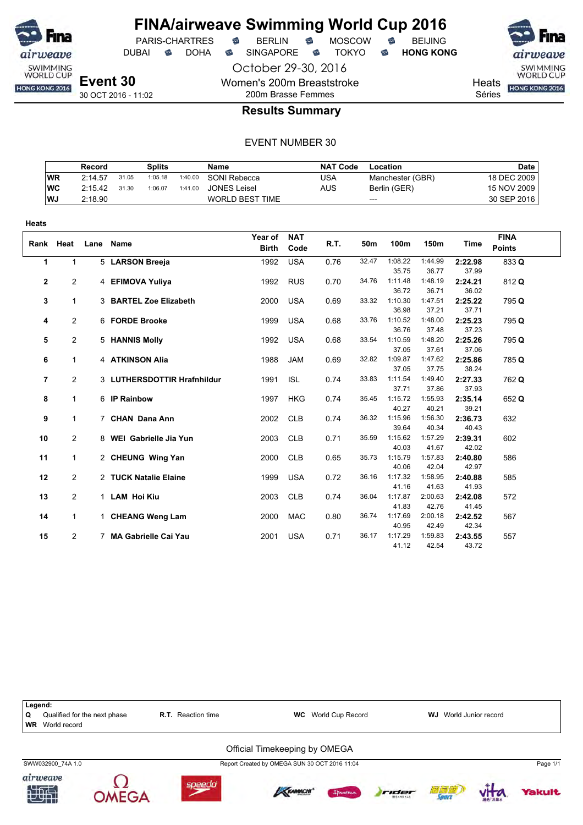

October 29-30, 2016

Women's 200m Breaststroke

PARIS-CHARTRES **B** BERLIN **B** MOSCOW **B** BEIJING

DUBAI **S** DOHA S SINGAPORE S TOKYO S HONG KONG

SWIMMING<br>WORLD CUP HONG KONG 2016

**Heats** Séries

30 OCT 2016 - 11:02

# 200m Brasse Femmes **Results Summary**

|           | Record  |       | Splits  |         | Name                   | NAT Code | Location         | Date l      |
|-----------|---------|-------|---------|---------|------------------------|----------|------------------|-------------|
| <b>WR</b> | 2:14.57 | 31.05 | 1:05.18 | 1:40.00 | SONI Rebecca           | USA      | Manchester (GBR) | 18 DEC 2009 |
| WC        | 2:15.42 | 31.30 | 1:06.07 | 1:41.00 | <b>JONES Leisel</b>    | AUS      | Berlin (GER)     | 15 NOV 2009 |
| <b>WJ</b> | 2:18.90 |       |         |         | <b>WORLD BEST TIME</b> |          | $---$            | 30 SEP 2016 |

| <b>Heats</b> |                |      |                             |                         |                    |      |       |                  |                  |                  |                              |
|--------------|----------------|------|-----------------------------|-------------------------|--------------------|------|-------|------------------|------------------|------------------|------------------------------|
| Rank         | Heat           | Lane | Name                        | Year of<br><b>Birth</b> | <b>NAT</b><br>Code | R.T. | 50m   | 100m             | 150m             | Time             | <b>FINA</b><br><b>Points</b> |
| 1            | $\mathbf{1}$   |      | 5 LARSON Breeja             | 1992                    | <b>USA</b>         | 0.76 | 32.47 | 1:08.22<br>35.75 | 1:44.99<br>36.77 | 2:22.98<br>37.99 | 833 Q                        |
| $\mathbf{2}$ | $\overline{2}$ |      | 4 EFIMOVA Yuliya            | 1992                    | <b>RUS</b>         | 0.70 | 34.76 | 1:11.48<br>36.72 | 1:48.19<br>36.71 | 2:24.21<br>36.02 | 812 Q                        |
| 3            | $\mathbf 1$    |      | 3 BARTEL Zoe Elizabeth      | 2000                    | <b>USA</b>         | 0.69 | 33.32 | 1:10.30<br>36.98 | 1:47.51<br>37.21 | 2:25.22<br>37.71 | 795 Q                        |
| 4            | 2              |      | 6 FORDE Brooke              | 1999                    | <b>USA</b>         | 0.68 | 33.76 | 1:10.52<br>36.76 | 1:48.00<br>37.48 | 2:25.23<br>37.23 | 795 Q                        |
| 5            | $\overline{2}$ |      | 5 HANNIS Molly              | 1992                    | <b>USA</b>         | 0.68 | 33.54 | 1:10.59<br>37.05 | 1:48.20<br>37.61 | 2:25.26<br>37.06 | 795 Q                        |
| 6            | 1              |      | 4 ATKINSON Alia             | 1988                    | <b>JAM</b>         | 0.69 | 32.82 | 1:09.87<br>37.05 | 1:47.62<br>37.75 | 2:25.86<br>38.24 | 785 Q                        |
| 7            | $\overline{2}$ |      | 3 LUTHERSDOTTIR Hrafnhildur | 1991                    | <b>ISL</b>         | 0.74 | 33.83 | 1:11.54<br>37.71 | 1:49.40<br>37.86 | 2:27.33<br>37.93 | 762 Q                        |
| 8            | $\mathbf 1$    |      | 6 IP Rainbow                | 1997                    | <b>HKG</b>         | 0.74 | 35.45 | 1:15.72<br>40.27 | 1:55.93<br>40.21 | 2:35.14<br>39.21 | 652 Q                        |
| 9            | $\mathbf 1$    |      | 7 CHAN Dana Ann             | 2002                    | <b>CLB</b>         | 0.74 | 36.32 | 1:15.96<br>39.64 | 1:56.30<br>40.34 | 2:36.73<br>40.43 | 632                          |
| 10           | 2              |      | 8 WEI Gabrielle Jia Yun     | 2003                    | <b>CLB</b>         | 0.71 | 35.59 | 1:15.62<br>40.03 | 1:57.29<br>41.67 | 2:39.31<br>42.02 | 602                          |
| 11           | $\mathbf{1}$   |      | 2 CHEUNG Wing Yan           | 2000                    | <b>CLB</b>         | 0.65 | 35.73 | 1:15.79<br>40.06 | 1:57.83<br>42.04 | 2:40.80<br>42.97 | 586                          |
| 12           | $\overline{2}$ |      | 2 TUCK Natalie Elaine       | 1999                    | <b>USA</b>         | 0.72 | 36.16 | 1:17.32<br>41.16 | 1:58.95<br>41.63 | 2:40.88<br>41.93 | 585                          |
| 13           | $\overline{2}$ |      | 1 LAM Hoi Kiu               | 2003                    | <b>CLB</b>         | 0.74 | 36.04 | 1:17.87<br>41.83 | 2:00.63<br>42.76 | 2:42.08<br>41.45 | 572                          |
| 14           | $\mathbf{1}$   |      | 1 CHEANG Weng Lam           | 2000                    | <b>MAC</b>         | 0.80 | 36.74 | 1:17.69<br>40.95 | 2:00.18<br>42.49 | 2:42.52<br>42.34 | 567                          |
| 15           | 2              |      | 7 MA Gabrielle Cai Yau      | 2001                    | <b>USA</b>         | 0.71 | 36.17 | 1:17.29<br>41.12 | 1:59.83<br>42.54 | 2:43.55<br>43.72 | 557                          |

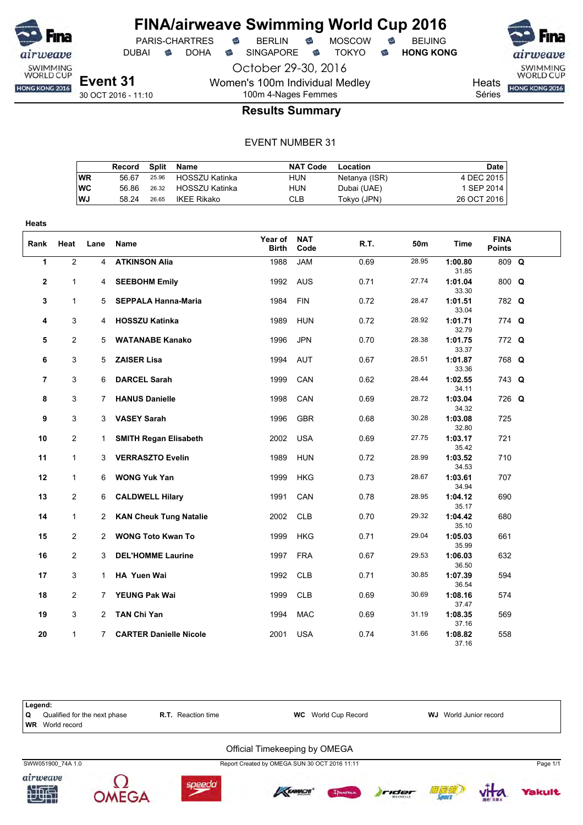

PARIS-CHARTRES **B** BERLIN **B** MOSCOW **B** BEIJING

October 29-30, 2016

DUBAI **S** DOHA S SINGAPORE S TOKYO S HONG KONG

Women's 100m Individual Medley

SWIMMING<br>WORLD CUP **Heats** HONG KONG 2016

Séries

30 OCT 2016 - 11:10

## 100m 4-Nages Femmes **Results Summary**

#### EVENT NUMBER 31

|    | Record | Split | Name                 | <b>NAT Code</b> | Location      | Date        |
|----|--------|-------|----------------------|-----------------|---------------|-------------|
| WR | 56.67  |       | 25.96 HOSSZU Katinka | HUN             | Netanya (ISR) | 4 DEC 2015  |
| WС | 56.86  |       | 26.32 HOSSZU Katinka | HUN             | Dubai (UAE)   | 1 SEP 2014  |
| WJ | 58.24  | 26.65 | IKEE Rikako          | CLB             | Tokyo (JPN)   | 26 OCT 2016 |

| Heats        |                |                |                               |                         |                    |      |       |                  |                              |  |
|--------------|----------------|----------------|-------------------------------|-------------------------|--------------------|------|-------|------------------|------------------------------|--|
| Rank         | Heat           | Lane           | Name                          | Year of<br><b>Birth</b> | <b>NAT</b><br>Code | R.T. | 50m   | Time             | <b>FINA</b><br><b>Points</b> |  |
| $\mathbf{1}$ | $\overline{2}$ | $\overline{4}$ | <b>ATKINSON Alia</b>          | 1988                    | <b>JAM</b>         | 0.69 | 28.95 | 1:00.80<br>31.85 | 809 Q                        |  |
| $\mathbf{2}$ | $\mathbf{1}$   | 4              | <b>SEEBOHM Emily</b>          | 1992                    | <b>AUS</b>         | 0.71 | 27.74 | 1:01.04<br>33.30 | $800$ Q                      |  |
| 3            | $\mathbf{1}$   | 5              | <b>SEPPALA Hanna-Maria</b>    | 1984                    | <b>FIN</b>         | 0.72 | 28.47 | 1:01.51<br>33.04 | 782 Q                        |  |
| 4            | 3              | 4              | <b>HOSSZU Katinka</b>         | 1989                    | <b>HUN</b>         | 0.72 | 28.92 | 1:01.71<br>32.79 | 774 Q                        |  |
| 5            | 2              | 5              | <b>WATANABE Kanako</b>        | 1996                    | <b>JPN</b>         | 0.70 | 28.38 | 1:01.75<br>33.37 | 772 Q                        |  |
| 6            | 3              | 5              | <b>ZAISER Lisa</b>            | 1994                    | <b>AUT</b>         | 0.67 | 28.51 | 1:01.87<br>33.36 | 768 Q                        |  |
| 7            | 3              | 6              | <b>DARCEL Sarah</b>           | 1999                    | CAN                | 0.62 | 28.44 | 1:02.55<br>34.11 | 743 Q                        |  |
| 8            | 3              | 7              | <b>HANUS Danielle</b>         | 1998                    | CAN                | 0.69 | 28.72 | 1:03.04<br>34.32 | 726 Q                        |  |
| 9            | 3              | 3              | <b>VASEY Sarah</b>            | 1996                    | <b>GBR</b>         | 0.68 | 30.28 | 1:03.08<br>32.80 | 725                          |  |
| 10           | $\overline{2}$ | 1.             | <b>SMITH Regan Elisabeth</b>  | 2002                    | <b>USA</b>         | 0.69 | 27.75 | 1:03.17<br>35.42 | 721                          |  |
| 11           | $\mathbf{1}$   | 3              | <b>VERRASZTO Evelin</b>       | 1989                    | <b>HUN</b>         | 0.72 | 28.99 | 1:03.52<br>34.53 | 710                          |  |
| 12           | $\mathbf{1}$   | 6              | <b>WONG Yuk Yan</b>           | 1999                    | <b>HKG</b>         | 0.73 | 28.67 | 1:03.61<br>34.94 | 707                          |  |
| 13           | $\overline{2}$ | 6              | <b>CALDWELL Hilary</b>        | 1991                    | CAN                | 0.78 | 28.95 | 1:04.12<br>35.17 | 690                          |  |
| 14           | $\mathbf{1}$   | $\mathbf{2}$   | <b>KAN Cheuk Tung Natalie</b> | 2002                    | <b>CLB</b>         | 0.70 | 29.32 | 1:04.42<br>35.10 | 680                          |  |
| 15           | $\overline{2}$ | $\overline{2}$ | <b>WONG Toto Kwan To</b>      | 1999                    | <b>HKG</b>         | 0.71 | 29.04 | 1:05.03<br>35.99 | 661                          |  |
| 16           | $\overline{2}$ | 3              | <b>DEL'HOMME Laurine</b>      | 1997                    | <b>FRA</b>         | 0.67 | 29.53 | 1:06.03<br>36.50 | 632                          |  |
| 17           | 3              | 1.             | HA Yuen Wai                   | 1992                    | <b>CLB</b>         | 0.71 | 30.85 | 1:07.39<br>36.54 | 594                          |  |
| 18           | $\overline{2}$ | 7              | <b>YEUNG Pak Wai</b>          | 1999                    | <b>CLB</b>         | 0.69 | 30.69 | 1:08.16<br>37.47 | 574                          |  |
| 19           | 3              | 2              | <b>TAN Chi Yan</b>            | 1994                    | <b>MAC</b>         | 0.69 | 31.19 | 1:08.35<br>37.16 | 569                          |  |
| 20           | $\mathbf{1}$   | 7              | <b>CARTER Danielle Nicole</b> | 2001                    | <b>USA</b>         | 0.74 | 31.66 | 1:08.82<br>37.16 | 558                          |  |

**Legend: Q** Qualified for the next phase **R.T.** Reaction time **WC** World Cup Record **WJ** World Junior record **WR** World record Official Timekeeping by OMEGA SWW051900\_74A 1.0 Page 1/1 Report Created by OMEGA SUN 30 OCT 2016 11:11 Page 1/1 airweave











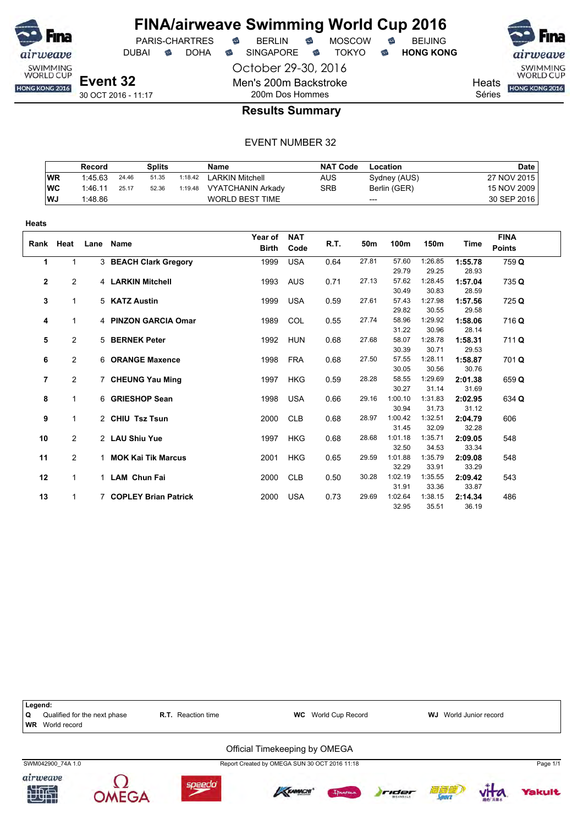

DUBAI **S** DOHA S SINGAPORE S TOKYO S HONG KONG

PARIS-CHARTRES **B** BERLIN **B** MOSCOW **B** BEIJING

October 29-30, 2016 Men's 200m Backstroke 200m Dos Hommes



SWIMMING<br>WORLD CUP HONG KONG 2016

**Heats** Séries

### **Results Summary**

|           | Record  |       | Splits |         | Name                     | <b>NAT Code</b> | Location     | <b>Date</b> |
|-----------|---------|-------|--------|---------|--------------------------|-----------------|--------------|-------------|
| <b>WR</b> | 1:45.63 | 24.46 | 51.35  | 1:18.42 | <b>LARKIN Mitchell</b>   | AUS             | Sydney (AUS) | 27 NOV 2015 |
| WC        | 1:46.11 | 25.17 | 52.36  | 1:19.48 | <b>VYATCHANIN Arkady</b> | SRB             | Berlin (GER) | 15 NOV 2009 |
| WJ.       | 1:48.86 |       |        |         | <b>WORLD BEST TIME</b>   |                 | $---$        | 30 SEP 2016 |

| <b>Heats</b> |                |      |                        |                         |                    |      |       |                  |                  |                  |                              |
|--------------|----------------|------|------------------------|-------------------------|--------------------|------|-------|------------------|------------------|------------------|------------------------------|
| Rank Heat    |                | Lane | <b>Name</b>            | Year of<br><b>Birth</b> | <b>NAT</b><br>Code | R.T. | 50m   | 100m             | 150m             | Time             | <b>FINA</b><br><b>Points</b> |
| 1            |                |      | 3 BEACH Clark Gregory  | 1999                    | <b>USA</b>         | 0.64 | 27.81 | 57.60<br>29.79   | 1:26.85<br>29.25 | 1:55.78<br>28.93 | 759 Q                        |
| $\mathbf{2}$ | $\overline{2}$ |      | 4 LARKIN Mitchell      | 1993                    | <b>AUS</b>         | 0.71 | 27.13 | 57.62<br>30.49   | 1:28.45<br>30.83 | 1:57.04<br>28.59 | 735 Q                        |
| 3            | 1              |      | 5 KATZ Austin          | 1999                    | <b>USA</b>         | 0.59 | 27.61 | 57.43<br>29.82   | 1:27.98<br>30.55 | 1:57.56<br>29.58 | 725 Q                        |
| 4            | 1              |      | 4 PINZON GARCIA Omar   | 1989                    | COL                | 0.55 | 27.74 | 58.96<br>31.22   | 1:29.92<br>30.96 | 1:58.06<br>28.14 | 716 Q                        |
| 5            | $\overline{c}$ |      | 5 BERNEK Peter         | 1992                    | <b>HUN</b>         | 0.68 | 27.68 | 58.07<br>30.39   | 1:28.78<br>30.71 | 1:58.31<br>29.53 | 711 Q                        |
| 6            | $\overline{2}$ |      | 6 ORANGE Maxence       | 1998                    | <b>FRA</b>         | 0.68 | 27.50 | 57.55<br>30.05   | 1:28.11<br>30.56 | 1:58.87<br>30.76 | 701 Q                        |
| 7            | $\overline{2}$ |      | 7 CHEUNG Yau Ming      | 1997                    | <b>HKG</b>         | 0.59 | 28.28 | 58.55<br>30.27   | 1:29.69<br>31.14 | 2:01.38<br>31.69 | 659 Q                        |
| 8            | $\mathbf{1}$   |      | 6 GRIESHOP Sean        | 1998                    | <b>USA</b>         | 0.66 | 29.16 | 1:00.10<br>30.94 | 1:31.83<br>31.73 | 2:02.95<br>31.12 | 634 Q                        |
| 9            | $\mathbf 1$    |      | 2 CHIU Tsz Tsun        | 2000                    | <b>CLB</b>         | 0.68 | 28.97 | 1:00.42<br>31.45 | 1:32.51<br>32.09 | 2:04.79<br>32.28 | 606                          |
| 10           | 2              |      | 2 LAU Shiu Yue         | 1997                    | <b>HKG</b>         | 0.68 | 28.68 | 1:01.18<br>32.50 | 1:35.71<br>34.53 | 2:09.05<br>33.34 | 548                          |
| 11           | $\overline{2}$ |      | 1 MOK Kai Tik Marcus   | 2001                    | <b>HKG</b>         | 0.65 | 29.59 | 1:01.88<br>32.29 | 1:35.79<br>33.91 | 2:09.08<br>33.29 | 548                          |
| 12           | $\mathbf 1$    |      | 1 LAM Chun Fai         | 2000                    | <b>CLB</b>         | 0.50 | 30.28 | 1:02.19<br>31.91 | 1:35.55<br>33.36 | 2:09.42<br>33.87 | 543                          |
| 13           |                |      | 7 COPLEY Brian Patrick | 2000                    | <b>USA</b>         | 0.73 | 29.69 | 1:02.64<br>32.95 | 1:38.15<br>35.51 | 2:14.34<br>36.19 | 486                          |

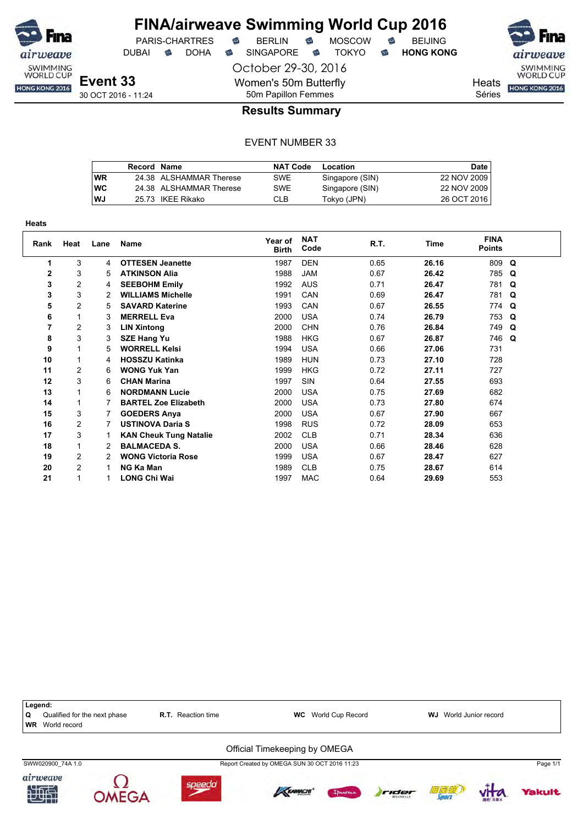

**Heats**

### **FINA/airweave Swimming World Cup 2016** PARIS-CHARTRES **B** BERLIN **B** MOSCOW **B** BEIJING

DUBAI **S** DOHA S SINGAPORE S TOKYO S HONG KONG

October 29-30, 2016

Women's 50m Butterfly

SWIMMING<br>WORLD CUP

Heats **HONG KONG 2016** 

Séries

# 50m Papillon Femmes **Results Summary**

|    | Record Name |                         | <b>NAT Code</b> | Location        | <b>Date</b> |
|----|-------------|-------------------------|-----------------|-----------------|-------------|
| WR |             | 24.38 ALSHAMMAR Therese | SWE             | Singapore (SIN) | 22 NOV 2009 |
| wс |             | 24.38 ALSHAMMAR Therese | <b>SWE</b>      | Singapore (SIN) | 22 NOV 2009 |
| WJ |             | 25.73 IKEE Rikako       | CLB             | Tokyo (JPN)     | 26 OCT 2016 |

| πταιδ |                |      |                               |                         |                    |      |       |                              |             |
|-------|----------------|------|-------------------------------|-------------------------|--------------------|------|-------|------------------------------|-------------|
| Rank  | Heat           | Lane | Name                          | Year of<br><b>Birth</b> | <b>NAT</b><br>Code | R.T. | Time  | <b>FINA</b><br><b>Points</b> |             |
| 1     | 3              | 4    | <b>OTTESEN Jeanette</b>       | 1987                    | <b>DEN</b>         | 0.65 | 26.16 | 809                          | $\mathbf Q$ |
| 2     | 3              | 5    | <b>ATKINSON Alia</b>          | 1988                    | <b>JAM</b>         | 0.67 | 26.42 | 785                          | Q           |
| 3     | 2              | 4    | <b>SEEBOHM Emily</b>          | 1992                    | <b>AUS</b>         | 0.71 | 26.47 | 781 Q                        |             |
| 3     | 3              | 2    | <b>WILLIAMS Michelle</b>      | 1991                    | CAN                | 0.69 | 26.47 | 781 Q                        |             |
| 5     | $\overline{2}$ | 5    | <b>SAVARD Katerine</b>        | 1993                    | CAN                | 0.67 | 26.55 | 774 Q                        |             |
| 6     | 1              | 3    | <b>MERRELL Eva</b>            | 2000                    | <b>USA</b>         | 0.74 | 26.79 | 753 Q                        |             |
| 7     | $\overline{c}$ | 3    | <b>LIN Xintong</b>            | 2000                    | <b>CHN</b>         | 0.76 | 26.84 | 749 Q                        |             |
| 8     | 3              | 3    | <b>SZE Hang Yu</b>            | 1988                    | <b>HKG</b>         | 0.67 | 26.87 | 746 Q                        |             |
| 9     |                | 5    | <b>WORRELL Kelsi</b>          | 1994                    | <b>USA</b>         | 0.66 | 27.06 | 731                          |             |
| 10    |                | 4    | <b>HOSSZU Katinka</b>         | 1989                    | <b>HUN</b>         | 0.73 | 27.10 | 728                          |             |
| 11    | 2              | 6    | <b>WONG Yuk Yan</b>           | 1999                    | <b>HKG</b>         | 0.72 | 27.11 | 727                          |             |
| 12    | 3              | 6    | <b>CHAN Marina</b>            | 1997                    | SIN                | 0.64 | 27.55 | 693                          |             |
| 13    |                | 6    | <b>NORDMANN Lucie</b>         | 2000                    | <b>USA</b>         | 0.75 | 27.69 | 682                          |             |
| 14    |                | 7    | <b>BARTEL Zoe Elizabeth</b>   | 2000                    | <b>USA</b>         | 0.73 | 27.80 | 674                          |             |
| 15    | 3              | 7    | <b>GOEDERS Anya</b>           | 2000                    | <b>USA</b>         | 0.67 | 27.90 | 667                          |             |
| 16    | 2              | 7    | <b>USTINOVA Daria S</b>       | 1998                    | <b>RUS</b>         | 0.72 | 28.09 | 653                          |             |
| 17    | 3              |      | <b>KAN Cheuk Tung Natalie</b> | 2002                    | <b>CLB</b>         | 0.71 | 28.34 | 636                          |             |
| 18    |                | 2    | <b>BALMACEDA S.</b>           | 2000                    | <b>USA</b>         | 0.66 | 28.46 | 628                          |             |
| 19    | 2              | 2    | <b>WONG Victoria Rose</b>     | 1999                    | <b>USA</b>         | 0.67 | 28.47 | 627                          |             |
| 20    | $\overline{c}$ |      | NG Ka Man                     | 1989                    | <b>CLB</b>         | 0.75 | 28.67 | 614                          |             |
| 21    |                |      | <b>LONG Chi Wai</b>           | 1997                    | <b>MAC</b>         | 0.64 | 29.69 | 553                          |             |

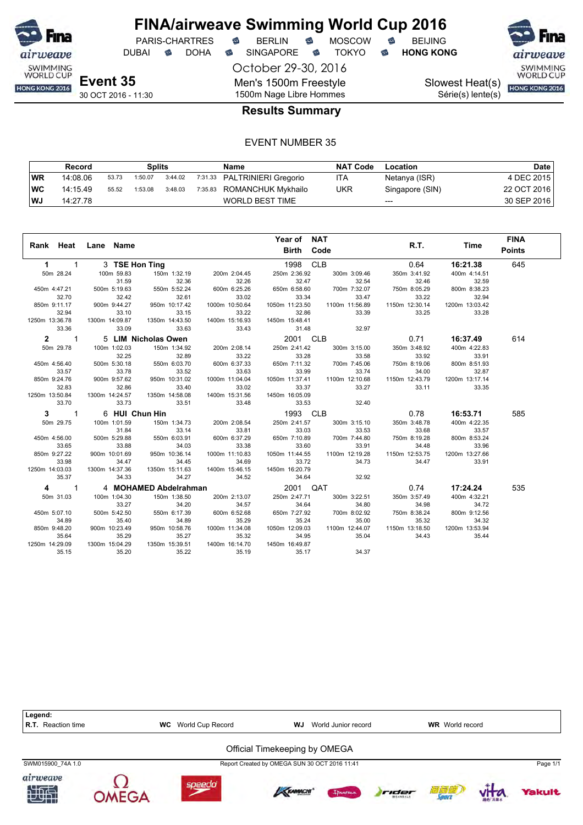

DUBAI **S** DOHA S SINGAPORE S TOKYO S HONG KONG

October 29-30, 2016 Men's 1500m Freestyle 1500m Nage Libre Hommes

PARIS-CHARTRES **B** BERLIN **B** MOSCOW **B** BEIJING

SWIMMING<br>WORLD CUP

Slowest Heat(s)

Série(s) lente(s)

# HONG KONG 2016

30 OCT 2016 - 11:30

### **Results Summary**

|      | Record   |       | Splits  |         | Name                         | <b>NAT Code</b> | Location        | Date        |
|------|----------|-------|---------|---------|------------------------------|-----------------|-----------------|-------------|
| WR   | 14:08.06 | 53.73 | 1:50.07 | 3:44.02 | 7:31.33 PALTRINIERI Gregorio | ITA             | Netanya (ISR)   | 4 DEC 2015  |
| ∣wc  | 14:15.49 | 55.52 | 1:53.08 | 3:48.03 | 7:35.83 ROMANCHUK Mykhailo   | UKR             | Singapore (SIN) | 22 OCT 2016 |
| l WJ | 14:27.78 |       |         |         | <b>WORLD BEST TIME</b>       |                 | $---$           | 30 SEP 2016 |

|                                        | Rank Heat Lane Name |                       |                | Year of NAT<br>Birth Code |                | R.T.           | Time           | <b>FINA</b><br><b>Points</b> |
|----------------------------------------|---------------------|-----------------------|----------------|---------------------------|----------------|----------------|----------------|------------------------------|
|                                        |                     |                       |                |                           |                |                |                |                              |
| $\mathbf{1}$<br>$1 \quad \blacksquare$ | 3 TSE Hon Ting      |                       |                | 1998 CLB                  |                | 0.64           | 16:21.38       | 645                          |
| 50m 28.24                              | 100m 59.83          | 150m 1:32.19          | 200m 2:04.45   | 250m 2:36.92              | 300m 3:09.46   | 350m 3:41.92   | 400m 4:14.51   |                              |
|                                        | 31.59               | 32.36                 | 32.26          | 32.47                     | 32.54          | 32.46          | 32.59          |                              |
| 450m 4:47.21                           | 500m 5:19.63        | 550m 5:52.24          | 600m 6:25.26   | 650m 6:58.60              | 700m 7:32.07   | 750m 8:05.29   | 800m 8:38.23   |                              |
| 32.70                                  | 32.42               | 32.61                 | 33.02          | 33.34                     | 33.47          | 33.22          | 32.94          |                              |
| 850m 9:11.17                           | 900m 9:44.27        | 950m 10:17.42         | 1000m 10:50.64 | 1050m 11:23.50            | 1100m 11:56.89 | 1150m 12:30.14 | 1200m 13:03.42 |                              |
| 32.94                                  | 33.10               | 33.15                 | 33.22          | 32.86                     | 33.39          | 33.25          | 33.28          |                              |
| 1250m 13:36.78                         | 1300m 14:09.87      | 1350m 14:43.50        | 1400m 15:16.93 | 1450m 15:48.41            |                |                |                |                              |
| 33.36                                  | 33.09               | 33.63                 | 33.43          | 31.48                     | 32.97          |                |                |                              |
| $2 \t1$                                |                     | 5 LIM Nicholas Owen   |                | 2001 CLB                  |                | 0.71           | 16:37.49       | 614                          |
| 50m 29.78                              | 100m 1:02.03        | 150m 1:34.92          | 200m 2:08.14   | 250m 2:41.42              | 300m 3:15.00   | 350m 3:48.92   | 400m 4:22.83   |                              |
|                                        | 32.25               | 32.89                 | 33.22          | 33.28                     | 33.58          | 33.92          | 33.91          |                              |
| 450m 4:56.40                           | 500m 5:30.18        | 550m 6:03.70          | 600m 6:37.33   | 650m 7:11.32              | 700m 7:45.06   | 750m 8:19.06   | 800m 8:51.93   |                              |
| 33.57                                  | 33.78               | 33.52                 | 33.63          | 33.99                     | 33.74          | 34.00          | 32.87          |                              |
| 850m 9:24.76                           | 900m 9:57.62        | 950m 10:31.02         | 1000m 11:04.04 | 1050m 11:37.41            | 1100m 12:10.68 | 1150m 12:43.79 | 1200m 13:17.14 |                              |
| 32.83                                  | 32.86               | 33.40                 | 33.02          | 33.37                     | 33.27          | 33.11          | 33.35          |                              |
| 1250m 13:50.84                         | 1300m 14:24.57      | 1350m 14:58.08        | 1400m 15:31.56 | 1450m 16:05.09            |                |                |                |                              |
| 33.70                                  | 33.73               | 33.51                 | 33.48          | 33.53                     | 32.40          |                |                |                              |
| $3 \quad 1$                            | 6 HUI Chun Hin      |                       |                | 1993 CLB                  |                | 0.78           | 16:53.71       | 585                          |
| 50m 29.75                              | 100m 1:01.59        | 150m 1:34.73          | 200m 2:08.54   | 250m 2:41.57              | 300m 3:15.10   | 350m 3:48.78   | 400m 4:22.35   |                              |
|                                        | 31.84               | 33.14                 | 33.81          | 33.03                     | 33.53          | 33.68          | 33.57          |                              |
| 450m 4:56.00                           | 500m 5:29.88        | 550m 6:03.91          | 600m 6:37.29   | 650m 7:10.89              | 700m 7:44.80   | 750m 8:19.28   | 800m 8:53.24   |                              |
| 33.65                                  | 33.88               | 34.03                 | 33.38          | 33.60                     | 33.91          | 34.48          | 33.96          |                              |
| 850m 9:27.22                           | 900m 10:01.69       | 950m 10:36.14         | 1000m 11:10.83 | 1050m 11:44.55            | 1100m 12:19.28 | 1150m 12:53.75 | 1200m 13:27.66 |                              |
| 33.98                                  | 34.47               | 34.45                 | 34.69          | 33.72                     | 34.73          | 34.47          | 33.91          |                              |
| 1250m 14:03.03                         | 1300m 14:37.36      | 1350m 15:11.63        | 1400m 15:46.15 | 1450m 16:20.79            |                |                |                |                              |
| 35.37                                  | 34.33               | 34.27                 | 34.52          | 34.64                     | 32.92          |                |                |                              |
| $\mathbf{1}$<br>4                      |                     | 4 MOHAMED Abdelrahman |                | 2001 QAT                  |                | 0.74           | 17:24.24       | 535                          |
| 50m 31.03                              | 100m 1:04.30        | 150m 1:38.50          | 200m 2:13.07   | 250m 2:47.71              | 300m 3:22.51   | 350m 3:57.49   | 400m 4:32.21   |                              |
|                                        | 33.27               | 34.20                 | 34.57          | 34.64                     | 34.80          | 34.98          | 34.72          |                              |
| 450m 5:07.10                           | 500m 5:42.50        | 550m 6:17.39          | 600m 6:52.68   | 650m 7:27.92              | 700m 8:02.92   | 750m 8:38.24   | 800m 9:12.56   |                              |
| 34.89                                  | 35.40               | 34.89                 | 35.29          | 35.24                     | 35.00          | 35.32          | 34.32          |                              |
| 850m 9:48.20                           | 900m 10:23.49       | 950m 10:58.76         | 1000m 11:34.08 | 1050m 12:09.03            | 1100m 12:44.07 | 1150m 13:18.50 | 1200m 13:53.94 |                              |
| 35.64                                  | 35.29               | 35.27                 | 35.32          | 34.95                     | 35.04          | 34.43          | 35.44          |                              |
| 1250m 14:29.09                         | 1300m 15:04.29      | 1350m 15:39.51        | 1400m 16:14.70 | 1450m 16:49.87            |                |                |                |                              |
| 35.15                                  | 35.20               | 35.22                 | 35.19          | 35.17                     | 34.37          |                |                |                              |

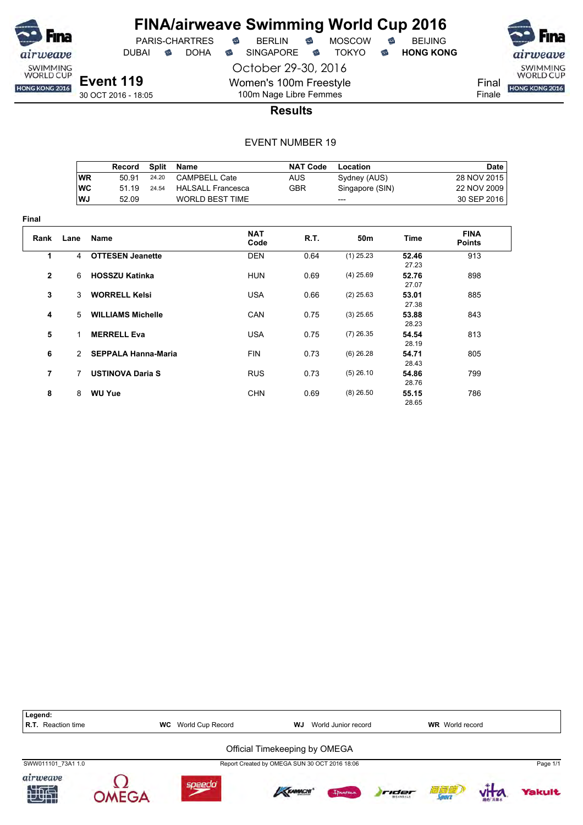

**Final**

# **FINA/airweave Swimming World Cup 2016**

DUBAI **S** DOHA S SINGAPORE S TOKYO S HONG KONG

October 29-30, 2016

PARIS-CHARTRES **B** BERLIN **B** MOSCOW **B** BEIJING

SWIMMING<br>WORLD CUP Final HONG KONG 2016 Finale

**Event 119** 30 OCT 2016 - 18:05

100m Nage Libre Femmes **Results**

Women's 100m Freestyle

|             |               | Record                     | <b>Split</b> | Name                     | <b>NAT Code</b> | Location        |                | <b>Date</b>                  |
|-------------|---------------|----------------------------|--------------|--------------------------|-----------------|-----------------|----------------|------------------------------|
|             | <b>WR</b>     | 50.91                      | 24.20        | <b>CAMPBELL Cate</b>     | <b>AUS</b>      | Sydney (AUS)    |                | 28 NOV 2015                  |
|             | <b>WC</b>     | 51.19                      | 24.54        | <b>HALSALL Francesca</b> | <b>GBR</b>      | Singapore (SIN) |                | 22 NOV 2009                  |
|             | WJ            | 52.09                      |              | <b>WORLD BEST TIME</b>   |                 | ---             |                | 30 SEP 2016                  |
| ıal         |               |                            |              |                          |                 |                 |                |                              |
| Rank        | Lane          | Name                       |              | <b>NAT</b><br>Code       | R.T.            | 50 <sub>m</sub> | <b>Time</b>    | <b>FINA</b><br><b>Points</b> |
| 1           | 4             | <b>OTTESEN Jeanette</b>    |              | <b>DEN</b>               | 0.64            | $(1)$ 25.23     | 52.46<br>27.23 | 913                          |
| $\mathbf 2$ | 6             | <b>HOSSZU Katinka</b>      |              | <b>HUN</b>               | 0.69            | $(4)$ 25.69     | 52.76<br>27.07 | 898                          |
| 3           | 3             | <b>WORRELL Kelsi</b>       |              | <b>USA</b>               | 0.66            | $(2)$ 25.63     | 53.01<br>27.38 | 885                          |
| 4           | 5             | <b>WILLIAMS Michelle</b>   |              | <b>CAN</b>               | 0.75            | $(3)$ 25.65     | 53.88<br>28.23 | 843                          |
| 5           | 1.            | <b>MERRELL Eva</b>         |              | <b>USA</b>               | 0.75            | $(7)$ 26.35     | 54.54<br>28.19 | 813                          |
| 6           | $\mathcal{P}$ | <b>SEPPALA Hanna-Maria</b> |              | <b>FIN</b>               | 0.73            | $(6)$ 26.28     | 54.71<br>28.43 | 805                          |
| 7           | 7             | <b>USTINOVA Daria S</b>    |              | <b>RUS</b>               | 0.73            | $(5)$ 26.10     | 54.86<br>28.76 | 799                          |
| 8           | 8             | <b>WU Yue</b>              |              | <b>CHN</b>               | 0.69            | $(8)$ 26.50     | 55.15<br>28.65 | 786                          |

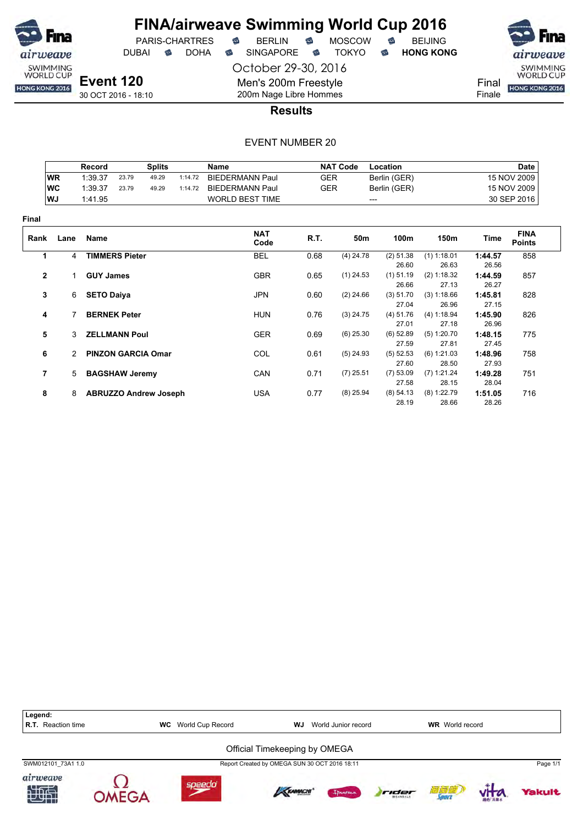

PARIS-CHARTRES DUBAI **S** DOHA S SINGAPORE S TOKYO S HONG KONG

airweave SWIMMING<br>WORLD CUP Final HONG KONG 2016 Finale

**Event 120** 30 OCT 2016 - 18:10

Men's 200m Freestyle 200m Nage Libre Hommes **Results**

October 29-30, 2016

|                |               | Record            |                       | <b>Splits</b>                |         | Name                   |            | <b>NAT Code</b> | Location             |                      |                  | <b>Date</b>                  |
|----------------|---------------|-------------------|-----------------------|------------------------------|---------|------------------------|------------|-----------------|----------------------|----------------------|------------------|------------------------------|
|                | <b>WR</b>     | 1:39.37           | 23.79                 | 49.29                        | 1:14.72 | <b>BIEDERMANN Paul</b> | <b>GER</b> |                 | Berlin (GER)         |                      |                  | 15 NOV 2009                  |
|                | <b>WC</b>     | 1:39.37           | 23.79                 | 49.29                        | 1:14.72 | <b>BIEDERMANN Paul</b> | <b>GER</b> |                 | Berlin (GER)         |                      |                  | 15 NOV 2009                  |
|                | WJ            | 1:41.95           |                       |                              |         | <b>WORLD BEST TIME</b> |            |                 | ---                  |                      |                  | 30 SEP 2016                  |
| <b>Final</b>   |               |                   |                       |                              |         |                        |            |                 |                      |                      |                  |                              |
| Rank           | Lane          | Name              |                       |                              |         | <b>NAT</b><br>Code     | R.T.       | 50m             | 100m                 | 150m                 | Time             | <b>FINA</b><br><b>Points</b> |
| 1              | 4             |                   | <b>TIMMERS Pieter</b> |                              |         | <b>BEL</b>             | 0.68       | $(4)$ 24.78     | (2) 51.38            | $(1)$ 1:18.01        | 1:44.57          | 858                          |
|                |               |                   |                       |                              |         |                        |            |                 | 26.60                | 26.63                | 26.56            |                              |
| $\mathbf{2}$   |               | <b>GUY James</b>  |                       |                              |         | <b>GBR</b>             | 0.65       | $(1)$ 24.53     | $(1)$ 51.19<br>26.66 | (2) 1:18.32<br>27.13 | 1:44.59<br>26.27 | 857                          |
| 3              | 6             | <b>SETO Daiya</b> |                       |                              |         | <b>JPN</b>             | 0.60       | $(2)$ 24.66     | (3) 51.70            | (3) 1:18.66          | 1:45.81          | 828                          |
|                |               |                   |                       |                              |         |                        |            |                 | 27.04                | 26.96                | 27.15            |                              |
| 4              |               |                   | <b>BERNEK Peter</b>   |                              |         | <b>HUN</b>             | 0.76       | $(3)$ 24.75     | (4) 51.76            | (4) 1:18.94          | 1:45.90          | 826                          |
|                |               |                   |                       |                              |         |                        |            |                 | 27.01                | 27.18                | 26.96            |                              |
| 5              | 3             |                   | <b>ZELLMANN Poul</b>  |                              |         | <b>GER</b>             | 0.69       | $(6)$ 25.30     | $(6)$ 52.89          | (5) 1:20.70          | 1:48.15          | 775                          |
|                |               |                   |                       |                              |         |                        |            |                 | 27.59                | 27.81                | 27.45            |                              |
| 6              | $\mathcal{P}$ |                   |                       | <b>PINZON GARCIA Omar</b>    |         | COL                    | 0.61       | $(5)$ 24.93     | $(5)$ 52.53          | (6) 1:21.03          | 1:48.96          | 758                          |
|                |               |                   |                       |                              |         |                        |            |                 | 27.60                | 28.50                | 27.93            |                              |
| $\overline{7}$ | 5             |                   | <b>BAGSHAW Jeremy</b> |                              |         | CAN                    | 0.71       | $(7)$ 25.51     | (7) 53.09            | (7) 1:21.24          | 1:49.28          | 751                          |
|                |               |                   |                       |                              |         |                        |            |                 | 27.58                | 28.15                | 28.04            |                              |
| 8              | 8             |                   |                       | <b>ABRUZZO Andrew Joseph</b> |         | <b>USA</b>             | 0.77       | $(8)$ 25.94     | (8) 54.13            | $(8)$ 1:22.79        | 1:51.05          | 716                          |
|                |               |                   |                       |                              |         |                        |            |                 | 28.19                | 28.66                | 28.26            |                              |

| Legend:<br><b>R.T.</b> Reaction time | World Cup Record<br>WC | WJ                                            | World Junior record |       | <b>WR</b> World record |          |
|--------------------------------------|------------------------|-----------------------------------------------|---------------------|-------|------------------------|----------|
|                                      |                        | Official Timekeeping by OMEGA                 |                     |       |                        |          |
| SWM012101 73A1 1.0                   |                        | Report Created by OMEGA SUN 30 OCT 2016 18:11 |                     |       |                        | Page 1/1 |
| airweave                             |                        | KRAMACHI                                      | Innemo              | rider | 衍复应                    | Yakult   |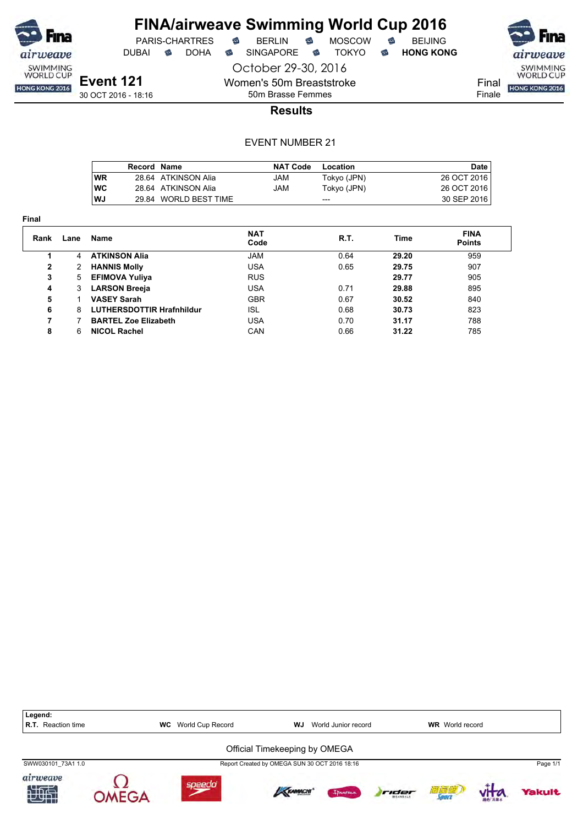

 $PARIS-CHARTRES$  **BERLIN B** MOSCOW **B** 

DUBAI **S** DOHA S SINGAPORE S TOKYO S HONG KONG

**Event 121**

30 OCT 2016 - 18:16

Finale

50m Brasse Femmes **Results**

October 29-30, 2016

Women's 50m Breaststroke

|            | Record Name |                       | <b>NAT Code</b> | Location    | Date        |
|------------|-------------|-----------------------|-----------------|-------------|-------------|
| <b>WR</b>  |             | 28.64 ATKINSON Alia   | JAM             | Tokyo (JPN) | 26 OCT 2016 |
| <b>IWC</b> |             | 28.64 ATKINSON Alia   | JAM             | Tokyo (JPN) | 26 OCT 2016 |
| l WJ       |             | 29.84 WORLD BEST TIME |                 | $---$       | 30 SEP 2016 |

| Final        |      |                                  |                    |      |       |                              |
|--------------|------|----------------------------------|--------------------|------|-------|------------------------------|
| Rank         | Lane | Name                             | <b>NAT</b><br>Code | R.T. | Time  | <b>FINA</b><br><b>Points</b> |
|              | 4    | <b>ATKINSON Alia</b>             | <b>JAM</b>         | 0.64 | 29.20 | 959                          |
| $\mathbf{2}$ | 2    | <b>HANNIS Molly</b>              | USA                | 0.65 | 29.75 | 907                          |
| 3            | 5    | <b>EFIMOVA Yuliya</b>            | <b>RUS</b>         |      | 29.77 | 905                          |
| 4            | 3    | <b>LARSON Breeja</b>             | USA                | 0.71 | 29.88 | 895                          |
| 5            |      | <b>VASEY Sarah</b>               | <b>GBR</b>         | 0.67 | 30.52 | 840                          |
| 6            | 8    | <b>LUTHERSDOTTIR Hrafnhildur</b> | <b>ISL</b>         | 0.68 | 30.73 | 823                          |
| 7            |      | <b>BARTEL Zoe Elizabeth</b>      | USA                | 0.70 | 31.17 | 788                          |
| 8            | 6    | <b>NICOL Rachel</b>              | CAN                | 0.66 | 31.22 | 785                          |

| Legend:<br><b>R.T.</b> Reaction time | <b>WC</b> | World Cup Record | <b>WJ</b>                                     | World Junior record |       | <b>WR</b> World record |               |
|--------------------------------------|-----------|------------------|-----------------------------------------------|---------------------|-------|------------------------|---------------|
|                                      |           |                  | Official Timekeeping by OMEGA                 |                     |       |                        |               |
| SWW030101 73A1 1.0                   |           |                  | Report Created by OMEGA SUN 30 OCT 2016 18:16 |                     |       |                        | Page 1/1      |
| airweave<br>九世史                      |           | speedo           | KRAMACHI                                      | Innema              | rider | 滴滴瘾                    | <b>Yakult</b> |

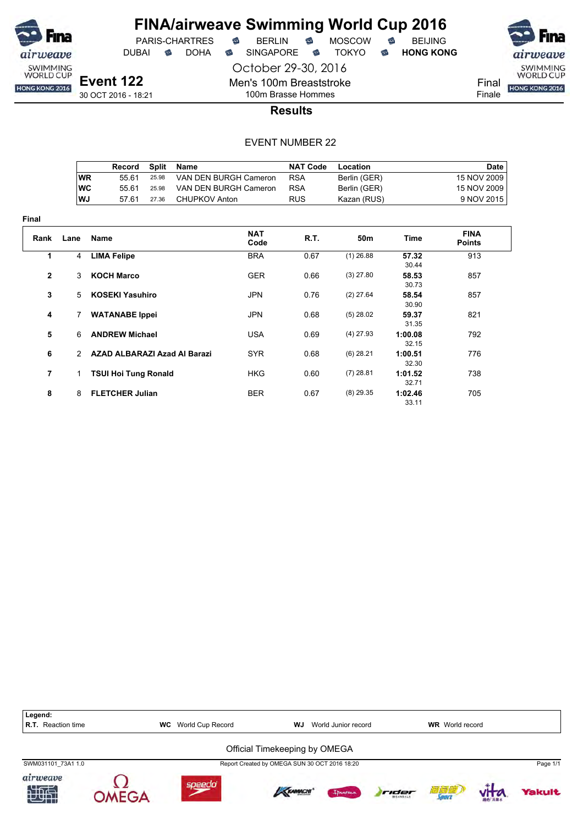

DUBAI **S** DOHA S SINGAPORE S TOKYO S HONG KONG

PARIS-CHARTRES **B** BERLIN **B** MOSCOW **B** BEIJING

**Event 122** 30 OCT 2016 - 18:21

October 29-30, 2016 Men's 100m Breaststroke

100m Brasse Hommes



**Results**

|      | Record | Split | Name                  | <b>NAT Code</b> | Location     | Date        |
|------|--------|-------|-----------------------|-----------------|--------------|-------------|
| WR   | 55 61  | 25.98 | VAN DEN BURGH Cameron | <b>RSA</b>      | Berlin (GER) | 15 NOV 2009 |
| ∣wc  | 55 61  | 25.98 | VAN DEN BURGH Cameron | <b>RSA</b>      | Berlin (GER) | 15 NOV 2009 |
| l WJ | 57.61  | 27.36 | CHUPKOV Anton         | <b>RUS</b>      | Kazan (RUS)  | 9 NOV 2015  |

| Final          |                |                              |                    |      |             |                  |                              |
|----------------|----------------|------------------------------|--------------------|------|-------------|------------------|------------------------------|
| Rank           | Lane           | Name                         | <b>NAT</b><br>Code | R.T. | 50m         | Time             | <b>FINA</b><br><b>Points</b> |
| 1              | 4              | <b>LIMA Felipe</b>           | <b>BRA</b>         | 0.67 | $(1)$ 26.88 | 57.32<br>30.44   | 913                          |
| $\overline{2}$ | 3              | <b>KOCH Marco</b>            | <b>GER</b>         | 0.66 | $(3)$ 27.80 | 58.53<br>30.73   | 857                          |
| 3              | 5              | <b>KOSEKI Yasuhiro</b>       | <b>JPN</b>         | 0.76 | $(2)$ 27.64 | 58.54<br>30.90   | 857                          |
| 4              | $\overline{7}$ | <b>WATANABE Ippei</b>        | <b>JPN</b>         | 0.68 | $(5)$ 28.02 | 59.37<br>31.35   | 821                          |
| 5              | 6              | <b>ANDREW Michael</b>        | <b>USA</b>         | 0.69 | $(4)$ 27.93 | 1:00.08<br>32.15 | 792                          |
| 6              | $\mathcal{P}$  | AZAD ALBARAZI Azad Al Barazi | <b>SYR</b>         | 0.68 | $(6)$ 28.21 | 1:00.51<br>32.30 | 776                          |
| $\overline{7}$ | $\mathbf{1}$   | <b>TSUI Hoi Tung Ronald</b>  | <b>HKG</b>         | 0.60 | $(7)$ 28.81 | 1:01.52<br>32.71 | 738                          |
| 8              | 8              | <b>FLETCHER Julian</b>       | <b>BER</b>         | 0.67 | $(8)$ 29.35 | 1:02.46<br>33.11 | 705                          |

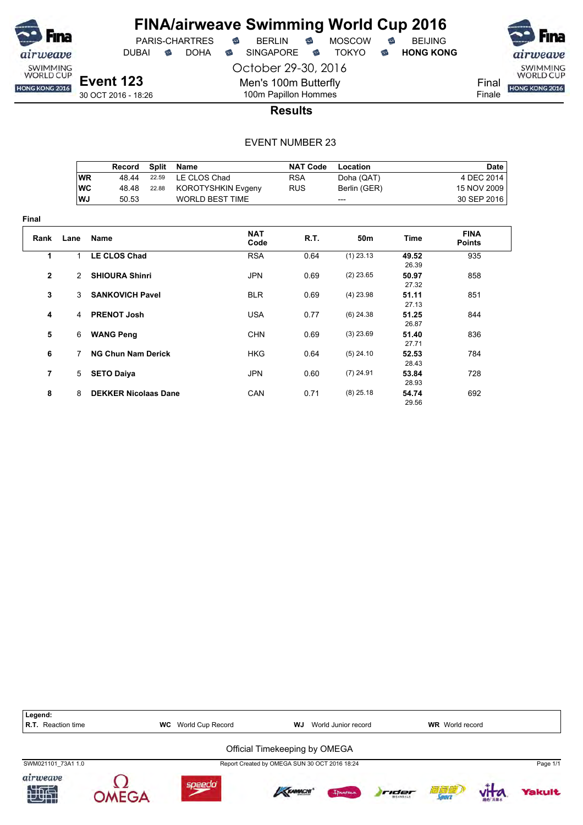

**Final**

## **FINA/airweave Swimming World Cup 2016** PARIS-CHARTRES **B** BERLIN **B** MOSCOW **B** BEIJING

DUBAI **S** DOHA S SINGAPORE S TOKYO S HONG KONG

October 29-30, 2016

SWIMMING<br>WORLD CUP Final HONG KONG 2016 Finale

**Event 123** 30 OCT 2016 - 18:26

# 100m Papillon Hommes **Results**

Men's 100m Butterfly

|                |           | Record                      | <b>Split</b> | <b>Name</b>               | <b>NAT Code</b> | Location     |                | <b>Date</b>                  |
|----------------|-----------|-----------------------------|--------------|---------------------------|-----------------|--------------|----------------|------------------------------|
|                | <b>WR</b> | 48.44                       | 22.59        | LE CLOS Chad              | <b>RSA</b>      | Doha (QAT)   |                | 4 DEC 2014                   |
|                | <b>WC</b> | 48.48                       | 22.88        | <b>KOROTYSHKIN Evgeny</b> | <b>RUS</b>      | Berlin (GER) |                | 15 NOV 2009                  |
|                | WJ        | 50.53                       |              | <b>WORLD BEST TIME</b>    |                 |              |                | 30 SEP 2016                  |
|                |           |                             |              |                           |                 | ---          |                |                              |
| ıal            |           |                             |              |                           |                 |              |                |                              |
| Rank           | Lane      | <b>Name</b>                 |              | <b>NAT</b><br>Code        | R.T.            | 50m          | Time           | <b>FINA</b><br><b>Points</b> |
| 1              | 1         | <b>LE CLOS Chad</b>         |              | <b>RSA</b>                | 0.64            | $(1)$ 23.13  | 49.52<br>26.39 | 935                          |
| $\mathbf{2}$   | 2         | <b>SHIOURA Shinri</b>       |              | <b>JPN</b>                | 0.69            | $(2)$ 23.65  | 50.97<br>27.32 | 858                          |
| 3              | 3         | <b>SANKOVICH Pavel</b>      |              | <b>BLR</b>                | 0.69            | $(4)$ 23.98  | 51.11<br>27.13 | 851                          |
| 4              | 4         | <b>PRENOT Josh</b>          |              | <b>USA</b>                | 0.77            | $(6)$ 24.38  | 51.25<br>26.87 | 844                          |
| 5              | 6         | <b>WANG Peng</b>            |              | <b>CHN</b>                | 0.69            | $(3)$ 23.69  | 51.40<br>27.71 | 836                          |
| 6              | 7         | <b>NG Chun Nam Derick</b>   |              | <b>HKG</b>                | 0.64            | $(5)$ 24.10  | 52.53<br>28.43 | 784                          |
| $\overline{7}$ | 5         | <b>SETO Daiya</b>           |              | <b>JPN</b>                | 0.60            | $(7)$ 24.91  | 53.84<br>28.93 | 728                          |
| 8              | 8         | <b>DEKKER Nicolaas Dane</b> |              | CAN                       | 0.71            | $(8)$ 25.18  | 54.74<br>29.56 | 692                          |

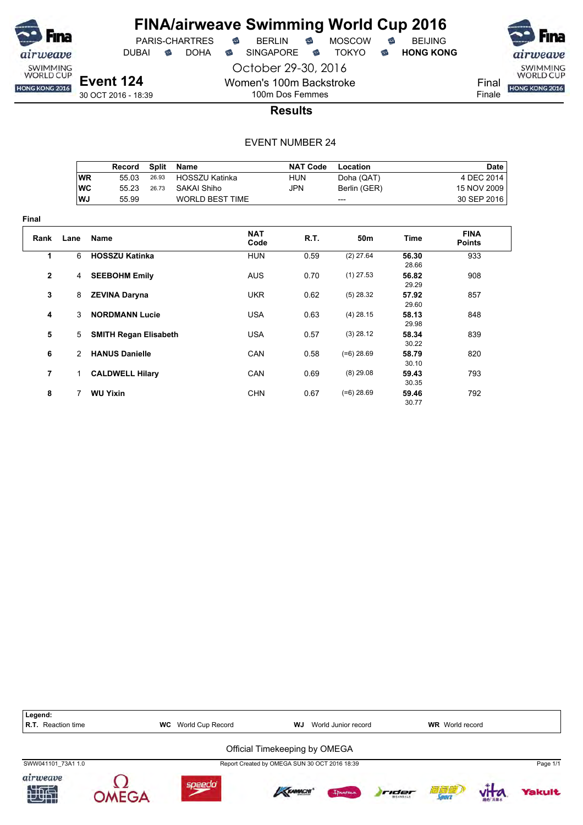

**Final**

# **FINA/airweave Swimming World Cup 2016**

PARIS-CHARTRES **B** BERLIN **B** MOSCOW **B** BEIJING

DUBAI **S** DOHA S SINGAPORE S TOKYO S HONG KONG

SWIMMING<br>WORLD CUP

Final HONG KONG 2016 Finale

30 OCT 2016 - 18:39

100m Dos Femmes **Results**

October 29-30, 2016

Women's 100m Backstroke

|                |           | Record                       | <b>Split</b> | Name                   |             | <b>NAT Code</b> | Location     |                | <b>Date</b>                  |
|----------------|-----------|------------------------------|--------------|------------------------|-------------|-----------------|--------------|----------------|------------------------------|
|                | <b>WR</b> | 55.03                        | 26.93        | <b>HOSSZU Katinka</b>  |             | HUN             | Doha (QAT)   |                | 4 DEC 2014                   |
|                | <b>WC</b> | 55.23                        | 26.73        | SAKAI Shiho            |             | JPN             | Berlin (GER) |                | 15 NOV 2009                  |
|                | WJ        | 55.99                        |              | <b>WORLD BEST TIME</b> |             |                 | ---          |                | 30 SEP 2016                  |
| ıal            |           |                              |              |                        |             |                 |              |                |                              |
| Rank           | Lane      | Name                         |              |                        | NAT<br>Code | R.T.            | 50m          | <b>Time</b>    | <b>FINA</b><br><b>Points</b> |
| 1              | 6         | <b>HOSSZU Katinka</b>        |              |                        | <b>HUN</b>  | 0.59            | $(2)$ 27.64  | 56.30<br>28.66 | 933                          |
| $\mathbf{2}$   | 4         | <b>SEEBOHM Emily</b>         |              |                        | <b>AUS</b>  | 0.70            | $(1)$ 27.53  | 56.82<br>29.29 | 908                          |
| 3              | 8         | <b>ZEVINA Daryna</b>         |              |                        | <b>UKR</b>  | 0.62            | $(5)$ 28.32  | 57.92<br>29.60 | 857                          |
| 4              | 3         | <b>NORDMANN Lucie</b>        |              |                        | <b>USA</b>  | 0.63            | $(4)$ 28.15  | 58.13<br>29.98 | 848                          |
| 5              | 5         | <b>SMITH Regan Elisabeth</b> |              |                        | <b>USA</b>  | 0.57            | $(3)$ 28.12  | 58.34<br>30.22 | 839                          |
| 6              | 2         | <b>HANUS Danielle</b>        |              |                        | CAN         | 0.58            | $(=6)$ 28.69 | 58.79<br>30.10 | 820                          |
| $\overline{7}$ | 1.        | <b>CALDWELL Hilary</b>       |              |                        | <b>CAN</b>  | 0.69            | $(8)$ 29.08  | 59.43<br>30.35 | 793                          |
| 8              | 7         | <b>WU Yixin</b>              |              |                        | <b>CHN</b>  | 0.67            | $(=6)$ 28.69 | 59.46<br>30.77 | 792                          |

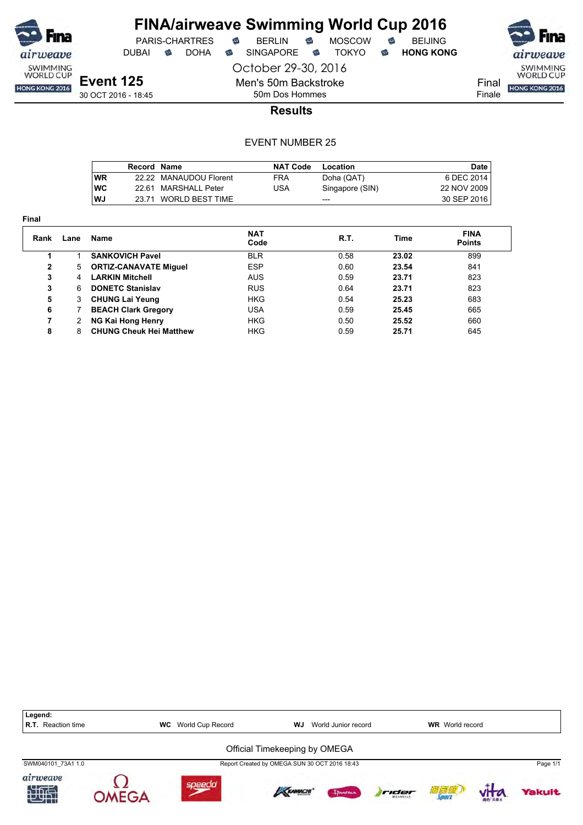

# **FINA/airweave Swimming World Cup 2016**<br>PARIS-CHARTRES **& BERLIN & MOSCOW & BEIJING**  $PARIS-CHARTRES$  **BERLIN B** MOSCOW **B**

DUBAI **S** DOHA S SINGAPORE S TOKYO S HONG KONG

October 29-30, 2016 Men's 50m Backstroke



**Event 125** 30 OCT 2016 - 18:45

50m Dos Hommes **Results**

|            | Record Name |                        | <b>NAT Code</b> | Location        | Date        |
|------------|-------------|------------------------|-----------------|-----------------|-------------|
| <b>WR</b>  |             | 22.22 MANAUDOU Florent | <b>FRA</b>      | Doha (QAT)      | 6 DEC 2014  |
| <b>IWC</b> |             | 22.61 MARSHALL Peter   | USA             | Singapore (SIN) | 22 NOV 2009 |
| WJ         | 23.71       | WORLD BEST TIME        |                 | ---             | 30 SEP 2016 |

| Rank | Lane | Name                           | <b>NAT</b><br>Code | R.T. | Time  | <b>FINA</b><br><b>Points</b> |  |
|------|------|--------------------------------|--------------------|------|-------|------------------------------|--|
|      |      | <b>SANKOVICH Pavel</b>         | <b>BLR</b>         | 0.58 | 23.02 | 899                          |  |
| 2    | 5    | <b>ORTIZ-CANAVATE Miguel</b>   | <b>ESP</b>         | 0.60 | 23.54 | 841                          |  |
| 3    | 4    | <b>LARKIN Mitchell</b>         | <b>AUS</b>         | 0.59 | 23.71 | 823                          |  |
| 3    | 6    | <b>DONETC Stanislav</b>        | <b>RUS</b>         | 0.64 | 23.71 | 823                          |  |
| 5    | 3    | <b>CHUNG Lai Yeung</b>         | <b>HKG</b>         | 0.54 | 25.23 | 683                          |  |
| 6    |      | <b>BEACH Clark Gregory</b>     | USA                | 0.59 | 25.45 | 665                          |  |
| 7    |      | NG Kai Hong Henry              | <b>HKG</b>         | 0.50 | 25.52 | 660                          |  |
| 8    | 8    | <b>CHUNG Cheuk Hei Matthew</b> | <b>HKG</b>         | 0.59 | 25.71 | 645                          |  |
|      |      |                                |                    |      |       |                              |  |

| Legend:<br><b>R.T.</b> Reaction time | <b>WC</b> | World Cup Record | WJ                                            | World Junior record |       | <b>WR</b> World record |          |
|--------------------------------------|-----------|------------------|-----------------------------------------------|---------------------|-------|------------------------|----------|
|                                      |           |                  | Official Timekeeping by OMEGA                 |                     |       |                        |          |
| SWM040101 73A1 1.0                   |           |                  | Report Created by OMEGA SUN 30 OCT 2016 18:43 |                     |       |                        | Page 1/1 |
| airweave<br>加快                       | MEGA      | speedo           | <b>KRAMACHI</b>                               | Innemo              | rider | 酒窗 <sup>道</sup>        | Yakult   |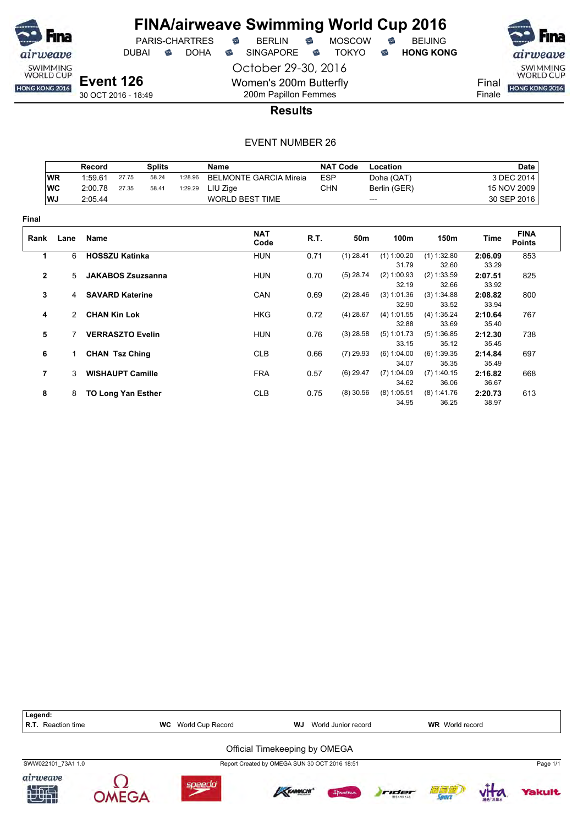

DUBAI **S** DOHA S SINGAPORE S TOKYO S HONG KONG

October 29-30, 2016 Women's 200m Butterfly 200m Papillon Femmes

PARIS-CHARTRES **B** BERLIN **B** MOSCOW **B** BEIJING

SWIMMING<br>WORLD CUP Final HONG KONG 2016 Finale

30 OCT 2016 - 18:49

**Results**

|                |               | Record  |                           | <b>Splits</b> |         | <b>Name</b>                   |            | <b>NAT Code</b> | Location               |                        |                  | <b>Date</b>                  |
|----------------|---------------|---------|---------------------------|---------------|---------|-------------------------------|------------|-----------------|------------------------|------------------------|------------------|------------------------------|
|                | <b>WR</b>     | 1:59.61 | 27.75                     | 58.24         | 1:28.96 | <b>BELMONTE GARCIA Mireia</b> | <b>ESP</b> |                 | Doha (QAT)             |                        |                  | 3 DEC 2014                   |
|                | <b>WC</b>     | 2:00.78 | 27.35                     | 58.41         | 1:29.29 | LIU Zige                      | <b>CHN</b> |                 | Berlin (GER)           |                        |                  | 15 NOV 2009                  |
|                | WJ            | 2:05.44 |                           |               |         | <b>WORLD BEST TIME</b>        |            |                 | ---                    |                        |                  | 30 SEP 2016                  |
| Final          |               |         |                           |               |         |                               |            |                 |                        |                        |                  |                              |
| Rank           | Lane          | Name    |                           |               |         | <b>NAT</b><br>Code            | R.T.       | 50m             | 100m                   | 150m                   | Time             | <b>FINA</b><br><b>Points</b> |
| 1              | 6             |         | <b>HOSSZU Katinka</b>     |               |         | <b>HUN</b>                    | 0.71       | $(1)$ 28.41     | $(1)$ 1:00.20          | $(1)$ 1:32.80          | 2:06.09          | 853                          |
|                |               |         |                           |               |         |                               |            |                 | 31.79                  | 32.60                  | 33.29            |                              |
| $\overline{2}$ | $5^{\circ}$   |         | <b>JAKABOS Zsuzsanna</b>  |               |         | <b>HUN</b>                    | 0.70       | $(5)$ 28.74     | (2) 1:00.93<br>32.19   | (2) 1:33.59<br>32.66   | 2:07.51<br>33.92 | 825                          |
| 3              | 4             |         | <b>SAVARD Katerine</b>    |               |         | CAN                           | 0.69       | $(2)$ 28.46     | (3) 1:01.36<br>32.90   | (3) 1:34.88<br>33.52   | 2:08.82<br>33.94 | 800                          |
| 4              | $\mathcal{P}$ |         | <b>CHAN Kin Lok</b>       |               |         | <b>HKG</b>                    | 0.72       | $(4)$ 28.67     | (4) 1:01.55<br>32.88   | (4) 1:35.24<br>33.69   | 2:10.64<br>35.40 | 767                          |
| 5              |               |         | <b>VERRASZTO Evelin</b>   |               |         | <b>HUN</b>                    | 0.76       | $(3)$ 28.58     | (5) 1:01.73<br>33.15   | (5) 1:36.85<br>35.12   | 2:12.30<br>35.45 | 738                          |
| 6              | 1.            |         | <b>CHAN Tsz Ching</b>     |               |         | <b>CLB</b>                    | 0.66       | $(7)$ 29.93     | (6) 1:04.00<br>34.07   | $(6)$ 1:39.35<br>35.35 | 2:14.84<br>35.49 | 697                          |
| $\overline{7}$ | 3             |         | <b>WISHAUPT Camille</b>   |               |         | <b>FRA</b>                    | 0.57       | $(6)$ 29.47     | $(7)$ 1:04.09<br>34.62 | $(7)$ 1:40.15<br>36.06 | 2:16.82<br>36.67 | 668                          |
| 8              | 8             |         | <b>TO Long Yan Esther</b> |               |         | <b>CLB</b>                    | 0.75       | $(8)$ 30.56     | $(8)$ 1:05.51<br>34.95 | $(8)$ 1:41.76<br>36.25 | 2:20.73<br>38.97 | 613                          |

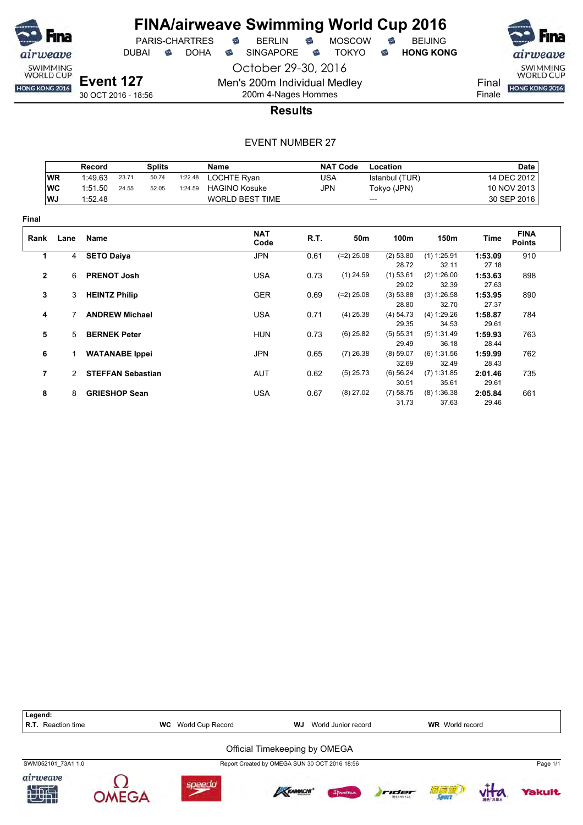

# **FINA/airweave Swimming World Cup 2016**<br>PARIS-CHARTRES **& BERLIN & MOSCOW & BEIJING**  $PARIS-CHARTRES$  **BERLIN B** MOSCOW **B**

DUBAI **S** DOHA S SINGAPORE S TOKYO S HONG KONG

airweave SWIMMING<br>WORLD CUP

Final **HONG KONG 2016** Finale

30 OCT 2016 - 18:56

200m 4-Nages Hommes **Results**

October 29-30, 2016

Men's 200m Individual Medley

|              |               | Record                   |                       | <b>Splits</b> |         | <b>Name</b>            |            | <b>NAT Code</b> | Location             |                      |                  | <b>Date</b>                  |
|--------------|---------------|--------------------------|-----------------------|---------------|---------|------------------------|------------|-----------------|----------------------|----------------------|------------------|------------------------------|
|              | <b>WR</b>     | 1:49.63                  | 23.71                 | 50.74         | 1:22.48 | LOCHTE Ryan            | <b>USA</b> |                 | Istanbul (TUR)       |                      |                  | 14 DEC 2012                  |
|              | <b>WC</b>     | 1:51.50                  | 24.55                 | 52.05         | 1:24.59 | <b>HAGINO Kosuke</b>   | JPN        |                 | Tokyo (JPN)          |                      |                  | 10 NOV 2013                  |
|              | WJ            | 1:52.48                  |                       |               |         | <b>WORLD BEST TIME</b> |            |                 | ---                  |                      |                  | 30 SEP 2016                  |
| <b>Final</b> |               |                          |                       |               |         |                        |            |                 |                      |                      |                  |                              |
| Rank         | Lane          | Name                     |                       |               |         | <b>NAT</b><br>Code     | R.T.       | 50m             | 100m                 | 150m                 | Time             | <b>FINA</b><br><b>Points</b> |
| 1            |               | 4 SETO Daiya             |                       |               |         | <b>JPN</b>             | 0.61       | $(=2)$ 25.08    | (2) 53.80            | $(1)$ 1:25.91        | 1:53.09          | 910                          |
|              |               |                          |                       |               |         |                        |            |                 | 28.72                | 32.11                | 27.18            |                              |
| $\mathbf{2}$ | 6             | <b>PRENOT Josh</b>       |                       |               |         | <b>USA</b>             | 0.73       | $(1)$ 24.59     | $(1)$ 53.61<br>29.02 | (2) 1:26.00<br>32.39 | 1:53.63<br>27.63 | 898                          |
| 3            | 3             | <b>HEINTZ Philip</b>     |                       |               |         | <b>GER</b>             | 0.69       | $(=2)$ 25.08    | (3) 53.88            | (3) 1:26.58          | 1:53.95          | 890                          |
|              |               |                          |                       |               |         |                        |            |                 | 28.80                | 32.70                | 27.37            |                              |
| 4            |               |                          | <b>ANDREW Michael</b> |               |         | <b>USA</b>             | 0.71       | $(4)$ 25.38     | (4) 54.73            | (4) 1:29.26          | 1:58.87          | 784                          |
|              |               |                          |                       |               |         |                        |            |                 | 29.35                | 34.53                | 29.61            |                              |
| 5            | 5             | <b>BERNEK Peter</b>      |                       |               |         | <b>HUN</b>             | 0.73       | $(6)$ 25.82     | (5) 55.31            | (5) 1:31.49          | 1:59.93          | 763                          |
|              |               |                          |                       |               |         |                        |            |                 | 29.49                | 36.18                | 28.44            |                              |
| 6            |               | <b>WATANABE</b> Ippei    |                       |               |         | <b>JPN</b>             | 0.65       | $(7)$ 26.38     | (8) 59.07            | (6) 1:31.56          | 1:59.99          | 762                          |
|              |               |                          |                       |               |         |                        |            |                 | 32.69                | 32.49                | 28.43            |                              |
| 7            | $\mathcal{P}$ | <b>STEFFAN Sebastian</b> |                       |               |         | <b>AUT</b>             | 0.62       | $(5)$ 25.73     | (6) 56.24            | $(7)$ 1:31.85        | 2:01.46          | 735                          |
|              |               |                          |                       |               |         |                        |            |                 | 30.51                | 35.61                | 29.61            |                              |
| 8            | 8             | <b>GRIESHOP Sean</b>     |                       |               |         | <b>USA</b>             | 0.67       | $(8)$ 27.02     | (7) 58.75            | (8) 1:36.38          | 2:05.84          | 661                          |
|              |               |                          |                       |               |         |                        |            |                 | 31.73                | 37.63                | 29.46            |                              |

| Legend:<br>Reaction time<br>R.T. | World Cup Record<br>WC | WJ.                                           | World Junior record |                          | <b>WR</b> World record |               |          |
|----------------------------------|------------------------|-----------------------------------------------|---------------------|--------------------------|------------------------|---------------|----------|
|                                  |                        | Official Timekeeping by OMEGA                 |                     |                          |                        |               |          |
| SWM052101 73A1 1.0               |                        | Report Created by OMEGA SUN 30 OCT 2016 18:56 |                     |                          |                        |               | Page 1/1 |
| airweave<br>知世                   | soeedo                 | KRAMACHI                                      | Innema              | rider<br><b>BEANDALE</b> | 衍詞感<br><b>Source</b>   | <b>割れ 高量水</b> | Yakult   |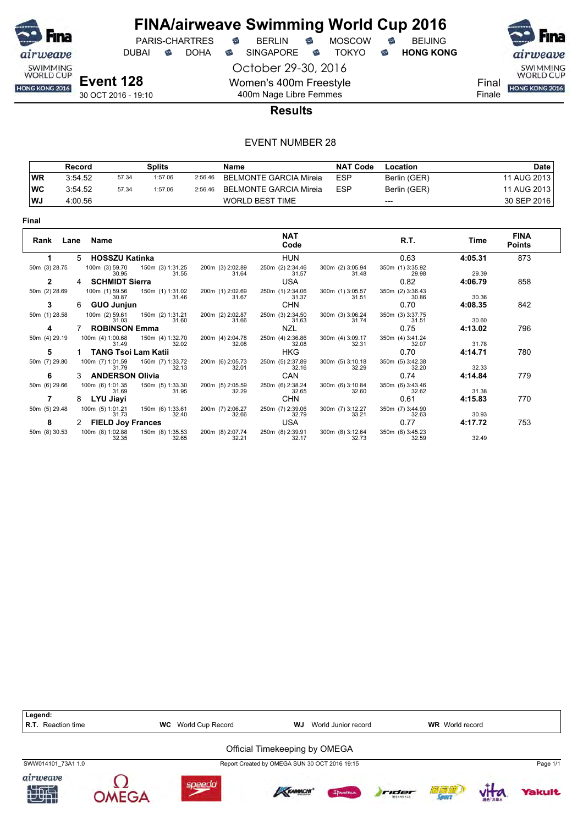

DUBAI **S** DOHA S SINGAPORE S TOKYO S HONG KONG

October 29-30, 2016 Women's 400m Freestyle 400m Nage Libre Femmes





Final

Finale

**Results**

|           | Record  |       | Splits  |         | Name                   | <b>NAT Code</b> | Location     | Date        |
|-----------|---------|-------|---------|---------|------------------------|-----------------|--------------|-------------|
| <b>WR</b> | 3:54.52 | 57.34 | 1:57.06 | 2:56.46 | BELMONTE GARCIA Mireia | <b>ESP</b>      | Berlin (GER) | 11 AUG 2013 |
| ∣wc       | 3:54.52 | 57.34 | 1:57.06 | 2:56.46 | BELMONTE GARCIA Mireia | <b>ESP</b>      | Berlin (GER) | 11 AUG 2013 |
| l WJ      | 4:00.56 |       |         |         | <b>WORLD BEST TIME</b> |                 | $---$        | 30 SEP 2016 |

| Rank Lane Name |   |                            |                           |                           | <b>NAT</b><br>Code        |                           | R.T.                      | Time    | <b>FINA</b><br><b>Points</b> |
|----------------|---|----------------------------|---------------------------|---------------------------|---------------------------|---------------------------|---------------------------|---------|------------------------------|
|                | 5 | <b>HOSSZU Katinka</b>      |                           |                           | <b>HUN</b>                |                           | 0.63                      | 4:05.31 | 873                          |
| 50m (3) 28.75  |   | 100m (3) 59.70<br>30.95    | 150m (3) 1:31.25<br>31.55 | 200m (3) 2:02.89<br>31.64 | 250m (2) 2:34.46<br>31.57 | 300m (2) 3:05.94<br>31.48 | 350m (1) 3:35.92<br>29.98 | 29.39   |                              |
| $\mathbf{2}$   |   | <b>SCHMIDT Sierra</b>      |                           |                           | <b>USA</b>                |                           | 0.82                      | 4:06.79 | 858                          |
| 50m (2) 28.69  |   | 100m (1) 59.56<br>30.87    | 150m (1) 1:31.02<br>31.46 | 200m (1) 2:02.69<br>31.67 | 250m (1) 2:34.06<br>31.37 | 300m (1) 3:05.57<br>31.51 | 350m (2) 3:36.43<br>30.86 | 30.36   |                              |
| 3              | 6 | <b>GUO Junjun</b>          |                           |                           | <b>CHN</b>                |                           | 0.70                      | 4:08.35 | 842                          |
| 50m (1) 28.58  |   | 100m (2) 59.61<br>31.03    | 150m (2) 1:31.21<br>31.60 | 200m (2) 2:02.87<br>31.66 | 250m (3) 2:34.50<br>31.63 | 300m (3) 3:06.24<br>31.74 | 350m (3) 3:37.75<br>31.51 | 30.60   |                              |
| 4              |   | <b>ROBINSON Emma</b>       |                           |                           | <b>NZL</b>                |                           | 0.75                      | 4:13.02 | 796                          |
| 50m (4) 29.19  |   | 100m (4) 1:00.68<br>31.49  | 150m (4) 1:32.70<br>32.02 | 200m (4) 2:04.78<br>32.08 | 250m (4) 2:36.86<br>32.08 | 300m (4) 3:09.17<br>32.31 | 350m (4) 3:41.24<br>32.07 | 31.78   |                              |
| 5              |   | <b>TANG Tsoi Lam Katii</b> |                           |                           | <b>HKG</b>                |                           | 0.70                      | 4:14.71 | 780                          |
| 50m (7) 29.80  |   | 100m (7) 1:01.59<br>31.79  | 150m (7) 1:33.72<br>32.13 | 200m (6) 2:05.73<br>32.01 | 250m (5) 2:37.89<br>32.16 | 300m (5) 3:10.18<br>32.29 | 350m (5) 3:42.38<br>32.20 | 32.33   |                              |
| 6              |   | <b>ANDERSON Olivia</b>     |                           |                           | <b>CAN</b>                |                           | 0.74                      | 4:14.84 | 779                          |
| 50m (6) 29.66  |   | 100m (6) 1:01.35<br>31.69  | 150m (5) 1:33.30<br>31.95 | 200m (5) 2:05.59<br>32.29 | 250m (6) 2:38.24<br>32.65 | 300m (6) 3:10.84<br>32.60 | 350m (6) 3:43.46<br>32.62 | 31.38   |                              |
| 7              |   | LYU Jiayi                  |                           |                           | <b>CHN</b>                |                           | 0.61                      | 4:15.83 | 770                          |
| 50m (5) 29.48  |   | 100m (5) 1:01.21<br>31.73  | 150m (6) 1:33.61<br>32.40 | 200m (7) 2:06.27<br>32.66 | 250m (7) 2:39.06<br>32.79 | 300m (7) 3:12.27<br>33.21 | 350m (7) 3:44.90<br>32.63 | 30.93   |                              |
| 8              | 2 | <b>FIELD Joy Frances</b>   |                           |                           | USA                       |                           | 0.77                      | 4:17.72 | 753                          |
| 50m (8) 30.53  |   | 100m (8) 1:02.88<br>32.35  | 150m (8) 1:35.53<br>32.65 | 200m (8) 2:07.74<br>32.21 | 250m (8) 2:39.91<br>32.17 | 300m (8) 3:12.64<br>32.73 | 350m (8) 3:45.23<br>32.59 | 32.49   |                              |

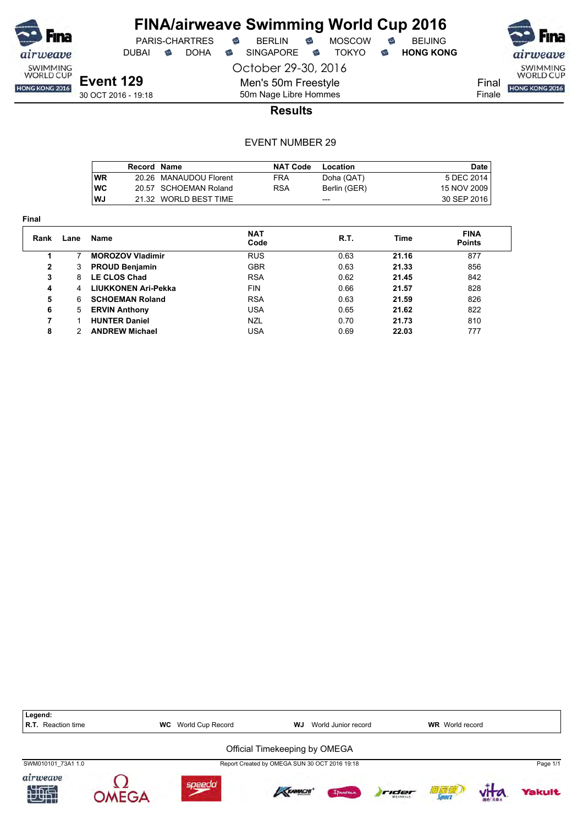

DUBAI **S** DOHA S SINGAPORE S TOKYO S HONG KONG

PARIS-CHARTRES **S** BERLIN S MOSCOW S

October 29-30, 2016



Finale

30 OCT 2016 - 19:18

50m Nage Libre Hommes **Results**

Men's 50m Freestyle

|            | Record Name |                        | <b>NAT Code</b> | Location     | Date        |
|------------|-------------|------------------------|-----------------|--------------|-------------|
| <b>WR</b>  |             | 20.26 MANAUDOU Florent | FRA             | Doha (QAT)   | 5 DEC 2014  |
| <b>IWC</b> |             | 20.57 SCHOEMAN Roland  | <b>RSA</b>      | Berlin (GER) | 15 NOV 2009 |
| l WJ       |             | 21.32 WORLD BEST TIME  |                 | ---          | 30 SEP 2016 |

| Final |      |                         |                    |      |       |                              |
|-------|------|-------------------------|--------------------|------|-------|------------------------------|
| Rank  | Lane | Name                    | <b>NAT</b><br>Code | R.T. | Time  | <b>FINA</b><br><b>Points</b> |
|       |      | <b>MOROZOV Vladimir</b> | <b>RUS</b>         | 0.63 | 21.16 | 877                          |
| 2     | 3    | <b>PROUD Benjamin</b>   | <b>GBR</b>         | 0.63 | 21.33 | 856                          |
| 3     | 8    | <b>LE CLOS Chad</b>     | <b>RSA</b>         | 0.62 | 21.45 | 842                          |
| 4     | 4    | LIUKKONEN Ari-Pekka     | <b>FIN</b>         | 0.66 | 21.57 | 828                          |
| 5     | 6    | <b>SCHOEMAN Roland</b>  | <b>RSA</b>         | 0.63 | 21.59 | 826                          |
| 6     | 5    | <b>ERVIN Anthony</b>    | <b>USA</b>         | 0.65 | 21.62 | 822                          |
| 7     |      | <b>HUNTER Daniel</b>    | <b>NZL</b>         | 0.70 | 21.73 | 810                          |
| 8     |      | <b>ANDREW Michael</b>   | <b>USA</b>         | 0.69 | 22.03 | 777                          |

| Legend:<br><b>R.T.</b> Reaction time |             | World Cup Record<br><b>WC</b> | WJ                                            | World Junior record |       | <b>WR</b> World record |              |          |
|--------------------------------------|-------------|-------------------------------|-----------------------------------------------|---------------------|-------|------------------------|--------------|----------|
|                                      |             |                               | Official Timekeeping by OMEGA                 |                     |       |                        |              |          |
| SWM010101 73A1 1.0                   |             |                               | Report Created by OMEGA SUN 30 OCT 2016 19:18 |                     |       |                        |              | Page 1/1 |
| airweave<br>知世                       | $MFG\Delta$ | speedo                        | KRAMACHI                                      | Innema              | rider | 酒酒酒                    | <b>ALLEY</b> | Yakult   |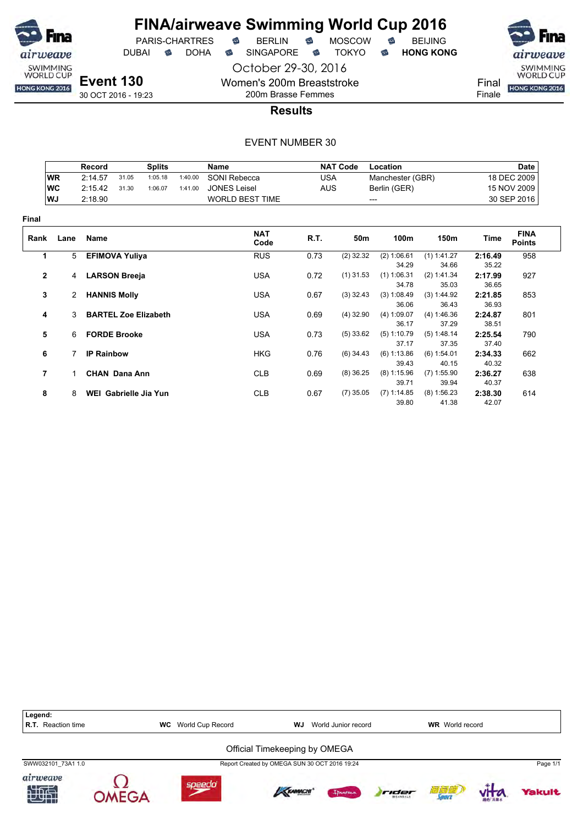

October 29-30, 2016

Women's 200m Breaststroke 200m Brasse Femmes

PARIS-CHARTRES

DUBAI **S** DOHA S SINGAPORE S TOKYO S HONG KONG

airweave SWIMMING<br>WORLD CUP

Final HONG KONG 2016

Finale

**Results**

|              |           | Record                |       | <b>Splits</b>               |         | <b>Name</b>            |            | <b>NAT Code</b> | Location               |                        |                  | <b>Date</b>                  |
|--------------|-----------|-----------------------|-------|-----------------------------|---------|------------------------|------------|-----------------|------------------------|------------------------|------------------|------------------------------|
|              | <b>WR</b> | 2:14.57               | 31.05 | 1:05.18                     | 1:40.00 | SONI Rebecca           | <b>USA</b> |                 | Manchester (GBR)       |                        | 18 DEC 2009      |                              |
|              | <b>WC</b> | 2:15.42               | 31.30 | 1:06.07                     | 1:41.00 | <b>JONES Leisel</b>    | <b>AUS</b> |                 | Berlin (GER)           |                        | 15 NOV 2009      |                              |
|              | WJ        | 2:18.90               |       |                             |         | <b>WORLD BEST TIME</b> |            | ---             |                        |                        |                  | 30 SEP 2016                  |
| <b>Final</b> |           |                       |       |                             |         |                        |            |                 |                        |                        |                  |                              |
| Rank         | Lane      | Name                  |       |                             |         | <b>NAT</b><br>Code     | R.T.       | 50m             | 100m                   | 150m                   | Time             | <b>FINA</b><br><b>Points</b> |
| 1            | 5         | <b>EFIMOVA Yuliya</b> |       |                             |         | <b>RUS</b>             | 0.73       | $(2)$ 32.32     | (2) 1:06.61            | $(1)$ 1:41.27          | 2:16.49          | 958                          |
|              |           |                       |       |                             |         |                        |            |                 | 34.29                  | 34.66                  | 35.22            |                              |
| $\mathbf{2}$ | 4         | <b>LARSON Breeja</b>  |       |                             |         | <b>USA</b>             | 0.72       | $(1)$ 31.53     | $(1)$ 1:06.31<br>34.78 | (2) 1:41.34<br>35.03   | 2:17.99<br>36.65 | 927                          |
| 3            | 2         | <b>HANNIS Molly</b>   |       |                             |         | <b>USA</b>             | 0.67       | $(3)$ 32.43     | (3) 1:08.49<br>36.06   | (3) 1:44.92<br>36.43   | 2:21.85<br>36.93 | 853                          |
| 4            | 3         |                       |       | <b>BARTEL Zoe Elizabeth</b> |         | <b>USA</b>             | 0.69       | $(4)$ 32.90     | (4) 1:09.07<br>36.17   | (4) 1:46.36<br>37.29   | 2:24.87<br>38.51 | 801                          |
| 5            | 6         | <b>FORDE Brooke</b>   |       |                             |         | <b>USA</b>             | 0.73       | $(5)$ 33.62     | $(5)$ 1:10.79<br>37.17 | (5) 1:48.14<br>37.35   | 2:25.54<br>37.40 | 790                          |
| 6            |           | <b>IP Rainbow</b>     |       |                             |         | <b>HKG</b>             | 0.76       | $(6)$ 34.43     | (6) 1:13.86<br>39.43   | (6) 1:54.01<br>40.15   | 2:34.33<br>40.32 | 662                          |
| 7            | 1         | <b>CHAN Dana Ann</b>  |       |                             |         | <b>CLB</b>             | 0.69       | $(8)$ 36.25     | $(8)$ 1:15.96<br>39.71 | $(7)$ 1:55.90<br>39.94 | 2:36.27<br>40.37 | 638                          |
| 8            | 8         | WEI Gabrielle Jia Yun |       |                             |         | <b>CLB</b>             | 0.67       | $(7)$ 35.05     | $(7)$ 1:14.85<br>39.80 | (8) 1:56.23<br>41.38   | 2:38.30<br>42.07 | 614                          |

| Legend:<br><b>R.T.</b> Reaction time | World Cup Record<br><b>WC</b> | WJ                                            | World Junior record |       | <b>WR</b> World record |          |          |
|--------------------------------------|-------------------------------|-----------------------------------------------|---------------------|-------|------------------------|----------|----------|
|                                      |                               | Official Timekeeping by OMEGA                 |                     |       |                        |          |          |
| SWW032101 73A1 1.0                   |                               | Report Created by OMEGA SUN 30 OCT 2016 19:24 |                     |       |                        |          | Page 1/1 |
| airweave<br>地面                       | <b>speedo</b>                 | <b>KRAMACHI</b>                               | Ipanema             | rider | 简复症<br><b>Jaar</b>     | 30fb 高量水 | Yakult   |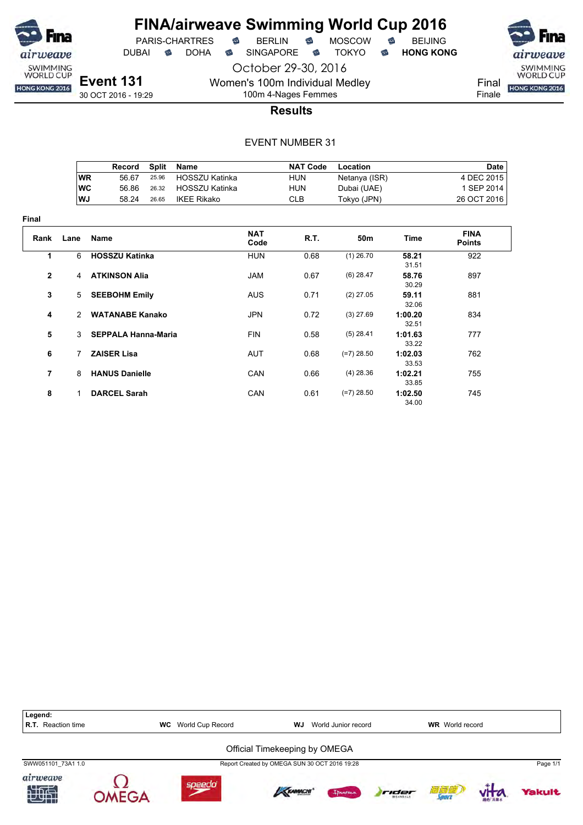

DUBAI **S** DOHA S SINGAPORE S TOKYO S HONG KONG

October 29-30, 2016 Women's 100m Individual Medley

SWIMMING<br>WORLD CUP HONG KONG 2016

Final Finale

**Event 131** 30 OCT 2016 - 19:29

# 100m 4-Nages Femmes **Results**

|      | Record | Split | Name           | <b>NAT Code</b> | Location      | Date        |
|------|--------|-------|----------------|-----------------|---------------|-------------|
| WR   | 56.67  | 25.96 | HOSSZU Katinka | HUN             | Netanya (ISR) | 4 DEC 2015  |
| ∣wc  | 56.86  | 26.32 | HOSSZU Katinka | HUN             | Dubai (UAE)   | 1 SEP 2014  |
| l WJ | 58.24  | 26.65 | IKEE Rikako    | CLB             | Tokyo (JPN)   | 26 OCT 2016 |

| <b>Final</b>   |               |                            |                    |      |                 |                  |                              |
|----------------|---------------|----------------------------|--------------------|------|-----------------|------------------|------------------------------|
| Rank           | Lane          | <b>Name</b>                | <b>NAT</b><br>Code | R.T. | 50 <sub>m</sub> | Time             | <b>FINA</b><br><b>Points</b> |
| 1              | 6             | <b>HOSSZU Katinka</b>      | <b>HUN</b>         | 0.68 | $(1)$ 26.70     | 58.21<br>31.51   | 922                          |
| $\overline{2}$ | 4             | <b>ATKINSON Alia</b>       | <b>JAM</b>         | 0.67 | $(6)$ 28.47     | 58.76<br>30.29   | 897                          |
| 3              | 5             | <b>SEEBOHM Emily</b>       | <b>AUS</b>         | 0.71 | $(2)$ 27.05     | 59.11<br>32.06   | 881                          |
| 4              | 2             | <b>WATANABE Kanako</b>     | <b>JPN</b>         | 0.72 | $(3)$ 27.69     | 1:00.20<br>32.51 | 834                          |
| 5              | $\mathcal{E}$ | <b>SEPPALA Hanna-Maria</b> | <b>FIN</b>         | 0.58 | $(5)$ 28.41     | 1:01.63<br>33.22 | 777                          |
| 6              | 7             | <b>ZAISER Lisa</b>         | <b>AUT</b>         | 0.68 | $(=7)$ 28.50    | 1:02.03<br>33.53 | 762                          |
| 7              | 8             | <b>HANUS Danielle</b>      | <b>CAN</b>         | 0.66 | $(4)$ 28.36     | 1:02.21<br>33.85 | 755                          |
| 8              | 1             | <b>DARCEL Sarah</b>        | <b>CAN</b>         | 0.61 | $(=7)$ 28.50    | 1:02.50<br>34 00 | 745                          |

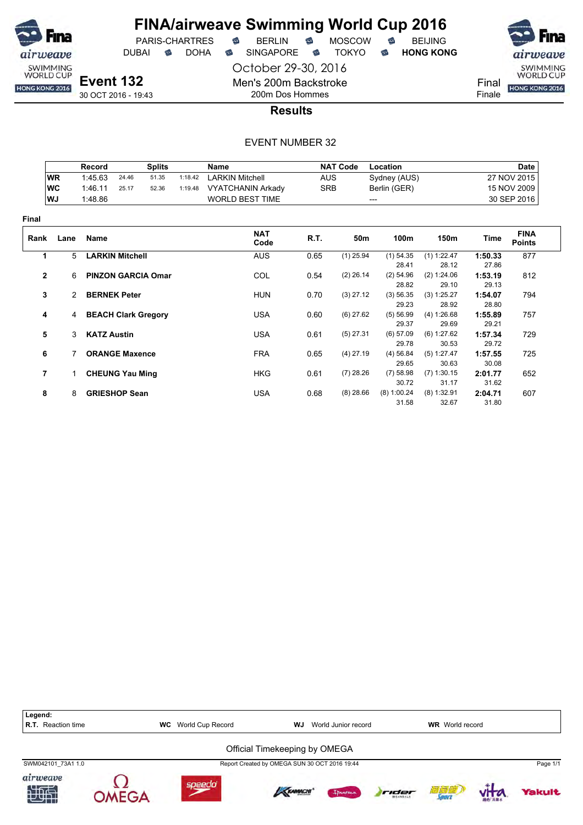

DUBAI **S** DOHA SINGAPORE S TOKYO S HONG KONG

October 29-30, 2016



Final Finale

30 OCT 2016 - 19:43

## 200m Dos Hommes **Results**

Men's 200m Backstroke

|              |               | <b>Record</b>         |                           | <b>Splits</b> |         | Name                     |            | <b>NAT Code</b> | Location             |                        |                  | <b>Date</b>                  |
|--------------|---------------|-----------------------|---------------------------|---------------|---------|--------------------------|------------|-----------------|----------------------|------------------------|------------------|------------------------------|
|              | <b>WR</b>     | 1:45.63               | 24.46                     | 51.35         | 1:18.42 | <b>LARKIN Mitchell</b>   | <b>AUS</b> |                 | Sydney (AUS)         |                        |                  | 27 NOV 2015                  |
|              | <b>WC</b>     | 1:46.11               | 25.17                     | 52.36         | 1:19.48 | <b>VYATCHANIN Arkady</b> | <b>SRB</b> |                 | Berlin (GER)         |                        |                  | 15 NOV 2009                  |
|              | WJ            | 1:48.86               |                           |               |         | <b>WORLD BEST TIME</b>   |            |                 | ---                  |                        |                  | 30 SEP 2016                  |
| Final        |               |                       |                           |               |         |                          |            |                 |                      |                        |                  |                              |
| Rank         | Lane          | <b>Name</b>           |                           |               |         | <b>NAT</b><br>Code       | R.T.       | 50m             | 100m                 | 150m                   | Time             | <b>FINA</b><br><b>Points</b> |
| 1            | 5             |                       | <b>LARKIN Mitchell</b>    |               |         | <b>AUS</b>               | 0.65       | $(1)$ 25.94     | $(1)$ 54.35          | $(1)$ 1:22.47          | 1:50.33          | 877                          |
|              |               |                       |                           |               |         |                          |            |                 | 28.41                | 28.12                  | 27.86            |                              |
| $\mathbf{2}$ | 6             |                       | <b>PINZON GARCIA Omar</b> |               |         | COL                      | 0.54       | $(2)$ 26.14     | $(2)$ 54.96<br>28.82 | (2) 1:24.06<br>29.10   | 1:53.19<br>29.13 | 812                          |
| 3            | $\mathcal{P}$ | <b>BERNEK Peter</b>   |                           |               |         | <b>HUN</b>               | 0.70       | $(3)$ 27.12     | (3) 56.35<br>29.23   | (3) 1:25.27<br>28.92   | 1:54.07<br>28.80 | 794                          |
| 4            |               | 4 BEACH Clark Gregory |                           |               |         | <b>USA</b>               | 0.60       | $(6)$ 27.62     | (5) 56.99<br>29.37   | (4) 1:26.68<br>29.69   | 1:55.89<br>29.21 | 757                          |
| 5            | 3             | <b>KATZ Austin</b>    |                           |               |         | <b>USA</b>               | 0.61       | $(5)$ 27.31     | (6) 57.09<br>29.78   | (6) 1:27.62<br>30.53   | 1:57.34<br>29.72 | 729                          |
| 6            |               |                       | <b>ORANGE Maxence</b>     |               |         | <b>FRA</b>               | 0.65       | $(4)$ 27.19     | (4) 56.84<br>29.65   | (5) 1:27.47<br>30.63   | 1:57.55<br>30.08 | 725                          |
| 7            | $\mathbf 1$   |                       | <b>CHEUNG Yau Ming</b>    |               |         | <b>HKG</b>               | 0.61       | $(7)$ 28.26     | $(7)$ 58.98<br>30.72 | $(7)$ 1:30.15<br>31.17 | 2:01.77<br>31.62 | 652                          |
| 8            | 8             |                       | <b>GRIESHOP Sean</b>      |               |         | <b>USA</b>               | 0.68       | $(8)$ 28.66     | (8) 1:00.24<br>31.58 | $(8)$ 1:32.91<br>32.67 | 2:04.71<br>31.80 | 607                          |

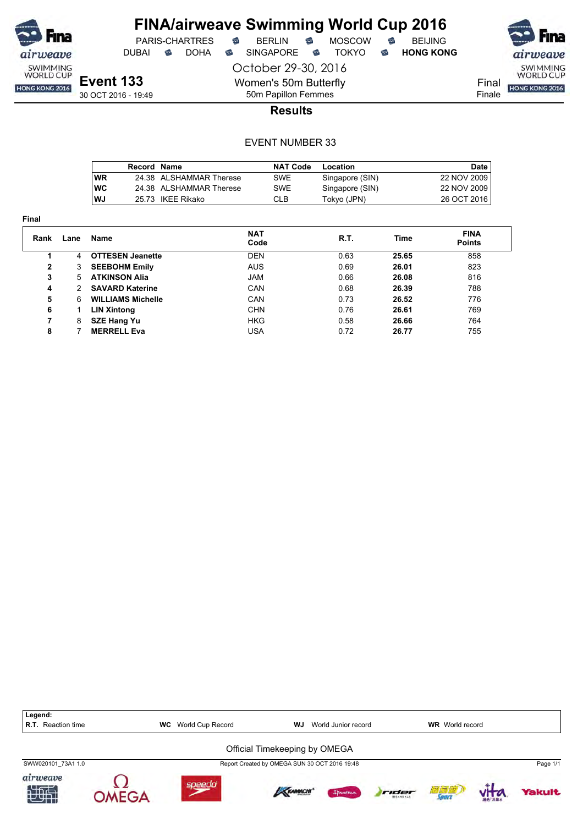

# **FINA/airweave Swimming World Cup 2016**<br>PARIS-CHARTRES **& BERLIN & MOSCOW & BEIJING**  $PARIS-CHARTRES$  **BERLIN B** MOSCOW **B**

October 29-30, 2016

Women's 50m Butterfly 50m Papillon Femmes

DUBAI **S** DOHA S SINGAPORE S TOKYO S HONG KONG

airweave SWIMMING<br>WORLD CUP

Final **HONG KONG 2016** Finale

### **Results**

|            | Record Name |                         | <b>NAT Code</b> | Location        | Date I      |
|------------|-------------|-------------------------|-----------------|-----------------|-------------|
| <b>WR</b>  |             | 24.38 ALSHAMMAR Therese | SWE             | Singapore (SIN) | 22 NOV 2009 |
| <b>IWC</b> |             | 24.38 ALSHAMMAR Therese | SWE             | Singapore (SIN) | 22 NOV 2009 |
| WJ         |             | 25.73 IKEE Rikako       | <b>CLB</b>      | Tokyo (JPN)     | 26 OCT 2016 |

| .            |      |                          |                    |      |             |                              |  |
|--------------|------|--------------------------|--------------------|------|-------------|------------------------------|--|
| Rank         | Lane | Name                     | <b>NAT</b><br>Code | R.T. | <b>Time</b> | <b>FINA</b><br><b>Points</b> |  |
|              | 4    | <b>OTTESEN Jeanette</b>  | <b>DEN</b>         | 0.63 | 25.65       | 858                          |  |
| $\mathbf{2}$ | 3    | <b>SEEBOHM Emily</b>     | <b>AUS</b>         | 0.69 | 26.01       | 823                          |  |
| 3            | 5    | <b>ATKINSON Alia</b>     | JAM                | 0.66 | 26.08       | 816                          |  |
| 4            | 2    | <b>SAVARD Katerine</b>   | <b>CAN</b>         | 0.68 | 26.39       | 788                          |  |
| 5            | 6    | <b>WILLIAMS Michelle</b> | CAN                | 0.73 | 26.52       | 776                          |  |
| 6            |      | LIN Xintong              | <b>CHN</b>         | 0.76 | 26.61       | 769                          |  |
| 7            | 8    | <b>SZE Hang Yu</b>       | <b>HKG</b>         | 0.58 | 26.66       | 764                          |  |
| 8            |      | <b>MERRELL Eva</b>       | USA                | 0.72 | 26.77       | 755                          |  |
|              |      |                          |                    |      |             |                              |  |

| Legend:<br><b>R.T.</b> Reaction time |             | <b>WC</b> World Cup Record | WJ.                                           | World Junior record |       | <b>WR</b> World record |               |          |
|--------------------------------------|-------------|----------------------------|-----------------------------------------------|---------------------|-------|------------------------|---------------|----------|
|                                      |             |                            | Official Timekeeping by OMEGA                 |                     |       |                        |               |          |
| SWW020101 73A1 1.0                   |             |                            | Report Created by OMEGA SUN 30 OCT 2016 19:48 |                     |       |                        |               | Page 1/1 |
| airweave<br>知世                       | <b>MFGA</b> | speedo                     | <b>KRAMACHI</b>                               | Innema              | rider | 酒酒酒                    | <b>图色 高量水</b> | Yakult   |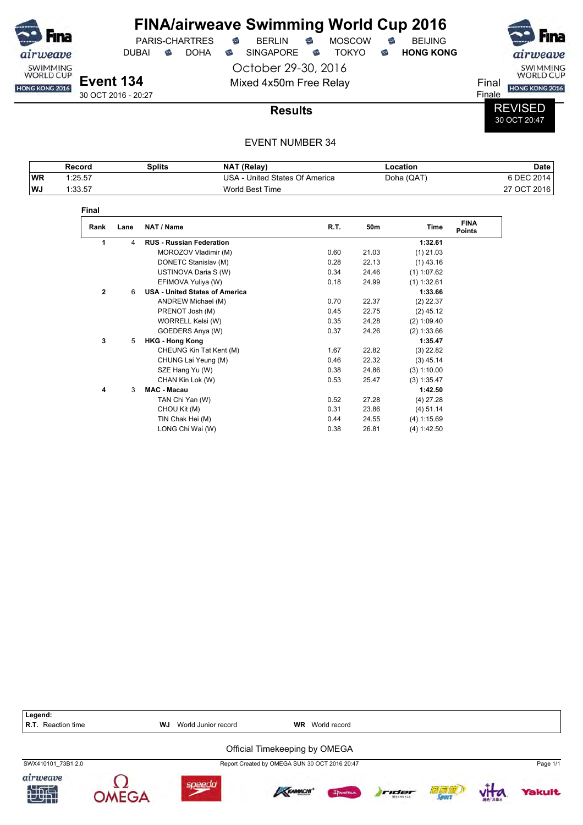

# **FINA/airweave Swimming World Cup 2016**<br>PARIS-CHARTRES **& BERLIN & MOSCOW & BEIJING**  $PARIS-CHARTRES$  **BERLIN B** MOSCOW **B**

DUBAI **S** DOHA S SINGAPORE S TOKYO S HONG KONG

October 29-30, 2016

airweave SWIMMING<br>WORLD CUP

Mixed 4x50m Free Relay Final Final Hong Kong 2016 Finale

30 OCT 2016 - 20:27

### **Results**

### REVISED 30 OCT 20:47

|           | Record  | <b>Splits</b> | <b>NAT (Relav)</b>                    | Location   | Date        |
|-----------|---------|---------------|---------------------------------------|------------|-------------|
| <b>WR</b> | 1:25.57 |               | USA -<br>1 - United States Of America | Doha (QAT) | 6 DEC 2014  |
| ∣WJ       | 1:33.57 |               | World Best Time                       |            | 27 OCT 2016 |

| Final        |      |                                       |      |       |               |                              |
|--------------|------|---------------------------------------|------|-------|---------------|------------------------------|
| Rank         | Lane | NAT / Name                            | R.T. | 50m   | Time          | <b>FINA</b><br><b>Points</b> |
| 1            | 4    | <b>RUS - Russian Federation</b>       |      |       | 1:32.61       |                              |
|              |      | MOROZOV Vladimir (M)                  | 0.60 | 21.03 | $(1)$ 21.03   |                              |
|              |      | DONETC Stanislav (M)                  | 0.28 | 22.13 | $(1)$ 43.16   |                              |
|              |      | USTINOVA Daria S (W)                  | 0.34 | 24.46 | $(1)$ 1:07.62 |                              |
|              |      | EFIMOVA Yuliya (W)                    | 0.18 | 24.99 | $(1)$ 1:32.61 |                              |
| $\mathbf{2}$ | 6    | <b>USA - United States of America</b> |      |       | 1:33.66       |                              |
|              |      | ANDREW Michael (M)                    | 0.70 | 22.37 | $(2)$ 22.37   |                              |
|              |      | PRENOT Josh (M)                       | 0.45 | 22.75 | $(2)$ 45.12   |                              |
|              |      | WORRELL Kelsi (W)                     | 0.35 | 24.28 | (2) 1:09.40   |                              |
|              |      | GOEDERS Anya (W)                      | 0.37 | 24.26 | (2) 1:33.66   |                              |
| 3            | 5    | <b>HKG - Hong Kong</b>                |      |       | 1:35.47       |                              |
|              |      | CHEUNG Kin Tat Kent (M)               | 1.67 | 22.82 | $(3)$ 22.82   |                              |
|              |      | CHUNG Lai Yeung (M)                   | 0.46 | 22.32 | $(3)$ 45.14   |                              |
|              |      | SZE Hang Yu (W)                       | 0.38 | 24.86 | (3) 1:10.00   |                              |
|              |      | CHAN Kin Lok (W)                      | 0.53 | 25.47 | (3) 1:35.47   |                              |
| 4            | 3    | <b>MAC - Macau</b>                    |      |       | 1:42.50       |                              |
|              |      | TAN Chi Yan (W)                       | 0.52 | 27.28 | $(4)$ 27.28   |                              |
|              |      | CHOU Kit (M)                          | 0.31 | 23.86 | $(4)$ 51.14   |                              |
|              |      | TIN Chak Hei (M)                      | 0.44 | 24.55 | (4) 1:15.69   |                              |
|              |      | LONG Chi Wai (W)                      | 0.38 | 26.81 | (4) 1:42.50   |                              |

| Legend:<br>R.T. Reaction time | WJ     | World Junior record | <b>WR</b>                                     | World record |       |              |        |               |
|-------------------------------|--------|---------------------|-----------------------------------------------|--------------|-------|--------------|--------|---------------|
|                               |        |                     | Official Timekeeping by OMEGA                 |              |       |              |        |               |
| SWX410101 73B1 2.0            |        |                     | Report Created by OMEGA SUN 30 OCT 2016 20:47 |              |       |              |        | Page 1/1      |
| airweave<br>地型                | speedo |                     | KRAMACHI                                      | Ipanema      | rider | 滴氧瘤<br>Sourc | 雅的 高麗水 | <b>Yakult</b> |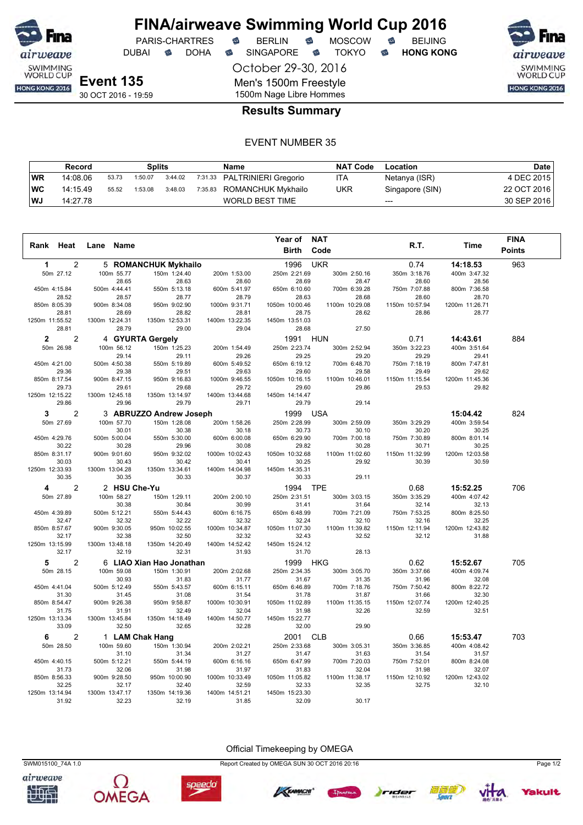

DUBAI **S** DOHA S SINGAPORE S TOKYO S HONG KONG

PARIS-CHARTRES **B** BERLIN **B** MOSCOW **B** BEIJING

October 29-30, 2016 Men's 1500m Freestyle 1500m Nage Libre Hommes

airweave SWIMMING<br>WORLD CUP HONG KONG 2016

**Results Summary**

### EVENT NUMBER 35

|     | Splits<br>Record |       |         | Name    | <b>NAT Code</b>              | Location   | Date            |             |
|-----|------------------|-------|---------|---------|------------------------------|------------|-----------------|-------------|
| WR  | 14:08.06         | 53.73 | 1:50.07 | 3:44.02 | 7:31.33 PALTRINIERI Gregorio | ITA        | Netanya (ISR)   | 4 DEC 2015  |
| ∣WC | 14:15.49         | 55.52 | 1:53.08 | 3:48.03 | 7:35.83 ROMANCHUK Mykhailo   | <b>UKR</b> | Singapore (SIN) | 22 OCT 2016 |
| ∣WJ | 14:27.78         |       |         |         | WORLD BEST TIME              |            | $---$           | 30 SEP 2016 |

|                                |                         |                          |                         | Year of                 | <b>NAT</b>              |                         |                         | <b>FINA</b>   |
|--------------------------------|-------------------------|--------------------------|-------------------------|-------------------------|-------------------------|-------------------------|-------------------------|---------------|
| Rank Heat                      | <b>Name</b><br>Lane     |                          |                         | <b>Birth</b>            | Code                    | R.T.                    | Time                    | <b>Points</b> |
|                                |                         |                          |                         |                         |                         |                         |                         |               |
| $\mathbf{1}$<br>$\overline{2}$ |                         | 5 ROMANCHUK Mykhailo     |                         | 1996                    | <b>UKR</b>              | 0.74                    | 14:18.53                | 963           |
| 50m 27.12                      | 100m 55.77              | 150m 1:24.40             | 200m 1:53.00            | 250m 2:21.69            | 300m 2:50.16            | 350m 3:18.76            | 400m 3:47.32            |               |
|                                | 28.65                   | 28.63                    | 28.60                   | 28.69                   | 28.47                   | 28.60                   | 28.56                   |               |
| 450m 4:15.84                   | 500m 4:44.41            | 550m 5:13.18             | 600m 5:41.97            | 650m 6:10.60            | 700m 6:39.28            | 750m 7:07.88            | 800m 7:36.58            |               |
| 28.52                          | 28.57                   | 28.77                    | 28.79                   | 28.63                   | 28.68                   | 28.60                   | 28.70                   |               |
| 850m 8:05.39<br>28.81          | 900m 8:34.08<br>28.69   | 950m 9:02.90<br>28.82    | 1000m 9:31.71<br>28.81  | 1050m 10:00.46<br>28.75 | 1100m 10:29.08<br>28.62 | 1150m 10:57.94<br>28.86 | 1200m 11:26.71<br>28.77 |               |
| 1250m 11:55.52                 | 1300m 12:24.31          | 1350m 12:53.31           | 1400m 13:22.35          | 1450m 13:51.03          |                         |                         |                         |               |
| 28.81                          | 28.79                   | 29.00                    | 29.04                   | 28.68                   | 27.50                   |                         |                         |               |
| $\overline{c}$<br>$\mathbf{2}$ |                         | 4 GYURTA Gergely         |                         | 1991                    | <b>HUN</b>              | 0.71                    | 14:43.61                | 884           |
| 50m 26.98                      | 100m 56.12              | 150m 1:25.23             | 200m 1:54.49            | 250m 2:23.74            | 300m 2:52.94            | 350m 3:22.23            | 400m 3:51.64            |               |
|                                | 29.14                   | 29.11                    | 29.26                   | 29.25                   | 29.20                   | 29.29                   | 29.41                   |               |
| 450m 4:21.00                   | 500m 4:50.38            | 550m 5:19.89             | 600m 5:49.52            | 650m 6:19.12            | 700m 6:48.70            | 750m 7:18.19            | 800m 7:47.81            |               |
| 29.36                          | 29.38                   | 29.51                    | 29.63                   | 29.60                   | 29.58                   | 29.49                   | 29.62                   |               |
| 850m 8:17.54                   | 900m 8:47.15            | 950m 9:16.83             | 1000m 9:46.55           | 1050m 10:16.15          | 1100m 10:46.01          | 1150m 11:15.54          | 1200m 11:45.36          |               |
| 29.73                          | 29.61                   | 29.68                    | 29.72                   | 29.60                   | 29.86                   | 29.53                   | 29.82                   |               |
| 1250m 12:15.22                 | 1300m 12:45.18          | 1350m 13:14.97           | 1400m 13:44.68          | 1450m 14:14.47          |                         |                         |                         |               |
| 29.86                          | 29.96                   | 29.79                    | 29.71                   | 29.79                   | 29.14                   |                         |                         |               |
| $\overline{2}$<br>3            |                         | 3 ABRUZZO Andrew Joseph  |                         | 1999                    | <b>USA</b>              |                         | 15:04.42                | 824           |
| 50m 27.69                      | 100m 57.70              | 150m 1:28.08             | 200m 1:58.26            | 250m 2:28.99            | 300m 2:59.09            | 350m 3:29.29            | 400m 3:59.54            |               |
|                                | 30.01                   | 30.38                    | 30.18                   | 30.73                   | 30.10                   | 30.20                   | 30.25                   |               |
| 450m 4:29.76                   | 500m 5:00.04            | 550m 5:30.00             | 600m 6:00.08            | 650m 6:29.90            | 700m 7:00.18            | 750m 7:30.89            | 800m 8:01.14            |               |
| 30.22                          | 30.28                   | 29.96                    | 30.08                   | 29.82                   | 30.28                   | 30.71                   | 30.25                   |               |
| 850m 8:31.17                   | 900m 9:01.60            | 950m 9:32.02             | 1000m 10:02.43          | 1050m 10:32.68          | 1100m 11:02.60          | 1150m 11:32.99          | 1200m 12:03.58          |               |
| 30.03                          | 30.43                   | 30.42                    | 30.41                   | 30.25                   | 29.92                   | 30.39                   | 30.59                   |               |
| 1250m 12:33.93                 | 1300m 13:04.28          | 1350m 13:34.61           | 1400m 14:04.98          | 1450m 14:35.31          |                         |                         |                         |               |
| 30.35                          | 30.35                   | 30.33                    | 30.37                   | 30.33                   | 29.11                   |                         |                         |               |
| $\overline{2}$<br>4            | 2 HSU Che-Yu            |                          |                         | 1994                    | <b>TPE</b>              | 0.68                    | 15:52.25                | 706           |
| 50m 27.89                      | 100m 58.27              | 150m 1:29.11             | 200m 2:00.10            | 250m 2:31.51            | 300m 3:03.15            | 350m 3:35.29            | 400m 4:07.42            |               |
|                                | 30.38                   | 30.84                    | 30.99                   | 31.41                   | 31.64                   | 32.14                   | 32.13                   |               |
| 450m 4:39.89                   | 500m 5:12.21            | 550m 5:44.43             | 600m 6:16.75            | 650m 6:48.99            | 700m 7:21.09            | 750m 7:53.25            | 800m 8:25.50            |               |
| 32.47                          | 32.32                   | 32.22                    | 32.32                   | 32.24                   | 32.10                   | 32.16                   | 32.25                   |               |
| 850m 8:57.67                   | 900m 9:30.05            | 950m 10:02.55            | 1000m 10:34.87          | 1050m 11:07.30          | 1100m 11:39.82          | 1150m 12:11.94          | 1200m 12:43.82          |               |
| 32.17<br>1250m 13:15.99        | 32.38<br>1300m 13:48.18 | 32.50<br>1350m 14:20.49  | 32.32<br>1400m 14:52.42 | 32.43<br>1450m 15:24.12 | 32.52                   | 32.12                   | 31.88                   |               |
| 32.17                          | 32.19                   | 32.31                    | 31.93                   | 31.70                   | 28.13                   |                         |                         |               |
| 2                              |                         |                          |                         |                         |                         |                         |                         | 705           |
| 5                              |                         | 6 LIAO Xian Hao Jonathan |                         | 1999                    | <b>HKG</b>              | 0.62                    | 15:52.67                |               |
| 50m 28.15                      | 100m 59.08<br>30.93     | 150m 1:30.91             | 200m 2:02.68<br>31.77   | 250m 2:34.35<br>31.67   | 300m 3:05.70<br>31.35   | 350m 3:37.66<br>31.96   | 400m 4:09.74<br>32.08   |               |
| 450m 4:41.04                   | 500m 5:12.49            | 31.83<br>550m 5:43.57    | 600m 6:15.11            | 650m 6:46.89            | 700m 7:18.76            | 750m 7:50.42            | 800m 8:22.72            |               |
| 31.30                          | 31.45                   | 31.08                    | 31.54                   | 31.78                   | 31.87                   | 31.66                   | 32.30                   |               |
| 850m 8:54.47                   | 900m 9:26.38            | 950m 9:58.87             | 1000m 10:30.91          | 1050m 11:02.89          | 1100m 11:35.15          | 1150m 12:07.74          | 1200m 12:40.25          |               |
| 31.75                          | 31.91                   | 32.49                    | 32.04                   | 31.98                   | 32.26                   | 32.59                   | 32.51                   |               |
| 1250m 13:13.34                 | 1300m 13:45.84          | 1350m 14:18.49           | 1400m 14:50.77          | 1450m 15:22.77          |                         |                         |                         |               |
| 33.09                          | 32.50                   | 32.65                    | 32.28                   | 32.00                   | 29.90                   |                         |                         |               |
| 6<br>$\overline{2}$            | 1 LAM Chak Hang         |                          |                         | 2001                    | <b>CLB</b>              | 0.66                    | 15:53.47                | 703           |
| 50m 28.50                      | 100m 59.60              | 150m 1:30.94             | 200m 2:02.21            | 250m 2:33.68            | 300m 3:05.31            | 350m 3:36.85            | 400m 4:08.42            |               |
|                                | 31.10                   | 31.34                    | 31.27                   | 31.47                   | 31.63                   | 31.54                   | 31.57                   |               |
| 450m 4:40.15                   | 500m 5:12.21            | 550m 5:44.19             | 600m 6:16.16            | 650m 6:47.99            | 700m 7:20.03            | 750m 7:52.01            | 800m 8:24.08            |               |
| 31.73                          | 32.06                   | 31.98                    | 31.97                   | 31.83                   | 32.04                   | 31.98                   | 32.07                   |               |
| 850m 8:56.33                   | 900m 9:28.50            | 950m 10:00.90            | 1000m 10:33.49          | 1050m 11:05.82          | 1100m 11:38.17          | 1150m 12:10.92          | 1200m 12:43.02          |               |
| 32.25                          | 32.17                   | 32.40                    | 32.59                   | 32.33                   | 32.35                   | 32.75                   | 32.10                   |               |
| 1250m 13:14.94                 | 1300m 13:47.17          | 1350m 14:19.36           | 1400m 14:51.21          | 1450m 15:23.30          |                         |                         |                         |               |
| 31.92                          | 32.23                   | 32.19                    | 31.85                   | 32.09                   | 30.17                   |                         |                         |               |





Official Timekeeping by OMEGA SWM015100\_74A 1.0 Report Created by OMEGA SUN 30 OCT 2016 20:16 Page 1/2







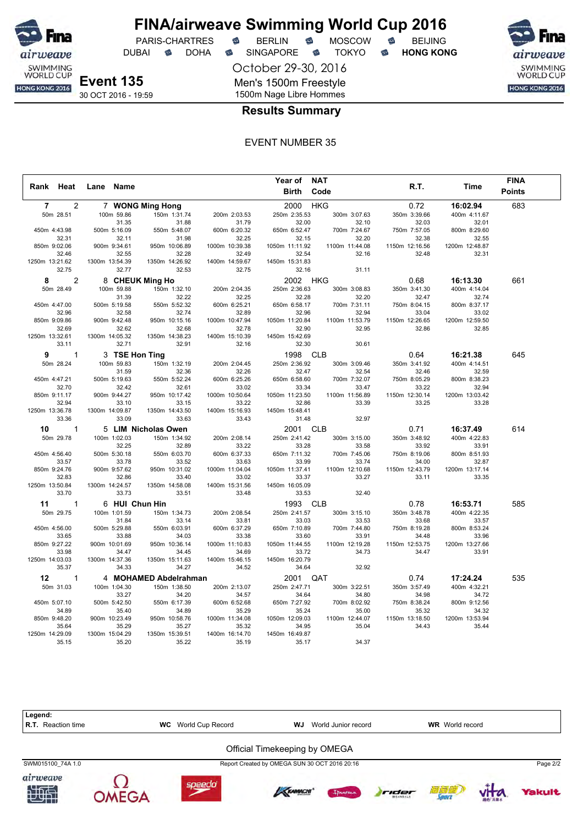

DUBAI **S** DOHA S SINGAPORE S TOKYO S HONG KONG

 $PARIS-CHARTRES$  **BERLIN B** MOSCOW **B** 

airweave SWIMMING<br>WORLD CUP HONG KONG 2016

**Event 135** 30 OCT 2016 - 19:59 October 29-30, 2016 Men's 1500m Freestyle 1500m Nage Libre Hommes

## **Results Summary**

|                         |                 |                       |                | Year of NAT    |                |                |                | <b>FINA</b>   |
|-------------------------|-----------------|-----------------------|----------------|----------------|----------------|----------------|----------------|---------------|
| Rank Heat               | Lane Name       |                       |                | Birth          | Code           | R.T.           | Time           | <b>Points</b> |
| 2<br>$\overline{7}$     |                 | 7 WONG Ming Hong      |                | 2000 HKG       |                | 0.72           | 16:02.94       | 683           |
| 50m 28.51               | 100m 59.86      | 150m 1:31.74          | 200m 2:03.53   | 250m 2:35.53   | 300m 3:07.63   | 350m 3:39.66   | 400m 4:11.67   |               |
|                         | 31.35           | 31.88                 | 31.79          | 32.00          | 32.10          | 32.03          | 32.01          |               |
| 450m 4:43.98            | 500m 5:16.09    | 550m 5:48.07          | 600m 6:20.32   | 650m 6:52.47   | 700m 7:24.67   | 750m 7:57.05   | 800m 8:29.60   |               |
| 32.31                   | 32.11           | 31.98                 | 32.25          | 32.15          | 32.20          | 32.38          | 32.55          |               |
| 850m 9:02.06            | 900m 9:34.61    | 950m 10:06.89         | 1000m 10:39.38 | 1050m 11:11.92 | 1100m 11:44.08 | 1150m 12:16.56 | 1200m 12:48.87 |               |
| 32.46                   | 32.55           | 32.28                 | 32.49          | 32.54          | 32.16          | 32.48          | 32.31          |               |
| 1250m 13:21.62          | 1300m 13:54.39  | 1350m 14:26.92        | 1400m 14:59.67 | 1450m 15:31.83 |                |                |                |               |
| 32.75                   | 32.77           | 32.53                 | 32.75          | 32.16          | 31.11          |                |                |               |
| $\overline{2}$<br>8     | 8 CHEUK Ming Ho |                       |                | 2002 HKG       |                | 0.68           | 16:13.30       | 661           |
| 50m 28.49               | 100m 59.88      | 150m 1:32.10          | 200m 2:04.35   | 250m 2:36.63   | 300m 3:08.83   | 350m 3:41.30   | 400m 4:14.04   |               |
|                         | 31.39           | 32.22                 | 32.25          | 32.28          | 32.20          | 32.47          | 32.74          |               |
| 450m 4:47.00            | 500m 5:19.58    | 550m 5:52.32          | 600m 6:25.21   | 650m 6:58.17   | 700m 7:31.11   | 750m 8:04.15   | 800m 8:37.17   |               |
| 32.96                   | 32.58           | 32.74                 | 32.89          | 32.96          | 32.94          | 33.04          | 33.02          |               |
| 850m 9:09.86            | 900m 9:42.48    | 950m 10:15.16         | 1000m 10:47.94 | 1050m 11:20.84 | 1100m 11:53.79 | 1150m 12:26.65 | 1200m 12:59.50 |               |
| 32.69                   | 32.62           | 32.68                 | 32.78          | 32.90          | 32.95          | 32.86          | 32.85          |               |
| 1250m 13:32.61          | 1300m 14:05.32  | 1350m 14:38.23        | 1400m 15:10.39 | 1450m 15:42.69 |                |                |                |               |
| 33.11                   | 32.71           | 32.91                 | 32.16          | 32.30          | 30.61          |                |                |               |
| $\mathbf{1}$<br>9       | 3 TSE Hon Ting  |                       |                | 1998           | <b>CLB</b>     | 0.64           | 16:21.38       | 645           |
| 50m 28.24               | 100m 59.83      | 150m 1:32.19          | 200m 2:04.45   | 250m 2:36.92   | 300m 3:09.46   | 350m 3:41.92   | 400m 4:14.51   |               |
|                         | 31.59           | 32.36                 | 32.26          | 32.47          | 32.54          | 32.46          | 32.59          |               |
| 450m 4:47.21            | 500m 5:19.63    | 550m 5:52.24          | 600m 6:25.26   | 650m 6:58.60   | 700m 7:32.07   | 750m 8:05.29   | 800m 8:38.23   |               |
| 32.70                   | 32.42           | 32.61                 | 33.02          | 33.34          | 33.47          | 33.22          | 32.94          |               |
| 850m 9:11.17            | 900m 9:44.27    | 950m 10:17.42         | 1000m 10:50.64 | 1050m 11:23.50 | 1100m 11:56.89 | 1150m 12:30.14 | 1200m 13:03.42 |               |
| 32.94                   | 33.10           | 33.15                 | 33.22          | 32.86          | 33.39          | 33.25          | 33.28          |               |
| 1250m 13:36.78          | 1300m 14:09.87  | 1350m 14:43.50        | 1400m 15:16.93 | 1450m 15:48.41 |                |                |                |               |
| 33.36                   | 33.09           | 33.63                 | 33.43          | 31.48          | 32.97          |                |                |               |
| 10<br>$\mathbf{1}$      |                 | 5 LIM Nicholas Owen   |                | 2001           | <b>CLB</b>     | 0.71           | 16:37.49       | 614           |
| 50m 29.78               | 100m 1:02.03    | 150m 1:34.92          | 200m 2:08.14   | 250m 2:41.42   | 300m 3:15.00   | 350m 3:48.92   | 400m 4:22.83   |               |
|                         | 32.25           | 32.89                 | 33.22          | 33.28          | 33.58          | 33.92          | 33.91          |               |
| 450m 4:56.40            | 500m 5:30.18    | 550m 6:03.70          | 600m 6:37.33   | 650m 7:11.32   | 700m 7:45.06   | 750m 8:19.06   | 800m 8:51.93   |               |
| 33.57                   | 33.78           | 33.52                 | 33.63          | 33.99          | 33.74          | 34.00          | 32.87          |               |
| 850m 9:24.76            | 900m 9:57.62    | 950m 10:31.02         | 1000m 11:04.04 | 1050m 11:37.41 | 1100m 12:10.68 | 1150m 12:43.79 | 1200m 13:17.14 |               |
| 32.83                   | 32.86           | 33.40                 | 33.02          | 33.37          | 33.27          | 33.11          | 33.35          |               |
| 1250m 13:50.84          | 1300m 14:24.57  | 1350m 14:58.08        | 1400m 15:31.56 | 1450m 16:05.09 |                |                |                |               |
| 33.70                   | 33.73           | 33.51                 | 33.48          | 33.53          | 32.40          |                |                |               |
| 11<br>$\mathbf{1}$      | 6 HUI Chun Hin  |                       |                | 1993           | <b>CLB</b>     | 0.78           | 16:53.71       | 585           |
| 50m 29.75               | 100m 1:01.59    | 150m 1:34.73          | 200m 2:08.54   | 250m 2:41.57   | 300m 3:15.10   | 350m 3:48.78   | 400m 4:22.35   |               |
|                         | 31.84           | 33.14                 | 33.81          | 33.03          | 33.53          | 33.68          | 33.57          |               |
| 450m 4:56.00            | 500m 5:29.88    | 550m 6:03.91          | 600m 6:37.29   | 650m 7:10.89   | 700m 7:44.80   | 750m 8:19.28   | 800m 8:53.24   |               |
| 33.65                   | 33.88           | 34.03                 | 33.38          | 33.60          | 33.91          | 34.48          | 33.96          |               |
| 850m 9:27.22            | 900m 10:01.69   | 950m 10:36.14         | 1000m 11:10.83 | 1050m 11:44.55 | 1100m 12:19.28 | 1150m 12:53.75 | 1200m 13:27.66 |               |
| 33.98                   | 34.47           | 34.45                 | 34.69          | 33.72          | 34.73          | 34.47          | 33.91          |               |
| 1250m 14:03.03          | 1300m 14:37.36  | 1350m 15:11.63        | 1400m 15:46.15 | 1450m 16:20.79 |                |                |                |               |
| 35.37                   | 34.33           | 34.27                 | 34.52          | 34.64          | 32.92          |                |                |               |
| $12 \,$<br>$\mathbf{1}$ |                 | 4 MOHAMED Abdelrahman |                | 2001           | QAT            | 0.74           | 17:24.24       | 535           |
| 50m 31.03               | 100m 1:04.30    | 150m 1:38.50          | 200m 2:13.07   | 250m 2:47.71   | 300m 3:22.51   | 350m 3:57.49   | 400m 4:32.21   |               |
|                         | 33.27           | 34.20                 | 34.57          | 34.64          | 34.80          | 34.98          | 34.72          |               |
| 450m 5:07.10            | 500m 5:42.50    | 550m 6:17.39          | 600m 6:52.68   | 650m 7:27.92   | 700m 8:02.92   | 750m 8:38.24   | 800m 9:12.56   |               |
| 34.89                   | 35.40           | 34.89                 | 35.29          | 35.24          | 35.00          | 35.32          | 34.32          |               |
| 850m 9:48.20            | 900m 10:23.49   | 950m 10:58.76         | 1000m 11:34.08 | 1050m 12:09.03 | 1100m 12:44.07 | 1150m 13:18.50 | 1200m 13:53.94 |               |
| 35.64                   | 35.29           | 35.27                 | 35.32          | 34.95          | 35.04          | 34.43          | 35.44          |               |
| 1250m 14:29.09          | 1300m 15:04.29  | 1350m 15:39.51        | 1400m 16:14.70 | 1450m 16:49.87 |                |                |                |               |
| 35.15                   | 35.20           | 35.22                 | 35.19          | 35.17          | 34.37          |                |                |               |

| Legend:<br><b>R.T.</b> Reaction time | World Cup Record<br><b>WC</b> | WJ                                            | World Junior record |       | <b>WR</b> World record |               |               |
|--------------------------------------|-------------------------------|-----------------------------------------------|---------------------|-------|------------------------|---------------|---------------|
|                                      |                               | Official Timekeeping by OMEGA                 |                     |       |                        |               |               |
| SWM015100 74A 1.0                    |                               | Report Created by OMEGA SUN 30 OCT 2016 20:16 |                     |       |                        |               | Page 2/2      |
| airweave<br>地型                       | speedo                        | <b>KAMACHI</b>                                | Innemo              | rider | 衍复质                    | <b>相传 高量水</b> | <b>Yakult</b> |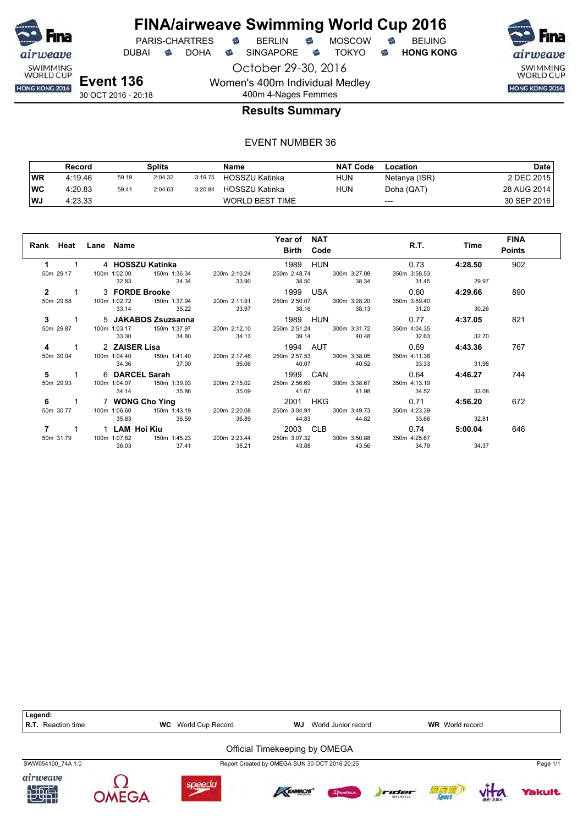

**FINA/airweave Swimming World Cup 2016**<br>PARIS-CHARTRES **& BERLIN & MOSCOW & BEIJING**  $PARIS-CHARTRES$  **BERLIN B** MOSCOW **B** 

DUBAI **S** DOHA S SINGAPORE S TOKYO S HONG KONG

October 29-30, 2016

airweave SWIMMING<br>WORLD CUP HONG KONG 2016

**Event 136** 30 OCT 2016 - 20:18

## 400m 4-Nages Femmes **Results Summary**

Women's 400m Individual Medley

|           | Record  |       | Splits  |         | Name                   | <b>NAT Code</b> | Location      | Date        |
|-----------|---------|-------|---------|---------|------------------------|-----------------|---------------|-------------|
| <b>WR</b> | 4:19.46 | 59.19 | 2:04.32 | 3:19.75 | HOSSZU Katinka         | <b>HUN</b>      | Netanya (ISR) | 2 DEC 2015  |
| <b>WC</b> | 4:20.83 | 59.41 | 2:04.63 | 3:20.84 | HOSSZU Katinka         | <b>HUN</b>      | Doha (QAT)    | 28 AUG 2014 |
| WJ        | 4:23.33 |       |         |         | <b>WORLD BEST TIME</b> |                 | $---$         | 30 SEP 2016 |

| Rank Heat Lane Name        |                        |                              |                           | Year of NAT<br>Birth Code                                                               | R.T.         | Time    | <b>FINA</b><br><b>Points</b> |
|----------------------------|------------------------|------------------------------|---------------------------|-----------------------------------------------------------------------------------------|--------------|---------|------------------------------|
|                            | $1 \quad \blacksquare$ | 4 HOSSZU Katinka             |                           | 1989 HUN                                                                                | 0.73         | 4:28.50 | 902                          |
| 50m 29.17                  |                        | 100m 1:02.00<br>150m 1:36.34 | 200m 2:10.24              | 250m 2:48.74 300m 3:27.08                                                               | 350m 3:58.53 |         |                              |
|                            |                        | 34.34<br>32.83               | 33.90                     | 38.50 38.34                                                                             | 31.45        | 29.97   |                              |
| $\overline{2}$<br>$\sim$ 1 |                        | 3 FORDE Brooke               |                           | 1999 USA 1999 USA                                                                       | 0.60         | 4:29.66 | 890                          |
| 50m 29.58                  |                        |                              |                           | 100m 1:02.72   150m 1:37.94   200m 2:11.91   250m 2:50.07   300m 3:28.20                | 350m 3:59.40 |         |                              |
|                            |                        | 35.22<br>33.14               | 33.97                     | 38.16 38.13                                                                             | 31.20        | 30.26   |                              |
| $3 \qquad 1$               |                        | 5 JAKABOS Zsuzsanna          |                           | <b>1989 HUN</b>                                                                         | 0.77         | 4:37.05 | 821                          |
| 50m 29.87                  |                        |                              |                           | 100m 1:03.17 150m 1:37.97 200m 2:12.10 250m 2:51.24 300m 3:31.72 350m 4:04.35           |              |         |                              |
|                            |                        | 33.30<br>34.80               |                           | 34.13 39.14 40.48                                                                       | 32.63        | 32.70   |                              |
| 4                          |                        | 1 2 ZAISER Lisa              |                           |                                                                                         |              |         | 767                          |
| 50m 30.04                  |                        |                              |                           | 100m 1:04.40   150m 1:41.40   200m 2:17.46   250m 2:57.53   300m 3:38.05   350m 4:11.38 |              |         |                              |
|                            |                        | 34.36<br>37.00               | 36.06                     | 40.07 40.52                                                                             | 33.33        | 31.98   |                              |
|                            |                        |                              |                           | 5 1 6 DARCEL Sarah 1999 CAN 0.64                                                        |              | 4:46.27 | 744                          |
| 50m 29.93                  |                        |                              |                           | 100m 1:04.07    150m 1:39.93    200m 2:15.02    250m 2:56.69    300m 3:38.67            | 350m 4:13.19 |         |                              |
|                            |                        | 35.86<br>34.14               | 35.09                     | 41.67 41.98                                                                             | 34.52        | 33.08   |                              |
| 6                          |                        | 1 7 WONG Cho Ying            |                           | 2001 HKG                                                                                | 0.71         | 4:56.20 | 672                          |
| 50m 30.77                  |                        | 100m 1:06.60                 | 150m 1:43.19 200m 2:20.08 | 250m 3:04.91 300m 3:49.73                                                               | 350m 4:23.39 |         |                              |
|                            |                        | 36.59<br>35.83               | 36.89                     | 44.83 44.82                                                                             | 33.66        | 32.81   |                              |
|                            |                        |                              |                           | 2003 CLB 2003 2004                                                                      | 0.74         | 5:00.04 | 646                          |
| 50m 31.79                  |                        | 150m 1:45.23<br>100m 1:07.82 |                           | 200m 2:23.44 250m 3:07.32 300m 3:50.88                                                  | 350m 4:25.67 |         |                              |
|                            |                        | 36.03<br>37.41               | 38.21                     | 43.88 43.56                                                                             | 34.79        | 34.37   |                              |

| Legend:<br>R.T.<br>Reaction time | World Cup Record<br><b>WC</b> | WJ                                            | World Junior record |       | <b>WR</b> World record |          |               |
|----------------------------------|-------------------------------|-----------------------------------------------|---------------------|-------|------------------------|----------|---------------|
|                                  |                               | Official Timekeeping by OMEGA                 |                     |       |                        |          |               |
| SWW054100 74A 1.0                |                               | Report Created by OMEGA SUN 30 OCT 2016 20:25 |                     |       |                        |          | Page 1/1      |
| airweave<br>加型                   | speedo                        | KRAMACHI                                      | Ipanema             | rider | 酒精磨                    | 39fb 高麗水 | <b>Yakult</b> |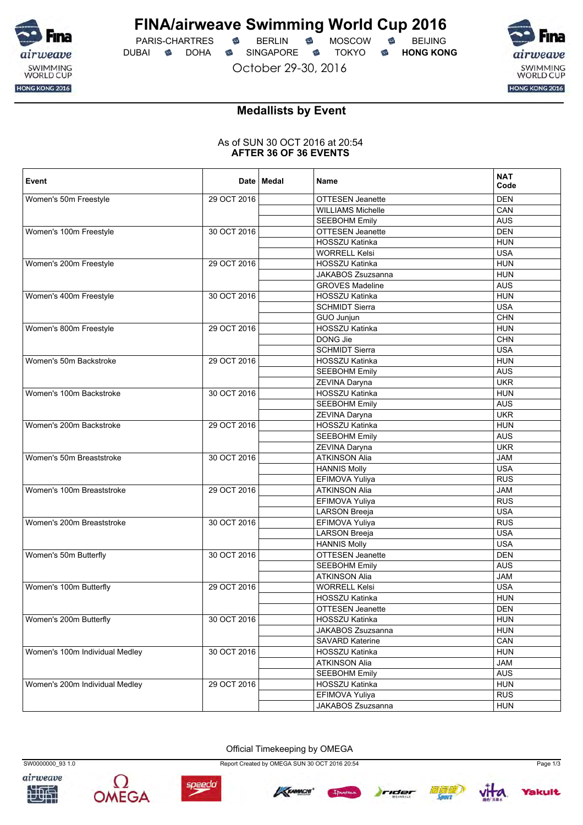

PARIS-CHARTRES **S** BERLIN S MOSCOW S DUBAI **S** DOHA S SINGAPORE S TOKYO S HONG KONG

October 29-30, 2016



## **Medallists by Event**

### As of SUN 30 OCT 2016 at 20:54 **AFTER 36 OF 36 EVENTS**

| Event                          |             | Date   Medal | Name                                         | <b>NAT</b><br>Code |
|--------------------------------|-------------|--------------|----------------------------------------------|--------------------|
| Women's 50m Freestyle          | 29 OCT 2016 |              | <b>OTTESEN Jeanette</b>                      | <b>DEN</b>         |
|                                |             |              | <b>WILLIAMS Michelle</b>                     | CAN                |
|                                |             |              | <b>SEEBOHM Emily</b>                         | <b>AUS</b>         |
| Women's 100m Freestyle         | 30 OCT 2016 |              | OTTESEN Jeanette                             | <b>DEN</b>         |
|                                |             |              | HOSSZU Katinka                               | <b>HUN</b>         |
|                                |             |              | <b>WORRELL Kelsi</b>                         | <b>USA</b>         |
| Women's 200m Freestyle         | 29 OCT 2016 |              | <b>HOSSZU Katinka</b>                        | <b>HUN</b>         |
|                                |             |              | JAKABOS Zsuzsanna                            | <b>HUN</b>         |
|                                |             |              | <b>GROVES Madeline</b>                       | <b>AUS</b>         |
| Women's 400m Freestyle         | 30 OCT 2016 |              | HOSSZU Katinka                               | <b>HUN</b>         |
|                                |             |              | <b>SCHMIDT Sierra</b>                        | <b>USA</b>         |
|                                |             |              | GUO Junjun                                   | <b>CHN</b>         |
| Women's 800m Freestyle         | 29 OCT 2016 |              | HOSSZU Katinka                               | <b>HUN</b>         |
|                                |             |              | DONG Jie                                     | <b>CHN</b>         |
|                                |             |              | <b>SCHMIDT Sierra</b>                        | <b>USA</b>         |
| Women's 50m Backstroke         | 29 OCT 2016 |              | <b>HOSSZU Katinka</b>                        | <b>HUN</b>         |
|                                |             |              | <b>SEEBOHM Emily</b>                         | <b>AUS</b>         |
|                                |             |              | ZEVINA Daryna                                | <b>UKR</b>         |
| Women's 100m Backstroke        | 30 OCT 2016 |              | HOSSZU Katinka                               | <b>HUN</b>         |
|                                |             |              | <b>SEEBOHM Emily</b>                         | <b>AUS</b>         |
|                                |             |              | ZEVINA Daryna                                | <b>UKR</b>         |
| Women's 200m Backstroke        | 29 OCT 2016 |              | HOSSZU Katinka                               | <b>HUN</b>         |
|                                |             |              | <b>SEEBOHM Emily</b>                         | <b>AUS</b>         |
|                                |             |              | ZEVINA Daryna                                | <b>UKR</b>         |
| Women's 50m Breaststroke       | 30 OCT 2016 |              | <b>ATKINSON Alia</b>                         | <b>JAM</b>         |
|                                |             |              | <b>HANNIS Molly</b>                          | <b>USA</b>         |
|                                |             |              | EFIMOVA Yuliya                               | <b>RUS</b>         |
| Women's 100m Breaststroke      | 29 OCT 2016 |              | <b>ATKINSON Alia</b>                         | <b>JAM</b>         |
|                                |             |              | EFIMOVA Yuliya                               | <b>RUS</b>         |
|                                |             |              | <b>LARSON Breeja</b>                         | <b>USA</b>         |
| Women's 200m Breaststroke      | 30 OCT 2016 |              | EFIMOVA Yuliya                               | <b>RUS</b>         |
|                                |             |              | <b>LARSON Breeja</b>                         | <b>USA</b>         |
|                                |             |              | <b>HANNIS Molly</b>                          | <b>USA</b>         |
| Women's 50m Butterfly          | 30 OCT 2016 |              | OTTESEN Jeanette                             | <b>DEN</b>         |
|                                |             |              |                                              | <b>AUS</b>         |
|                                |             |              | <b>SEEBOHM Emily</b><br><b>ATKINSON Alia</b> | <b>JAM</b>         |
|                                | 29 OCT 2016 |              | <b>WORRELL Kelsi</b>                         | <b>USA</b>         |
| Women's 100m Butterfly         |             |              |                                              |                    |
|                                |             |              | HOSSZU Katinka                               | <b>HUN</b>         |
|                                |             |              | OTTESEN Jeanette                             | <b>DEN</b>         |
| Women's 200m Butterfly         | 30 OCT 2016 |              | HOSSZU Katinka                               | <b>HUN</b>         |
|                                |             |              | JAKABOS Zsuzsanna                            | <b>HUN</b>         |
|                                |             |              | SAVARD Katerine                              | CAN                |
| Women's 100m Individual Medley | 30 OCT 2016 |              | HOSSZU Katinka                               | <b>HUN</b>         |
|                                |             |              | <b>ATKINSON Alia</b>                         | <b>JAM</b>         |
|                                |             |              | <b>SEEBOHM Emily</b>                         | <b>AUS</b>         |
| Women's 200m Individual Medley | 29 OCT 2016 |              | HOSSZU Katinka                               | <b>HUN</b>         |
|                                |             |              | EFIMOVA Yuliya                               | <b>RUS</b>         |
|                                |             |              | JAKABOS Zsuzsanna                            | <b>HUN</b>         |

Official Timekeeping by OMEGA







SW0000000\_93 1.0 Report Created by OMEGA SUN 30 OCT 2016 20:54 Page 1/3







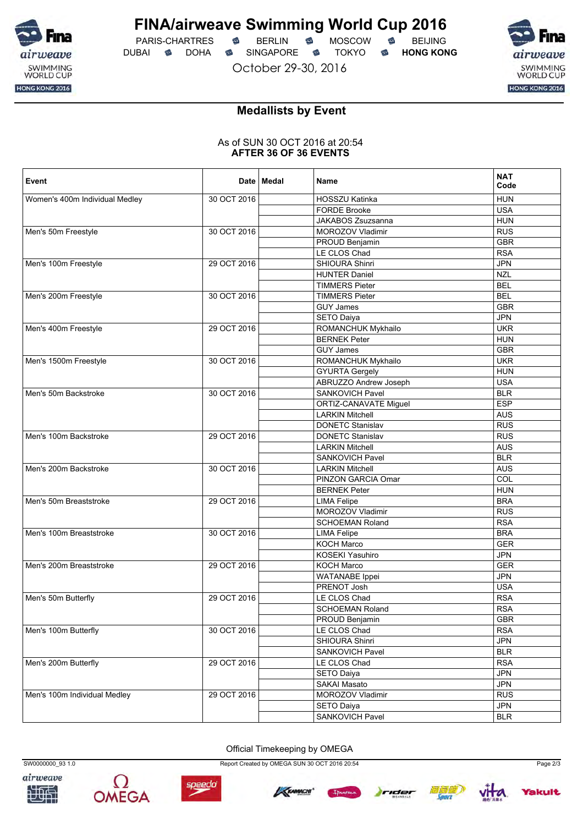

PARIS-CHARTRES **S** BERLIN S MOSCOW S DUBAI **S** DOHA SINGAPORE S TOKYO S HONG KONG

October 29-30, 2016



## **Medallists by Event**

### As of SUN 30 OCT 2016 at 20:54 **AFTER 36 OF 36 EVENTS**

| Event                          |             | Date   Medal | Name                                   | <b>NAT</b><br>Code |
|--------------------------------|-------------|--------------|----------------------------------------|--------------------|
| Women's 400m Individual Medley | 30 OCT 2016 |              | HOSSZU Katinka                         | <b>HUN</b>         |
|                                |             |              | <b>FORDE Brooke</b>                    | <b>USA</b>         |
|                                |             |              | JAKABOS Zsuzsanna                      | <b>HUN</b>         |
| Men's 50m Freestyle            | 30 OCT 2016 |              | MOROZOV Vladimir                       | <b>RUS</b>         |
|                                |             |              | PROUD Benjamin                         | <b>GBR</b>         |
|                                |             |              | LE CLOS Chad                           | <b>RSA</b>         |
| Men's 100m Freestyle           | 29 OCT 2016 |              | SHIOURA Shinri                         | <b>JPN</b>         |
|                                |             |              | <b>HUNTER Daniel</b>                   | <b>NZL</b>         |
|                                |             |              | <b>TIMMERS Pieter</b>                  | <b>BEL</b>         |
| Men's 200m Freestyle           | 30 OCT 2016 |              | <b>TIMMERS Pieter</b>                  | <b>BEL</b>         |
|                                |             |              | <b>GUY James</b>                       | <b>GBR</b>         |
|                                |             |              | SETO Daiya                             | <b>JPN</b>         |
| Men's 400m Freestyle           | 29 OCT 2016 |              | ROMANCHUK Mykhailo                     | <b>UKR</b>         |
|                                |             |              | <b>BERNEK Peter</b>                    | <b>HUN</b>         |
|                                |             |              | <b>GUY James</b>                       | <b>GBR</b>         |
| Men's 1500m Freestyle          | 30 OCT 2016 |              | ROMANCHUK Mykhailo                     | <b>UKR</b>         |
|                                |             |              | <b>GYURTA Gergely</b>                  | <b>HUN</b>         |
|                                |             |              | ABRUZZO Andrew Joseph                  | <b>USA</b>         |
| Men's 50m Backstroke           | 30 OCT 2016 |              | SANKOVICH Pavel                        | <b>BLR</b>         |
|                                |             |              | ORTIZ-CANAVATE Miguel                  | <b>ESP</b>         |
|                                |             |              | <b>LARKIN Mitchell</b>                 | <b>AUS</b>         |
|                                |             |              | <b>DONETC Stanislav</b>                | <b>RUS</b>         |
| Men's 100m Backstroke          | 29 OCT 2016 |              | <b>DONETC Stanislav</b>                | <b>RUS</b>         |
|                                |             |              | <b>LARKIN Mitchell</b>                 | <b>AUS</b>         |
|                                |             |              | <b>SANKOVICH Pavel</b>                 | <b>BLR</b>         |
| Men's 200m Backstroke          | 30 OCT 2016 |              | <b>LARKIN Mitchell</b>                 | <b>AUS</b>         |
|                                |             |              | PINZON GARCIA Omar                     | COL                |
|                                |             |              | <b>BERNEK Peter</b>                    | <b>HUN</b>         |
| Men's 50m Breaststroke         | 29 OCT 2016 |              |                                        | <b>BRA</b>         |
|                                |             |              | <b>LIMA Felipe</b><br>MOROZOV Vladimir | <b>RUS</b>         |
|                                |             |              |                                        |                    |
|                                |             |              | <b>SCHOEMAN Roland</b>                 | <b>RSA</b>         |
| Men's 100m Breaststroke        | 30 OCT 2016 |              | <b>LIMA Felipe</b>                     | <b>BRA</b>         |
|                                |             |              | <b>KOCH Marco</b>                      | <b>GER</b>         |
|                                |             |              | <b>KOSEKI Yasuhiro</b>                 | <b>JPN</b>         |
| Men's 200m Breaststroke        | 29 OCT 2016 |              | KOCH Marco                             | <b>GER</b>         |
|                                |             |              | <b>WATANABE</b> Ippei                  | <b>JPN</b>         |
|                                |             |              | PRENOT Josh                            | <b>USA</b>         |
| Men's 50m Butterfly            | 29 OCT 2016 |              | LE CLOS Chad                           | <b>RSA</b>         |
|                                |             |              | <b>SCHOEMAN Roland</b>                 | <b>RSA</b>         |
|                                |             |              | PROUD Benjamin                         | <b>GBR</b>         |
| Men's 100m Butterfly           | 30 OCT 2016 |              | LE CLOS Chad                           | <b>RSA</b>         |
|                                |             |              | SHIOURA Shinri                         | <b>JPN</b>         |
|                                |             |              | SANKOVICH Pavel                        | <b>BLR</b>         |
| Men's 200m Butterfly           | 29 OCT 2016 |              | LE CLOS Chad                           | <b>RSA</b>         |
|                                |             |              | SETO Daiya                             | <b>JPN</b>         |
|                                |             |              | SAKAI Masato                           | <b>JPN</b>         |
| Men's 100m Individual Medley   | 29 OCT 2016 |              | MOROZOV Vladimir                       | <b>RUS</b>         |
|                                |             |              | SETO Daiya                             | JPN                |
|                                |             |              | SANKOVICH Pavel                        | <b>BLR</b>         |

Official Timekeeping by OMEGA







SW0000000\_93 1.0 Report Created by OMEGA SUN 30 OCT 2016 20:54 Page 2/3





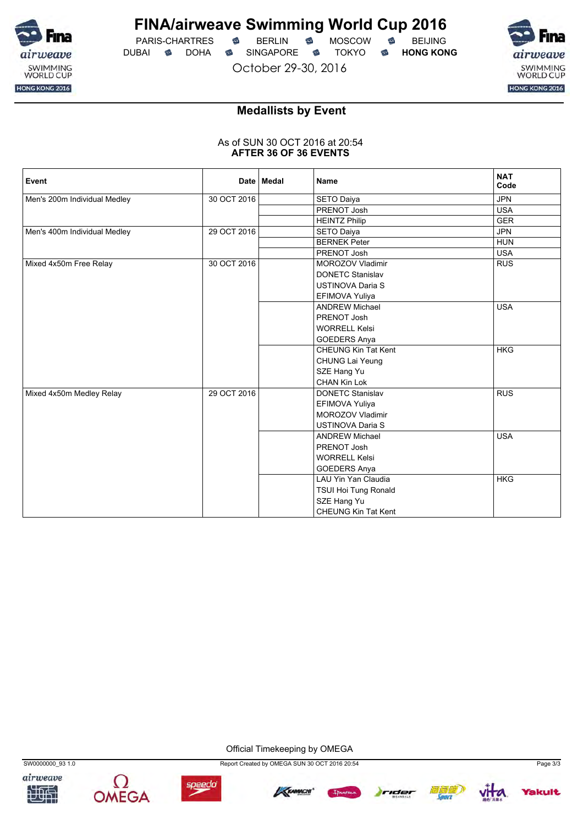

PARIS-CHARTRES **B** BERLIN **B** MOSCOW **B** BEIJING DUBAI **S** DOHA SINGAPORE S TOKYO S HONG KONG

October 29-30, 2016



## **Medallists by Event**

### As of SUN 30 OCT 2016 at 20:54 **AFTER 36 OF 36 EVENTS**

| Event                        |             | Date   Medal | <b>Name</b>                | <b>NAT</b><br>Code |
|------------------------------|-------------|--------------|----------------------------|--------------------|
| Men's 200m Individual Medley | 30 OCT 2016 |              | <b>SETO Daiya</b>          | <b>JPN</b>         |
|                              |             |              | PRENOT Josh                | <b>USA</b>         |
|                              |             |              | <b>HEINTZ Philip</b>       | <b>GER</b>         |
| Men's 400m Individual Medley | 29 OCT 2016 |              | <b>SETO Daiya</b>          | <b>JPN</b>         |
|                              |             |              | <b>BERNEK Peter</b>        | <b>HUN</b>         |
|                              |             |              | PRENOT Josh                | <b>USA</b>         |
| Mixed 4x50m Free Relay       | 30 OCT 2016 |              | <b>MOROZOV Vladimir</b>    | <b>RUS</b>         |
|                              |             |              | <b>DONETC Stanislav</b>    |                    |
|                              |             |              | <b>USTINOVA Daria S</b>    |                    |
|                              |             |              | EFIMOVA Yuliya             |                    |
|                              |             |              | <b>ANDREW Michael</b>      | <b>USA</b>         |
|                              |             |              | PRENOT Josh                |                    |
|                              |             |              | <b>WORRELL Kelsi</b>       |                    |
|                              |             |              | <b>GOEDERS Anya</b>        |                    |
|                              |             |              | <b>CHEUNG Kin Tat Kent</b> | <b>HKG</b>         |
|                              |             |              | CHUNG Lai Yeung            |                    |
|                              |             |              | SZE Hang Yu                |                    |
|                              |             |              | <b>CHAN Kin Lok</b>        |                    |
| Mixed 4x50m Medley Relay     | 29 OCT 2016 |              | <b>DONETC Stanislav</b>    | <b>RUS</b>         |
|                              |             |              | EFIMOVA Yuliya             |                    |
|                              |             |              | <b>MOROZOV Vladimir</b>    |                    |
|                              |             |              | <b>USTINOVA Daria S</b>    |                    |
|                              |             |              | <b>ANDREW Michael</b>      | <b>USA</b>         |
|                              |             |              | PRENOT Josh                |                    |
|                              |             |              | <b>WORRELL Kelsi</b>       |                    |
|                              |             |              | <b>GOEDERS Anya</b>        |                    |
|                              |             |              | LAU Yin Yan Claudia        | <b>HKG</b>         |
|                              |             |              | TSUI Hoi Tung Ronald       |                    |
|                              |             |              | SZE Hang Yu                |                    |
|                              |             |              | <b>CHEUNG Kin Tat Kent</b> |                    |

Official Timekeeping by OMEGA







SW0000000\_93 1.0 Report Created by OMEGA SUN 30 OCT 2016 20:54 Page 3/3





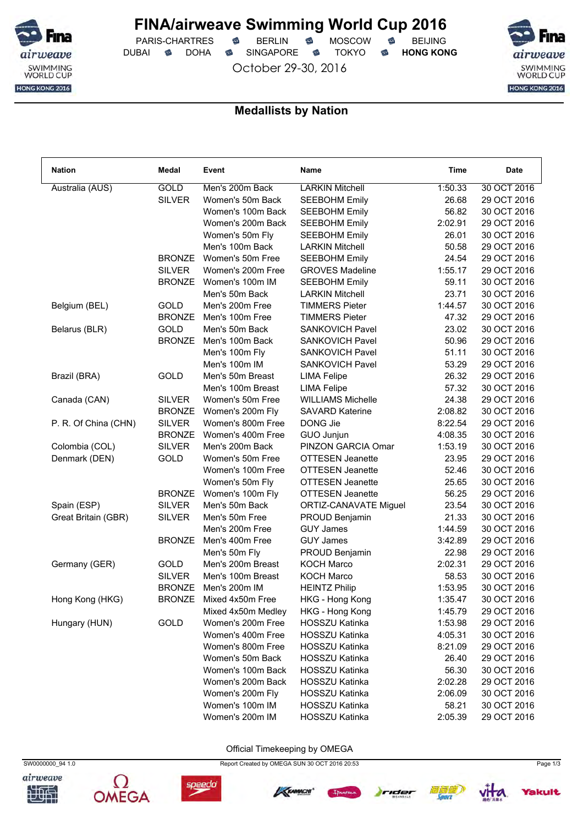

PARIS-CHARTRES **S** BERLIN S MOSCOW S DUBAI **S** DOHA S SINGAPORE S TOKYO S HONG KONG

October 29-30, 2016



### **Medallists by Nation**

| <b>GOLD</b><br><b>LARKIN Mitchell</b><br>Australia (AUS)<br>Men's 200m Back<br>1:50.33<br>30 OCT 2016<br><b>SILVER</b><br>Women's 50m Back<br><b>SEEBOHM Emily</b><br>26.68<br>29 OCT 2016<br>56.82<br>30 OCT 2016<br>Women's 100m Back<br><b>SEEBOHM Emily</b><br><b>SEEBOHM Emily</b><br>2:02.91<br>29 OCT 2016<br>Women's 200m Back<br>26.01<br>30 OCT 2016<br>Women's 50m Fly<br><b>SEEBOHM Emily</b><br>Men's 100m Back<br><b>LARKIN Mitchell</b><br>50.58<br>29 OCT 2016<br><b>BRONZE</b><br>Women's 50m Free<br>24.54<br>29 OCT 2016<br><b>SEEBOHM Emily</b><br><b>SILVER</b><br><b>GROVES Madeline</b><br>1:55.17<br>29 OCT 2016<br>Women's 200m Free<br><b>BRONZE</b><br>Women's 100m IM<br>59.11<br>30 OCT 2016<br><b>SEEBOHM Emily</b><br>Men's 50m Back<br>23.71<br>30 OCT 2016<br><b>LARKIN Mitchell</b><br><b>GOLD</b><br>Men's 200m Free<br><b>TIMMERS Pieter</b><br>1:44.57<br>30 OCT 2016<br>Belgium (BEL)<br><b>BRONZE</b><br>Men's 100m Free<br><b>TIMMERS Pieter</b><br>47.32<br>29 OCT 2016<br><b>GOLD</b><br>Men's 50m Back<br><b>SANKOVICH Pavel</b><br>23.02<br>30 OCT 2016<br>Belarus (BLR)<br><b>BRONZE</b><br>Men's 100m Back<br><b>SANKOVICH Pavel</b><br>50.96<br>29 OCT 2016<br><b>SANKOVICH Pavel</b><br>51.11<br>30 OCT 2016<br>Men's 100m Fly<br>Men's 100m IM<br>SANKOVICH Pavel<br>53.29<br>29 OCT 2016<br>GOLD<br>Men's 50m Breast<br>26.32<br>29 OCT 2016<br>Brazil (BRA)<br><b>LIMA Felipe</b><br><b>LIMA Felipe</b><br>57.32<br>30 OCT 2016<br>Men's 100m Breast<br><b>SILVER</b><br>Women's 50m Free<br><b>WILLIAMS Michelle</b><br>24.38<br>29 OCT 2016<br>Canada (CAN)<br><b>SAVARD Katerine</b><br>2:08.82<br>30 OCT 2016<br><b>BRONZE</b><br>Women's 200m Fly<br>P. R. Of China (CHN)<br><b>SILVER</b><br>Women's 800m Free<br>DONG Jie<br>29 OCT 2016<br>8:22.54<br><b>BRONZE</b><br>Women's 400m Free<br>4:08.35<br>30 OCT 2016<br>GUO Junjun<br>Colombia (COL)<br><b>SILVER</b><br>Men's 200m Back<br>PINZON GARCIA Omar<br>1:53.19<br>30 OCT 2016<br>Denmark (DEN)<br><b>GOLD</b><br>Women's 50m Free<br><b>OTTESEN Jeanette</b><br>23.95<br>29 OCT 2016<br><b>OTTESEN Jeanette</b><br>52.46<br>30 OCT 2016<br>Women's 100m Free<br><b>OTTESEN Jeanette</b><br>25.65<br>30 OCT 2016<br>Women's 50m Fly<br><b>BRONZE</b><br>56.25<br>29 OCT 2016<br>Women's 100m Fly<br><b>OTTESEN Jeanette</b> |
|------------------------------------------------------------------------------------------------------------------------------------------------------------------------------------------------------------------------------------------------------------------------------------------------------------------------------------------------------------------------------------------------------------------------------------------------------------------------------------------------------------------------------------------------------------------------------------------------------------------------------------------------------------------------------------------------------------------------------------------------------------------------------------------------------------------------------------------------------------------------------------------------------------------------------------------------------------------------------------------------------------------------------------------------------------------------------------------------------------------------------------------------------------------------------------------------------------------------------------------------------------------------------------------------------------------------------------------------------------------------------------------------------------------------------------------------------------------------------------------------------------------------------------------------------------------------------------------------------------------------------------------------------------------------------------------------------------------------------------------------------------------------------------------------------------------------------------------------------------------------------------------------------------------------------------------------------------------------------------------------------------------------------------------------------------------------------------------------------------------------------------------------------------------------------------------------------------------------------------------------------------------------------------------------------------------------------------------------|
|                                                                                                                                                                                                                                                                                                                                                                                                                                                                                                                                                                                                                                                                                                                                                                                                                                                                                                                                                                                                                                                                                                                                                                                                                                                                                                                                                                                                                                                                                                                                                                                                                                                                                                                                                                                                                                                                                                                                                                                                                                                                                                                                                                                                                                                                                                                                                |
|                                                                                                                                                                                                                                                                                                                                                                                                                                                                                                                                                                                                                                                                                                                                                                                                                                                                                                                                                                                                                                                                                                                                                                                                                                                                                                                                                                                                                                                                                                                                                                                                                                                                                                                                                                                                                                                                                                                                                                                                                                                                                                                                                                                                                                                                                                                                                |
|                                                                                                                                                                                                                                                                                                                                                                                                                                                                                                                                                                                                                                                                                                                                                                                                                                                                                                                                                                                                                                                                                                                                                                                                                                                                                                                                                                                                                                                                                                                                                                                                                                                                                                                                                                                                                                                                                                                                                                                                                                                                                                                                                                                                                                                                                                                                                |
|                                                                                                                                                                                                                                                                                                                                                                                                                                                                                                                                                                                                                                                                                                                                                                                                                                                                                                                                                                                                                                                                                                                                                                                                                                                                                                                                                                                                                                                                                                                                                                                                                                                                                                                                                                                                                                                                                                                                                                                                                                                                                                                                                                                                                                                                                                                                                |
|                                                                                                                                                                                                                                                                                                                                                                                                                                                                                                                                                                                                                                                                                                                                                                                                                                                                                                                                                                                                                                                                                                                                                                                                                                                                                                                                                                                                                                                                                                                                                                                                                                                                                                                                                                                                                                                                                                                                                                                                                                                                                                                                                                                                                                                                                                                                                |
|                                                                                                                                                                                                                                                                                                                                                                                                                                                                                                                                                                                                                                                                                                                                                                                                                                                                                                                                                                                                                                                                                                                                                                                                                                                                                                                                                                                                                                                                                                                                                                                                                                                                                                                                                                                                                                                                                                                                                                                                                                                                                                                                                                                                                                                                                                                                                |
|                                                                                                                                                                                                                                                                                                                                                                                                                                                                                                                                                                                                                                                                                                                                                                                                                                                                                                                                                                                                                                                                                                                                                                                                                                                                                                                                                                                                                                                                                                                                                                                                                                                                                                                                                                                                                                                                                                                                                                                                                                                                                                                                                                                                                                                                                                                                                |
|                                                                                                                                                                                                                                                                                                                                                                                                                                                                                                                                                                                                                                                                                                                                                                                                                                                                                                                                                                                                                                                                                                                                                                                                                                                                                                                                                                                                                                                                                                                                                                                                                                                                                                                                                                                                                                                                                                                                                                                                                                                                                                                                                                                                                                                                                                                                                |
|                                                                                                                                                                                                                                                                                                                                                                                                                                                                                                                                                                                                                                                                                                                                                                                                                                                                                                                                                                                                                                                                                                                                                                                                                                                                                                                                                                                                                                                                                                                                                                                                                                                                                                                                                                                                                                                                                                                                                                                                                                                                                                                                                                                                                                                                                                                                                |
|                                                                                                                                                                                                                                                                                                                                                                                                                                                                                                                                                                                                                                                                                                                                                                                                                                                                                                                                                                                                                                                                                                                                                                                                                                                                                                                                                                                                                                                                                                                                                                                                                                                                                                                                                                                                                                                                                                                                                                                                                                                                                                                                                                                                                                                                                                                                                |
|                                                                                                                                                                                                                                                                                                                                                                                                                                                                                                                                                                                                                                                                                                                                                                                                                                                                                                                                                                                                                                                                                                                                                                                                                                                                                                                                                                                                                                                                                                                                                                                                                                                                                                                                                                                                                                                                                                                                                                                                                                                                                                                                                                                                                                                                                                                                                |
|                                                                                                                                                                                                                                                                                                                                                                                                                                                                                                                                                                                                                                                                                                                                                                                                                                                                                                                                                                                                                                                                                                                                                                                                                                                                                                                                                                                                                                                                                                                                                                                                                                                                                                                                                                                                                                                                                                                                                                                                                                                                                                                                                                                                                                                                                                                                                |
|                                                                                                                                                                                                                                                                                                                                                                                                                                                                                                                                                                                                                                                                                                                                                                                                                                                                                                                                                                                                                                                                                                                                                                                                                                                                                                                                                                                                                                                                                                                                                                                                                                                                                                                                                                                                                                                                                                                                                                                                                                                                                                                                                                                                                                                                                                                                                |
|                                                                                                                                                                                                                                                                                                                                                                                                                                                                                                                                                                                                                                                                                                                                                                                                                                                                                                                                                                                                                                                                                                                                                                                                                                                                                                                                                                                                                                                                                                                                                                                                                                                                                                                                                                                                                                                                                                                                                                                                                                                                                                                                                                                                                                                                                                                                                |
|                                                                                                                                                                                                                                                                                                                                                                                                                                                                                                                                                                                                                                                                                                                                                                                                                                                                                                                                                                                                                                                                                                                                                                                                                                                                                                                                                                                                                                                                                                                                                                                                                                                                                                                                                                                                                                                                                                                                                                                                                                                                                                                                                                                                                                                                                                                                                |
|                                                                                                                                                                                                                                                                                                                                                                                                                                                                                                                                                                                                                                                                                                                                                                                                                                                                                                                                                                                                                                                                                                                                                                                                                                                                                                                                                                                                                                                                                                                                                                                                                                                                                                                                                                                                                                                                                                                                                                                                                                                                                                                                                                                                                                                                                                                                                |
|                                                                                                                                                                                                                                                                                                                                                                                                                                                                                                                                                                                                                                                                                                                                                                                                                                                                                                                                                                                                                                                                                                                                                                                                                                                                                                                                                                                                                                                                                                                                                                                                                                                                                                                                                                                                                                                                                                                                                                                                                                                                                                                                                                                                                                                                                                                                                |
|                                                                                                                                                                                                                                                                                                                                                                                                                                                                                                                                                                                                                                                                                                                                                                                                                                                                                                                                                                                                                                                                                                                                                                                                                                                                                                                                                                                                                                                                                                                                                                                                                                                                                                                                                                                                                                                                                                                                                                                                                                                                                                                                                                                                                                                                                                                                                |
|                                                                                                                                                                                                                                                                                                                                                                                                                                                                                                                                                                                                                                                                                                                                                                                                                                                                                                                                                                                                                                                                                                                                                                                                                                                                                                                                                                                                                                                                                                                                                                                                                                                                                                                                                                                                                                                                                                                                                                                                                                                                                                                                                                                                                                                                                                                                                |
|                                                                                                                                                                                                                                                                                                                                                                                                                                                                                                                                                                                                                                                                                                                                                                                                                                                                                                                                                                                                                                                                                                                                                                                                                                                                                                                                                                                                                                                                                                                                                                                                                                                                                                                                                                                                                                                                                                                                                                                                                                                                                                                                                                                                                                                                                                                                                |
|                                                                                                                                                                                                                                                                                                                                                                                                                                                                                                                                                                                                                                                                                                                                                                                                                                                                                                                                                                                                                                                                                                                                                                                                                                                                                                                                                                                                                                                                                                                                                                                                                                                                                                                                                                                                                                                                                                                                                                                                                                                                                                                                                                                                                                                                                                                                                |
|                                                                                                                                                                                                                                                                                                                                                                                                                                                                                                                                                                                                                                                                                                                                                                                                                                                                                                                                                                                                                                                                                                                                                                                                                                                                                                                                                                                                                                                                                                                                                                                                                                                                                                                                                                                                                                                                                                                                                                                                                                                                                                                                                                                                                                                                                                                                                |
|                                                                                                                                                                                                                                                                                                                                                                                                                                                                                                                                                                                                                                                                                                                                                                                                                                                                                                                                                                                                                                                                                                                                                                                                                                                                                                                                                                                                                                                                                                                                                                                                                                                                                                                                                                                                                                                                                                                                                                                                                                                                                                                                                                                                                                                                                                                                                |
|                                                                                                                                                                                                                                                                                                                                                                                                                                                                                                                                                                                                                                                                                                                                                                                                                                                                                                                                                                                                                                                                                                                                                                                                                                                                                                                                                                                                                                                                                                                                                                                                                                                                                                                                                                                                                                                                                                                                                                                                                                                                                                                                                                                                                                                                                                                                                |
|                                                                                                                                                                                                                                                                                                                                                                                                                                                                                                                                                                                                                                                                                                                                                                                                                                                                                                                                                                                                                                                                                                                                                                                                                                                                                                                                                                                                                                                                                                                                                                                                                                                                                                                                                                                                                                                                                                                                                                                                                                                                                                                                                                                                                                                                                                                                                |
|                                                                                                                                                                                                                                                                                                                                                                                                                                                                                                                                                                                                                                                                                                                                                                                                                                                                                                                                                                                                                                                                                                                                                                                                                                                                                                                                                                                                                                                                                                                                                                                                                                                                                                                                                                                                                                                                                                                                                                                                                                                                                                                                                                                                                                                                                                                                                |
|                                                                                                                                                                                                                                                                                                                                                                                                                                                                                                                                                                                                                                                                                                                                                                                                                                                                                                                                                                                                                                                                                                                                                                                                                                                                                                                                                                                                                                                                                                                                                                                                                                                                                                                                                                                                                                                                                                                                                                                                                                                                                                                                                                                                                                                                                                                                                |
| <b>SILVER</b><br>Men's 50m Back<br>23.54<br>30 OCT 2016<br>Spain (ESP)<br>ORTIZ-CANAVATE Miguel                                                                                                                                                                                                                                                                                                                                                                                                                                                                                                                                                                                                                                                                                                                                                                                                                                                                                                                                                                                                                                                                                                                                                                                                                                                                                                                                                                                                                                                                                                                                                                                                                                                                                                                                                                                                                                                                                                                                                                                                                                                                                                                                                                                                                                                |
| Great Britain (GBR)<br><b>SILVER</b><br>Men's 50m Free<br>21.33<br>30 OCT 2016<br>PROUD Benjamin                                                                                                                                                                                                                                                                                                                                                                                                                                                                                                                                                                                                                                                                                                                                                                                                                                                                                                                                                                                                                                                                                                                                                                                                                                                                                                                                                                                                                                                                                                                                                                                                                                                                                                                                                                                                                                                                                                                                                                                                                                                                                                                                                                                                                                               |
| <b>GUY James</b><br>1:44.59<br>30 OCT 2016<br>Men's 200m Free                                                                                                                                                                                                                                                                                                                                                                                                                                                                                                                                                                                                                                                                                                                                                                                                                                                                                                                                                                                                                                                                                                                                                                                                                                                                                                                                                                                                                                                                                                                                                                                                                                                                                                                                                                                                                                                                                                                                                                                                                                                                                                                                                                                                                                                                                  |
| <b>BRONZE</b><br>Men's 400m Free<br><b>GUY James</b><br>3:42.89<br>29 OCT 2016                                                                                                                                                                                                                                                                                                                                                                                                                                                                                                                                                                                                                                                                                                                                                                                                                                                                                                                                                                                                                                                                                                                                                                                                                                                                                                                                                                                                                                                                                                                                                                                                                                                                                                                                                                                                                                                                                                                                                                                                                                                                                                                                                                                                                                                                 |
| Men's 50m Fly<br>22.98<br>29 OCT 2016<br>PROUD Benjamin                                                                                                                                                                                                                                                                                                                                                                                                                                                                                                                                                                                                                                                                                                                                                                                                                                                                                                                                                                                                                                                                                                                                                                                                                                                                                                                                                                                                                                                                                                                                                                                                                                                                                                                                                                                                                                                                                                                                                                                                                                                                                                                                                                                                                                                                                        |
| <b>GOLD</b><br>Men's 200m Breast<br><b>KOCH Marco</b><br>2:02.31<br>29 OCT 2016<br>Germany (GER)                                                                                                                                                                                                                                                                                                                                                                                                                                                                                                                                                                                                                                                                                                                                                                                                                                                                                                                                                                                                                                                                                                                                                                                                                                                                                                                                                                                                                                                                                                                                                                                                                                                                                                                                                                                                                                                                                                                                                                                                                                                                                                                                                                                                                                               |
| <b>SILVER</b><br>Men's 100m Breast<br><b>KOCH Marco</b><br>30 OCT 2016<br>58.53                                                                                                                                                                                                                                                                                                                                                                                                                                                                                                                                                                                                                                                                                                                                                                                                                                                                                                                                                                                                                                                                                                                                                                                                                                                                                                                                                                                                                                                                                                                                                                                                                                                                                                                                                                                                                                                                                                                                                                                                                                                                                                                                                                                                                                                                |
| <b>BRONZE</b><br>1:53.95<br>30 OCT 2016<br>Men's 200m IM<br><b>HEINTZ Philip</b>                                                                                                                                                                                                                                                                                                                                                                                                                                                                                                                                                                                                                                                                                                                                                                                                                                                                                                                                                                                                                                                                                                                                                                                                                                                                                                                                                                                                                                                                                                                                                                                                                                                                                                                                                                                                                                                                                                                                                                                                                                                                                                                                                                                                                                                               |
| Hong Kong (HKG)<br><b>BRONZE</b><br>Mixed 4x50m Free<br>HKG - Hong Kong<br>1:35.47<br>30 OCT 2016                                                                                                                                                                                                                                                                                                                                                                                                                                                                                                                                                                                                                                                                                                                                                                                                                                                                                                                                                                                                                                                                                                                                                                                                                                                                                                                                                                                                                                                                                                                                                                                                                                                                                                                                                                                                                                                                                                                                                                                                                                                                                                                                                                                                                                              |
| HKG - Hong Kong<br>1:45.79<br>29 OCT 2016<br>Mixed 4x50m Medley                                                                                                                                                                                                                                                                                                                                                                                                                                                                                                                                                                                                                                                                                                                                                                                                                                                                                                                                                                                                                                                                                                                                                                                                                                                                                                                                                                                                                                                                                                                                                                                                                                                                                                                                                                                                                                                                                                                                                                                                                                                                                                                                                                                                                                                                                |
| GOLD<br>Hungary (HUN)<br>Women's 200m Free<br><b>HOSSZU Katinka</b><br>1:53.98<br>29 OCT 2016                                                                                                                                                                                                                                                                                                                                                                                                                                                                                                                                                                                                                                                                                                                                                                                                                                                                                                                                                                                                                                                                                                                                                                                                                                                                                                                                                                                                                                                                                                                                                                                                                                                                                                                                                                                                                                                                                                                                                                                                                                                                                                                                                                                                                                                  |
| Women's 400m Free<br><b>HOSSZU Katinka</b><br>4:05.31<br>30 OCT 2016                                                                                                                                                                                                                                                                                                                                                                                                                                                                                                                                                                                                                                                                                                                                                                                                                                                                                                                                                                                                                                                                                                                                                                                                                                                                                                                                                                                                                                                                                                                                                                                                                                                                                                                                                                                                                                                                                                                                                                                                                                                                                                                                                                                                                                                                           |
| Women's 800m Free<br>HOSSZU Katinka<br>8:21.09<br>29 OCT 2016                                                                                                                                                                                                                                                                                                                                                                                                                                                                                                                                                                                                                                                                                                                                                                                                                                                                                                                                                                                                                                                                                                                                                                                                                                                                                                                                                                                                                                                                                                                                                                                                                                                                                                                                                                                                                                                                                                                                                                                                                                                                                                                                                                                                                                                                                  |
| Women's 50m Back                                                                                                                                                                                                                                                                                                                                                                                                                                                                                                                                                                                                                                                                                                                                                                                                                                                                                                                                                                                                                                                                                                                                                                                                                                                                                                                                                                                                                                                                                                                                                                                                                                                                                                                                                                                                                                                                                                                                                                                                                                                                                                                                                                                                                                                                                                                               |
| HOSSZU Katinka<br>26.40<br>29 OCT 2016<br>Women's 100m Back<br><b>HOSSZU Katinka</b><br>30 OCT 2016                                                                                                                                                                                                                                                                                                                                                                                                                                                                                                                                                                                                                                                                                                                                                                                                                                                                                                                                                                                                                                                                                                                                                                                                                                                                                                                                                                                                                                                                                                                                                                                                                                                                                                                                                                                                                                                                                                                                                                                                                                                                                                                                                                                                                                            |
| 56.30<br>Women's 200m Back                                                                                                                                                                                                                                                                                                                                                                                                                                                                                                                                                                                                                                                                                                                                                                                                                                                                                                                                                                                                                                                                                                                                                                                                                                                                                                                                                                                                                                                                                                                                                                                                                                                                                                                                                                                                                                                                                                                                                                                                                                                                                                                                                                                                                                                                                                                     |
| HOSSZU Katinka<br>2:02.28<br>29 OCT 2016                                                                                                                                                                                                                                                                                                                                                                                                                                                                                                                                                                                                                                                                                                                                                                                                                                                                                                                                                                                                                                                                                                                                                                                                                                                                                                                                                                                                                                                                                                                                                                                                                                                                                                                                                                                                                                                                                                                                                                                                                                                                                                                                                                                                                                                                                                       |
| Women's 200m Fly<br>HOSSZU Katinka<br>2:06.09<br>30 OCT 2016                                                                                                                                                                                                                                                                                                                                                                                                                                                                                                                                                                                                                                                                                                                                                                                                                                                                                                                                                                                                                                                                                                                                                                                                                                                                                                                                                                                                                                                                                                                                                                                                                                                                                                                                                                                                                                                                                                                                                                                                                                                                                                                                                                                                                                                                                   |
| Women's 100m IM<br>HOSSZU Katinka<br>58.21<br>30 OCT 2016<br>Women's 200m IM<br>2:05.39<br>29 OCT 2016<br><b>HOSSZU Katinka</b>                                                                                                                                                                                                                                                                                                                                                                                                                                                                                                                                                                                                                                                                                                                                                                                                                                                                                                                                                                                                                                                                                                                                                                                                                                                                                                                                                                                                                                                                                                                                                                                                                                                                                                                                                                                                                                                                                                                                                                                                                                                                                                                                                                                                                |

Official Timekeeping by OMEGA

airweave







SW0000000\_94 1.0 Report Created by OMEGA SUN 30 OCT 2016 20:53 Page 1/3







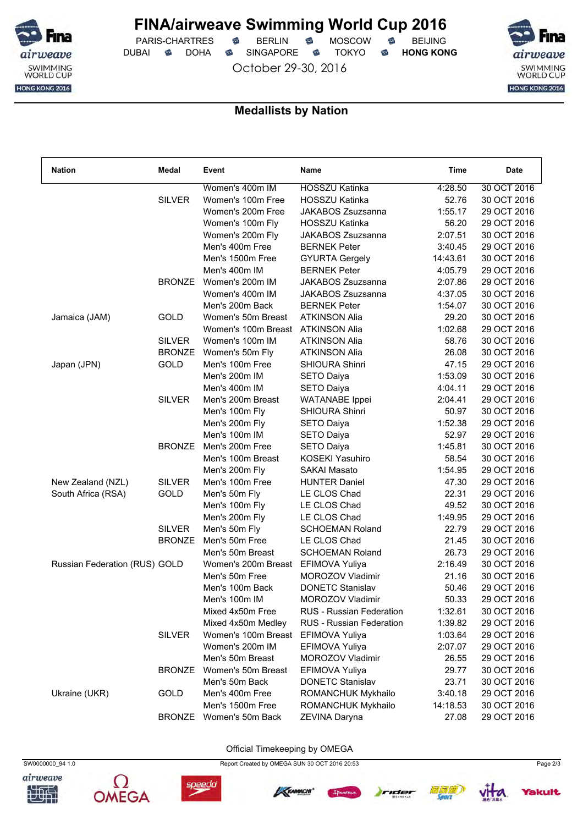

PARIS-CHARTRES **S** BERLIN S MOSCOW S DUBAI **S** DOHA S SINGAPORE S TOKYO S HONG KONG

October 29-30, 2016



### **Medallists by Nation**

| <b>Nation</b>                 | Medal         | Event               | Name                            | Time     | <b>Date</b> |
|-------------------------------|---------------|---------------------|---------------------------------|----------|-------------|
|                               |               | Women's 400m IM     | HOSSZU Katinka                  | 4:28.50  | 30 OCT 2016 |
|                               | <b>SILVER</b> | Women's 100m Free   | HOSSZU Katinka                  | 52.76    | 30 OCT 2016 |
|                               |               | Women's 200m Free   | JAKABOS Zsuzsanna               | 1:55.17  | 29 OCT 2016 |
|                               |               | Women's 100m Fly    | <b>HOSSZU Katinka</b>           | 56.20    | 29 OCT 2016 |
|                               |               | Women's 200m Fly    | JAKABOS Zsuzsanna               | 2:07.51  | 30 OCT 2016 |
|                               |               | Men's 400m Free     | <b>BERNEK Peter</b>             | 3:40.45  | 29 OCT 2016 |
|                               |               | Men's 1500m Free    | <b>GYURTA Gergely</b>           | 14:43.61 | 30 OCT 2016 |
|                               |               | Men's 400m IM       | <b>BERNEK Peter</b>             | 4:05.79  | 29 OCT 2016 |
|                               | <b>BRONZE</b> | Women's 200m IM     | JAKABOS Zsuzsanna               | 2:07.86  | 29 OCT 2016 |
|                               |               | Women's 400m IM     | JAKABOS Zsuzsanna               | 4:37.05  | 30 OCT 2016 |
|                               |               | Men's 200m Back     | <b>BERNEK Peter</b>             | 1:54.07  | 30 OCT 2016 |
| Jamaica (JAM)                 | GOLD          | Women's 50m Breast  | <b>ATKINSON Alia</b>            | 29.20    | 30 OCT 2016 |
|                               |               | Women's 100m Breast | <b>ATKINSON Alia</b>            | 1:02.68  | 29 OCT 2016 |
|                               | <b>SILVER</b> | Women's 100m IM     | <b>ATKINSON Alia</b>            | 58.76    | 30 OCT 2016 |
|                               | <b>BRONZE</b> | Women's 50m Fly     | <b>ATKINSON Alia</b>            | 26.08    | 30 OCT 2016 |
| Japan (JPN)                   | GOLD          | Men's 100m Free     | <b>SHIOURA Shinri</b>           | 47.15    | 29 OCT 2016 |
|                               |               | Men's 200m IM       | <b>SETO Daiya</b>               | 1:53.09  | 30 OCT 2016 |
|                               |               | Men's 400m IM       | <b>SETO Daiya</b>               | 4:04.11  | 29 OCT 2016 |
|                               | <b>SILVER</b> | Men's 200m Breast   | <b>WATANABE</b> Ippei           | 2:04.41  | 29 OCT 2016 |
|                               |               | Men's 100m Fly      | <b>SHIOURA Shinri</b>           | 50.97    | 30 OCT 2016 |
|                               |               | Men's 200m Fly      | <b>SETO Daiya</b>               | 1:52.38  | 29 OCT 2016 |
|                               |               | Men's 100m IM       | <b>SETO Daiya</b>               | 52.97    | 29 OCT 2016 |
|                               | <b>BRONZE</b> | Men's 200m Free     | <b>SETO Daiya</b>               | 1:45.81  | 30 OCT 2016 |
|                               |               | Men's 100m Breast   | KOSEKI Yasuhiro                 | 58.54    | 30 OCT 2016 |
|                               |               | Men's 200m Fly      | SAKAI Masato                    | 1:54.95  | 29 OCT 2016 |
| New Zealand (NZL)             | <b>SILVER</b> | Men's 100m Free     | <b>HUNTER Daniel</b>            | 47.30    | 29 OCT 2016 |
| South Africa (RSA)            | GOLD          | Men's 50m Fly       | LE CLOS Chad                    | 22.31    | 29 OCT 2016 |
|                               |               | Men's 100m Fly      | LE CLOS Chad                    | 49.52    | 30 OCT 2016 |
|                               |               | Men's 200m Fly      | LE CLOS Chad                    | 1:49.95  | 29 OCT 2016 |
|                               | <b>SILVER</b> | Men's 50m Fly       | <b>SCHOEMAN Roland</b>          | 22.79    | 29 OCT 2016 |
|                               | <b>BRONZE</b> | Men's 50m Free      | LE CLOS Chad                    | 21.45    | 30 OCT 2016 |
|                               |               | Men's 50m Breast    | <b>SCHOEMAN Roland</b>          | 26.73    | 29 OCT 2016 |
| Russian Federation (RUS) GOLD |               | Women's 200m Breast | EFIMOVA Yuliya                  | 2:16.49  | 30 OCT 2016 |
|                               |               | Men's 50m Free      | MOROZOV Vladimir                | 21.16    | 30 OCT 2016 |
|                               |               | Men's 100m Back     | <b>DONETC Stanislav</b>         | 50.46    | 29 OCT 2016 |
|                               |               | Men's 100m IM       | MOROZOV Vladimir                | 50.33    | 29 OCT 2016 |
|                               |               | Mixed 4x50m Free    | RUS - Russian Federation        | 1:32.61  | 30 OCT 2016 |
|                               |               | Mixed 4x50m Medley  | <b>RUS</b> - Russian Federation | 1:39.82  | 29 OCT 2016 |
|                               | <b>SILVER</b> | Women's 100m Breast | EFIMOVA Yuliya                  | 1:03.64  | 29 OCT 2016 |
|                               |               | Women's 200m IM     | EFIMOVA Yuliya                  | 2:07.07  | 29 OCT 2016 |
|                               |               | Men's 50m Breast    | <b>MOROZOV Vladimir</b>         | 26.55    | 29 OCT 2016 |
|                               | <b>BRONZE</b> | Women's 50m Breast  | EFIMOVA Yuliya                  | 29.77    | 30 OCT 2016 |
|                               |               | Men's 50m Back      | <b>DONETC Stanislav</b>         | 23.71    | 30 OCT 2016 |
| Ukraine (UKR)                 | GOLD          | Men's 400m Free     | ROMANCHUK Mykhailo              | 3:40.18  | 29 OCT 2016 |
|                               |               | Men's 1500m Free    | ROMANCHUK Mykhailo              | 14:18.53 | 30 OCT 2016 |
|                               | <b>BRONZE</b> | Women's 50m Back    | ZEVINA Daryna                   |          | 29 OCT 2016 |
|                               |               |                     |                                 | 27.08    |             |

Official Timekeeping by OMEGA







speedo







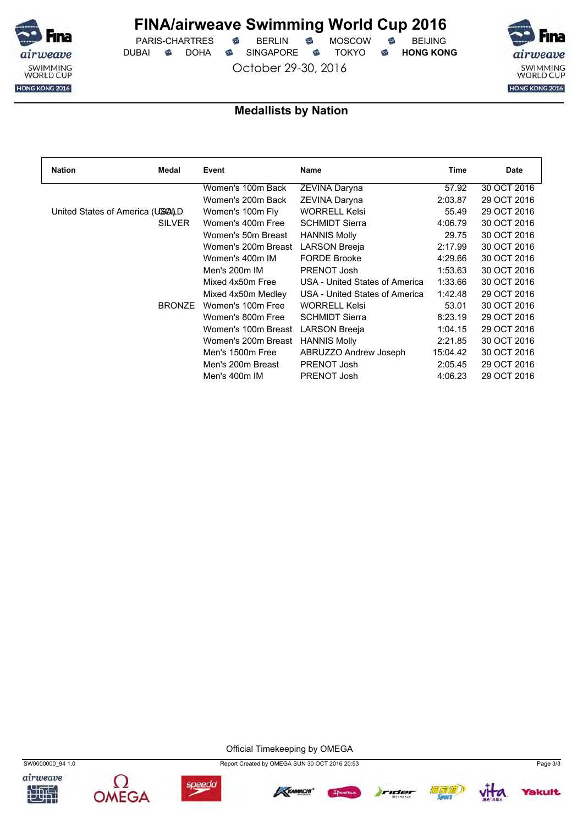

PARIS-CHARTRES **B** BERLIN **B** MOSCOW **B** BEIJING DUBAI **S** DOHA S SINGAPORE S TOKYO S HONG KONG

October 29-30, 2016



## **Medallists by Nation**

| <b>Nation</b><br>Medal          | Event               | Name                           | Time     | Date        |
|---------------------------------|---------------------|--------------------------------|----------|-------------|
|                                 | Women's 100m Back   | ZEVINA Daryna                  | 57.92    | 30 OCT 2016 |
|                                 | Women's 200m Back   | ZEVINA Daryna                  | 2:03.87  | 29 OCT 2016 |
| United States of America (USALD | Women's 100m Fly    | <b>WORRELL Kelsi</b>           | 55.49    | 29 OCT 2016 |
| <b>SILVER</b>                   | Women's 400m Free   | <b>SCHMIDT Sierra</b>          | 4:06.79  | 30 OCT 2016 |
|                                 | Women's 50m Breast  | <b>HANNIS Molly</b>            | 29.75    | 30 OCT 2016 |
|                                 | Women's 200m Breast | <b>LARSON Breeja</b>           | 2:17.99  | 30 OCT 2016 |
|                                 | Women's 400m IM     | <b>FORDE Brooke</b>            | 4:29.66  | 30 OCT 2016 |
|                                 | Men's 200m IM       | PRENOT Josh                    | 1:53.63  | 30 OCT 2016 |
|                                 | Mixed 4x50m Free    | USA - United States of America | 1:33.66  | 30 OCT 2016 |
|                                 | Mixed 4x50m Medley  | USA - United States of America | 1:42.48  | 29 OCT 2016 |
| <b>BRONZE</b>                   | Women's 100m Free   | <b>WORRELL Kelsi</b>           | 53.01    | 30 OCT 2016 |
|                                 | Women's 800m Free   | <b>SCHMIDT Sierra</b>          | 8:23.19  | 29 OCT 2016 |
|                                 | Women's 100m Breast | <b>LARSON Breeja</b>           | 1:04.15  | 29 OCT 2016 |
|                                 | Women's 200m Breast | <b>HANNIS Molly</b>            | 2:21.85  | 30 OCT 2016 |
|                                 | Men's 1500m Free    | ABRUZZO Andrew Joseph          | 15:04.42 | 30 OCT 2016 |
|                                 | Men's 200m Breast   | PRENOT Josh                    | 2:05.45  | 29 OCT 2016 |
|                                 | Men's 400m IM       | PRENOT Josh                    | 4:06.23  | 29 OCT 2016 |

Official Timekeeping by OMEGA







SW0000000\_94 1.0 Report Created by OMEGA SUN 30 OCT 2016 20:53 Page 3/3







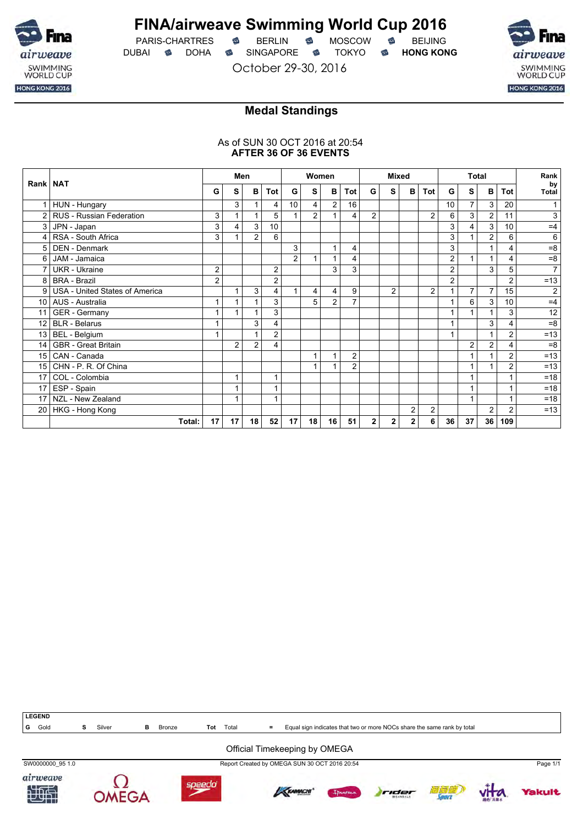

PARIS-CHARTRES **B** BERLIN **B** MOSCOW **B** BEIJING DUBAI **S** DOHA SINGAPORE S TOKYO S HONG KONG

October 29-30, 2016



## **Medal Standings**

### As of SUN 30 OCT 2016 at 20:54 **AFTER 36 OF 36 EVENTS**

|                 |                                |                | Men            |                |                |                | Women          |                |                | <b>Mixed</b>   |                |   |                | <b>Total</b>   |                |                |            | Rank               |
|-----------------|--------------------------------|----------------|----------------|----------------|----------------|----------------|----------------|----------------|----------------|----------------|----------------|---|----------------|----------------|----------------|----------------|------------|--------------------|
| Rank   NAT      |                                | G              | s              | в              | Tot            | G              | S              | B              | Tot            | G              | s              | в | <b>Tot</b>     | G              | S              | $\mathbf{B}$   | <b>Tot</b> | by<br><b>Total</b> |
|                 | HUN - Hungary                  |                | 3              |                | 4              | 10             | 4              | $\overline{c}$ | 16             |                |                |   |                | 10             | $\overline{7}$ | 3              | 20         |                    |
| $\overline{2}$  | RUS - Russian Federation       | 3              |                |                | 5              |                | $\overline{2}$ |                | 4              | $\overline{2}$ |                |   | 2              | 6              | 3              | $\overline{c}$ | 11         | 3                  |
| 3               | JPN - Japan                    | 3              | 4              | 3              | 10             |                |                |                |                |                |                |   |                | 3              | 4              | 3              | 10         | $=4$               |
| 4               | RSA - South Africa             | 3              |                | 2              | 6              |                |                |                |                |                |                |   |                | 3              |                | 2              | 6          | 6                  |
| 5               | <b>DEN - Denmark</b>           |                |                |                |                | 3              |                | 1              | 4              |                |                |   |                | 3              |                | $\mathbf{1}$   | 4          | $= 8$              |
| 6               | JAM - Jamaica                  |                |                |                |                | $\overline{c}$ |                |                | 4              |                |                |   |                | $\overline{2}$ | $\mathbf{1}$   | 1              | 4          | $=8$               |
|                 | <b>UKR</b> - Ukraine           | $\overline{c}$ |                |                | 2              |                |                | 3              | 3              |                |                |   |                | $\overline{2}$ |                | 3              | 5          | $\overline{7}$     |
| 8               | <b>BRA - Brazil</b>            | $\overline{2}$ |                |                | $\overline{c}$ |                |                |                |                |                |                |   |                | $\overline{2}$ |                |                | 2          | $=13$              |
| 9               | USA - United States of America |                |                | 3              | 4              |                | 4              | 4              | 9              |                | $\overline{2}$ |   | $\overline{c}$ |                | $\overline{7}$ | $\overline{7}$ | 15         | 2                  |
| 10 <sup>1</sup> | AUS - Australia                |                |                |                | 3              |                | 5              | $\overline{c}$ | 7              |                |                |   |                |                | 6              | 3              | 10         | $=4$               |
| 11              | GER - Germany                  |                |                |                | 3              |                |                |                |                |                |                |   |                |                |                |                | 3          | 12                 |
| 12 <sup>2</sup> | <b>BLR</b> - Belarus           |                |                | 3              | 4              |                |                |                |                |                |                |   |                |                |                | 3              | 4          | $=8$               |
| 13              | BEL - Belgium                  |                |                | 1              | $\overline{c}$ |                |                |                |                |                |                |   |                |                |                | $\mathbf{1}$   | 2          | $=13$              |
| 14              | <b>GBR</b> - Great Britain     |                | $\overline{c}$ | $\overline{2}$ | 4              |                |                |                |                |                |                |   |                |                | $\overline{c}$ | $\overline{c}$ | 4          | $= 8$              |
| 15              | CAN - Canada                   |                |                |                |                |                |                | 1              | 2              |                |                |   |                |                | 1              | 1              | 2          | $=13$              |
| 15              | CHN - P. R. Of China           |                |                |                |                |                |                |                | $\overline{2}$ |                |                |   |                |                | $\mathbf 1$    |                | 2          | $=13$              |
| 17              | COL - Colombia                 |                |                |                | 1              |                |                |                |                |                |                |   |                |                | $\mathbf{1}$   |                |            | $=18$              |
| 17              | ESP - Spain                    |                |                |                |                |                |                |                |                |                |                |   |                |                | 1              |                |            | $=18$              |
| 17              | NZL - New Zealand              |                |                |                | 1              |                |                |                |                |                |                |   |                |                | 1              |                |            | $=18$              |
| 20 <sub>1</sub> | HKG - Hong Kong                |                |                |                |                |                |                |                |                |                |                | 2 | 2              |                |                | $\overline{c}$ | 2          | $=13$              |
|                 | Total:                         | 17             | 17             | 18             | 52             | 17             | 18             | 16             | 51             | $\mathbf{2}$   | 2              | 2 | 6              | 36             | 37             | 36             | 109        |                    |



### Official Timekeeping by OMEGA

SW0000000\_95 1.0 Report Created by OMEGA SUN 30 OCT 2016 20:54 Page 1/1













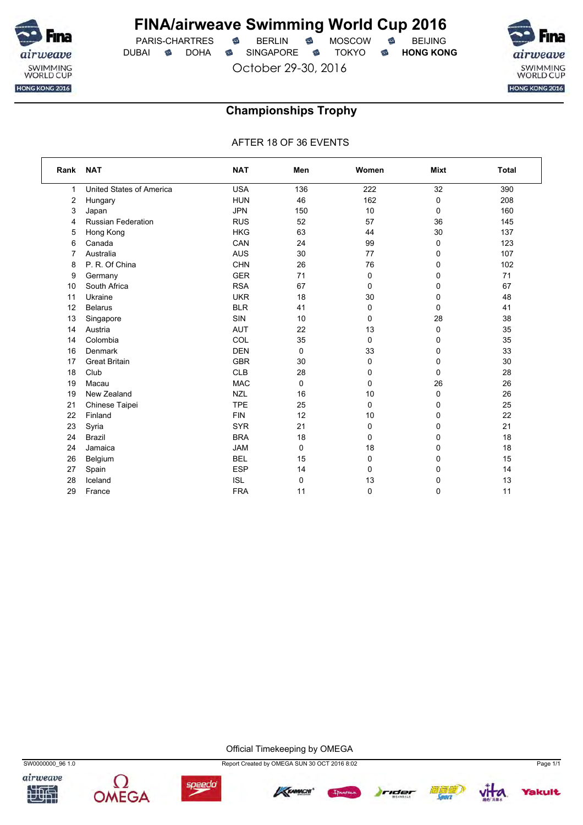

PARIS-CHARTRES **S** BERLIN S MOSCOW S DUBAI **S** DOHA S SINGAPORE S TOKYO S HONG KONG

October 29-30, 2016



### **Championships Trophy**

AFTER 18 OF 36 EVENTS

| Rank | <b>NAT</b>                | <b>NAT</b> | Men | Women       | <b>Mixt</b> | <b>Total</b> |
|------|---------------------------|------------|-----|-------------|-------------|--------------|
| 1    | United States of America  | <b>USA</b> | 136 | 222         | 32          | 390          |
| 2    | Hungary                   | <b>HUN</b> | 46  | 162         | 0           | 208          |
| 3    | Japan                     | <b>JPN</b> | 150 | 10          | 0           | 160          |
| 4    | <b>Russian Federation</b> | <b>RUS</b> | 52  | 57          | 36          | 145          |
| 5    | Hong Kong                 | <b>HKG</b> | 63  | 44          | 30          | 137          |
| 6    | Canada                    | CAN        | 24  | 99          | 0           | 123          |
| 7    | Australia                 | <b>AUS</b> | 30  | 77          | 0           | 107          |
| 8    | P. R. Of China            | <b>CHN</b> | 26  | 76          | 0           | 102          |
| 9    | Germany                   | <b>GER</b> | 71  | 0           | 0           | 71           |
| 10   | South Africa              | <b>RSA</b> | 67  | $\mathbf 0$ | 0           | 67           |
| 11   | Ukraine                   | <b>UKR</b> | 18  | 30          | 0           | 48           |
| 12   | <b>Belarus</b>            | <b>BLR</b> | 41  | $\mathbf 0$ | 0           | 41           |
| 13   | Singapore                 | <b>SIN</b> | 10  | 0           | 28          | 38           |
| 14   | Austria                   | <b>AUT</b> | 22  | 13          | 0           | 35           |
| 14   | Colombia                  | COL        | 35  | $\mathbf 0$ | 0           | 35           |
| 16   | Denmark                   | <b>DEN</b> | 0   | 33          | 0           | 33           |
| 17   | <b>Great Britain</b>      | <b>GBR</b> | 30  | $\mathbf 0$ | 0           | 30           |
| 18   | Club                      | <b>CLB</b> | 28  | 0           | 0           | 28           |
| 19   | Macau                     | <b>MAC</b> | 0   | $\mathbf 0$ | 26          | 26           |
| 19   | New Zealand               | <b>NZL</b> | 16  | 10          | 0           | 26           |
| 21   | Chinese Taipei            | <b>TPE</b> | 25  | $\mathbf 0$ | 0           | 25           |
| 22   | Finland                   | <b>FIN</b> | 12  | 10          | 0           | 22           |
| 23   | Syria                     | <b>SYR</b> | 21  | 0           | 0           | 21           |
| 24   | <b>Brazil</b>             | <b>BRA</b> | 18  | 0           | 0           | 18           |
| 24   | Jamaica                   | <b>JAM</b> | 0   | 18          | $\Omega$    | 18           |
| 26   | Belgium                   | <b>BEL</b> | 15  | $\mathbf 0$ | 0           | 15           |
| 27   | Spain                     | <b>ESP</b> | 14  | 0           | 0           | 14           |
| 28   | Iceland                   | <b>ISL</b> | 0   | 13          | 0           | 13           |
| 29   | France                    | <b>FRA</b> | 11  | $\mathbf 0$ | $\mathbf 0$ | 11           |

Official Timekeeping by OMEGA







SW0000000\_96 1.0 Report Created by OMEGA SUN 30 OCT 2016 8:02 Page 1/1







*fakult*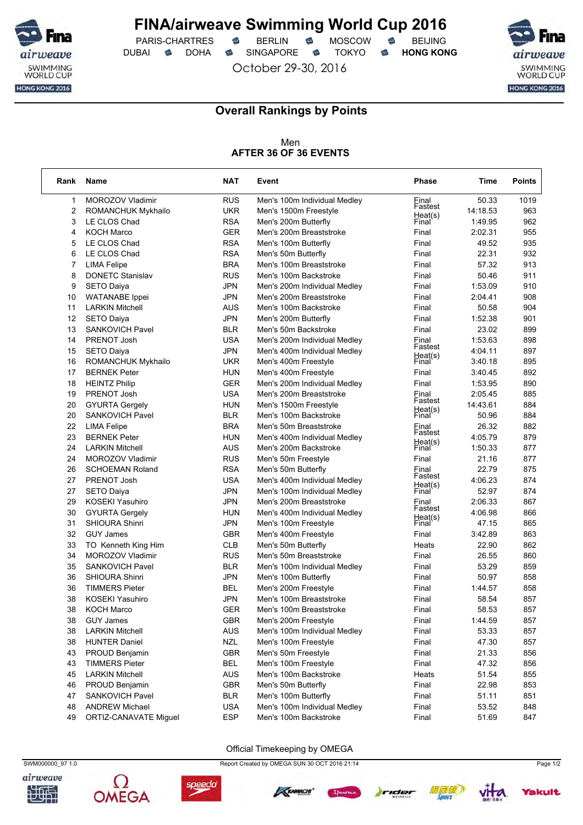

PARIS-CHARTRES **S** BERLIN S MOSCOW S DUBAI **S** DOHA SINGAPORE S TOKYO S HONG KONG

October 29-30, 2016



٦

### **Overall Rankings by Points**

### Men **AFTER 36 OF 36 EVENTS**

| <b>RUS</b><br>50.33<br>1019<br>$\mathbf{1}$<br>MOROZOV Vladimir<br>Men's 100m Individual Medley<br>Final<br>Fastest<br>2<br><b>UKR</b><br>963<br>ROMANCHUK Mykhailo<br>Men's 1500m Freestyle<br>14:18.53<br>Heat(s)<br>3<br><b>RSA</b><br>962<br>LE CLOS Chad<br>1:49.95<br>Men's 200m Butterfly<br>Final<br><b>GER</b><br>955<br>4<br><b>KOCH Marco</b><br>Men's 200m Breaststroke<br>2:02.31<br>Final<br><b>RSA</b><br>49.52<br>935<br>5<br>LE CLOS Chad<br>Final<br>Men's 100m Butterfly<br>6<br><b>RSA</b><br>LE CLOS Chad<br>Final<br>22.31<br>932<br>Men's 50m Butterfly<br>$\overline{7}$<br><b>BRA</b><br>57.32<br>913<br><b>LIMA Felipe</b><br>Men's 100m Breaststroke<br>Final<br>8<br><b>RUS</b><br>50.46<br>911<br><b>DONETC Stanislav</b><br>Men's 100m Backstroke<br>Final<br><b>JPN</b><br>910<br>9<br><b>SETO Daiya</b><br>1:53.09<br>Men's 200m Individual Medley<br>Final<br><b>JPN</b><br>908<br>10<br><b>WATANABE</b> Ippei<br>Men's 200m Breaststroke<br>Final<br>2:04.41<br>904<br>11<br><b>LARKIN Mitchell</b><br>AUS<br>Men's 100m Backstroke<br>Final<br>50.58<br>12<br>JPN<br>1:52.38<br>901<br><b>SETO Daiya</b><br>Men's 200m Butterfly<br>Final<br>13<br><b>BLR</b><br>899<br><b>SANKOVICH Pavel</b><br>Men's 50m Backstroke<br>Final<br>23.02<br>14<br><b>USA</b><br>1:53.63<br>898<br>PRENOT Josh<br>Men's 200m Individual Medley<br>Final<br>Fastest<br><b>JPN</b><br>897<br>15<br><b>SETO Daiya</b><br>4:04.11<br>Men's 400m Individual Medley<br>Heat(s)<br>Final<br>895<br>16<br><b>ROMANCHUK Mykhailo</b><br><b>UKR</b><br>Men's 400m Freestyle<br>3:40.18<br>892<br>17<br><b>BERNEK Peter</b><br><b>HUN</b><br>3:40.45<br>Men's 400m Freestyle<br>Final<br><b>GER</b><br>18<br>1:53.95<br>890<br><b>HEINTZ Philip</b><br>Men's 200m Individual Medley<br>Final<br>19<br><b>USA</b><br>885<br>PRENOT Josh<br>Men's 200m Breaststroke<br>2:05.45<br>Einal<br>Fastest<br>20<br><b>HUN</b><br>14:43.61<br>884<br><b>GYURTA Gergely</b><br>Men's 1500m Freestyle<br>Heat(s)<br>Final<br>20<br>SANKOVICH Pavel<br>BLR<br>Men's 100m Backstroke<br>50.96<br>884<br>22<br><b>BRA</b><br>882<br><b>LIMA Felipe</b><br>Men's 50m Breaststroke<br>26.32<br>Final<br>Fastest<br>23<br>4:05.79<br>879<br><b>BERNEK Peter</b><br><b>HUN</b><br>Men's 400m Individual Medley<br>Heat(s)<br>Final<br>877<br>24<br>AUS<br>Men's 200m Backstroke<br>1:50.33<br><b>LARKIN Mitchell</b><br><b>RUS</b><br>24<br><b>MOROZOV Vladimir</b><br>Men's 50m Freestyle<br>21.16<br>877<br>Final<br>26<br><b>RSA</b><br>22.79<br><b>SCHOEMAN Roland</b><br>875<br>Men's 50m Butterfly<br>Final<br>Fastest<br>27<br><b>USA</b><br>874<br>PRENOT Josh<br>4:06.23<br>Men's 400m Individual Medley<br>Heat(s)<br>Final<br>27<br><b>JPN</b><br>52.97<br>874<br><b>SETO Daiya</b><br>Men's 100m Individual Medley<br>29<br><b>JPN</b><br>2:06.33<br><b>KOSEKI Yasuhiro</b><br>867<br>Men's 200m Breaststroke<br>Final<br>Fastest<br>30<br><b>GYURTA Gergely</b><br><b>HUN</b><br>4:06.98<br>866<br>Men's 400m Individual Medley<br>Heat(s)<br>Final<br>31<br><b>JPN</b><br>47.15<br>865<br><b>SHIOURA Shinri</b><br>Men's 100m Freestyle<br>32<br><b>GUY James</b><br><b>GBR</b><br>3:42.89<br>863<br>Men's 400m Freestyle<br>Final<br>862<br>33<br>TO Kenneth King Him<br><b>CLB</b><br>Men's 50m Butterfly<br>22.90<br>Heats<br>34<br><b>RUS</b><br>860<br>MOROZOV Vladimir<br>Men's 50m Breaststroke<br>Final<br>26.55<br>35<br>53.29<br><b>SANKOVICH Pavel</b><br><b>BLR</b><br>Final<br>859<br>Men's 100m Individual Medley<br>36<br><b>SHIOURA Shinri</b><br>JPN<br>50.97<br>858<br>Men's 100m Butterfly<br>Final<br>36<br><b>TIMMERS Pieter</b><br><b>BEL</b><br>Men's 200m Freestyle<br>Final<br>1:44.57<br>858<br>38<br><b>KOSEKI Yasuhiro</b><br><b>JPN</b><br>Men's 100m Breaststroke<br>58.54<br>857<br>Final<br>38<br><b>GER</b><br>857<br><b>KOCH Marco</b><br>Men's 100m Breaststroke<br>Final<br>58.53<br><b>GBR</b><br><b>GUY James</b><br>Men's 200m Freestyle<br>Final<br>1:44.59<br>857<br>38<br><b>AUS</b><br>53.33<br>38<br><b>LARKIN Mitchell</b><br>Final<br>857<br>Men's 100m Individual Medley<br>38<br><b>HUNTER Daniel</b><br><b>NZL</b><br>Men's 100m Freestyle<br>Final<br>47.30<br>857<br>GBR<br>43<br>PROUD Benjamin<br>Men's 50m Freestyle<br>Final<br>21.33<br>856<br><b>BEL</b><br>43<br><b>TIMMERS Pieter</b><br>Men's 100m Freestyle<br>47.32<br>856<br>Final<br>45<br><b>LARKIN Mitchell</b><br><b>AUS</b><br>Men's 100m Backstroke<br>51.54<br>855<br>Heats<br>GBR<br>46<br>PROUD Benjamin<br>Men's 50m Butterfly<br>Final<br>22.98<br>853<br><b>BLR</b><br>Men's 100m Butterfly<br>Final<br>51.11<br>851<br>47<br><b>SANKOVICH Pavel</b><br><b>ANDREW Michael</b><br><b>USA</b><br>Men's 100m Individual Medley<br>Final<br>53.52<br>848<br>48<br>49<br><b>ESP</b><br>ORTIZ-CANAVATE Miguel<br>Men's 100m Backstroke<br>Final<br>51.69<br>847 | Rank | Name | <b>NAT</b> | Event | <b>Phase</b> | Time | <b>Points</b> |
|----------------------------------------------------------------------------------------------------------------------------------------------------------------------------------------------------------------------------------------------------------------------------------------------------------------------------------------------------------------------------------------------------------------------------------------------------------------------------------------------------------------------------------------------------------------------------------------------------------------------------------------------------------------------------------------------------------------------------------------------------------------------------------------------------------------------------------------------------------------------------------------------------------------------------------------------------------------------------------------------------------------------------------------------------------------------------------------------------------------------------------------------------------------------------------------------------------------------------------------------------------------------------------------------------------------------------------------------------------------------------------------------------------------------------------------------------------------------------------------------------------------------------------------------------------------------------------------------------------------------------------------------------------------------------------------------------------------------------------------------------------------------------------------------------------------------------------------------------------------------------------------------------------------------------------------------------------------------------------------------------------------------------------------------------------------------------------------------------------------------------------------------------------------------------------------------------------------------------------------------------------------------------------------------------------------------------------------------------------------------------------------------------------------------------------------------------------------------------------------------------------------------------------------------------------------------------------------------------------------------------------------------------------------------------------------------------------------------------------------------------------------------------------------------------------------------------------------------------------------------------------------------------------------------------------------------------------------------------------------------------------------------------------------------------------------------------------------------------------------------------------------------------------------------------------------------------------------------------------------------------------------------------------------------------------------------------------------------------------------------------------------------------------------------------------------------------------------------------------------------------------------------------------------------------------------------------------------------------------------------------------------------------------------------------------------------------------------------------------------------------------------------------------------------------------------------------------------------------------------------------------------------------------------------------------------------------------------------------------------------------------------------------------------------------------------------------------------------------------------------------------------------------------------------------------------------------------------------------------------------------------------------------------------------------------------------------------------------------------------------------------------------------------------------------------------------------------------------------------------------------------------------------------------------------------------------------------------------------------------------------------------------------------------------------------------------------------------------------------------------------------------------------------------------------------------------------------------------------------------------------------------|------|------|------------|-------|--------------|------|---------------|
|                                                                                                                                                                                                                                                                                                                                                                                                                                                                                                                                                                                                                                                                                                                                                                                                                                                                                                                                                                                                                                                                                                                                                                                                                                                                                                                                                                                                                                                                                                                                                                                                                                                                                                                                                                                                                                                                                                                                                                                                                                                                                                                                                                                                                                                                                                                                                                                                                                                                                                                                                                                                                                                                                                                                                                                                                                                                                                                                                                                                                                                                                                                                                                                                                                                                                                                                                                                                                                                                                                                                                                                                                                                                                                                                                                                                                                                                                                                                                                                                                                                                                                                                                                                                                                                                                                                                                                                                                                                                                                                                                                                                                                                                                                                                                                                                                                                                                        |      |      |            |       |              |      |               |
|                                                                                                                                                                                                                                                                                                                                                                                                                                                                                                                                                                                                                                                                                                                                                                                                                                                                                                                                                                                                                                                                                                                                                                                                                                                                                                                                                                                                                                                                                                                                                                                                                                                                                                                                                                                                                                                                                                                                                                                                                                                                                                                                                                                                                                                                                                                                                                                                                                                                                                                                                                                                                                                                                                                                                                                                                                                                                                                                                                                                                                                                                                                                                                                                                                                                                                                                                                                                                                                                                                                                                                                                                                                                                                                                                                                                                                                                                                                                                                                                                                                                                                                                                                                                                                                                                                                                                                                                                                                                                                                                                                                                                                                                                                                                                                                                                                                                                        |      |      |            |       |              |      |               |
|                                                                                                                                                                                                                                                                                                                                                                                                                                                                                                                                                                                                                                                                                                                                                                                                                                                                                                                                                                                                                                                                                                                                                                                                                                                                                                                                                                                                                                                                                                                                                                                                                                                                                                                                                                                                                                                                                                                                                                                                                                                                                                                                                                                                                                                                                                                                                                                                                                                                                                                                                                                                                                                                                                                                                                                                                                                                                                                                                                                                                                                                                                                                                                                                                                                                                                                                                                                                                                                                                                                                                                                                                                                                                                                                                                                                                                                                                                                                                                                                                                                                                                                                                                                                                                                                                                                                                                                                                                                                                                                                                                                                                                                                                                                                                                                                                                                                                        |      |      |            |       |              |      |               |
|                                                                                                                                                                                                                                                                                                                                                                                                                                                                                                                                                                                                                                                                                                                                                                                                                                                                                                                                                                                                                                                                                                                                                                                                                                                                                                                                                                                                                                                                                                                                                                                                                                                                                                                                                                                                                                                                                                                                                                                                                                                                                                                                                                                                                                                                                                                                                                                                                                                                                                                                                                                                                                                                                                                                                                                                                                                                                                                                                                                                                                                                                                                                                                                                                                                                                                                                                                                                                                                                                                                                                                                                                                                                                                                                                                                                                                                                                                                                                                                                                                                                                                                                                                                                                                                                                                                                                                                                                                                                                                                                                                                                                                                                                                                                                                                                                                                                                        |      |      |            |       |              |      |               |
|                                                                                                                                                                                                                                                                                                                                                                                                                                                                                                                                                                                                                                                                                                                                                                                                                                                                                                                                                                                                                                                                                                                                                                                                                                                                                                                                                                                                                                                                                                                                                                                                                                                                                                                                                                                                                                                                                                                                                                                                                                                                                                                                                                                                                                                                                                                                                                                                                                                                                                                                                                                                                                                                                                                                                                                                                                                                                                                                                                                                                                                                                                                                                                                                                                                                                                                                                                                                                                                                                                                                                                                                                                                                                                                                                                                                                                                                                                                                                                                                                                                                                                                                                                                                                                                                                                                                                                                                                                                                                                                                                                                                                                                                                                                                                                                                                                                                                        |      |      |            |       |              |      |               |
|                                                                                                                                                                                                                                                                                                                                                                                                                                                                                                                                                                                                                                                                                                                                                                                                                                                                                                                                                                                                                                                                                                                                                                                                                                                                                                                                                                                                                                                                                                                                                                                                                                                                                                                                                                                                                                                                                                                                                                                                                                                                                                                                                                                                                                                                                                                                                                                                                                                                                                                                                                                                                                                                                                                                                                                                                                                                                                                                                                                                                                                                                                                                                                                                                                                                                                                                                                                                                                                                                                                                                                                                                                                                                                                                                                                                                                                                                                                                                                                                                                                                                                                                                                                                                                                                                                                                                                                                                                                                                                                                                                                                                                                                                                                                                                                                                                                                                        |      |      |            |       |              |      |               |
|                                                                                                                                                                                                                                                                                                                                                                                                                                                                                                                                                                                                                                                                                                                                                                                                                                                                                                                                                                                                                                                                                                                                                                                                                                                                                                                                                                                                                                                                                                                                                                                                                                                                                                                                                                                                                                                                                                                                                                                                                                                                                                                                                                                                                                                                                                                                                                                                                                                                                                                                                                                                                                                                                                                                                                                                                                                                                                                                                                                                                                                                                                                                                                                                                                                                                                                                                                                                                                                                                                                                                                                                                                                                                                                                                                                                                                                                                                                                                                                                                                                                                                                                                                                                                                                                                                                                                                                                                                                                                                                                                                                                                                                                                                                                                                                                                                                                                        |      |      |            |       |              |      |               |
|                                                                                                                                                                                                                                                                                                                                                                                                                                                                                                                                                                                                                                                                                                                                                                                                                                                                                                                                                                                                                                                                                                                                                                                                                                                                                                                                                                                                                                                                                                                                                                                                                                                                                                                                                                                                                                                                                                                                                                                                                                                                                                                                                                                                                                                                                                                                                                                                                                                                                                                                                                                                                                                                                                                                                                                                                                                                                                                                                                                                                                                                                                                                                                                                                                                                                                                                                                                                                                                                                                                                                                                                                                                                                                                                                                                                                                                                                                                                                                                                                                                                                                                                                                                                                                                                                                                                                                                                                                                                                                                                                                                                                                                                                                                                                                                                                                                                                        |      |      |            |       |              |      |               |
|                                                                                                                                                                                                                                                                                                                                                                                                                                                                                                                                                                                                                                                                                                                                                                                                                                                                                                                                                                                                                                                                                                                                                                                                                                                                                                                                                                                                                                                                                                                                                                                                                                                                                                                                                                                                                                                                                                                                                                                                                                                                                                                                                                                                                                                                                                                                                                                                                                                                                                                                                                                                                                                                                                                                                                                                                                                                                                                                                                                                                                                                                                                                                                                                                                                                                                                                                                                                                                                                                                                                                                                                                                                                                                                                                                                                                                                                                                                                                                                                                                                                                                                                                                                                                                                                                                                                                                                                                                                                                                                                                                                                                                                                                                                                                                                                                                                                                        |      |      |            |       |              |      |               |
|                                                                                                                                                                                                                                                                                                                                                                                                                                                                                                                                                                                                                                                                                                                                                                                                                                                                                                                                                                                                                                                                                                                                                                                                                                                                                                                                                                                                                                                                                                                                                                                                                                                                                                                                                                                                                                                                                                                                                                                                                                                                                                                                                                                                                                                                                                                                                                                                                                                                                                                                                                                                                                                                                                                                                                                                                                                                                                                                                                                                                                                                                                                                                                                                                                                                                                                                                                                                                                                                                                                                                                                                                                                                                                                                                                                                                                                                                                                                                                                                                                                                                                                                                                                                                                                                                                                                                                                                                                                                                                                                                                                                                                                                                                                                                                                                                                                                                        |      |      |            |       |              |      |               |
|                                                                                                                                                                                                                                                                                                                                                                                                                                                                                                                                                                                                                                                                                                                                                                                                                                                                                                                                                                                                                                                                                                                                                                                                                                                                                                                                                                                                                                                                                                                                                                                                                                                                                                                                                                                                                                                                                                                                                                                                                                                                                                                                                                                                                                                                                                                                                                                                                                                                                                                                                                                                                                                                                                                                                                                                                                                                                                                                                                                                                                                                                                                                                                                                                                                                                                                                                                                                                                                                                                                                                                                                                                                                                                                                                                                                                                                                                                                                                                                                                                                                                                                                                                                                                                                                                                                                                                                                                                                                                                                                                                                                                                                                                                                                                                                                                                                                                        |      |      |            |       |              |      |               |
|                                                                                                                                                                                                                                                                                                                                                                                                                                                                                                                                                                                                                                                                                                                                                                                                                                                                                                                                                                                                                                                                                                                                                                                                                                                                                                                                                                                                                                                                                                                                                                                                                                                                                                                                                                                                                                                                                                                                                                                                                                                                                                                                                                                                                                                                                                                                                                                                                                                                                                                                                                                                                                                                                                                                                                                                                                                                                                                                                                                                                                                                                                                                                                                                                                                                                                                                                                                                                                                                                                                                                                                                                                                                                                                                                                                                                                                                                                                                                                                                                                                                                                                                                                                                                                                                                                                                                                                                                                                                                                                                                                                                                                                                                                                                                                                                                                                                                        |      |      |            |       |              |      |               |
|                                                                                                                                                                                                                                                                                                                                                                                                                                                                                                                                                                                                                                                                                                                                                                                                                                                                                                                                                                                                                                                                                                                                                                                                                                                                                                                                                                                                                                                                                                                                                                                                                                                                                                                                                                                                                                                                                                                                                                                                                                                                                                                                                                                                                                                                                                                                                                                                                                                                                                                                                                                                                                                                                                                                                                                                                                                                                                                                                                                                                                                                                                                                                                                                                                                                                                                                                                                                                                                                                                                                                                                                                                                                                                                                                                                                                                                                                                                                                                                                                                                                                                                                                                                                                                                                                                                                                                                                                                                                                                                                                                                                                                                                                                                                                                                                                                                                                        |      |      |            |       |              |      |               |
|                                                                                                                                                                                                                                                                                                                                                                                                                                                                                                                                                                                                                                                                                                                                                                                                                                                                                                                                                                                                                                                                                                                                                                                                                                                                                                                                                                                                                                                                                                                                                                                                                                                                                                                                                                                                                                                                                                                                                                                                                                                                                                                                                                                                                                                                                                                                                                                                                                                                                                                                                                                                                                                                                                                                                                                                                                                                                                                                                                                                                                                                                                                                                                                                                                                                                                                                                                                                                                                                                                                                                                                                                                                                                                                                                                                                                                                                                                                                                                                                                                                                                                                                                                                                                                                                                                                                                                                                                                                                                                                                                                                                                                                                                                                                                                                                                                                                                        |      |      |            |       |              |      |               |
|                                                                                                                                                                                                                                                                                                                                                                                                                                                                                                                                                                                                                                                                                                                                                                                                                                                                                                                                                                                                                                                                                                                                                                                                                                                                                                                                                                                                                                                                                                                                                                                                                                                                                                                                                                                                                                                                                                                                                                                                                                                                                                                                                                                                                                                                                                                                                                                                                                                                                                                                                                                                                                                                                                                                                                                                                                                                                                                                                                                                                                                                                                                                                                                                                                                                                                                                                                                                                                                                                                                                                                                                                                                                                                                                                                                                                                                                                                                                                                                                                                                                                                                                                                                                                                                                                                                                                                                                                                                                                                                                                                                                                                                                                                                                                                                                                                                                                        |      |      |            |       |              |      |               |
|                                                                                                                                                                                                                                                                                                                                                                                                                                                                                                                                                                                                                                                                                                                                                                                                                                                                                                                                                                                                                                                                                                                                                                                                                                                                                                                                                                                                                                                                                                                                                                                                                                                                                                                                                                                                                                                                                                                                                                                                                                                                                                                                                                                                                                                                                                                                                                                                                                                                                                                                                                                                                                                                                                                                                                                                                                                                                                                                                                                                                                                                                                                                                                                                                                                                                                                                                                                                                                                                                                                                                                                                                                                                                                                                                                                                                                                                                                                                                                                                                                                                                                                                                                                                                                                                                                                                                                                                                                                                                                                                                                                                                                                                                                                                                                                                                                                                                        |      |      |            |       |              |      |               |
|                                                                                                                                                                                                                                                                                                                                                                                                                                                                                                                                                                                                                                                                                                                                                                                                                                                                                                                                                                                                                                                                                                                                                                                                                                                                                                                                                                                                                                                                                                                                                                                                                                                                                                                                                                                                                                                                                                                                                                                                                                                                                                                                                                                                                                                                                                                                                                                                                                                                                                                                                                                                                                                                                                                                                                                                                                                                                                                                                                                                                                                                                                                                                                                                                                                                                                                                                                                                                                                                                                                                                                                                                                                                                                                                                                                                                                                                                                                                                                                                                                                                                                                                                                                                                                                                                                                                                                                                                                                                                                                                                                                                                                                                                                                                                                                                                                                                                        |      |      |            |       |              |      |               |
|                                                                                                                                                                                                                                                                                                                                                                                                                                                                                                                                                                                                                                                                                                                                                                                                                                                                                                                                                                                                                                                                                                                                                                                                                                                                                                                                                                                                                                                                                                                                                                                                                                                                                                                                                                                                                                                                                                                                                                                                                                                                                                                                                                                                                                                                                                                                                                                                                                                                                                                                                                                                                                                                                                                                                                                                                                                                                                                                                                                                                                                                                                                                                                                                                                                                                                                                                                                                                                                                                                                                                                                                                                                                                                                                                                                                                                                                                                                                                                                                                                                                                                                                                                                                                                                                                                                                                                                                                                                                                                                                                                                                                                                                                                                                                                                                                                                                                        |      |      |            |       |              |      |               |
|                                                                                                                                                                                                                                                                                                                                                                                                                                                                                                                                                                                                                                                                                                                                                                                                                                                                                                                                                                                                                                                                                                                                                                                                                                                                                                                                                                                                                                                                                                                                                                                                                                                                                                                                                                                                                                                                                                                                                                                                                                                                                                                                                                                                                                                                                                                                                                                                                                                                                                                                                                                                                                                                                                                                                                                                                                                                                                                                                                                                                                                                                                                                                                                                                                                                                                                                                                                                                                                                                                                                                                                                                                                                                                                                                                                                                                                                                                                                                                                                                                                                                                                                                                                                                                                                                                                                                                                                                                                                                                                                                                                                                                                                                                                                                                                                                                                                                        |      |      |            |       |              |      |               |
|                                                                                                                                                                                                                                                                                                                                                                                                                                                                                                                                                                                                                                                                                                                                                                                                                                                                                                                                                                                                                                                                                                                                                                                                                                                                                                                                                                                                                                                                                                                                                                                                                                                                                                                                                                                                                                                                                                                                                                                                                                                                                                                                                                                                                                                                                                                                                                                                                                                                                                                                                                                                                                                                                                                                                                                                                                                                                                                                                                                                                                                                                                                                                                                                                                                                                                                                                                                                                                                                                                                                                                                                                                                                                                                                                                                                                                                                                                                                                                                                                                                                                                                                                                                                                                                                                                                                                                                                                                                                                                                                                                                                                                                                                                                                                                                                                                                                                        |      |      |            |       |              |      |               |
|                                                                                                                                                                                                                                                                                                                                                                                                                                                                                                                                                                                                                                                                                                                                                                                                                                                                                                                                                                                                                                                                                                                                                                                                                                                                                                                                                                                                                                                                                                                                                                                                                                                                                                                                                                                                                                                                                                                                                                                                                                                                                                                                                                                                                                                                                                                                                                                                                                                                                                                                                                                                                                                                                                                                                                                                                                                                                                                                                                                                                                                                                                                                                                                                                                                                                                                                                                                                                                                                                                                                                                                                                                                                                                                                                                                                                                                                                                                                                                                                                                                                                                                                                                                                                                                                                                                                                                                                                                                                                                                                                                                                                                                                                                                                                                                                                                                                                        |      |      |            |       |              |      |               |
|                                                                                                                                                                                                                                                                                                                                                                                                                                                                                                                                                                                                                                                                                                                                                                                                                                                                                                                                                                                                                                                                                                                                                                                                                                                                                                                                                                                                                                                                                                                                                                                                                                                                                                                                                                                                                                                                                                                                                                                                                                                                                                                                                                                                                                                                                                                                                                                                                                                                                                                                                                                                                                                                                                                                                                                                                                                                                                                                                                                                                                                                                                                                                                                                                                                                                                                                                                                                                                                                                                                                                                                                                                                                                                                                                                                                                                                                                                                                                                                                                                                                                                                                                                                                                                                                                                                                                                                                                                                                                                                                                                                                                                                                                                                                                                                                                                                                                        |      |      |            |       |              |      |               |
|                                                                                                                                                                                                                                                                                                                                                                                                                                                                                                                                                                                                                                                                                                                                                                                                                                                                                                                                                                                                                                                                                                                                                                                                                                                                                                                                                                                                                                                                                                                                                                                                                                                                                                                                                                                                                                                                                                                                                                                                                                                                                                                                                                                                                                                                                                                                                                                                                                                                                                                                                                                                                                                                                                                                                                                                                                                                                                                                                                                                                                                                                                                                                                                                                                                                                                                                                                                                                                                                                                                                                                                                                                                                                                                                                                                                                                                                                                                                                                                                                                                                                                                                                                                                                                                                                                                                                                                                                                                                                                                                                                                                                                                                                                                                                                                                                                                                                        |      |      |            |       |              |      |               |
|                                                                                                                                                                                                                                                                                                                                                                                                                                                                                                                                                                                                                                                                                                                                                                                                                                                                                                                                                                                                                                                                                                                                                                                                                                                                                                                                                                                                                                                                                                                                                                                                                                                                                                                                                                                                                                                                                                                                                                                                                                                                                                                                                                                                                                                                                                                                                                                                                                                                                                                                                                                                                                                                                                                                                                                                                                                                                                                                                                                                                                                                                                                                                                                                                                                                                                                                                                                                                                                                                                                                                                                                                                                                                                                                                                                                                                                                                                                                                                                                                                                                                                                                                                                                                                                                                                                                                                                                                                                                                                                                                                                                                                                                                                                                                                                                                                                                                        |      |      |            |       |              |      |               |
|                                                                                                                                                                                                                                                                                                                                                                                                                                                                                                                                                                                                                                                                                                                                                                                                                                                                                                                                                                                                                                                                                                                                                                                                                                                                                                                                                                                                                                                                                                                                                                                                                                                                                                                                                                                                                                                                                                                                                                                                                                                                                                                                                                                                                                                                                                                                                                                                                                                                                                                                                                                                                                                                                                                                                                                                                                                                                                                                                                                                                                                                                                                                                                                                                                                                                                                                                                                                                                                                                                                                                                                                                                                                                                                                                                                                                                                                                                                                                                                                                                                                                                                                                                                                                                                                                                                                                                                                                                                                                                                                                                                                                                                                                                                                                                                                                                                                                        |      |      |            |       |              |      |               |
|                                                                                                                                                                                                                                                                                                                                                                                                                                                                                                                                                                                                                                                                                                                                                                                                                                                                                                                                                                                                                                                                                                                                                                                                                                                                                                                                                                                                                                                                                                                                                                                                                                                                                                                                                                                                                                                                                                                                                                                                                                                                                                                                                                                                                                                                                                                                                                                                                                                                                                                                                                                                                                                                                                                                                                                                                                                                                                                                                                                                                                                                                                                                                                                                                                                                                                                                                                                                                                                                                                                                                                                                                                                                                                                                                                                                                                                                                                                                                                                                                                                                                                                                                                                                                                                                                                                                                                                                                                                                                                                                                                                                                                                                                                                                                                                                                                                                                        |      |      |            |       |              |      |               |
|                                                                                                                                                                                                                                                                                                                                                                                                                                                                                                                                                                                                                                                                                                                                                                                                                                                                                                                                                                                                                                                                                                                                                                                                                                                                                                                                                                                                                                                                                                                                                                                                                                                                                                                                                                                                                                                                                                                                                                                                                                                                                                                                                                                                                                                                                                                                                                                                                                                                                                                                                                                                                                                                                                                                                                                                                                                                                                                                                                                                                                                                                                                                                                                                                                                                                                                                                                                                                                                                                                                                                                                                                                                                                                                                                                                                                                                                                                                                                                                                                                                                                                                                                                                                                                                                                                                                                                                                                                                                                                                                                                                                                                                                                                                                                                                                                                                                                        |      |      |            |       |              |      |               |
|                                                                                                                                                                                                                                                                                                                                                                                                                                                                                                                                                                                                                                                                                                                                                                                                                                                                                                                                                                                                                                                                                                                                                                                                                                                                                                                                                                                                                                                                                                                                                                                                                                                                                                                                                                                                                                                                                                                                                                                                                                                                                                                                                                                                                                                                                                                                                                                                                                                                                                                                                                                                                                                                                                                                                                                                                                                                                                                                                                                                                                                                                                                                                                                                                                                                                                                                                                                                                                                                                                                                                                                                                                                                                                                                                                                                                                                                                                                                                                                                                                                                                                                                                                                                                                                                                                                                                                                                                                                                                                                                                                                                                                                                                                                                                                                                                                                                                        |      |      |            |       |              |      |               |
|                                                                                                                                                                                                                                                                                                                                                                                                                                                                                                                                                                                                                                                                                                                                                                                                                                                                                                                                                                                                                                                                                                                                                                                                                                                                                                                                                                                                                                                                                                                                                                                                                                                                                                                                                                                                                                                                                                                                                                                                                                                                                                                                                                                                                                                                                                                                                                                                                                                                                                                                                                                                                                                                                                                                                                                                                                                                                                                                                                                                                                                                                                                                                                                                                                                                                                                                                                                                                                                                                                                                                                                                                                                                                                                                                                                                                                                                                                                                                                                                                                                                                                                                                                                                                                                                                                                                                                                                                                                                                                                                                                                                                                                                                                                                                                                                                                                                                        |      |      |            |       |              |      |               |
|                                                                                                                                                                                                                                                                                                                                                                                                                                                                                                                                                                                                                                                                                                                                                                                                                                                                                                                                                                                                                                                                                                                                                                                                                                                                                                                                                                                                                                                                                                                                                                                                                                                                                                                                                                                                                                                                                                                                                                                                                                                                                                                                                                                                                                                                                                                                                                                                                                                                                                                                                                                                                                                                                                                                                                                                                                                                                                                                                                                                                                                                                                                                                                                                                                                                                                                                                                                                                                                                                                                                                                                                                                                                                                                                                                                                                                                                                                                                                                                                                                                                                                                                                                                                                                                                                                                                                                                                                                                                                                                                                                                                                                                                                                                                                                                                                                                                                        |      |      |            |       |              |      |               |
|                                                                                                                                                                                                                                                                                                                                                                                                                                                                                                                                                                                                                                                                                                                                                                                                                                                                                                                                                                                                                                                                                                                                                                                                                                                                                                                                                                                                                                                                                                                                                                                                                                                                                                                                                                                                                                                                                                                                                                                                                                                                                                                                                                                                                                                                                                                                                                                                                                                                                                                                                                                                                                                                                                                                                                                                                                                                                                                                                                                                                                                                                                                                                                                                                                                                                                                                                                                                                                                                                                                                                                                                                                                                                                                                                                                                                                                                                                                                                                                                                                                                                                                                                                                                                                                                                                                                                                                                                                                                                                                                                                                                                                                                                                                                                                                                                                                                                        |      |      |            |       |              |      |               |
|                                                                                                                                                                                                                                                                                                                                                                                                                                                                                                                                                                                                                                                                                                                                                                                                                                                                                                                                                                                                                                                                                                                                                                                                                                                                                                                                                                                                                                                                                                                                                                                                                                                                                                                                                                                                                                                                                                                                                                                                                                                                                                                                                                                                                                                                                                                                                                                                                                                                                                                                                                                                                                                                                                                                                                                                                                                                                                                                                                                                                                                                                                                                                                                                                                                                                                                                                                                                                                                                                                                                                                                                                                                                                                                                                                                                                                                                                                                                                                                                                                                                                                                                                                                                                                                                                                                                                                                                                                                                                                                                                                                                                                                                                                                                                                                                                                                                                        |      |      |            |       |              |      |               |
|                                                                                                                                                                                                                                                                                                                                                                                                                                                                                                                                                                                                                                                                                                                                                                                                                                                                                                                                                                                                                                                                                                                                                                                                                                                                                                                                                                                                                                                                                                                                                                                                                                                                                                                                                                                                                                                                                                                                                                                                                                                                                                                                                                                                                                                                                                                                                                                                                                                                                                                                                                                                                                                                                                                                                                                                                                                                                                                                                                                                                                                                                                                                                                                                                                                                                                                                                                                                                                                                                                                                                                                                                                                                                                                                                                                                                                                                                                                                                                                                                                                                                                                                                                                                                                                                                                                                                                                                                                                                                                                                                                                                                                                                                                                                                                                                                                                                                        |      |      |            |       |              |      |               |
|                                                                                                                                                                                                                                                                                                                                                                                                                                                                                                                                                                                                                                                                                                                                                                                                                                                                                                                                                                                                                                                                                                                                                                                                                                                                                                                                                                                                                                                                                                                                                                                                                                                                                                                                                                                                                                                                                                                                                                                                                                                                                                                                                                                                                                                                                                                                                                                                                                                                                                                                                                                                                                                                                                                                                                                                                                                                                                                                                                                                                                                                                                                                                                                                                                                                                                                                                                                                                                                                                                                                                                                                                                                                                                                                                                                                                                                                                                                                                                                                                                                                                                                                                                                                                                                                                                                                                                                                                                                                                                                                                                                                                                                                                                                                                                                                                                                                                        |      |      |            |       |              |      |               |
|                                                                                                                                                                                                                                                                                                                                                                                                                                                                                                                                                                                                                                                                                                                                                                                                                                                                                                                                                                                                                                                                                                                                                                                                                                                                                                                                                                                                                                                                                                                                                                                                                                                                                                                                                                                                                                                                                                                                                                                                                                                                                                                                                                                                                                                                                                                                                                                                                                                                                                                                                                                                                                                                                                                                                                                                                                                                                                                                                                                                                                                                                                                                                                                                                                                                                                                                                                                                                                                                                                                                                                                                                                                                                                                                                                                                                                                                                                                                                                                                                                                                                                                                                                                                                                                                                                                                                                                                                                                                                                                                                                                                                                                                                                                                                                                                                                                                                        |      |      |            |       |              |      |               |
|                                                                                                                                                                                                                                                                                                                                                                                                                                                                                                                                                                                                                                                                                                                                                                                                                                                                                                                                                                                                                                                                                                                                                                                                                                                                                                                                                                                                                                                                                                                                                                                                                                                                                                                                                                                                                                                                                                                                                                                                                                                                                                                                                                                                                                                                                                                                                                                                                                                                                                                                                                                                                                                                                                                                                                                                                                                                                                                                                                                                                                                                                                                                                                                                                                                                                                                                                                                                                                                                                                                                                                                                                                                                                                                                                                                                                                                                                                                                                                                                                                                                                                                                                                                                                                                                                                                                                                                                                                                                                                                                                                                                                                                                                                                                                                                                                                                                                        |      |      |            |       |              |      |               |
|                                                                                                                                                                                                                                                                                                                                                                                                                                                                                                                                                                                                                                                                                                                                                                                                                                                                                                                                                                                                                                                                                                                                                                                                                                                                                                                                                                                                                                                                                                                                                                                                                                                                                                                                                                                                                                                                                                                                                                                                                                                                                                                                                                                                                                                                                                                                                                                                                                                                                                                                                                                                                                                                                                                                                                                                                                                                                                                                                                                                                                                                                                                                                                                                                                                                                                                                                                                                                                                                                                                                                                                                                                                                                                                                                                                                                                                                                                                                                                                                                                                                                                                                                                                                                                                                                                                                                                                                                                                                                                                                                                                                                                                                                                                                                                                                                                                                                        |      |      |            |       |              |      |               |
|                                                                                                                                                                                                                                                                                                                                                                                                                                                                                                                                                                                                                                                                                                                                                                                                                                                                                                                                                                                                                                                                                                                                                                                                                                                                                                                                                                                                                                                                                                                                                                                                                                                                                                                                                                                                                                                                                                                                                                                                                                                                                                                                                                                                                                                                                                                                                                                                                                                                                                                                                                                                                                                                                                                                                                                                                                                                                                                                                                                                                                                                                                                                                                                                                                                                                                                                                                                                                                                                                                                                                                                                                                                                                                                                                                                                                                                                                                                                                                                                                                                                                                                                                                                                                                                                                                                                                                                                                                                                                                                                                                                                                                                                                                                                                                                                                                                                                        |      |      |            |       |              |      |               |
|                                                                                                                                                                                                                                                                                                                                                                                                                                                                                                                                                                                                                                                                                                                                                                                                                                                                                                                                                                                                                                                                                                                                                                                                                                                                                                                                                                                                                                                                                                                                                                                                                                                                                                                                                                                                                                                                                                                                                                                                                                                                                                                                                                                                                                                                                                                                                                                                                                                                                                                                                                                                                                                                                                                                                                                                                                                                                                                                                                                                                                                                                                                                                                                                                                                                                                                                                                                                                                                                                                                                                                                                                                                                                                                                                                                                                                                                                                                                                                                                                                                                                                                                                                                                                                                                                                                                                                                                                                                                                                                                                                                                                                                                                                                                                                                                                                                                                        |      |      |            |       |              |      |               |
|                                                                                                                                                                                                                                                                                                                                                                                                                                                                                                                                                                                                                                                                                                                                                                                                                                                                                                                                                                                                                                                                                                                                                                                                                                                                                                                                                                                                                                                                                                                                                                                                                                                                                                                                                                                                                                                                                                                                                                                                                                                                                                                                                                                                                                                                                                                                                                                                                                                                                                                                                                                                                                                                                                                                                                                                                                                                                                                                                                                                                                                                                                                                                                                                                                                                                                                                                                                                                                                                                                                                                                                                                                                                                                                                                                                                                                                                                                                                                                                                                                                                                                                                                                                                                                                                                                                                                                                                                                                                                                                                                                                                                                                                                                                                                                                                                                                                                        |      |      |            |       |              |      |               |
|                                                                                                                                                                                                                                                                                                                                                                                                                                                                                                                                                                                                                                                                                                                                                                                                                                                                                                                                                                                                                                                                                                                                                                                                                                                                                                                                                                                                                                                                                                                                                                                                                                                                                                                                                                                                                                                                                                                                                                                                                                                                                                                                                                                                                                                                                                                                                                                                                                                                                                                                                                                                                                                                                                                                                                                                                                                                                                                                                                                                                                                                                                                                                                                                                                                                                                                                                                                                                                                                                                                                                                                                                                                                                                                                                                                                                                                                                                                                                                                                                                                                                                                                                                                                                                                                                                                                                                                                                                                                                                                                                                                                                                                                                                                                                                                                                                                                                        |      |      |            |       |              |      |               |
|                                                                                                                                                                                                                                                                                                                                                                                                                                                                                                                                                                                                                                                                                                                                                                                                                                                                                                                                                                                                                                                                                                                                                                                                                                                                                                                                                                                                                                                                                                                                                                                                                                                                                                                                                                                                                                                                                                                                                                                                                                                                                                                                                                                                                                                                                                                                                                                                                                                                                                                                                                                                                                                                                                                                                                                                                                                                                                                                                                                                                                                                                                                                                                                                                                                                                                                                                                                                                                                                                                                                                                                                                                                                                                                                                                                                                                                                                                                                                                                                                                                                                                                                                                                                                                                                                                                                                                                                                                                                                                                                                                                                                                                                                                                                                                                                                                                                                        |      |      |            |       |              |      |               |
|                                                                                                                                                                                                                                                                                                                                                                                                                                                                                                                                                                                                                                                                                                                                                                                                                                                                                                                                                                                                                                                                                                                                                                                                                                                                                                                                                                                                                                                                                                                                                                                                                                                                                                                                                                                                                                                                                                                                                                                                                                                                                                                                                                                                                                                                                                                                                                                                                                                                                                                                                                                                                                                                                                                                                                                                                                                                                                                                                                                                                                                                                                                                                                                                                                                                                                                                                                                                                                                                                                                                                                                                                                                                                                                                                                                                                                                                                                                                                                                                                                                                                                                                                                                                                                                                                                                                                                                                                                                                                                                                                                                                                                                                                                                                                                                                                                                                                        |      |      |            |       |              |      |               |
|                                                                                                                                                                                                                                                                                                                                                                                                                                                                                                                                                                                                                                                                                                                                                                                                                                                                                                                                                                                                                                                                                                                                                                                                                                                                                                                                                                                                                                                                                                                                                                                                                                                                                                                                                                                                                                                                                                                                                                                                                                                                                                                                                                                                                                                                                                                                                                                                                                                                                                                                                                                                                                                                                                                                                                                                                                                                                                                                                                                                                                                                                                                                                                                                                                                                                                                                                                                                                                                                                                                                                                                                                                                                                                                                                                                                                                                                                                                                                                                                                                                                                                                                                                                                                                                                                                                                                                                                                                                                                                                                                                                                                                                                                                                                                                                                                                                                                        |      |      |            |       |              |      |               |
|                                                                                                                                                                                                                                                                                                                                                                                                                                                                                                                                                                                                                                                                                                                                                                                                                                                                                                                                                                                                                                                                                                                                                                                                                                                                                                                                                                                                                                                                                                                                                                                                                                                                                                                                                                                                                                                                                                                                                                                                                                                                                                                                                                                                                                                                                                                                                                                                                                                                                                                                                                                                                                                                                                                                                                                                                                                                                                                                                                                                                                                                                                                                                                                                                                                                                                                                                                                                                                                                                                                                                                                                                                                                                                                                                                                                                                                                                                                                                                                                                                                                                                                                                                                                                                                                                                                                                                                                                                                                                                                                                                                                                                                                                                                                                                                                                                                                                        |      |      |            |       |              |      |               |
|                                                                                                                                                                                                                                                                                                                                                                                                                                                                                                                                                                                                                                                                                                                                                                                                                                                                                                                                                                                                                                                                                                                                                                                                                                                                                                                                                                                                                                                                                                                                                                                                                                                                                                                                                                                                                                                                                                                                                                                                                                                                                                                                                                                                                                                                                                                                                                                                                                                                                                                                                                                                                                                                                                                                                                                                                                                                                                                                                                                                                                                                                                                                                                                                                                                                                                                                                                                                                                                                                                                                                                                                                                                                                                                                                                                                                                                                                                                                                                                                                                                                                                                                                                                                                                                                                                                                                                                                                                                                                                                                                                                                                                                                                                                                                                                                                                                                                        |      |      |            |       |              |      |               |
|                                                                                                                                                                                                                                                                                                                                                                                                                                                                                                                                                                                                                                                                                                                                                                                                                                                                                                                                                                                                                                                                                                                                                                                                                                                                                                                                                                                                                                                                                                                                                                                                                                                                                                                                                                                                                                                                                                                                                                                                                                                                                                                                                                                                                                                                                                                                                                                                                                                                                                                                                                                                                                                                                                                                                                                                                                                                                                                                                                                                                                                                                                                                                                                                                                                                                                                                                                                                                                                                                                                                                                                                                                                                                                                                                                                                                                                                                                                                                                                                                                                                                                                                                                                                                                                                                                                                                                                                                                                                                                                                                                                                                                                                                                                                                                                                                                                                                        |      |      |            |       |              |      |               |
|                                                                                                                                                                                                                                                                                                                                                                                                                                                                                                                                                                                                                                                                                                                                                                                                                                                                                                                                                                                                                                                                                                                                                                                                                                                                                                                                                                                                                                                                                                                                                                                                                                                                                                                                                                                                                                                                                                                                                                                                                                                                                                                                                                                                                                                                                                                                                                                                                                                                                                                                                                                                                                                                                                                                                                                                                                                                                                                                                                                                                                                                                                                                                                                                                                                                                                                                                                                                                                                                                                                                                                                                                                                                                                                                                                                                                                                                                                                                                                                                                                                                                                                                                                                                                                                                                                                                                                                                                                                                                                                                                                                                                                                                                                                                                                                                                                                                                        |      |      |            |       |              |      |               |
|                                                                                                                                                                                                                                                                                                                                                                                                                                                                                                                                                                                                                                                                                                                                                                                                                                                                                                                                                                                                                                                                                                                                                                                                                                                                                                                                                                                                                                                                                                                                                                                                                                                                                                                                                                                                                                                                                                                                                                                                                                                                                                                                                                                                                                                                                                                                                                                                                                                                                                                                                                                                                                                                                                                                                                                                                                                                                                                                                                                                                                                                                                                                                                                                                                                                                                                                                                                                                                                                                                                                                                                                                                                                                                                                                                                                                                                                                                                                                                                                                                                                                                                                                                                                                                                                                                                                                                                                                                                                                                                                                                                                                                                                                                                                                                                                                                                                                        |      |      |            |       |              |      |               |

Official Timekeeping by OMEGA







speedo

SWM000000\_97 1.0 Report Created by OMEGA SUN 30 OCT 2016 21:14 Page 1/2







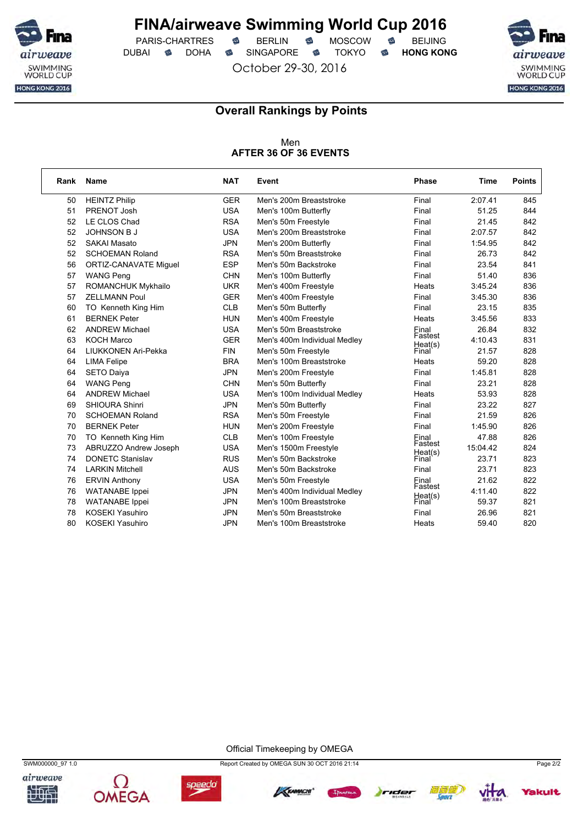

PARIS-CHARTRES **S** BERLIN S MOSCOW S DUBAI **S** DOHA S SINGAPORE S TOKYO S HONG KONG

October 29-30, 2016



### **Overall Rankings by Points**

Men **AFTER 36 OF 36 EVENTS**

| Rank | <b>Name</b>                  | <b>NAT</b> | Event                        | <b>Phase</b>     | Time     | <b>Points</b> |
|------|------------------------------|------------|------------------------------|------------------|----------|---------------|
| 50   | <b>HEINTZ Philip</b>         | <b>GER</b> | Men's 200m Breaststroke      | Final            | 2:07.41  | 845           |
| 51   | PRENOT Josh                  | <b>USA</b> | Men's 100m Butterfly         | Final            | 51.25    | 844           |
| 52   | LE CLOS Chad                 | <b>RSA</b> | Men's 50m Freestyle          | Final            | 21.45    | 842           |
| 52   | <b>JOHNSON B J</b>           | <b>USA</b> | Men's 200m Breaststroke      | Final            | 2:07.57  | 842           |
| 52   | <b>SAKAI Masato</b>          | <b>JPN</b> | Men's 200m Butterfly         | Final            | 1:54.95  | 842           |
| 52   | <b>SCHOEMAN Roland</b>       | <b>RSA</b> | Men's 50m Breaststroke       | Final            | 26.73    | 842           |
| 56   | <b>ORTIZ-CANAVATE Miquel</b> | <b>ESP</b> | Men's 50m Backstroke         | Final            | 23.54    | 841           |
| 57   | <b>WANG Peng</b>             | <b>CHN</b> | Men's 100m Butterfly         | Final            | 51.40    | 836           |
| 57   | ROMANCHUK Mykhailo           | <b>UKR</b> | Men's 400m Freestyle         | Heats            | 3:45.24  | 836           |
| 57   | <b>ZELLMANN Poul</b>         | <b>GER</b> | Men's 400m Freestyle         | Final            | 3:45.30  | 836           |
| 60   | TO Kenneth King Him          | <b>CLB</b> | Men's 50m Butterfly          | Final            | 23.15    | 835           |
| 61   | <b>BERNEK Peter</b>          | <b>HUN</b> | Men's 400m Freestyle         | Heats            | 3:45.56  | 833           |
| 62   | <b>ANDREW Michael</b>        | <b>USA</b> | Men's 50m Breaststroke       | Final            | 26.84    | 832           |
| 63   | <b>KOCH Marco</b>            | <b>GER</b> | Men's 400m Individual Medley | Fastest          | 4:10.43  | 831           |
| 64   | LIUKKONEN Ari-Pekka          | <b>FIN</b> | Men's 50m Freestyle          | Heat(s)<br>Final | 21.57    | 828           |
| 64   | <b>LIMA Felipe</b>           | <b>BRA</b> | Men's 100m Breaststroke      | Heats            | 59.20    | 828           |
| 64   | SETO Daiya                   | <b>JPN</b> | Men's 200m Freestyle         | Final            | 1:45.81  | 828           |
| 64   | <b>WANG Peng</b>             | <b>CHN</b> | Men's 50m Butterfly          | Final            | 23.21    | 828           |
| 64   | <b>ANDREW Michael</b>        | <b>USA</b> | Men's 100m Individual Medley | Heats            | 53.93    | 828           |
| 69   | SHIOURA Shinri               | <b>JPN</b> | Men's 50m Butterfly          | Final            | 23.22    | 827           |
| 70   | <b>SCHOEMAN Roland</b>       | <b>RSA</b> | Men's 50m Freestyle          | Final            | 21.59    | 826           |
| 70   | <b>BERNEK Peter</b>          | <b>HUN</b> | Men's 200m Freestyle         | Final            | 1:45.90  | 826           |
| 70   | TO Kenneth King Him          | <b>CLB</b> | Men's 100m Freestyle         | Final            | 47.88    | 826           |
| 73   | ABRUZZO Andrew Joseph        | <b>USA</b> | Men's 1500m Freestyle        | Fastest          | 15:04.42 | 824           |
| 74   | <b>DONETC Stanislav</b>      | <b>RUS</b> | Men's 50m Backstroke         | Heat(s)<br>Final | 23.71    | 823           |
| 74   | <b>LARKIN Mitchell</b>       | <b>AUS</b> | Men's 50m Backstroke         | Final            | 23.71    | 823           |
| 76   | <b>ERVIN Anthony</b>         | <b>USA</b> | Men's 50m Freestyle          | Final            | 21.62    | 822           |
| 76   | <b>WATANABE</b> Ippei        | <b>JPN</b> | Men's 400m Individual Medley | Fastest          | 4:11.40  | 822           |
| 78   | <b>WATANABE</b> Ippei        | <b>JPN</b> | Men's 100m Breaststroke      | Heat(s)<br>Final | 59.37    | 821           |
| 78   | <b>KOSEKI Yasuhiro</b>       | <b>JPN</b> | Men's 50m Breaststroke       | Final            | 26.96    | 821           |
| 80   | <b>KOSEKI Yasuhiro</b>       | <b>JPN</b> | Men's 100m Breaststroke      | Heats            | 59.40    | 820           |

Official Timekeeping by OMEGA















*fakult*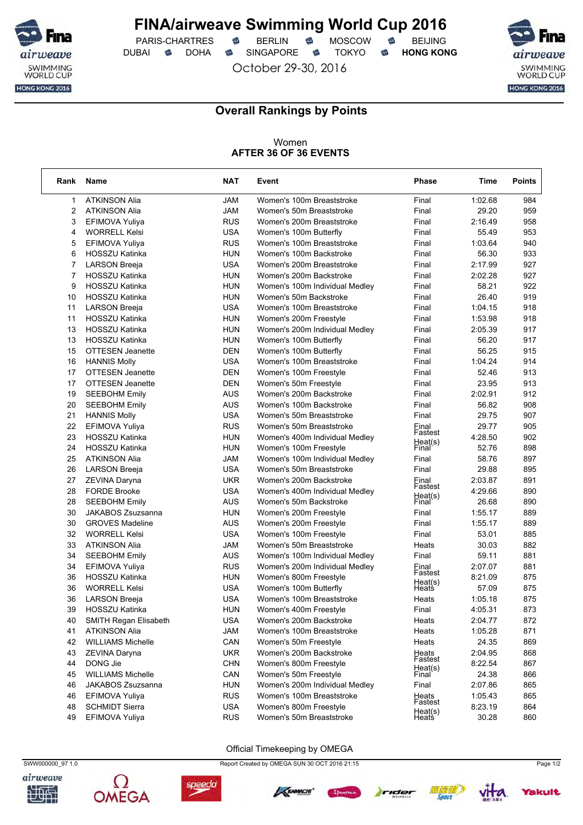

PARIS-CHARTRES **S** BERLIN S MOSCOW S DUBAI **S** DOHA SINGAPORE S TOKYO S HONG KONG

October 29-30, 2016



٦

### **Overall Rankings by Points**

#### Women **AFTER 36 OF 36 EVENTS**

| Rank           | Name                     | <b>NAT</b> | Event                          | <b>Phase</b>             | Time    | <b>Points</b> |
|----------------|--------------------------|------------|--------------------------------|--------------------------|---------|---------------|
| 1              | <b>ATKINSON Alia</b>     | <b>JAM</b> | Women's 100m Breaststroke      | Final                    | 1:02.68 | 984           |
| $\overline{2}$ | <b>ATKINSON Alia</b>     | <b>JAM</b> | Women's 50m Breaststroke       | Final                    | 29.20   | 959           |
| 3              | EFIMOVA Yuliya           | <b>RUS</b> | Women's 200m Breaststroke      | Final                    | 2:16.49 | 958           |
| 4              | <b>WORRELL Kelsi</b>     | <b>USA</b> | Women's 100m Butterfly         | Final                    | 55.49   | 953           |
| 5              | EFIMOVA Yuliya           | <b>RUS</b> | Women's 100m Breaststroke      | Final                    | 1:03.64 | 940           |
| 6              | HOSSZU Katinka           | HUN        | Women's 100m Backstroke        | Final                    | 56.30   | 933           |
| 7              | <b>LARSON Breeja</b>     | <b>USA</b> | Women's 200m Breaststroke      | Final                    | 2:17.99 | 927           |
| 7              | HOSSZU Katinka           | <b>HUN</b> | Women's 200m Backstroke        | Final                    | 2:02.28 | 927           |
| 9              | <b>HOSSZU Katinka</b>    | HUN        | Women's 100m Individual Medley | Final                    | 58.21   | 922           |
| 10             | <b>HOSSZU Katinka</b>    | HUN        | Women's 50m Backstroke         | Final                    | 26.40   | 919           |
| 11             | <b>LARSON Breeja</b>     | <b>USA</b> | Women's 100m Breaststroke      | Final                    | 1:04.15 | 918           |
| 11             | HOSSZU Katinka           | HUN        | Women's 200m Freestyle         | Final                    | 1:53.98 | 918           |
| 13             | <b>HOSSZU Katinka</b>    | HUN        | Women's 200m Individual Medley | Final                    | 2:05.39 | 917           |
| 13             | <b>HOSSZU Katinka</b>    | <b>HUN</b> | Women's 100m Butterfly         | Final                    | 56.20   | 917           |
| 15             | <b>OTTESEN Jeanette</b>  | DEN        | Women's 100m Butterfly         | Final                    | 56.25   | 915           |
| 16             | <b>HANNIS Molly</b>      | <b>USA</b> | Women's 100m Breaststroke      | Final                    | 1:04.24 | 914           |
| 17             | <b>OTTESEN Jeanette</b>  | DEN        | Women's 100m Freestyle         | Final                    | 52.46   | 913           |
| 17             | <b>OTTESEN Jeanette</b>  | DEN        | Women's 50m Freestyle          | Final                    | 23.95   | 913           |
| 19             | <b>SEEBOHM Emily</b>     | <b>AUS</b> | Women's 200m Backstroke        | Final                    | 2:02.91 | 912           |
| 20             | <b>SEEBOHM Emily</b>     | <b>AUS</b> | Women's 100m Backstroke        | Final                    | 56.82   | 908           |
| 21             | <b>HANNIS Molly</b>      | USA        | Women's 50m Breaststroke       | Final                    | 29.75   | 907           |
| 22             | EFIMOVA Yuliya           | <b>RUS</b> | Women's 50m Breaststroke       | Final                    | 29.77   | 905           |
| 23             | <b>HOSSZU Katinka</b>    | HUN        | Women's 400m Individual Medley | Fastest                  | 4:28.50 | 902           |
| 24             | HOSSZU Katinka           | HUN        | Women's 100m Freestyle         | Heat(s)<br>Final         | 52.76   | 898           |
| 25             | <b>ATKINSON Alia</b>     | JAM        | Women's 100m Individual Medley | Final                    | 58.76   | 897           |
| 26             | <b>LARSON Breeja</b>     | <b>USA</b> | Women's 50m Breaststroke       | Final                    | 29.88   | 895           |
| 27             | ZEVINA Daryna            | UKR        | Women's 200m Backstroke        | Final                    | 2:03.87 | 891           |
| 28             | <b>FORDE Brooke</b>      | <b>USA</b> | Women's 400m Individual Medley | Fastest                  | 4:29.66 | 890           |
| 28             | <b>SEEBOHM Emily</b>     | AUS        | Women's 50m Backstroke         | Heat(s)<br>Final         | 26.68   | 890           |
| 30             | JAKABOS Zsuzsanna        | HUN        | Women's 200m Freestyle         | Final                    | 1:55.17 | 889           |
| 30             | <b>GROVES Madeline</b>   | <b>AUS</b> | Women's 200m Freestyle         | Final                    | 1:55.17 | 889           |
| 32             | <b>WORRELL Kelsi</b>     | <b>USA</b> | Women's 100m Freestyle         | Final                    | 53.01   | 885           |
| 33             | <b>ATKINSON Alia</b>     | JAM        | Women's 50m Breaststroke       | Heats                    | 30.03   | 882           |
| 34             | <b>SEEBOHM Emily</b>     | <b>AUS</b> | Women's 100m Individual Medley | Final                    | 59.11   | 881           |
| 34             | EFIMOVA Yuliya           | <b>RUS</b> | Women's 200m Individual Medley | Final                    | 2:07.07 | 881           |
| 36             | <b>HOSSZU Katinka</b>    | HUN        | Women's 800m Freestyle         | Fastest                  | 8:21.09 | 875           |
| 36             | <b>WORRELL Kelsi</b>     | <b>USA</b> | Women's 100m Butterfly         | Hea( <i>s</i> )<br>Heats | 57.09   | 875           |
| 36             | <b>LARSON Breeja</b>     | <b>USA</b> | Women's 100m Breaststroke      | Heats                    | 1:05.18 | 875           |
| 39             | <b>HOSSZU Katinka</b>    | HUN        | Women's 400m Freestyle         | Final                    | 4:05.31 | 873           |
| 40             | SMITH Regan Elisabeth    | <b>USA</b> | Women's 200m Backstroke        | Heats                    | 2:04.77 | 872           |
| 41             | <b>ATKINSON Alia</b>     | <b>JAM</b> | Women's 100m Breaststroke      | Heats                    | 1:05.28 | 871           |
| 42             | <b>WILLIAMS Michelle</b> | CAN        | Women's 50m Freestyle          | Heats                    | 24.35   | 869           |
| 43             | ZEVINA Daryna            | <b>UKR</b> | Women's 200m Backstroke        |                          | 2:04.95 | 868           |
| 44             | DONG Jie                 | <b>CHN</b> | Women's 800m Freestyle         | Heats<br>Fastest         | 8:22.54 | 867           |
| 45             | <b>WILLIAMS Michelle</b> | CAN        | Women's 50m Freestyle          | Heat(s)<br>Final         | 24.38   | 866           |
| 46             | JAKABOS Zsuzsanna        | <b>HUN</b> | Women's 200m Individual Medley | Final                    | 2:07.86 | 865           |
| 46             | EFIMOVA Yuliya           | <b>RUS</b> | Women's 100m Breaststroke      | Heats                    | 1:05.43 | 865           |
| 48             | <b>SCHMIDT Sierra</b>    | <b>USA</b> | Women's 800m Freestyle         | Fastest                  | 8:23.19 | 864           |
| 49             | EFIMOVA Yuliya           | <b>RUS</b> | Women's 50m Breaststroke       | Heat(s)<br>Heats         | 30.28   | 860           |

#### Official Timekeeping by OMEGA







SWW000000\_97 1.0 Report Created by OMEGA SUN 30 OCT 2016 21:15 Page 1/2







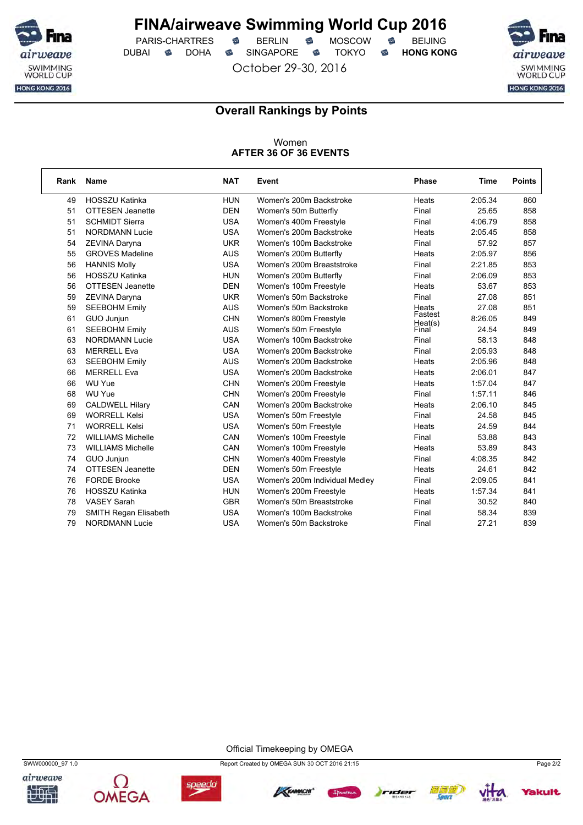

PARIS-CHARTRES **S** BERLIN S MOSCOW S DUBAI **S** DOHA SINGAPORE S TOKYO S HONG KONG

October 29-30, 2016



### **Overall Rankings by Points**

### Women **AFTER 36 OF 36 EVENTS**

| Rank | <b>Name</b>              | <b>NAT</b> | Event                          | Phase              | Time    | <b>Points</b> |
|------|--------------------------|------------|--------------------------------|--------------------|---------|---------------|
| 49   | <b>HOSSZU Katinka</b>    | <b>HUN</b> | Women's 200m Backstroke        | Heats              | 2:05.34 | 860           |
| 51   | <b>OTTESEN Jeanette</b>  | <b>DEN</b> | Women's 50m Butterfly          | Final              | 25.65   | 858           |
| 51   | <b>SCHMIDT Sierra</b>    | <b>USA</b> | Women's 400m Freestyle         | Final              | 4:06.79 | 858           |
| 51   | <b>NORDMANN Lucie</b>    | <b>USA</b> | Women's 200m Backstroke        | Heats              | 2:05.45 | 858           |
| 54   | ZEVINA Daryna            | <b>UKR</b> | Women's 100m Backstroke        | Final              | 57.92   | 857           |
| 55   | <b>GROVES Madeline</b>   | <b>AUS</b> | Women's 200m Butterfly         | Heats              | 2:05.97 | 856           |
| 56   | <b>HANNIS Molly</b>      | <b>USA</b> | Women's 200m Breaststroke      | Final              | 2:21.85 | 853           |
| 56   | <b>HOSSZU Katinka</b>    | <b>HUN</b> | Women's 200m Butterfly         | Final              | 2:06.09 | 853           |
| 56   | <b>OTTESEN Jeanette</b>  | <b>DEN</b> | Women's 100m Freestyle         | Heats              | 53.67   | 853           |
| 59   | ZEVINA Daryna            | <b>UKR</b> | Women's 50m Backstroke         | Final              | 27.08   | 851           |
| 59   | <b>SEEBOHM Emily</b>     | <b>AUS</b> | Women's 50m Backstroke         | Heats              | 27.08   | 851           |
| 61   | GUO Junjun               | <b>CHN</b> | Women's 800m Freestyle         | Fastest<br>Heat(s) | 8:26.05 | 849           |
| 61   | <b>SEEBOHM Emily</b>     | <b>AUS</b> | Women's 50m Freestyle          | Final              | 24.54   | 849           |
| 63   | <b>NORDMANN Lucie</b>    | <b>USA</b> | Women's 100m Backstroke        | Final              | 58.13   | 848           |
| 63   | <b>MERRELL Eva</b>       | <b>USA</b> | Women's 200m Backstroke        | Final              | 2:05.93 | 848           |
| 63   | <b>SEEBOHM Emily</b>     | <b>AUS</b> | Women's 200m Backstroke        | Heats              | 2:05.96 | 848           |
| 66   | <b>MERRELL Eva</b>       | <b>USA</b> | Women's 200m Backstroke        | Heats              | 2:06.01 | 847           |
| 66   | WU Yue                   | <b>CHN</b> | Women's 200m Freestyle         | Heats              | 1:57.04 | 847           |
| 68   | WU Yue                   | <b>CHN</b> | Women's 200m Freestyle         | Final              | 1:57.11 | 846           |
| 69   | <b>CALDWELL Hilary</b>   | CAN        | Women's 200m Backstroke        | Heats              | 2:06.10 | 845           |
| 69   | <b>WORRELL Kelsi</b>     | <b>USA</b> | Women's 50m Freestyle          | Final              | 24.58   | 845           |
| 71   | <b>WORRELL Kelsi</b>     | <b>USA</b> | Women's 50m Freestyle          | Heats              | 24.59   | 844           |
| 72   | <b>WILLIAMS Michelle</b> | CAN        | Women's 100m Freestyle         | Final              | 53.88   | 843           |
| 73   | <b>WILLIAMS Michelle</b> | CAN        | Women's 100m Freestyle         | Heats              | 53.89   | 843           |
| 74   | GUO Junjun               | <b>CHN</b> | Women's 400m Freestyle         | Final              | 4:08.35 | 842           |
| 74   | <b>OTTESEN Jeanette</b>  | <b>DEN</b> | Women's 50m Freestyle          | Heats              | 24.61   | 842           |
| 76   | <b>FORDE Brooke</b>      | <b>USA</b> | Women's 200m Individual Medley | Final              | 2:09.05 | 841           |
| 76   | <b>HOSSZU Katinka</b>    | <b>HUN</b> | Women's 200m Freestyle         | Heats              | 1:57.34 | 841           |
| 78   | <b>VASEY Sarah</b>       | <b>GBR</b> | Women's 50m Breaststroke       | Final              | 30.52   | 840           |
| 79   | SMITH Regan Elisabeth    | <b>USA</b> | Women's 100m Backstroke        | Final              | 58.34   | 839           |
| 79   | <b>NORDMANN Lucie</b>    | <b>USA</b> | Women's 50m Backstroke         | Final              | 27.21   | 839           |

Official Timekeeping by OMEGA











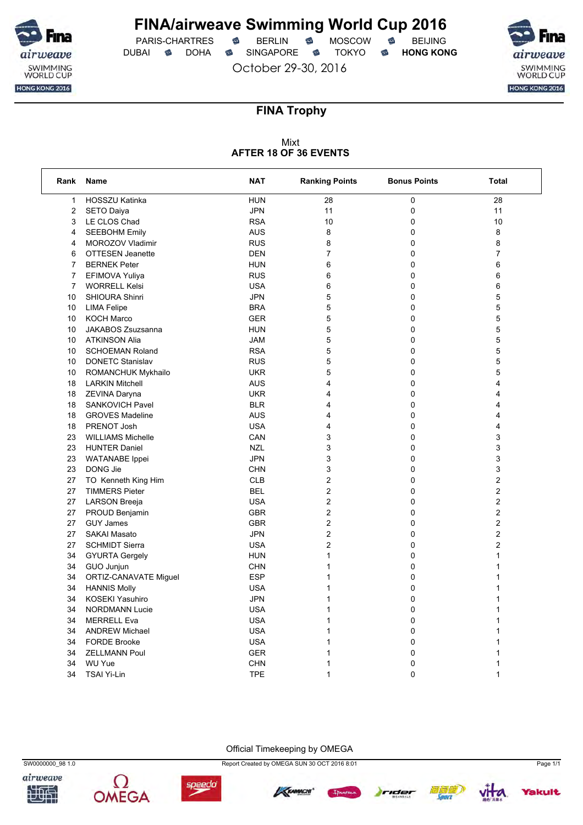

PARIS-CHARTRES **S** BERLIN S MOSCOW S DUBAI **S** DOHA S SINGAPORE S TOKYO S HONG KONG

October 29-30, 2016



### **FINA Trophy**

### Mixt **AFTER 18 OF 36 EVENTS**

| Rank           | Name                      | <b>NAT</b> | <b>Ranking Points</b>   | <b>Bonus Points</b> | <b>Total</b>            |
|----------------|---------------------------|------------|-------------------------|---------------------|-------------------------|
| $\mathbf{1}$   | <b>HOSSZU Katinka</b>     | <b>HUN</b> | 28                      | 0                   | 28                      |
| $\overline{c}$ | <b>SETO Daiya</b>         | <b>JPN</b> | 11                      | 0                   | 11                      |
| 3              | LE CLOS Chad              | <b>RSA</b> | 10                      | 0                   | 10                      |
| 4              | <b>SEEBOHM Emily</b>      | <b>AUS</b> | 8                       | 0                   | 8                       |
| 4              | MOROZOV Vladimir          | <b>RUS</b> | 8                       | 0                   | 8                       |
| 6              | <b>OTTESEN Jeanette</b>   | <b>DEN</b> | $\overline{7}$          | 0                   | 7                       |
| $\overline{7}$ | <b>BERNEK Peter</b>       | <b>HUN</b> | 6                       | 0                   | 6                       |
| 7              | EFIMOVA Yuliya            | <b>RUS</b> | 6                       | 0                   | 6                       |
| 7              | <b>WORRELL Kelsi</b>      | <b>USA</b> | 6                       | 0                   | 6                       |
| 10             | <b>SHIOURA Shinri</b>     | <b>JPN</b> | 5                       | 0                   | 5                       |
| 10             | <b>LIMA Felipe</b>        | <b>BRA</b> | 5                       | 0                   | 5                       |
| 10             | <b>KOCH Marco</b>         | <b>GER</b> | 5                       | 0                   | 5                       |
| 10             | JAKABOS Zsuzsanna         | <b>HUN</b> | 5                       | 0                   | 5                       |
| 10             | <b>ATKINSON Alia</b>      | <b>JAM</b> | 5                       | 0                   | 5                       |
| 10             | <b>SCHOEMAN Roland</b>    | <b>RSA</b> | 5                       | 0                   | 5                       |
| 10             | <b>DONETC Stanislav</b>   | <b>RUS</b> | 5                       | 0                   | 5                       |
| 10             | <b>ROMANCHUK Mykhailo</b> | <b>UKR</b> | 5                       | 0                   | 5                       |
| 18             | LARKIN Mitchell           | <b>AUS</b> | 4                       | 0                   | 4                       |
| 18             | ZEVINA Daryna             | <b>UKR</b> | 4                       | 0                   | 4                       |
| 18             | SANKOVICH Pavel           | <b>BLR</b> | 4                       | 0                   | 4                       |
| 18             | <b>GROVES Madeline</b>    | <b>AUS</b> | 4                       | 0                   | 4                       |
| 18             | PRENOT Josh               | <b>USA</b> | 4                       | 0                   | 4                       |
| 23             | <b>WILLIAMS Michelle</b>  | CAN        | 3                       | 0                   | 3                       |
| 23             | <b>HUNTER Daniel</b>      | <b>NZL</b> | 3                       | 0                   | 3                       |
| 23             | <b>WATANABE</b> Ippei     | <b>JPN</b> | 3                       | 0                   | 3                       |
| 23             | DONG Jie                  | <b>CHN</b> | 3                       | 0                   | 3                       |
| 27             | TO Kenneth King Him       | <b>CLB</b> | $\overline{\mathbf{c}}$ | 0                   | $\overline{\mathbf{c}}$ |
| 27             | <b>TIMMERS Pieter</b>     | <b>BEL</b> | 2                       | 0                   | 2                       |
| 27             | <b>LARSON Breeja</b>      | <b>USA</b> | $\overline{c}$          | 0                   | 2                       |
| 27             | PROUD Benjamin            | <b>GBR</b> | $\overline{\mathbf{c}}$ | 0                   | $\overline{\mathbf{c}}$ |
| 27             | <b>GUY James</b>          | <b>GBR</b> | 2                       | 0                   | 2                       |
| 27             | <b>SAKAI Masato</b>       | <b>JPN</b> | 2                       | 0                   | 2                       |
| 27             | <b>SCHMIDT Sierra</b>     | <b>USA</b> | $\overline{\mathbf{c}}$ | 0                   | $\overline{\mathbf{c}}$ |
| 34             | <b>GYURTA Gergely</b>     | <b>HUN</b> | 1                       | 0                   | 1                       |
| 34             | GUO Junjun                | <b>CHN</b> | $\mathbf{1}$            | 0                   | 1                       |
| 34             | ORTIZ-CANAVATE Miguel     | <b>ESP</b> | 1                       | 0                   | 1                       |
| 34             | <b>HANNIS Molly</b>       | <b>USA</b> | 1                       | 0                   | 1                       |
| 34             | KOSEKI Yasuhiro           | <b>JPN</b> | $\mathbf{1}$            | 0                   | 1                       |
| 34             | <b>NORDMANN Lucie</b>     | <b>USA</b> | 1                       | 0                   | 1                       |
| 34             | <b>MERRELL Eva</b>        | <b>USA</b> | $\mathbf{1}$            | 0                   | 1                       |
| 34             | <b>ANDREW Michael</b>     | <b>USA</b> | $\mathbf{1}$            | 0                   | 1                       |
| 34             | <b>FORDE Brooke</b>       | <b>USA</b> | 1                       | 0                   | 1                       |
| 34             | <b>ZELLMANN Poul</b>      | <b>GER</b> | 1                       | 0                   | 1                       |
| 34             | WU Yue                    | <b>CHN</b> | 1                       | 0                   | 1                       |
| 34             | <b>TSAI Yi-Lin</b>        | <b>TPE</b> | $\mathbf{1}$            | 0                   | 1                       |















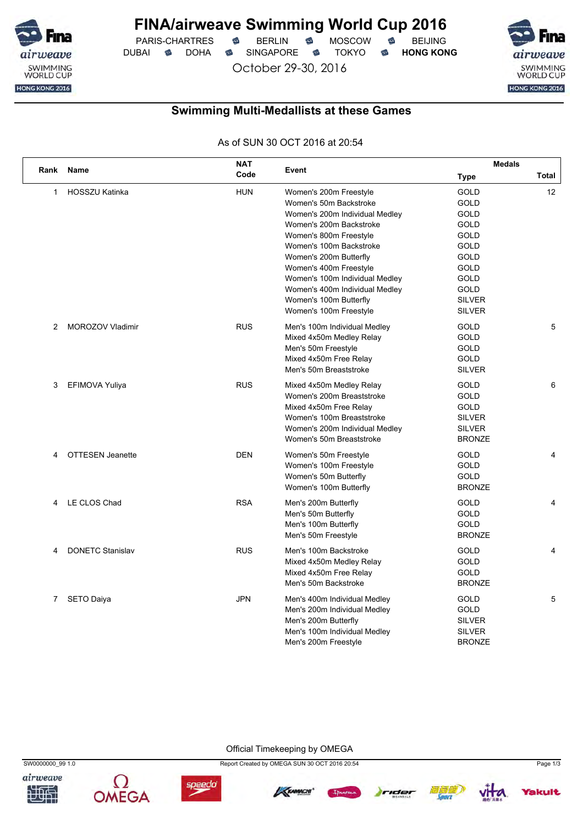

PARIS-CHARTRES **B** BERLIN **B** MOSCOW **B** BEIJING DUBAI **S** DOHA SINGAPORE S TOKYO S HONG KONG

October 29-30, 2016

SWIMMING<br>WORLD CUP HONG KONG 2016

## **Swimming Multi-Medallists at these Games**

As of SUN 30 OCT 2016 at 20:54

|      | Name                    | <b>NAT</b> |                                | <b>Medals</b> |                 |
|------|-------------------------|------------|--------------------------------|---------------|-----------------|
| Rank |                         | Code       | Event                          | <b>Type</b>   | Total           |
| 1    | <b>HOSSZU Katinka</b>   | <b>HUN</b> | Women's 200m Freestyle         | <b>GOLD</b>   | 12 <sup>2</sup> |
|      |                         |            | Women's 50m Backstroke         | <b>GOLD</b>   |                 |
|      |                         |            | Women's 200m Individual Medley | <b>GOLD</b>   |                 |
|      |                         |            | Women's 200m Backstroke        | GOLD          |                 |
|      |                         |            | Women's 800m Freestyle         | GOLD          |                 |
|      |                         |            | Women's 100m Backstroke        | GOLD          |                 |
|      |                         |            | Women's 200m Butterfly         | GOLD          |                 |
|      |                         |            | Women's 400m Freestyle         | <b>GOLD</b>   |                 |
|      |                         |            | Women's 100m Individual Medley | <b>GOLD</b>   |                 |
|      |                         |            | Women's 400m Individual Medley | <b>GOLD</b>   |                 |
|      |                         |            | Women's 100m Butterfly         | <b>SILVER</b> |                 |
|      |                         |            | Women's 100m Freestyle         | <b>SILVER</b> |                 |
| 2    | <b>MOROZOV Vladimir</b> | <b>RUS</b> | Men's 100m Individual Medley   | GOLD          | 5               |
|      |                         |            | Mixed 4x50m Medley Relay       | <b>GOLD</b>   |                 |
|      |                         |            | Men's 50m Freestyle            | <b>GOLD</b>   |                 |
|      |                         |            | Mixed 4x50m Free Relay         | <b>GOLD</b>   |                 |
|      |                         |            | Men's 50m Breaststroke         | <b>SILVER</b> |                 |
| 3    | EFIMOVA Yuliya          | <b>RUS</b> | Mixed 4x50m Medley Relay       | GOLD          | 6               |
|      |                         |            | Women's 200m Breaststroke      | <b>GOLD</b>   |                 |
|      |                         |            | Mixed 4x50m Free Relay         | <b>GOLD</b>   |                 |
|      |                         |            | Women's 100m Breaststroke      | <b>SILVER</b> |                 |
|      |                         |            | Women's 200m Individual Medley | <b>SILVER</b> |                 |
|      |                         |            | Women's 50m Breaststroke       | <b>BRONZE</b> |                 |
| 4    | <b>OTTESEN Jeanette</b> | <b>DEN</b> | Women's 50m Freestyle          | GOLD          | $\overline{4}$  |
|      |                         |            | Women's 100m Freestyle         | GOLD          |                 |
|      |                         |            | Women's 50m Butterfly          | <b>GOLD</b>   |                 |
|      |                         |            | Women's 100m Butterfly         | <b>BRONZE</b> |                 |
| 4    | LE CLOS Chad            | <b>RSA</b> | Men's 200m Butterfly           | <b>GOLD</b>   | 4               |
|      |                         |            | Men's 50m Butterfly            | GOLD          |                 |
|      |                         |            | Men's 100m Butterfly           | GOLD          |                 |
|      |                         |            | Men's 50m Freestyle            | <b>BRONZE</b> |                 |
| 4    | <b>DONETC Stanislav</b> | <b>RUS</b> | Men's 100m Backstroke          | GOLD          | 4               |
|      |                         |            | Mixed 4x50m Medley Relay       | GOLD          |                 |
|      |                         |            | Mixed 4x50m Free Relay         | GOLD          |                 |
|      |                         |            | Men's 50m Backstroke           | <b>BRONZE</b> |                 |
| 7    | <b>SETO Daiya</b>       | <b>JPN</b> | Men's 400m Individual Medley   | GOLD          | 5               |
|      |                         |            | Men's 200m Individual Medley   | GOLD          |                 |
|      |                         |            | Men's 200m Butterfly           | <b>SILVER</b> |                 |
|      |                         |            | Men's 100m Individual Medley   | <b>SILVER</b> |                 |
|      |                         |            | Men's 200m Freestyle           | <b>BRONZE</b> |                 |

Official Timekeeping by OMEGA









SW0000000\_99 1.0 Report Created by OMEGA SUN 30 OCT 2016 20:54 Page 1/3





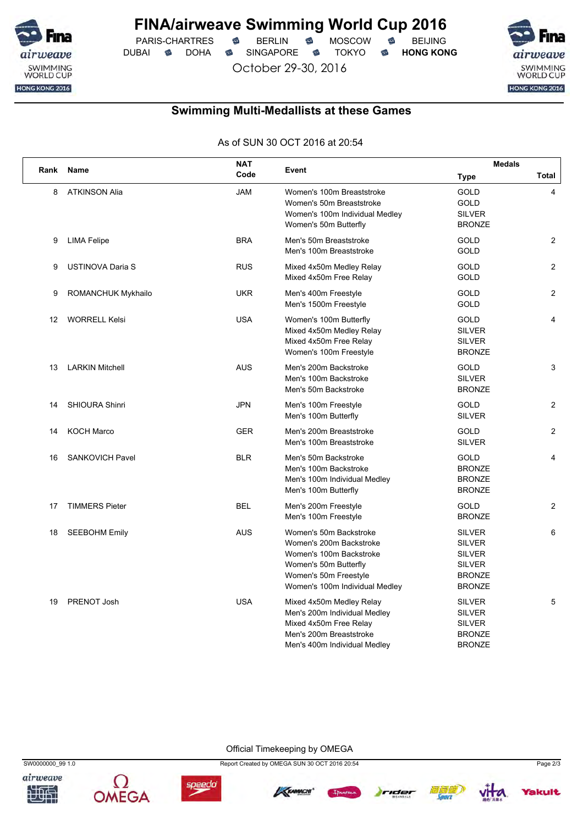

PARIS-CHARTRES **B** BERLIN **B** MOSCOW **B** BEIJING DUBAI **S** DOHA SINGAPORE S TOKYO S HONG KONG

October 29-30, 2016

SWIMMING<br>WORLD CUP HONG KONG 2016

## **Swimming Multi-Medallists at these Games**

As of SUN 30 OCT 2016 at 20:54

|      |                         | <b>NAT</b> |                                                                                                                                                                  | <b>Medals</b>                                                                                      |                |  |
|------|-------------------------|------------|------------------------------------------------------------------------------------------------------------------------------------------------------------------|----------------------------------------------------------------------------------------------------|----------------|--|
| Rank | Name                    | Code       | Event                                                                                                                                                            | Type                                                                                               | Total          |  |
| 8    | <b>ATKINSON Alia</b>    | <b>JAM</b> | Women's 100m Breaststroke<br>Women's 50m Breaststroke<br>Women's 100m Individual Medley<br>Women's 50m Butterfly                                                 | GOLD<br><b>GOLD</b><br><b>SILVER</b><br><b>BRONZE</b>                                              | 4              |  |
| 9    | <b>LIMA Felipe</b>      | <b>BRA</b> | Men's 50m Breaststroke<br>Men's 100m Breaststroke                                                                                                                | <b>GOLD</b><br><b>GOLD</b>                                                                         | $\overline{2}$ |  |
| 9    | <b>USTINOVA Daria S</b> | <b>RUS</b> | Mixed 4x50m Medley Relay<br>Mixed 4x50m Free Relay                                                                                                               | <b>GOLD</b><br><b>GOLD</b>                                                                         | $\overline{2}$ |  |
| 9    | ROMANCHUK Mykhailo      | <b>UKR</b> | Men's 400m Freestyle<br>Men's 1500m Freestyle                                                                                                                    | <b>GOLD</b><br><b>GOLD</b>                                                                         | 2              |  |
| 12   | <b>WORRELL Kelsi</b>    | <b>USA</b> | Women's 100m Butterfly<br>Mixed 4x50m Medley Relay<br>Mixed 4x50m Free Relay<br>Women's 100m Freestyle                                                           | <b>GOLD</b><br><b>SILVER</b><br><b>SILVER</b><br><b>BRONZE</b>                                     | $\overline{4}$ |  |
| 13   | <b>LARKIN Mitchell</b>  | <b>AUS</b> | Men's 200m Backstroke<br>Men's 100m Backstroke<br>Men's 50m Backstroke                                                                                           | GOLD<br><b>SILVER</b><br><b>BRONZE</b>                                                             | 3              |  |
| 14   | <b>SHIOURA Shinri</b>   | <b>JPN</b> | Men's 100m Freestyle<br>Men's 100m Butterfly                                                                                                                     | <b>GOLD</b><br><b>SILVER</b>                                                                       | $\overline{2}$ |  |
| 14   | <b>KOCH Marco</b>       | <b>GER</b> | Men's 200m Breaststroke<br>Men's 100m Breaststroke                                                                                                               | <b>GOLD</b><br><b>SILVER</b>                                                                       | $\overline{2}$ |  |
| 16   | <b>SANKOVICH Pavel</b>  | <b>BLR</b> | Men's 50m Backstroke<br>Men's 100m Backstroke<br>Men's 100m Individual Medley<br>Men's 100m Butterfly                                                            | <b>GOLD</b><br><b>BRONZE</b><br><b>BRONZE</b><br><b>BRONZE</b>                                     | 4              |  |
| 17   | <b>TIMMERS Pieter</b>   | <b>BEL</b> | Men's 200m Freestyle<br>Men's 100m Freestyle                                                                                                                     | GOLD<br><b>BRONZE</b>                                                                              | $\overline{2}$ |  |
| 18   | <b>SEEBOHM Emily</b>    | <b>AUS</b> | Women's 50m Backstroke<br>Women's 200m Backstroke<br>Women's 100m Backstroke<br>Women's 50m Butterfly<br>Women's 50m Freestyle<br>Women's 100m Individual Medley | <b>SILVER</b><br><b>SILVER</b><br><b>SILVER</b><br><b>SILVER</b><br><b>BRONZE</b><br><b>BRONZE</b> | 6              |  |
| 19   | PRENOT Josh             | <b>USA</b> | Mixed 4x50m Medley Relay<br>Men's 200m Individual Medley<br>Mixed 4x50m Free Relay<br>Men's 200m Breaststroke<br>Men's 400m Individual Medley                    | <b>SILVER</b><br><b>SILVER</b><br><b>SILVER</b><br><b>BRONZE</b><br><b>BRONZE</b>                  | 5              |  |

Official Timekeeping by OMEGA









SW0000000\_99 1.0 Report Created by OMEGA SUN 30 OCT 2016 20:54 Page 2/3